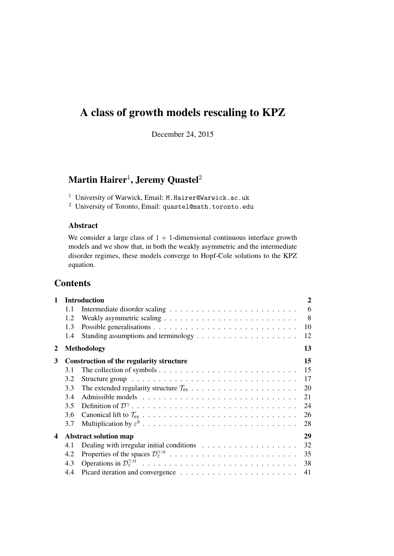# A class of growth models rescaling to KPZ

December 24, 2015

## Martin Hairer $^1$ , Jeremy Quastel $^2$

 $^{\rm 1}$ University of Warwick, Email: M.Hairer@Warwick.ac.uk

<sup>2</sup> University of Toronto, Email: quastel@math.toronto.edu

## Abstract

We consider a large class of  $1 + 1$ -dimensional continuous interface growth models and we show that, in both the weakly asymmetric and the intermediate disorder regimes, these models converge to Hopf-Cole solutions to the KPZ equation.

## **Contents**

| $\mathbf{1}$ | <b>Introduction</b>                |                                                                                       |   |  |  |
|--------------|------------------------------------|---------------------------------------------------------------------------------------|---|--|--|
|              | 1.1                                |                                                                                       | 6 |  |  |
|              | 1.2                                |                                                                                       | 8 |  |  |
|              | 1.3                                | 10                                                                                    |   |  |  |
|              | 1.4                                | 12                                                                                    |   |  |  |
| 2            |                                    | 13<br><b>Methodology</b>                                                              |   |  |  |
| 3            |                                    | 15<br><b>Construction of the regularity structure</b>                                 |   |  |  |
|              | 3.1                                | 15                                                                                    |   |  |  |
|              | 3.2                                | 17                                                                                    |   |  |  |
|              | 3.3                                | 20                                                                                    |   |  |  |
|              | 3.4                                | 21                                                                                    |   |  |  |
|              | 3.5                                | 24                                                                                    |   |  |  |
|              | 3.6                                | 26                                                                                    |   |  |  |
|              | 3.7                                | 28                                                                                    |   |  |  |
| 4            | 29<br><b>Abstract solution map</b> |                                                                                       |   |  |  |
|              | 4.1                                | 32<br>Dealing with irregular initial conditions $\dots \dots \dots \dots \dots \dots$ |   |  |  |
|              | 4.2                                | 35                                                                                    |   |  |  |
|              | 4.3                                | 38                                                                                    |   |  |  |
|              | 4.4                                | 41                                                                                    |   |  |  |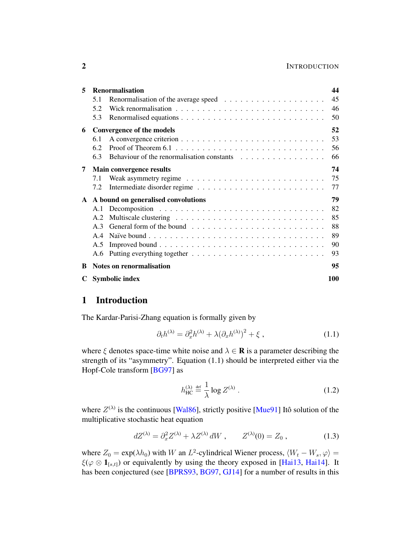## 2 INTRODUCTION

| 5 | <b>Renormalisation</b>          |                                       |     |  |  |
|---|---------------------------------|---------------------------------------|-----|--|--|
|   | 5.1                             |                                       | 45  |  |  |
|   | 5.2                             |                                       | 46  |  |  |
|   | 5.3                             |                                       | 50  |  |  |
| 6 | 52<br>Convergence of the models |                                       |     |  |  |
|   | 6.1                             |                                       | 53  |  |  |
|   | 6.2                             |                                       | 56  |  |  |
|   | 6.3                             |                                       | 66  |  |  |
| 7 |                                 | <b>Main convergence results</b>       | 74  |  |  |
|   | 7.1                             |                                       | 75  |  |  |
|   | 7.2                             |                                       | 77  |  |  |
|   |                                 | A A bound on generalised convolutions | 79  |  |  |
|   |                                 |                                       | 82  |  |  |
|   | A.2                             |                                       | 85  |  |  |
|   | A <sup>3</sup>                  |                                       | 88  |  |  |
|   | A.4                             |                                       | 89  |  |  |
|   | A.5                             |                                       | 90  |  |  |
|   | A.6                             |                                       | 93  |  |  |
| B |                                 | <b>Notes on renormalisation</b>       | 95  |  |  |
| C |                                 | <b>Symbolic index</b>                 | 100 |  |  |
|   |                                 |                                       |     |  |  |

## <span id="page-1-0"></span>1 Introduction

The Kardar-Parisi-Zhang equation is formally given by

$$
\partial_t h^{(\lambda)} = \partial_x^2 h^{(\lambda)} + \lambda (\partial_x h^{(\lambda)})^2 + \xi , \qquad (1.1)
$$

where  $\xi$  denotes space-time white noise and  $\lambda \in \mathbf{R}$  is a parameter describing the strength of its "asymmetry". Equation [\(1.1\)](#page-1-1) should be interpreted either via the Hopf-Cole transform [\[BG97\]](#page-101-0) as

<span id="page-1-2"></span><span id="page-1-1"></span>
$$
h_{\rm HC}^{(\lambda)} \stackrel{\text{def}}{=} \frac{1}{\lambda} \log Z^{(\lambda)} \,. \tag{1.2}
$$

where  $Z^{(\lambda)}$  is the continuous [\[Wal86\]](#page-103-0), strictly positive [\[Mue91\]](#page-103-1) Itô solution of the multiplicative stochastic heat equation

$$
dZ^{(\lambda)} = \partial_x^2 Z^{(\lambda)} + \lambda Z^{(\lambda)} dW , \qquad Z^{(\lambda)}(0) = Z_0 , \qquad (1.3)
$$

where  $Z_0 = \exp(\lambda h_0)$  with W an  $L^2$ -cylindrical Wiener process,  $\langle W_t - W_s, \varphi \rangle =$  $\xi(\varphi \otimes \mathbf{1}_{[s,t]})$  or equivalently by using the theory exposed in [\[Hai13,](#page-102-0) [Hai14\]](#page-102-1). It has been conjectured (see [\[BPRS93,](#page-102-2) [BG97,](#page-101-0) [GJ14\]](#page-102-3) for a number of results in this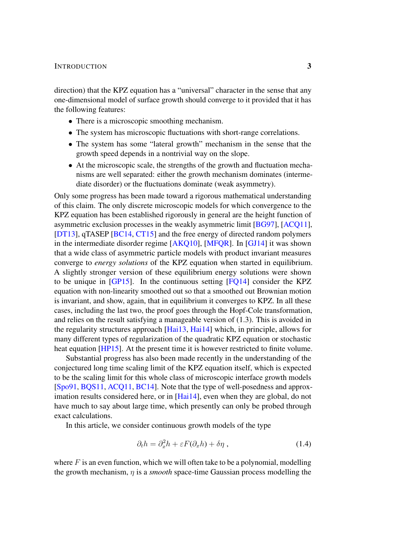## INTRODUCTION 3

direction) that the KPZ equation has a "universal" character in the sense that any one-dimensional model of surface growth should converge to it provided that it has the following features:

- There is a microscopic smoothing mechanism.
- The system has microscopic fluctuations with short-range correlations.
- The system has some "lateral growth" mechanism in the sense that the growth speed depends in a nontrivial way on the slope.
- At the microscopic scale, the strengths of the growth and fluctuation mechanisms are well separated: either the growth mechanism dominates (intermediate disorder) or the fluctuations dominate (weak asymmetry).

Only some progress has been made toward a rigorous mathematical understanding of this claim. The only discrete microscopic models for which convergence to the KPZ equation has been established rigorously in general are the height function of asymmetric exclusion processes in the weakly asymmetric limit [\[BG97\]](#page-101-0), [\[ACQ11\]](#page-101-1), [\[DT13\]](#page-102-4), qTASEP [\[BC14,](#page-101-2) [CT15\]](#page-102-5) and the free energy of directed random polymers in the intermediate disorder regime [\[AKQ10\]](#page-101-3), [\[MFQR\]](#page-103-2). In [\[GJ14\]](#page-102-3) it was shown that a wide class of asymmetric particle models with product invariant measures converge to *energy solutions* of the KPZ equation when started in equilibrium. A slightly stronger version of these equilibrium energy solutions were shown to be unique in [\[GP15\]](#page-102-6). In the continuous setting [\[FQ14\]](#page-102-7) consider the KPZ equation with non-linearity smoothed out so that a smoothed out Brownian motion is invariant, and show, again, that in equilibrium it converges to KPZ. In all these cases, including the last two, the proof goes through the Hopf-Cole transformation, and relies on the result satisfying a manageable version of [\(1.3\)](#page-1-2). This is avoided in the regularity structures approach [\[Hai13,](#page-102-0) [Hai14\]](#page-102-1) which, in principle, allows for many different types of regularization of the quadratic KPZ equation or stochastic heat equation [\[HP15\]](#page-103-3). At the present time it is however restricted to finite volume.

Substantial progress has also been made recently in the understanding of the conjectured long time scaling limit of the KPZ equation itself, which is expected to be the scaling limit for this whole class of microscopic interface growth models [\[Spo91,](#page-103-4) [BQS11,](#page-102-8) [ACQ11,](#page-101-1) [BC14\]](#page-101-2). Note that the type of well-posedness and approx-imation results considered here, or in [\[Hai14\]](#page-102-1), even when they are global, do not have much to say about large time, which presently can only be probed through exact calculations.

In this article, we consider continuous growth models of the type

<span id="page-2-0"></span>
$$
\partial_t h = \partial_x^2 h + \varepsilon F(\partial_x h) + \delta \eta \,, \tag{1.4}
$$

where  $F$  is an even function, which we will often take to be a polynomial, modelling the growth mechanism, η is a *smooth* space-time Gaussian process modelling the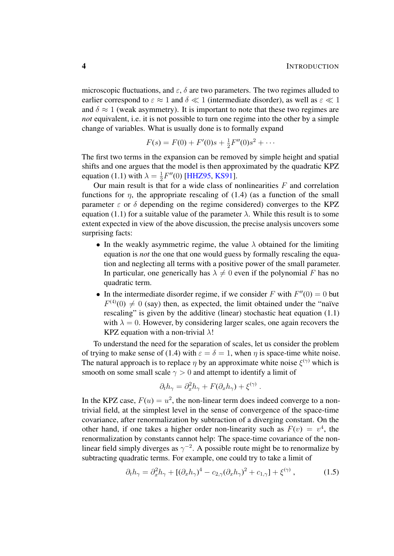microscopic fluctuations, and  $\varepsilon$ ,  $\delta$  are two parameters. The two regimes alluded to earlier correspond to  $\varepsilon \approx 1$  and  $\delta \ll 1$  (intermediate disorder), as well as  $\varepsilon \ll 1$ and  $\delta \approx 1$  (weak asymmetry). It is important to note that these two regimes are *not* equivalent, i.e. it is not possible to turn one regime into the other by a simple change of variables. What is usually done is to formally expand

$$
F(s) = F(0) + F'(0)s + \frac{1}{2}F''(0)s^{2} + \cdots
$$

The first two terms in the expansion can be removed by simple height and spatial shifts and one argues that the model is then approximated by the quadratic KPZ equation [\(1.1\)](#page-1-1) with  $\lambda = \frac{1}{2}$  $\frac{1}{2}F''(0)$  [\[HHZ95,](#page-102-9) [KS91\]](#page-103-5).

Our main result is that for a wide class of nonlinearities  $F$  and correlation functions for  $\eta$ , the appropriate rescaling of [\(1.4\)](#page-2-0) (as a function of the small parameter  $\varepsilon$  or  $\delta$  depending on the regime considered) converges to the KPZ equation [\(1.1\)](#page-1-1) for a suitable value of the parameter  $\lambda$ . While this result is to some extent expected in view of the above discussion, the precise analysis uncovers some surprising facts:

- In the weakly asymmetric regime, the value  $\lambda$  obtained for the limiting equation is *not* the one that one would guess by formally rescaling the equation and neglecting all terms with a positive power of the small parameter. In particular, one generically has  $\lambda \neq 0$  even if the polynomial F has no quadratic term.
- In the intermediate disorder regime, if we consider F with  $F''(0) = 0$  but  $F^{(4)}(0) \neq 0$  (say) then, as expected, the limit obtained under the "naïve rescaling" is given by the additive (linear) stochastic heat equation [\(1.1\)](#page-1-1) with  $\lambda = 0$ . However, by considering larger scales, one again recovers the KPZ equation with a non-trivial  $\lambda$ !

To understand the need for the separation of scales, let us consider the problem of trying to make sense of [\(1.4\)](#page-2-0) with  $\varepsilon = \delta = 1$ , when  $\eta$  is space-time white noise. The natural approach is to replace  $\eta$  by an approximate white noise  $\xi^{(\gamma)}$  which is smooth on some small scale  $\gamma > 0$  and attempt to identify a limit of

<span id="page-3-0"></span>
$$
\partial_t h_{\gamma} = \partial_x^2 h_{\gamma} + F(\partial_x h_{\gamma}) + \xi^{(\gamma)}.
$$

In the KPZ case,  $F(u) = u^2$ , the non-linear term does indeed converge to a nontrivial field, at the simplest level in the sense of convergence of the space-time covariance, after renormalization by subtraction of a diverging constant. On the other hand, if one takes a higher order non-linearity such as  $F(v) = v<sup>4</sup>$ , the renormalization by constants cannot help: The space-time covariance of the nonlinear field simply diverges as  $\gamma^{-2}$ . A possible route might be to renormalize by subtracting quadratic terms. For example, one could try to take a limit of

$$
\partial_t h_{\gamma} = \partial_x^2 h_{\gamma} + [(\partial_x h_{\gamma})^4 - c_{2,\gamma} (\partial_x h_{\gamma})^2 + c_{1,\gamma}] + \xi^{(\gamma)}, \qquad (1.5)
$$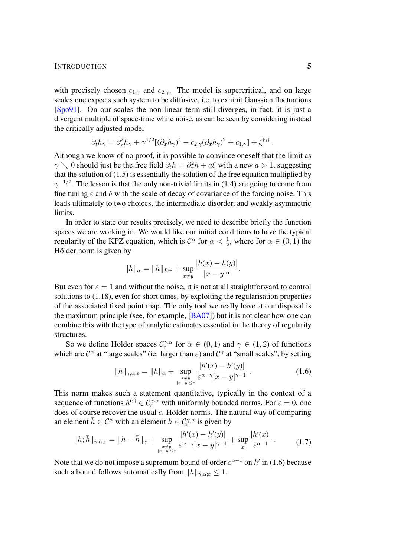## INTRODUCTION 5

with precisely chosen  $c_{1,\gamma}$  and  $c_{2,\gamma}$ . The model is supercritical, and on large scales one expects such system to be diffusive, i.e. to exhibit Gaussian fluctuations [\[Spo91\]](#page-103-4). On our scales the non-linear term still diverges, in fact, it is just a divergent multiple of space-time white noise, as can be seen by considering instead the critically adjusted model

$$
\partial_t h_{\gamma} = \partial_x^2 h_{\gamma} + \gamma^{1/2} [(\partial_x h_{\gamma})^4 - c_{2,\gamma} (\partial_x h_{\gamma})^2 + c_{1,\gamma}] + \xi^{(\gamma)}
$$

Although we know of no proof, it is possible to convince oneself that the limit as  $\gamma \searrow 0$  should just be the free field  $\partial_t h = \partial_x^2 h + a\xi$  with a new  $a > 1$ , suggesting that the solution of  $(1.5)$  is essentially the solution of the free equation multiplied by  $\gamma^{-1/2}$ . The lesson is that the only non-trivial limits in [\(1.4\)](#page-2-0) are going to come from fine tuning  $\varepsilon$  and  $\delta$  with the scale of decay of covariance of the forcing noise. This leads ultimately to two choices, the intermediate disorder, and weakly asymmetric limits.

In order to state our results precisely, we need to describe briefly the function spaces we are working in. We would like our initial conditions to have the typical regularity of the KPZ equation, which is  $C^{\alpha}$  for  $\alpha < \frac{1}{2}$ , where for  $\alpha \in (0, 1)$  the Hölder norm is given by

$$
||h||_{\alpha} = ||h||_{L^{\infty}} + \sup_{x \neq y} \frac{|h(x) - h(y)|}{|x - y|^{\alpha}}.
$$

But even for  $\varepsilon = 1$  and without the noise, it is not at all straightforward to control solutions to [\(1.18\)](#page-7-1), even for short times, by exploiting the regularisation properties of the associated fixed point map. The only tool we really have at our disposal is the maximum principle (see, for example, [\[BA07\]](#page-101-4)) but it is not clear how one can combine this with the type of analytic estimates essential in the theory of regularity structures.

So we define Hölder spaces  $\mathcal{C}_{\varepsilon}^{\gamma,\alpha}$  for  $\alpha \in (0,1)$  and  $\gamma \in (1,2)$  of functions which are  $\mathcal{C}^{\alpha}$  at "large scales" (ie. larger than  $\varepsilon$ ) and  $\mathcal{C}^{\gamma}$  at "small scales", by setting

<span id="page-4-1"></span><span id="page-4-0"></span>
$$
||h||_{\gamma,\alpha;\varepsilon} = ||h||_{\alpha} + \sup_{\substack{x \neq y \\ |x-y| \leq \varepsilon}} \frac{|h'(x) - h'(y)|}{\varepsilon^{\alpha - \gamma} |x - y|^{\gamma - 1}}.
$$
 (1.6)

This norm makes such a statement quantitative, typically in the context of a sequence of functions  $h^{(\varepsilon)} \in \mathcal{C}^{\gamma,\alpha}_{\varepsilon}$  with uniformly bounded norms. For  $\varepsilon = 0$ , one does of course recover the usual  $\alpha$ -Hölder norms. The natural way of comparing an element  $\bar{h} \in C^{\alpha}$  with an element  $h \in C^{\gamma,\alpha}_{\varepsilon}$  is given by

$$
||h; \bar{h}||_{\gamma,\alpha;\varepsilon} = ||h - \bar{h}||_{\gamma} + \sup_{\substack{x \neq y \\ |x - y| \leq \varepsilon}} \frac{|h'(x) - h'(y)|}{\varepsilon^{\alpha - \gamma} |x - y|^{\gamma - 1}} + \sup_{x} \frac{|h'(x)|}{\varepsilon^{\alpha - 1}}.
$$
 (1.7)

Note that we do not impose a supremum bound of order  $\varepsilon^{\alpha-1}$  on  $h'$  in [\(1.6\)](#page-4-0) because such a bound follows automatically from  $||h||_{\gamma,\alpha;\varepsilon} \leq 1$ .

.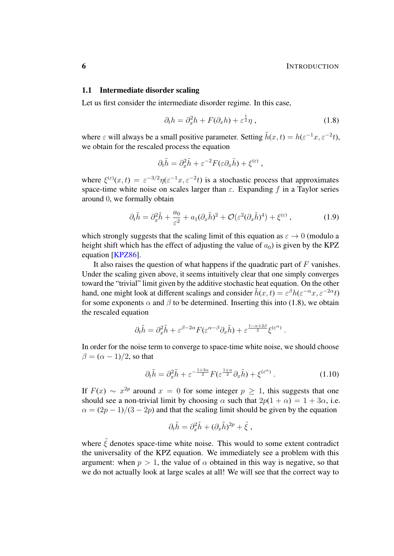## <span id="page-5-0"></span>1.1 Intermediate disorder scaling

Let us first consider the intermediate disorder regime. In this case,

<span id="page-5-1"></span>
$$
\partial_t h = \partial_x^2 h + F(\partial_x h) + \varepsilon^{\frac{1}{2}} \eta \,, \tag{1.8}
$$

where  $\varepsilon$  will always be a small positive parameter. Setting  $\tilde{h}(x,t) = h(\varepsilon^{-1}x, \varepsilon^{-2}t)$ , we obtain for the rescaled process the equation

<span id="page-5-3"></span>
$$
\partial_t \tilde{h} = \partial_x^2 \tilde{h} + \varepsilon^{-2} F(\varepsilon \partial_x \tilde{h}) + \xi^{(\varepsilon)} ,
$$

where  $\xi^{(\varepsilon)}(x,t) = \varepsilon^{-3/2} \eta(\varepsilon^{-1}x, \varepsilon^{-2}t)$  is a stochastic process that approximates space-time white noise on scales larger than  $\varepsilon$ . Expanding f in a Taylor series around 0, we formally obtain

$$
\partial_t \tilde{h} = \partial_x^2 \tilde{h} + \frac{a_0}{\varepsilon^2} + a_1 (\partial_x \tilde{h})^2 + \mathcal{O}(\varepsilon^2 (\partial_x \tilde{h})^4) + \xi^{(\varepsilon)} , \qquad (1.9)
$$

which strongly suggests that the scaling limit of this equation as  $\varepsilon \to 0$  (modulo a height shift which has the effect of adjusting the value of  $a_0$ ) is given by the KPZ equation [\[KPZ86\]](#page-103-6).

It also raises the question of what happens if the quadratic part of  $F$  vanishes. Under the scaling given above, it seems intuitively clear that one simply converges toward the "trivial" limit given by the additive stochastic heat equation. On the other hand, one might look at different scalings and consider  $\tilde{h}(x,t) = \varepsilon^{\beta} h(\varepsilon^{-\alpha} x, \varepsilon^{-2\alpha} t)$ for some exponents  $\alpha$  and  $\beta$  to be determined. Inserting this into [\(1.8\)](#page-5-1), we obtain the rescaled equation

$$
\partial_t \tilde{h} = \partial_x^2 \tilde{h} + \varepsilon^{\beta - 2\alpha} F(\varepsilon^{\alpha - \beta} \partial_x \tilde{h}) + \varepsilon^{\frac{1 - \alpha + 2\beta}{2}} \xi^{(\varepsilon^{\alpha})}.
$$

In order for the noise term to converge to space-time white noise, we should choose  $\beta = (\alpha - 1)/2$ , so that

$$
\partial_t \tilde{h} = \partial_x^2 \tilde{h} + \varepsilon^{-\frac{1+3\alpha}{2}} F(\varepsilon^{\frac{1+\alpha}{2}} \partial_x \tilde{h}) + \xi^{(\varepsilon^{\alpha})} . \tag{1.10}
$$

If  $F(x) \sim x^{2p}$  around  $x = 0$  for some integer  $p \ge 1$ , this suggests that one should see a non-trivial limit by choosing  $\alpha$  such that  $2p(1 + \alpha) = 1 + 3\alpha$ , i.e.  $\alpha = (2p - 1)/(3 - 2p)$  and that the scaling limit should be given by the equation

<span id="page-5-2"></span>
$$
\partial_t \tilde{h} = \partial_x^2 \tilde{h} + (\partial_x \tilde{h})^{2p} + \tilde{\xi} ,
$$

where  $\tilde{\xi}$  denotes space-time white noise. This would to some extent contradict the universality of the KPZ equation. We immediately see a problem with this argument: when  $p > 1$ , the value of  $\alpha$  obtained in this way is negative, so that we do not actually look at large scales at all! We will see that the correct way to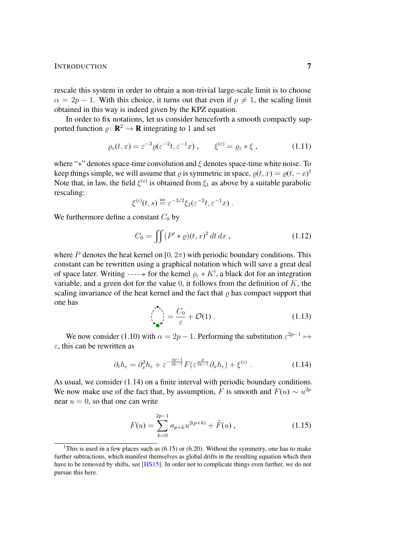## INTRODUCTION 7

rescale this system in order to obtain a non-trivial large-scale limit is to choose  $\alpha = 2p - 1$ . With this choice, it turns out that even if  $p \neq 1$ , the scaling limit obtained in this way is indeed given by the KPZ equation.

In order to fix notations, let us consider henceforth a smooth compactly supported function  $\rho: \mathbf{R}^2 \to \mathbf{R}$  integrating to 1 and set

$$
\varrho_{\varepsilon}(t,x) = \varepsilon^{-3} \varrho(\varepsilon^{-2}t, \varepsilon^{-1}x), \qquad \xi^{(\varepsilon)} = \varrho_{\varepsilon} * \xi , \qquad (1.11)
$$

where "\*" denotes space-time convolution and  $\xi$  denotes space-time white noise. To keep things simple, we will assume that  $\varrho$  is symmetric in space,  $\varrho(t, x) = \varrho(t, -x)^1$  $\varrho(t, x) = \varrho(t, -x)^1$ Note that, in law, the field  $\xi^{(\varepsilon)}$  is obtained from  $\xi_1$  as above by a suitable parabolic rescaling:

<span id="page-6-2"></span>
$$
\xi^{(\varepsilon)}(t,s) \stackrel{\text{law}}{=} \varepsilon^{-3/2} \xi_1(\varepsilon^{-2}t, \varepsilon^{-1}x) .
$$

We furthermore define a constant  $C_0$  by

<span id="page-6-3"></span>
$$
C_0 = \iint (P' * \varrho)(t, x)^2 dt dx , \qquad (1.12)
$$

where P denotes the heat kernel on  $[0, 2\pi)$  with periodic boundary conditions. This constant can be rewritten using a graphical notation which will save a great deal of space later. Writing  $---\rightarrow$  for the kernel  $\varrho_{\varepsilon} * K'$ , a black dot for an integration variable, and a green dot for the value  $0$ , it follows from the definition of K, the scaling invariance of the heat kernel and the fact that  $\rho$  has compact support that one has

<span id="page-6-1"></span>
$$
\left(\bigcap_{\Delta_{\mathbf{C}}^{\mathbf{A}}} \right) = \frac{C_0}{\varepsilon} + \mathcal{O}(1) \,. \tag{1.13}
$$

We now consider [\(1.10\)](#page-5-2) with  $\alpha = 2p - 1$ . Performing the substitution  $\varepsilon^{2p-1} \mapsto$  $\varepsilon$ , this can be rewritten as

$$
\partial_t h_{\varepsilon} = \partial_x^2 h_{\varepsilon} + \varepsilon^{-\frac{3p-1}{2p-1}} F(\varepsilon^{\frac{p}{2p-1}} \partial_x h_{\varepsilon}) + \xi^{(\varepsilon)} \,. \tag{1.14}
$$

As usual, we consider [\(1.14\)](#page-6-1) on a finite interval with periodic boundary conditions. We now make use of the fact that, by assumption, F is smooth and  $F(u) \sim u^{2p}$ near  $u = 0$ , so that one can write

$$
F(u) = \sum_{k=0}^{2p-1} a_{p+k} u^{2(p+k)} + \tilde{F}(u) ,
$$
 (1.15)

<span id="page-6-0"></span><sup>&</sup>lt;sup>1</sup>This is used in a few places such as  $(6.15)$  or  $(6.20)$ . Without the symmetry, one has to make further subtractions, which manifest themselves as global drifts in the resulting equation which then have to be removed by shifts, see [\[HS15\]](#page-103-7). In order not to complicate things even further, we do not pursue this here.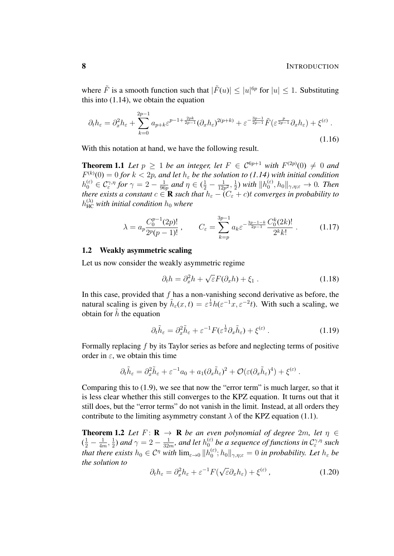where  $\tilde{F}$  is a smooth function such that  $|\tilde{F}(u)| \leq |u|^{6p}$  for  $|u| \leq 1$ . Substituting this into [\(1.14\)](#page-6-1), we obtain the equation

$$
\partial_t h_{\varepsilon} = \partial_x^2 h_{\varepsilon} + \sum_{k=0}^{2p-1} a_{p+k} \varepsilon^{p-1+\frac{2pk}{2p-1}} (\partial_x h_{\varepsilon})^{2(p+k)} + \varepsilon^{-\frac{3p-1}{2p-1}} \tilde{F}(\varepsilon^{\frac{p}{2p-1}} \partial_x h_{\varepsilon}) + \xi^{(\varepsilon)}.
$$
\n(1.16)

<span id="page-7-4"></span>With this notation at hand, we have the following result.

**Theorem 1.1** Let  $p \geq 1$  be an integer, let  $F \in C^{6p+1}$  with  $F^{(2p)}(0) \neq 0$  and  $F^{(k)}(0) = 0$  for  $k < 2p$ , and let  $h_{\varepsilon}$  be the solution to [\(1.14\)](#page-6-1) with initial condition  $h_0^{(\varepsilon)}\in\mathcal{C}^{\gamma,\eta}_{\varepsilon}$  for  $\gamma=2-\frac{1}{96}$  $\frac{1}{96p}$  and  $\eta \in (\frac{1}{2} - \frac{1}{12p})$  $\frac{1}{12p^2}, \frac{1}{2}$  $\frac{1}{2}$ ) with  $||h_0^{(\varepsilon)}||$  $\theta_0^{(\varepsilon)}$ ,  $h_0\Vert_{\gamma,\eta;\varepsilon}\to 0$ . Then *there exists a constant*  $c \in \mathbf{R}$  *such that*  $h_{\varepsilon} - (C_{\varepsilon} + c)t$  *converges in probability to*  $h_{\text{HC}}^{(\lambda)}$  with initial condition  $h_0$  where

$$
\lambda = a_p \frac{C_0^{p-1}(2p)!}{2^p(p-1)!}, \qquad C_{\varepsilon} = \sum_{k=p}^{3p-1} a_k \varepsilon^{-\frac{3p-1-k}{2p-1}} \frac{C_0^k(2k)!}{2^k k!}.
$$
 (1.17)

## <span id="page-7-0"></span>1.2 Weakly asymmetric scaling

Let us now consider the weakly asymmetric regime

<span id="page-7-5"></span><span id="page-7-1"></span>
$$
\partial_t h = \partial_x^2 h + \sqrt{\varepsilon} F(\partial_x h) + \xi_1 . \qquad (1.18)
$$

In this case, provided that  $f$  has a non-vanishing second derivative as before, the natural scaling is given by  $\tilde{h}_{\varepsilon}(x,t) = \varepsilon^{\frac{1}{2}} h(\varepsilon^{-1}x, \varepsilon^{-2}t)$ . With such a scaling, we obtain for  $h$  the equation

$$
\partial_t \tilde{h}_{\varepsilon} = \partial_x^2 \tilde{h}_{\varepsilon} + \varepsilon^{-1} F(\varepsilon^{\frac{1}{2}} \partial_x \tilde{h}_{\varepsilon}) + \xi^{(\varepsilon)} . \tag{1.19}
$$

Formally replacing f by its Taylor series as before and neglecting terms of positive order in  $\varepsilon$ , we obtain this time

$$
\partial_t \tilde{h}_{\varepsilon} = \partial_x^2 \tilde{h}_{\varepsilon} + \varepsilon^{-1} a_0 + a_1 (\partial_x \tilde{h}_{\varepsilon})^2 + \mathcal{O}(\varepsilon (\partial_x \tilde{h}_{\varepsilon})^4) + \xi^{(\varepsilon)}.
$$

Comparing this to [\(1.9\)](#page-5-3), we see that now the "error term" is much larger, so that it is less clear whether this still converges to the KPZ equation. It turns out that it still does, but the "error terms" do not vanish in the limit. Instead, at all orders they contribute to the limiting asymmetry constant  $\lambda$  of the KPZ equation [\(1.1\)](#page-1-1).

<span id="page-7-3"></span>**Theorem 1.2** *Let*  $F: \mathbf{R} \to \mathbf{R}$  *be an even polynomial of degree* 2*m, let*  $\eta \in$  $(\frac{1}{2} - \frac{1}{4r})$  $\frac{1}{4m}$ ,  $\frac{1}{2}$  $\frac{1}{2}$ ) and  $\gamma = 2 - \frac{1}{324}$  $\frac{1}{32m}$ , and let  $h_0^{(\varepsilon)}$  be a sequence of functions in  $\mathcal{C}_{\varepsilon}^{\gamma,\eta}$  such *that there exists*  $h_0 \in C^{\eta}$  *with*  $\lim_{\varepsilon \to 0} ||h_0^{(\varepsilon)}||$  $\mathcal{L}_{0}^{(\varepsilon)}$ ;  $h_0\Vert_{\gamma,\eta;\varepsilon} = 0$  in probability. Let  $h_{\varepsilon}$  be *the solution to* √

<span id="page-7-2"></span>
$$
\partial_t h_{\varepsilon} = \partial_x^2 h_{\varepsilon} + \varepsilon^{-1} F(\sqrt{\varepsilon} \partial_x h_{\varepsilon}) + \xi^{(\varepsilon)} \,, \tag{1.20}
$$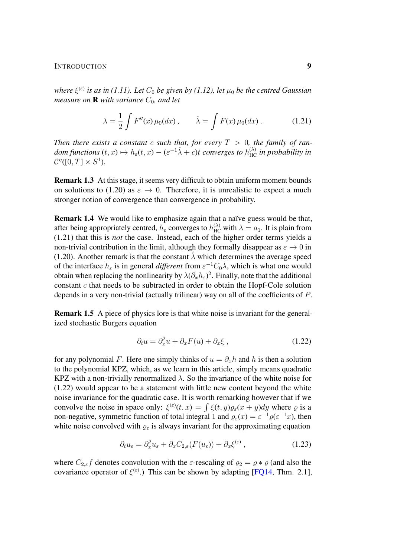## INTRODUCTION 9

 $\mathcal{R}^{(\varepsilon)}$  is as in [\(1.11\)](#page-6-2). Let  $C_0$  be given by [\(1.12\)](#page-6-3), let  $\mu_0$  be the centred Gaussian *measure on* **R** *with variance*  $C_0$ *, and let* 

<span id="page-8-0"></span>
$$
\lambda = \frac{1}{2} \int F''(x) \mu_0(dx) , \qquad \hat{\lambda} = \int F(x) \mu_0(dx) .
$$
 (1.21)

*Then there exists a constant c such that, for every*  $T > 0$ *, the family of ran* $dom$  functions  $(t, x) \mapsto h_{\varepsilon}(t, x) - (\varepsilon^{-1}\hat{\lambda} + c)t$  converges to  $h_{HC}^{(\lambda)}$  in probability in  $\mathcal{C}^{\eta}([0,T]\times S^1).$ 

Remark 1.3 At this stage, it seems very difficult to obtain uniform moment bounds on solutions to [\(1.20\)](#page-7-2) as  $\varepsilon \to 0$ . Therefore, it is unrealistic to expect a much stronger notion of convergence than convergence in probability.

Remark 1.4 We would like to emphasize again that a naïve guess would be that, after being appropriately centred,  $h_{\varepsilon}$  converges to  $h_{HC}^{(\lambda)}$  with  $\lambda = a_1$ . It is plain from [\(1.21\)](#page-8-0) that this is *not* the case. Instead, each of the higher order terms yields a non-trivial contribution in the limit, although they formally disappear as  $\varepsilon \to 0$  in [\(1.20\)](#page-7-2). Another remark is that the constant  $\hat{\lambda}$  which determines the average speed of the interface  $h_{\varepsilon}$  is in general *different* from  $\varepsilon^{-1}C_0\lambda$ , which is what one would obtain when replacing the nonlinearity by  $\lambda(\partial_x h_{\varepsilon})^2$ . Finally, note that the additional constant c that needs to be subtracted in order to obtain the Hopf-Cole solution depends in a very non-trivial (actually trilinear) way on all of the coefficients of P.

Remark 1.5 A piece of physics lore is that white noise is invariant for the generalized stochastic Burgers equation

<span id="page-8-1"></span>
$$
\partial_t u = \partial_x^2 u + \partial_x F(u) + \partial_x \xi , \qquad (1.22)
$$

for any polynomial F. Here one simply thinks of  $u = \partial_x h$  and h is then a solution to the polynomial KPZ, which, as we learn in this article, simply means quadratic KPZ with a non-trivially renormalized  $\lambda$ . So the invariance of the white noise for [\(1.22\)](#page-8-1) would appear to be a statement with little new content beyond the white noise invariance for the quadratic case. It is worth remarking however that if we convolve the noise in space only:  $\xi^{(\varepsilon)}(t,x) = \int \xi(t,y) \varrho_{\varepsilon}(x+y) dy$  where  $\varrho$  is a non-negative, symmetric function of total integral 1 and  $\varrho_{\varepsilon}(x) = \varepsilon^{-1} \varrho(\varepsilon^{-1}x)$ , then white noise convolved with  $\rho_{\varepsilon}$  is always invariant for the approximating equation

$$
\partial_t u_{\varepsilon} = \partial_x^2 u_{\varepsilon} + \partial_x C_{2,\varepsilon} (F(u_{\varepsilon})) + \partial_x \xi^{(\varepsilon)} , \qquad (1.23)
$$

where  $C_{2,\varepsilon}f$  denotes convolution with the  $\varepsilon$ -rescaling of  $\rho_2 = \rho * \rho$  (and also the covariance operator of  $\xi^{(\varepsilon)}$ .) This can be shown by adapting [\[FQ14,](#page-102-7) Thm. 2.1],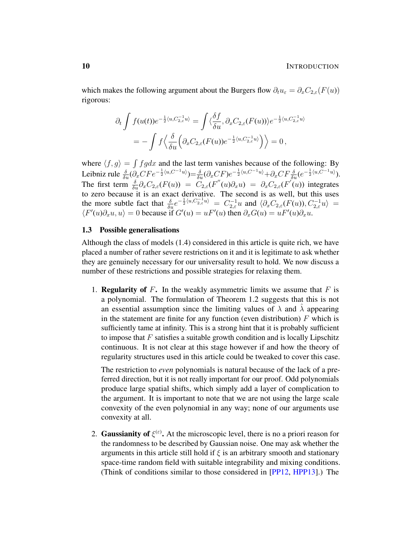which makes the following argument about the Burgers flow  $\partial_t u_{\varepsilon} = \partial_x C_{2,\varepsilon}(F(u))$ rigorous:

$$
\partial_t \int f(u(t)) e^{-\frac{1}{2}\langle u, C_{2,\varepsilon}^{-1}u \rangle} = \int \langle \frac{\delta f}{\delta u}, \partial_x C_{2,\varepsilon}(F(u)) \rangle e^{-\frac{1}{2}\langle u, C_{2,\varepsilon}^{-1}u \rangle}
$$
  
= 
$$
- \int f \langle \frac{\delta}{\delta u} \Big( \partial_x C_{2,\varepsilon}(F(u)) e^{-\frac{1}{2}\langle u, C_{2,\varepsilon}^{-1}u \rangle} \Big) \rangle = 0,
$$

where  $\langle f, g \rangle = \int f g dx$  and the last term vanishes because of the following: By Leibniz rule  $\frac{\delta}{\delta u} (\partial_x C F e^{-\frac{1}{2} \langle u, C^{-1} u \rangle}) = \frac{\delta}{\delta u} (\partial_x C F) e^{-\frac{1}{2} \langle u, C^{-1} u \rangle} + \partial_x C F \frac{\delta}{\delta u} (e^{-\frac{1}{2} \langle u, C^{-1} u \rangle}).$ The first term  $\frac{\delta}{\delta u} \partial_x C_{2,\varepsilon}(F(u)) = \widetilde{C}_{2,\varepsilon}(F''(u))\partial_x u = \partial_x C_{2,\varepsilon}(F'(u))$  integrates to zero because it is an exact derivative. The second is as well, but this uses the more subtle fact that  $\frac{\delta}{\delta u}e^{-\frac{1}{2}\langle u, C_{2,\epsilon}^{-1}u\rangle} = C_{2,\epsilon}^{-1}u$  and  $\langle \partial_x C_{2,\epsilon}(F(u)), C_{2,\epsilon}^{-1}u\rangle =$  $\langle F'(u)\partial_x u, u \rangle = 0$  because if  $G'(u) = uF'(u)$  then  $\partial_x G(u) = uF'(u)\partial_x u$ .

## <span id="page-9-0"></span>1.3 Possible generalisations

Although the class of models [\(1.4\)](#page-2-0) considered in this article is quite rich, we have placed a number of rather severe restrictions on it and it is legitimate to ask whether they are genuinely necessary for our universality result to hold. We now discuss a number of these restrictions and possible strategies for relaxing them.

1. **Regularity of F.** In the weakly asymmetric limits we assume that  $F$  is a polynomial. The formulation of Theorem [1.2](#page-7-3) suggests that this is not an essential assumption since the limiting values of  $\lambda$  and  $\lambda$  appearing in the statement are finite for any function (even distribution)  $F$  which is sufficiently tame at infinity. This is a strong hint that it is probably sufficient to impose that  $F$  satisfies a suitable growth condition and is locally Lipschitz continuous. It is not clear at this stage however if and how the theory of regularity structures used in this article could be tweaked to cover this case.

The restriction to *even* polynomials is natural because of the lack of a preferred direction, but it is not really important for our proof. Odd polynomials produce large spatial shifts, which simply add a layer of complication to the argument. It is important to note that we are not using the large scale convexity of the even polynomial in any way; none of our arguments use convexity at all.

2. Gaussianity of  $\xi^{(\varepsilon)}$ . At the microscopic level, there is no a priori reason for the randomness to be described by Gaussian noise. One may ask whether the arguments in this article still hold if  $\xi$  is an arbitrary smooth and stationary space-time random field with suitable integrability and mixing conditions. (Think of conditions similar to those considered in [\[PP12,](#page-103-8) [HPP13\]](#page-103-9).) The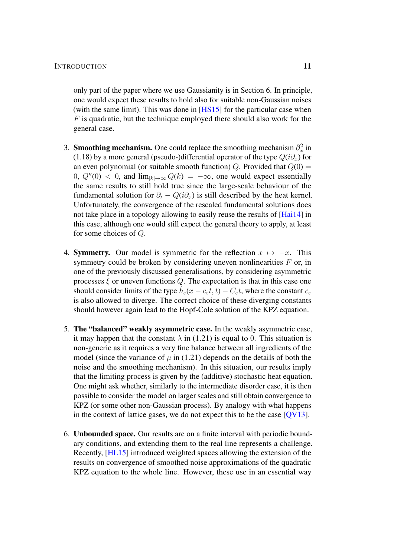only part of the paper where we use Gaussianity is in Section [6.](#page-51-0) In principle, one would expect these results to hold also for suitable non-Gaussian noises (with the same limit). This was done in  $[HS15]$  for the particular case when  $F$  is quadratic, but the technique employed there should also work for the general case.

- 3. Smoothing mechanism. One could replace the smoothing mechanism  $\partial_x^2$  in [\(1.18\)](#page-7-1) by a more general (pseudo-)differential operator of the type  $Q(i\partial_x)$  for an even polynomial (or suitable smooth function) Q. Provided that  $Q(0) =$ 0,  $Q''(0) < 0$ , and  $\lim_{|k| \to \infty} Q(k) = -\infty$ , one would expect essentially the same results to still hold true since the large-scale behaviour of the fundamental solution for  $\partial_t - Q(i\partial_x)$  is still described by the heat kernel. Unfortunately, the convergence of the rescaled fundamental solutions does not take place in a topology allowing to easily reuse the results of [\[Hai14\]](#page-102-1) in this case, although one would still expect the general theory to apply, at least for some choices of Q.
- 4. **Symmetry.** Our model is symmetric for the reflection  $x \mapsto -x$ . This symmetry could be broken by considering uneven nonlinearities  $F$  or, in one of the previously discussed generalisations, by considering asymmetric processes  $\xi$  or uneven functions  $Q$ . The expectation is that in this case one should consider limits of the type  $\tilde{h}_{\varepsilon}(x - c_{\varepsilon}t, t) - C_{\varepsilon}t$ , where the constant  $c_{\varepsilon}$ is also allowed to diverge. The correct choice of these diverging constants should however again lead to the Hopf-Cole solution of the KPZ equation.
- 5. The "balanced" weakly asymmetric case. In the weakly asymmetric case, it may happen that the constant  $\lambda$  in [\(1.21\)](#page-8-0) is equal to 0. This situation is non-generic as it requires a very fine balance between all ingredients of the model (since the variance of  $\mu$  in [\(1.21\)](#page-8-0) depends on the details of both the noise and the smoothing mechanism). In this situation, our results imply that the limiting process is given by the (additive) stochastic heat equation. One might ask whether, similarly to the intermediate disorder case, it is then possible to consider the model on larger scales and still obtain convergence to KPZ (or some other non-Gaussian process). By analogy with what happens in the context of lattice gases, we do not expect this to be the case [\[QV13\]](#page-103-10).
- 6. Unbounded space. Our results are on a finite interval with periodic boundary conditions, and extending them to the real line represents a challenge. Recently, [\[HL15\]](#page-102-10) introduced weighted spaces allowing the extension of the results on convergence of smoothed noise approximations of the quadratic KPZ equation to the whole line. However, these use in an essential way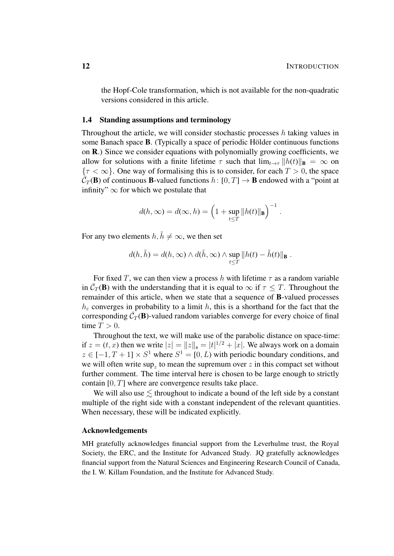the Hopf-Cole transformation, which is not available for the non-quadratic versions considered in this article.

## <span id="page-11-0"></span>1.4 Standing assumptions and terminology

Throughout the article, we will consider stochastic processes h taking values in some Banach space  $B$ . (Typically a space of periodic Hölder continuous functions on R.) Since we consider equations with polynomially growing coefficients, we allow for solutions with a finite lifetime  $\tau$  such that  $\lim_{t\to\tau} ||h(t)||_{\mathbf{B}} = \infty$  on  ${\tau < \infty}$ . One way of formalising this is to consider, for each  $T > 0$ , the space  $\tilde{\overline{C}}_T(\mathbf{B})$  of continuous **B**-valued functions  $h: [0, T] \to \mathbf{B}$  endowed with a "point at infinity"  $\infty$  for which we postulate that

$$
d(h,\infty) = d(\infty,h) = \left(1 + \sup_{t \leq T} ||h(t)||_{\mathbf{B}}\right)^{-1}.
$$

For any two elements  $h, \tilde{h} \neq \infty$ , we then set

$$
d(h, \tilde{h}) = d(h, \infty) \wedge d(\tilde{h}, \infty) \wedge \sup_{t \leq T} ||h(t) - \tilde{h}(t)||_{\mathbf{B}}.
$$

For fixed T, we can then view a process h with lifetime  $\tau$  as a random variable in  $\bar{C}_T(\mathbf{B})$  with the understanding that it is equal to  $\infty$  if  $\tau \leq T$ . Throughout the remainder of this article, when we state that a sequence of B-valued processes  $h_{\varepsilon}$  converges in probability to a limit h, this is a shorthand for the fact that the corresponding  $\overline{C}_T(\mathbf{B})$ -valued random variables converge for every choice of final time  $T > 0$ .

Throughout the text, we will make use of the parabolic distance on space-time: if  $z = (t, x)$  then we write  $|z| = ||z||_{\mathfrak{s}} = |t|^{1/2} + |x|$ . We always work on a domain  $z \in [-1, T+1] \times S<sup>1</sup>$  where  $S<sup>1</sup> = [0, L)$  with periodic boundary conditions, and we will often write  $\sup_z$  to mean the supremum over z in this compact set without further comment. The time interval here is chosen to be large enough to strictly contain [0, T] where are convergence results take place.

We will also use  $\leq$  throughout to indicate a bound of the left side by a constant multiple of the right side with a constant independent of the relevant quantities. When necessary, these will be indicated explicitly.

## Acknowledgements

MH gratefully acknowledges financial support from the Leverhulme trust, the Royal Society, the ERC, and the Institute for Advanced Study. JQ gratefully acknowledges financial support from the Natural Sciences and Engineering Research Council of Canada, the I. W. Killam Foundation, and the Institute for Advanced Study.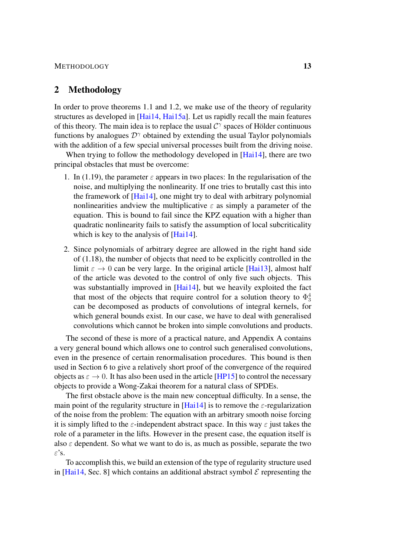## METHODOLOGY 13

## <span id="page-12-0"></span>2 Methodology

In order to prove theorems [1.1](#page-7-4) and [1.2,](#page-7-3) we make use of the theory of regularity structures as developed in [\[Hai14,](#page-102-1) [Hai15a\]](#page-102-11). Let us rapidly recall the main features of this theory. The main idea is to replace the usual  $C^{\gamma}$  spaces of Hölder continuous functions by analogues  $\mathcal{D}^{\gamma}$  obtained by extending the usual Taylor polynomials with the addition of a few special universal processes built from the driving noise.

When trying to follow the methodology developed in [\[Hai14\]](#page-102-1), there are two principal obstacles that must be overcome:

- 1. In [\(1.19\)](#page-7-5), the parameter  $\varepsilon$  appears in two places: In the regularisation of the noise, and multiplying the nonlinearity. If one tries to brutally cast this into the framework of [\[Hai14\]](#page-102-1), one might try to deal with arbitrary polynomial nonlinearities and view the multiplicative  $\varepsilon$  as simply a parameter of the equation. This is bound to fail since the KPZ equation with a higher than quadratic nonlinearity fails to satisfy the assumption of local subcriticality which is key to the analysis of [\[Hai14\]](#page-102-1).
- 2. Since polynomials of arbitrary degree are allowed in the right hand side of [\(1.18\)](#page-7-1), the number of objects that need to be explicitly controlled in the limit  $\varepsilon \to 0$  can be very large. In the original article [\[Hai13\]](#page-102-0), almost half of the article was devoted to the control of only five such objects. This was substantially improved in [\[Hai14\]](#page-102-1), but we heavily exploited the fact that most of the objects that require control for a solution theory to  $\Phi_3^4$ can be decomposed as products of convolutions of integral kernels, for which general bounds exist. In our case, we have to deal with generalised convolutions which cannot be broken into simple convolutions and products.

The second of these is more of a practical nature, and Appendix [A](#page-78-0) contains a very general bound which allows one to control such generalised convolutions, even in the presence of certain renormalisation procedures. This bound is then used in Section [6](#page-51-0) to give a relatively short proof of the convergence of the required objects as  $\varepsilon \to 0$ . It has also been used in the article [\[HP15\]](#page-103-3) to control the necessary objects to provide a Wong-Zakai theorem for a natural class of SPDEs.

The first obstacle above is the main new conceptual difficulty. In a sense, the main point of the regularity structure in [\[Hai14\]](#page-102-1) is to remove the  $\varepsilon$ -regularization of the noise from the problem: The equation with an arbitrary smooth noise forcing it is simply lifted to the  $\varepsilon$ -independent abstract space. In this way  $\varepsilon$  just takes the role of a parameter in the lifts. However in the present case, the equation itself is also  $\varepsilon$  dependent. So what we want to do is, as much as possible, separate the two ε's.

To accomplish this, we build an extension of the type of regularity structure used in [\[Hai14,](#page-102-1) Sec. 8] which contains an additional abstract symbol  $\mathcal E$  representing the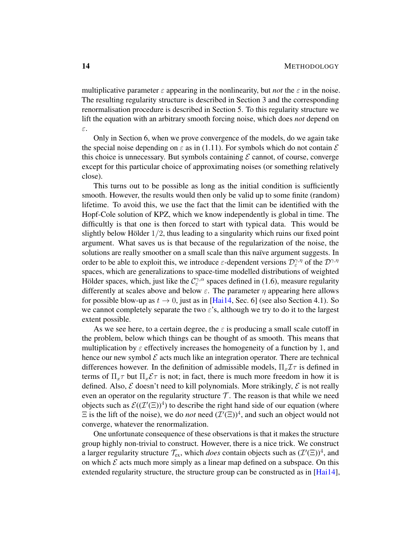multiplicative parameter  $\varepsilon$  appearing in the nonlinearity, but *not* the  $\varepsilon$  in the noise. The resulting regularity structure is described in Section [3](#page-14-0) and the corresponding renormalisation procedure is described in Section [5.](#page-43-0) To this regularity structure we lift the equation with an arbitrary smooth forcing noise, which does *not* depend on ε.

Only in Section [6,](#page-51-0) when we prove convergence of the models, do we again take the special noise depending on  $\varepsilon$  as in [\(1.11\)](#page-6-2). For symbols which do not contain  $\mathcal E$ this choice is unnecessary. But symbols containing  $\mathcal E$  cannot, of course, converge except for this particular choice of approximating noises (or something relatively close).

This turns out to be possible as long as the initial condition is sufficiently smooth. However, the results would then only be valid up to some finite (random) lifetime. To avoid this, we use the fact that the limit can be identified with the Hopf-Cole solution of KPZ, which we know independently is global in time. The difficultly is that one is then forced to start with typical data. This would be slightly below Hölder  $1/2$ , thus leading to a singularity which ruins our fixed point argument. What saves us is that because of the regularization of the noise, the solutions are really smoother on a small scale than this naïve argument suggests. In order to be able to exploit this, we introduce  $\varepsilon$ -dependent versions  $\mathcal{D}_{\varepsilon}^{\gamma,\eta}$  of the  $\mathcal{D}^{\gamma,\eta}$ spaces, which are generalizations to space-time modelled distributions of weighted Hölder spaces, which, just like the  $C_{\varepsilon}^{\gamma,\alpha}$  spaces defined in [\(1.6\)](#page-4-0), measure regularity differently at scales above and below  $\varepsilon$ . The parameter  $\eta$  appearing here allows for possible blow-up as  $t \to 0$ , just as in [\[Hai14,](#page-102-1) Sec. 6] (see also Section [4.1\)](#page-31-0). So we cannot completely separate the two  $\varepsilon$ 's, although we try to do it to the largest extent possible.

As we see here, to a certain degree, the  $\varepsilon$  is producing a small scale cutoff in the problem, below which things can be thought of as smooth. This means that multiplication by  $\varepsilon$  effectively increases the homogeneity of a function by 1, and hence our new symbol  $\mathcal E$  acts much like an integration operator. There are technical differences however. In the definition of admissible models,  $\Pi_x \mathcal{I} \tau$  is defined in terms of  $\Pi_x \tau$  but  $\Pi_x \mathcal{E} \tau$  is not; in fact, there is much more freedom in how it is defined. Also,  $\mathcal E$  doesn't need to kill polynomials. More strikingly,  $\mathcal E$  is not really even an operator on the regularity structure  $\mathcal T$ . The reason is that while we need objects such as  $\mathcal{E}((\mathcal{I}'(\Xi))^4)$  to describe the right hand side of our equation (where  $\Xi$  is the lift of the noise), we do *not* need  $(\mathcal{I}'(\Xi))^4$ , and such an object would not converge, whatever the renormalization.

One unfortunate consequence of these observations is that it makes the structure group highly non-trivial to construct. However, there is a nice trick. We construct a larger regularity structure  $\mathcal{T}_{ex}$ , which *does* contain objects such as  $(\mathcal{I}'(\Xi))^4$ , and on which  $\mathcal E$  acts much more simply as a linear map defined on a subspace. On this extended regularity structure, the structure group can be constructed as in [\[Hai14\]](#page-102-1),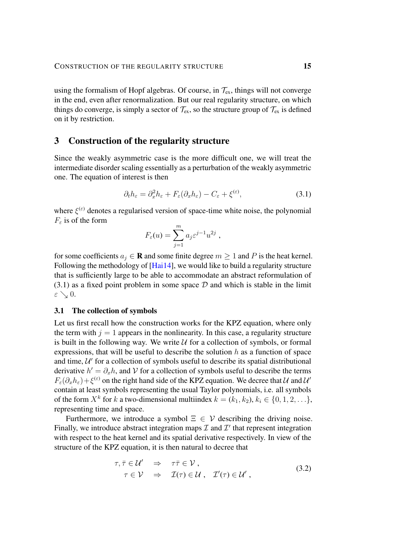using the formalism of Hopf algebras. Of course, in  $\mathcal{T}_{ex}$ , things will not converge in the end, even after renormalization. But our real regularity structure, on which things do converge, is simply a sector of  $\mathcal{T}_{ex}$ , so the structure group of  $\mathcal{T}_{ex}$  is defined on it by restriction.

## <span id="page-14-0"></span>3 Construction of the regularity structure

Since the weakly asymmetric case is the more difficult one, we will treat the intermediate disorder scaling essentially as a perturbation of the weakly asymmetric one. The equation of interest is then

$$
\partial_t h_{\varepsilon} = \partial_x^2 h_{\varepsilon} + F_{\varepsilon} (\partial_x h_{\varepsilon}) - C_{\varepsilon} + \xi^{(\varepsilon)}, \tag{3.1}
$$

where  $\xi^{(\varepsilon)}$  denotes a regularised version of space-time white noise, the polynomial  $F<sub>\varepsilon</sub>$  is of the form

<span id="page-14-2"></span>
$$
F_{\varepsilon}(u) = \sum_{j=1}^{m} a_j \varepsilon^{j-1} u^{2j} ,
$$

for some coefficients  $a_i \in \mathbf{R}$  and some finite degree  $m \geq 1$  and P is the heat kernel. Following the methodology of [\[Hai14\]](#page-102-1), we would like to build a regularity structure that is sufficiently large to be able to accommodate an abstract reformulation of  $(3.1)$  as a fixed point problem in some space  $D$  and which is stable in the limit  $\varepsilon \searrow 0.$ 

## <span id="page-14-1"></span>3.1 The collection of symbols

Let us first recall how the construction works for the KPZ equation, where only the term with  $j = 1$  appears in the nonlinearity. In this case, a regularity structure is built in the following way. We write  $U$  for a collection of symbols, or formal expressions, that will be useful to describe the solution  $h$  as a function of space and time,  $U'$  for a collection of symbols useful to describe its spatial distributional derivative  $h' = \partial_x h$ , and V for a collection of symbols useful to describe the terms  $F_{\varepsilon}(\partial_x h_{\varepsilon}) + \xi^{(\varepsilon)}$  on the right hand side of the KPZ equation. We decree that  $\mathcal U$  and  $\mathcal U'$ contain at least symbols representing the usual Taylor polynomials, i.e. all symbols of the form  $X^k$  for k a two-dimensional multiindex  $k = (k_1, k_2), k_i \in \{0, 1, 2, \ldots\}$ , representing time and space.

Furthermore, we introduce a symbol  $\Xi \in V$  describing the driving noise. Finally, we introduce abstract integration maps  $\mathcal I$  and  $\mathcal I'$  that represent integration with respect to the heat kernel and its spatial derivative respectively. In view of the structure of the KPZ equation, it is then natural to decree that

<span id="page-14-3"></span>
$$
\tau, \bar{\tau} \in \mathcal{U}' \Rightarrow \tau \bar{\tau} \in \mathcal{V}, \tau \in \mathcal{V} \Rightarrow \mathcal{I}(\tau) \in \mathcal{U}, \quad \mathcal{I}'(\tau) \in \mathcal{U}',
$$
\n(3.2)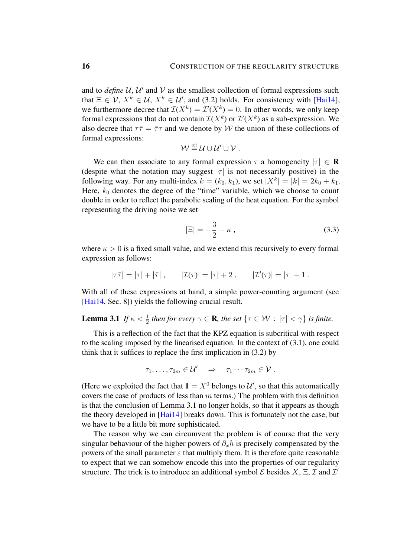and to  $define U, U'$  and  $V$  as the smallest collection of formal expressions such that  $\Xi \in \mathcal{V}, X^k \in \mathcal{U}, X^k \in \mathcal{U}$ , and [\(3.2\)](#page-14-3) holds. For consistency with [\[Hai14\]](#page-102-1), we furthermore decree that  $\mathcal{I}(X^k) = \mathcal{I}'(X^k) = 0$ . In other words, we only keep formal expressions that do not contain  $\mathcal{I}(X^k)$  or  $\mathcal{I}'(X^k)$  as a sub-expression. We also decree that  $\tau \bar{\tau} = \bar{\tau} \tau$  and we denote by W the union of these collections of formal expressions:

$$
\mathcal{W} \stackrel{\text{\tiny def}}{=} \mathcal{U} \cup \mathcal{U}' \cup \mathcal{V} .
$$

We can then associate to any formal expression  $\tau$  a homogeneity  $|\tau| \in \mathbb{R}$ (despite what the notation may suggest  $|\tau|$  is not necessarily positive) in the following way. For any multi-index  $k = (k_0, k_1)$ , we set  $|X^k| = |k| = 2k_0 + k_1$ . Here,  $k_0$  denotes the degree of the "time" variable, which we choose to count double in order to reflect the parabolic scaling of the heat equation. For the symbol representing the driving noise we set

<span id="page-15-1"></span>
$$
|\Xi| = -\frac{3}{2} - \kappa \,,\tag{3.3}
$$

where  $\kappa > 0$  is a fixed small value, and we extend this recursively to every formal expression as follows:

$$
|\tau \bar{\tau}| = |\tau| + |\bar{\tau}|
$$
,  $|\mathcal{I}(\tau)| = |\tau| + 2$ ,  $|\mathcal{I}'(\tau)| = |\tau| + 1$ .

With all of these expressions at hand, a simple power-counting argument (see [\[Hai14,](#page-102-1) Sec. 8]) yields the following crucial result.

# <span id="page-15-0"></span>**Lemma 3.1** *If*  $\kappa < \frac{1}{2}$  *then for every*  $\gamma \in \mathbf{R}$ *, the set*  $\{\tau \in \mathcal{W} : |\tau| < \gamma\}$  *is finite.*

This is a reflection of the fact that the KPZ equation is subcritical with respect to the scaling imposed by the linearised equation. In the context of [\(3.1\)](#page-14-2), one could think that it suffices to replace the first implication in [\(3.2\)](#page-14-3) by

$$
\tau_1,\ldots,\tau_{2m}\in\mathcal{U}'\quad\Rightarrow\quad\tau_1\cdots\tau_{2m}\in\mathcal{V}.
$$

(Here we exploited the fact that  $1 = X^0$  belongs to  $\mathcal{U}'$ , so that this automatically covers the case of products of less than  $m$  terms.) The problem with this definition is that the conclusion of Lemma [3.1](#page-15-0) no longer holds, so that it appears as though the theory developed in [\[Hai14\]](#page-102-1) breaks down. This is fortunately not the case, but we have to be a little bit more sophisticated.

The reason why we can circumvent the problem is of course that the very singular behaviour of the higher powers of  $\partial_x h$  is precisely compensated by the powers of the small parameter  $\varepsilon$  that multiply them. It is therefore quite reasonable to expect that we can somehow encode this into the properties of our regularity structure. The trick is to introduce an additional symbol  $\mathcal E$  besides  $X, \Xi, \mathcal I$  and  $\mathcal I'$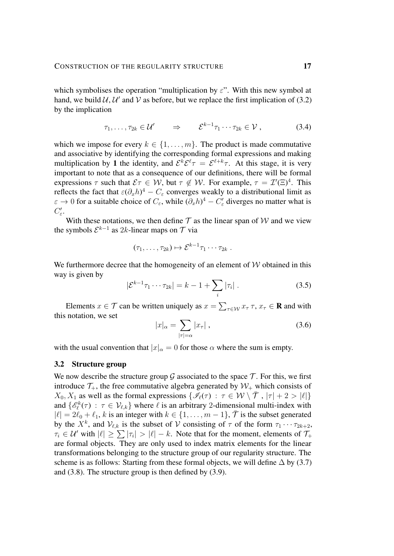which symbolises the operation "multiplication by  $\varepsilon$ ". With this new symbol at hand, we build  $\mathcal{U}, \mathcal{U}'$  and  $\mathcal{V}$  as before, but we replace the first implication of [\(3.2\)](#page-14-3) by the implication

$$
\tau_1, \ldots, \tau_{2k} \in \mathcal{U}' \qquad \Rightarrow \qquad \mathcal{E}^{k-1} \tau_1 \cdots \tau_{2k} \in \mathcal{V} \,, \tag{3.4}
$$

which we impose for every  $k \in \{1, \ldots, m\}$ . The product is made commutative and associative by identifying the corresponding formal expressions and making multiplication by 1 the identity, and  $\mathcal{E}^k \mathcal{E}^{\ell} \tau = \mathcal{E}^{\ell+k} \tau$ . At this stage, it is very important to note that as a consequence of our definitions, there will be formal expressions  $\tau$  such that  $\mathcal{E}\tau \in \mathcal{W}$ , but  $\tau \notin \mathcal{W}$ . For example,  $\tau = \mathcal{I}'(\Xi)^4$ . This reflects the fact that  $\varepsilon(\partial_x h)^4 - C_{\varepsilon}$  converges weakly to a distributional limit as  $\varepsilon \to 0$  for a suitable choice of  $C_{\varepsilon}$ , while  $(\partial_x h)^4 - C'_{\varepsilon}$  diverges no matter what is  $C'_{\varepsilon}$ .

With these notations, we then define  $\mathcal T$  as the linear span of  $\mathcal W$  and we view the symbols  $\mathcal{E}^{k-1}$  as 2k-linear maps on  $\mathcal T$  via

$$
(\tau_1,\ldots,\tau_{2k})\mapsto \mathcal{E}^{k-1}\tau_1\cdots\tau_{2k}.
$$

We furthermore decree that the homogeneity of an element of  $W$  obtained in this way is given by

$$
|\mathcal{E}^{k-1}\tau_1 \cdots \tau_{2k}| = k - 1 + \sum_i |\tau_i| \,. \tag{3.5}
$$

Elements  $x \in \mathcal{T}$  can be written uniquely as  $x = \sum_{\tau \in \mathcal{W}} x_{\tau} \tau$ ,  $x_{\tau} \in \mathbf{R}$  and with this notation, we set

<span id="page-16-2"></span><span id="page-16-1"></span>
$$
|x|_{\alpha} = \sum_{|\tau| = \alpha} |x_{\tau}| \,, \tag{3.6}
$$

with the usual convention that  $|x|_{\alpha} = 0$  for those  $\alpha$  where the sum is empty.

## <span id="page-16-0"></span>3.2 Structure group

We now describe the structure group  $\mathcal G$  associated to the space  $\mathcal T$ . For this, we first introduce  $\mathcal{T}_+$ , the free commutative algebra generated by  $\mathcal{W}_+$  which consists of  $X_0, X_1$  as well as the formal expressions  $\{\mathscr{I}_{\ell}(\tau) : \tau \in \mathcal{W} \setminus \overline{\mathcal{T}}$  ,  $|\tau| + 2 > |\ell|\}$ and  $\{\mathscr{E}_{\ell}^k(\tau) : \tau \in \mathcal{V}_{\ell,k}\}\$  where  $\ell$  is an arbitrary 2-dimensional multi-index with  $|\ell| = 2\ell_0 + \ell_1$ , k is an integer with  $k \in \{1, \ldots, m - 1\}$ ,  $\bar{\mathcal{T}}$  is the subset generated by the  $X^k$ , and  $\mathcal{V}_{\ell,k}$  is the subset of V consisting of  $\tau$  of the form  $\tau_1 \cdots \tau_{2k+2}$ ,  $\tau_i \in \mathcal{U}'$  with  $|\ell| \geq \sum |\tau_i| > |\ell| - k$ . Note that for the moment, elements of  $\mathcal{T}_+$ are formal objects. They are only used to index matrix elements for the linear transformations belonging to the structure group of our regularity structure. The scheme is as follows: Starting from these formal objects, we will define  $\Delta$  by [\(3.7\)](#page-17-0) and [\(3.8\)](#page-17-1). The structure group is then defined by [\(3.9\)](#page-18-0).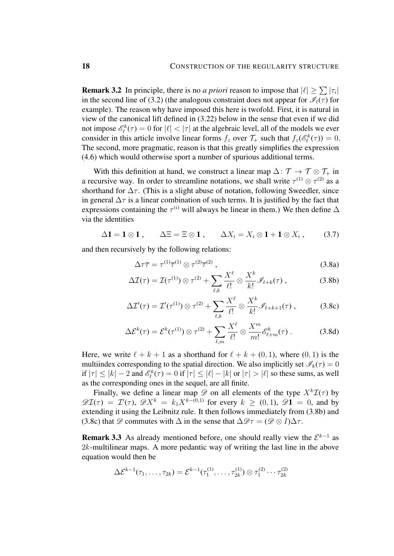**Remark 3.2** In principle, there is no *a priori* reason to impose that  $|\ell| \ge \sum |\tau_i|$ in the second line of [\(3.2\)](#page-16-0) (the analogous constraint does not appear for  $\mathscr{I}_{\ell}(\tau)$  for example). The reason why have imposed this here is twofold. First, it is natural in view of the canonical lift defined in [\(3.22\)](#page-25-1) below in the sense that even if we did not impose  $\mathscr{E}_{\ell}^{k}(\tau) = 0$  for  $|\ell| < |\tau|$  at the algebraic level, all of the models we ever consider in this article involve linear forms  $f_z$  over  $\mathcal{T}_+$  such that  $f_z(\mathscr{E}_\ell^k(\tau)) = 0$ . The second, more pragmatic, reason is that this greatly simplifies the expression [\(4.6\)](#page-30-0) which would otherwise sport a number of spurious additional terms.

With this definition at hand, we construct a linear map  $\Delta: \mathcal{T} \to \mathcal{T} \otimes \mathcal{T}_+$  in a recursive way. In order to streamline notations, we shall write  $\tau^{(1)} \otimes \tau^{(2)}$  as a shorthand for  $\Delta \tau$ . (This is a slight abuse of notation, following Sweedler, since in general  $\Delta \tau$  is a linear combination of such terms. It is justified by the fact that expressions containing the  $\tau^{(i)}$  will always be linear in them.) We then define  $\Delta$ via the identities

$$
\Delta \mathbf{1} = \mathbf{1} \otimes \mathbf{1} \,, \qquad \Delta \Xi = \Xi \otimes \mathbf{1} \,, \qquad \Delta X_i = X_i \otimes \mathbf{1} + \mathbf{1} \otimes X_i \,, \tag{3.7}
$$

and then recursively by the following relations:

<span id="page-17-1"></span><span id="page-17-0"></span>
$$
\Delta \tau \overline{\tau} = \tau^{(1)} \overline{\tau}^{(1)} \otimes \tau^{(2)} \overline{\tau}^{(2)} \,, \tag{3.8a}
$$

$$
\Delta \mathcal{I}(\tau) = \mathcal{I}(\tau^{(1)}) \otimes \tau^{(2)} + \sum_{\ell,k} \frac{X^{\ell}}{\ell!} \otimes \frac{X^k}{k!} \mathscr{I}_{\ell+k}(\tau) , \qquad (3.8b)
$$

$$
\Delta \mathcal{I}'(\tau) = \mathcal{I}'(\tau^{(1)}) \otimes \tau^{(2)} + \sum_{\ell,k} \frac{X^{\ell}}{\ell!} \otimes \frac{X^k}{k!} \mathscr{I}_{\ell+k+1}(\tau) , \qquad (3.8c)
$$

$$
\Delta \mathcal{E}^{k}(\tau) = \mathcal{E}^{k}(\tau^{(1)}) \otimes \tau^{(2)} + \sum_{\ell,m} \frac{X^{\ell}}{\ell!} \otimes \frac{X^{m}}{m!} \mathcal{E}^{k}_{\ell+m}(\tau) . \tag{3.8d}
$$

Here, we write  $\ell + k + 1$  as a shorthand for  $\ell + k + (0, 1)$ , where  $(0, 1)$  is the multiindex corresponding to the spatial direction. We also implicitly set  $\mathscr{I}_k(\tau) = 0$ if  $|\tau| \le |k| - 2$  and  $\mathscr{E}_{\ell}^k(\tau) = 0$  if  $|\tau| \le |\ell| - |k|$  or  $|\tau| > |\ell|$  so these sums, as well as the corresponding ones in the sequel, are all finite.

Finally, we define a linear map  $\mathscr D$  on all elements of the type  $X^k\mathcal I(\tau)$  by  $\mathscr{D}I(\tau) = I'(\tau)$ ,  $\mathscr{D}X^k = k_1X^{k-(0,1)}$  for every  $k \geq (0,1)$ ,  $\mathscr{D}1 = 0$ , and by extending it using the Leibnitz rule. It then follows immediately from [\(3.8b\)](#page-17-1) and [\(3.8c\)](#page-17-1) that  $\mathscr{D}$  commutes with  $\Delta$  in the sense that  $\Delta \mathscr{D} \tau = (\mathscr{D} \otimes I)\Delta \tau$ .

**Remark 3.3** As already mentioned before, one should really view the  $\mathcal{E}^{k-1}$  as  $2k$ -multilinear maps. A more pedantic way of writing the last line in the above equation would then be

$$
\Delta \mathcal{E}^{k-1}(\tau_1,\ldots,\tau_{2k}) = \mathcal{E}^{k-1}(\tau_1^{(1)},\ldots,\tau_{2k}^{(1)}) \otimes \tau_1^{(2)} \cdots \tau_{2k}^{(2)}
$$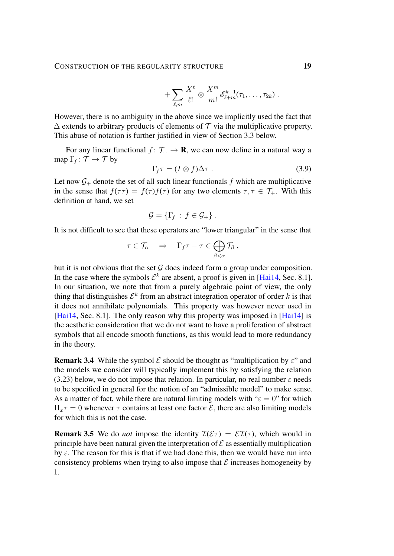$$
+\sum_{\ell,m}\frac{X^{\ell}}{\ell!}\otimes\frac{X^m}{m!} \mathscr{E}_{\ell+m}^{k-1}(\tau_1,\ldots,\tau_{2k})\ .
$$

However, there is no ambiguity in the above since we implicitly used the fact that  $\Delta$  extends to arbitrary products of elements of  $\mathcal T$  via the multiplicative property. This abuse of notation is further justified in view of Section [3.3](#page-19-0) below.

For any linear functional  $f: \mathcal{T}_+ \to \mathbf{R}$ , we can now define in a natural way a map  $\Gamma_f : \mathcal{T} \to \mathcal{T}$  by

<span id="page-18-0"></span>
$$
\Gamma_f \tau = (I \otimes f) \Delta \tau \ . \tag{3.9}
$$

Let now  $G_+$  denote the set of all such linear functionals f which are multiplicative in the sense that  $f(\tau \bar{\tau}) = f(\tau) f(\bar{\tau})$  for any two elements  $\tau, \bar{\tau} \in \mathcal{T}_{+}$ . With this definition at hand, we set

$$
\mathcal{G} = \{ \Gamma_f : f \in \mathcal{G}_+ \} .
$$

It is not difficult to see that these operators are "lower triangular" in the sense that

$$
\tau \in \mathcal{T}_{\alpha} \quad \Rightarrow \quad \Gamma_f \tau - \tau \in \bigoplus_{\beta < \alpha} \mathcal{T}_{\beta} ,
$$

but it is not obvious that the set  $G$  does indeed form a group under composition. In the case where the symbols  $\mathcal{E}^k$  are absent, a proof is given in [\[Hai14,](#page-102-1) Sec. 8.1]. In our situation, we note that from a purely algebraic point of view, the only thing that distinguishes  $\mathcal{E}^k$  from an abstract integration operator of order k is that it does not annihilate polynomials. This property was however never used in [\[Hai14,](#page-102-1) Sec. 8.1]. The only reason why this property was imposed in [\[Hai14\]](#page-102-1) is the aesthetic consideration that we do not want to have a proliferation of abstract symbols that all encode smooth functions, as this would lead to more redundancy in the theory.

**Remark 3.4** While the symbol  $\mathcal E$  should be thought as "multiplication by  $\varepsilon$ " and the models we consider will typically implement this by satisfying the relation [\(3.23\)](#page-25-2) below, we do not impose that relation. In particular, no real number  $\varepsilon$  needs to be specified in general for the notion of an "admissible model" to make sense. As a matter of fact, while there are natural limiting models with " $\varepsilon = 0$ " for which  $\Pi_x \tau = 0$  whenever  $\tau$  contains at least one factor  $\mathcal{E}$ , there are also limiting models for which this is not the case.

**Remark 3.5** We do *not* impose the identity  $\mathcal{I}(\mathcal{E}\tau) = \mathcal{E}\mathcal{I}(\tau)$ , which would in principle have been natural given the interpretation of  $\mathcal E$  as essentially multiplication by  $\varepsilon$ . The reason for this is that if we had done this, then we would have run into consistency problems when trying to also impose that  $\mathcal E$  increases homogeneity by 1.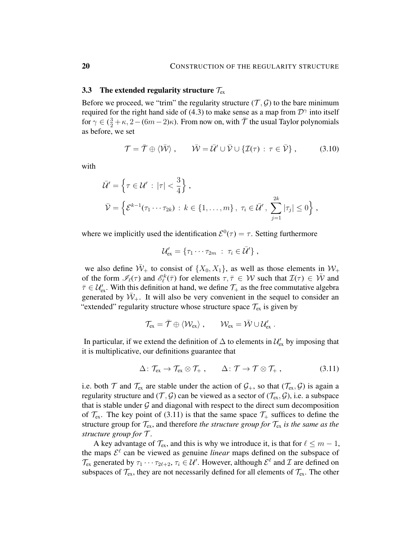### <span id="page-19-0"></span>3.3 The extended regularity structure  $\mathcal{T}_{\text{ex}}$

Before we proceed, we "trim" the regularity structure  $(\mathcal{T}, \mathcal{G})$  to the bare minimum required for the right hand side of [\(4.3\)](#page-30-1) to make sense as a map from  $\mathcal{D}^{\gamma}$  into itself for  $\gamma \in (\frac{3}{2} + \kappa, 2 - (6m - 2)\kappa)$ . From now on, with  $\bar{\mathcal{T}}$  the usual Taylor polynomials as before, we set

$$
\mathcal{T} = \bar{\mathcal{T}} \oplus \langle \bar{\mathcal{W}} \rangle, \qquad \bar{\mathcal{W}} = \bar{\mathcal{U}}' \cup \bar{\mathcal{V}} \cup \{ \mathcal{I}(\tau) : \tau \in \bar{\mathcal{V}} \}, \tag{3.10}
$$

with

$$
\overline{\mathcal{U}}' = \left\{ \tau \in \mathcal{U}' : |\tau| < \frac{3}{4} \right\},\
$$
\n
$$
\overline{\mathcal{V}} = \left\{ \mathcal{E}^{k-1}(\tau_1 \cdots \tau_{2k}) : k \in \{1, \ldots, m\}, \ \tau_i \in \overline{\mathcal{U}}', \ \sum_{j=1}^{2k} |\tau_j| \le 0 \right\},\
$$

where we implicitly used the identification  $\mathcal{E}^0(\tau) = \tau$ . Setting furthermore

$$
\mathcal{U}'_{ex} = \{ \tau_1 \cdots \tau_{2m} \; : \; \tau_i \in \bar{\mathcal{U}}' \},
$$

we also define  $\overline{W}_+$  to consist of  $\{X_0, X_1\}$ , as well as those elements in  $W_+$ of the form  $\mathscr{I}_{\ell}(\tau)$  and  $\mathscr{E}_{\ell}^k(\bar{\tau})$  for elements  $\tau, \bar{\tau} \in \mathcal{W}$  such that  $\mathcal{I}(\tau) \in \bar{\mathcal{W}}$  and  $\bar{\tau} \in \mathcal{U}_{\text{ex}}'$ . With this definition at hand, we define  $\mathcal{T}_+$  as the free commutative algebra generated by  $\bar{W}_+$ . It will also be very convenient in the sequel to consider an "extended" regularity structure whose structure space  $\mathcal{T}_{ex}$  is given by

<span id="page-19-1"></span>
$$
\mathcal{T}_{ex} = \bar{\mathcal{T}} \oplus \langle \mathcal{W}_{ex} \rangle \ , \qquad \mathcal{W}_{ex} = \bar{\mathcal{W}} \cup \mathcal{U}'_{ex} \ .
$$

In particular, if we extend the definition of  $\Delta$  to elements in  $\mathcal{U}_{ex}$  by imposing that it is multiplicative, our definitions guarantee that

$$
\Delta\colon \mathcal{T}_{ex} \to \mathcal{T}_{ex} \otimes \mathcal{T}_{+} ,\qquad \Delta\colon \mathcal{T} \to \mathcal{T} \otimes \mathcal{T}_{+} ,\qquad (3.11)
$$

i.e. both  $\mathcal T$  and  $\mathcal T_{ex}$  are stable under the action of  $\mathcal G_+$ , so that  $(\mathcal T_{ex}, \mathcal G)$  is again a regularity structure and  $(\mathcal{T}, \mathcal{G})$  can be viewed as a sector of  $(\mathcal{T}_{ex}, \mathcal{G})$ , i.e. a subspace that is stable under  $G$  and diagonal with respect to the direct sum decomposition of  $\mathcal{T}_{ex}$ . The key point of [\(3.11\)](#page-19-1) is that the same space  $\mathcal{T}_{+}$  suffices to define the structure group for  $\mathcal{T}_{ex}$ , and therefore *the structure group for*  $\mathcal{T}_{ex}$  *is the same as the structure group for* T .

A key advantage of  $\mathcal{T}_{ex}$ , and this is why we introduce it, is that for  $\ell \leq m - 1$ , the maps  $\mathcal{E}^{\ell}$  can be viewed as genuine *linear* maps defined on the subspace of  $\mathcal{T}_{\text{ex}}$  generated by  $\tau_1 \cdots \tau_{2\ell+2}$ ,  $\tau_i \in \mathcal{U}'$ . However, although  $\mathcal{E}^{\ell}$  and  $\mathcal{I}$  are defined on subspaces of  $\mathcal{T}_{ex}$ , they are not necessarily defined for all elements of  $\mathcal{T}_{ex}$ . The other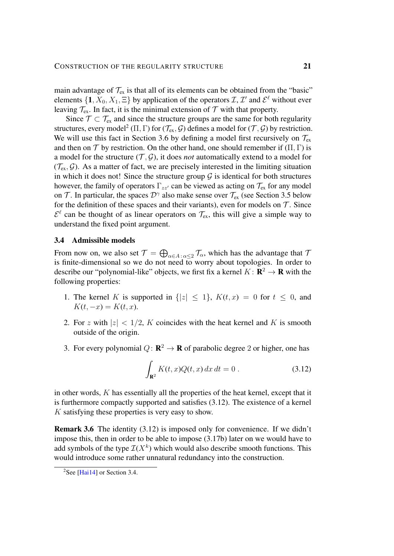main advantage of  $T_{ex}$  is that all of its elements can be obtained from the "basic" elements  $\{1, X_0, X_1, \Xi\}$  by application of the operators  $\mathcal{I}, \mathcal{I}'$  and  $\mathcal{E}^{\ell}$  without ever leaving  $\mathcal{T}_{ex}$ . In fact, it is the minimal extension of  $\mathcal{T}$  with that property.

Since  $\mathcal{T} \subset \mathcal{T}_{ex}$  and since the structure groups are the same for both regularity structures, every model<sup>[2](#page-20-1)</sup> (Π, Γ) for ( $\mathcal{T}_{ex}$ ,  $\mathcal{G}$ ) defines a model for ( $\mathcal{T}, \mathcal{G}$ ) by restriction. We will use this fact in Section [3.6](#page-25-0) by defining a model first recursively on  $\mathcal{T}_{ex}$ and then on  $\mathcal T$  by restriction. On the other hand, one should remember if  $(\Pi, \Gamma)$  is a model for the structure  $(\mathcal{T}, \mathcal{G})$ , it does *not* automatically extend to a model for  $(\mathcal{T}_{ex}, \mathcal{G})$ . As a matter of fact, we are precisely interested in the limiting situation in which it does not! Since the structure group  $\mathcal G$  is identical for both structures however, the family of operators  $\Gamma_{zz}$  can be viewed as acting on  $\mathcal{T}_{ex}$  for any model on T. In particular, the spaces  $\mathcal{D}^{\gamma}$  also make sense over  $\mathcal{T}_{ex}$  (see Section [3.5](#page-23-0) below for the definition of these spaces and their variants), even for models on  $T$ . Since  $\mathcal{E}^{\ell}$  can be thought of as linear operators on  $\mathcal{T}_{ex}$ , this will give a simple way to understand the fixed point argument.

#### <span id="page-20-0"></span>3.4 Admissible models

From now on, we also set  $\mathcal{T} = \bigoplus_{\alpha \in A : \alpha \leq 2} \mathcal{T}_\alpha$ , which has the advantage that  $\mathcal{T}$ is finite-dimensional so we do not need to worry about topologies. In order to describe our "polynomial-like" objects, we first fix a kernel  $K: \mathbf{R}^2 \to \mathbf{R}$  with the following properties:

- 1. The kernel K is supported in  $\{|z| \leq 1\}$ ,  $K(t, x) = 0$  for  $t \leq 0$ , and  $K(t, -x) = K(t, x).$
- 2. For z with  $|z| < 1/2$ , K coincides with the heat kernel and K is smooth outside of the origin.
- 3. For every polynomial  $Q: \mathbf{R}^2 \to \mathbf{R}$  of parabolic degree 2 or higher, one has

<span id="page-20-2"></span>
$$
\int_{\mathbf{R}^2} K(t, x) Q(t, x) dx dt = 0.
$$
\n(3.12)

in other words,  $K$  has essentially all the properties of the heat kernel, except that it is furthermore compactly supported and satisfies [\(3.12\)](#page-20-2). The existence of a kernel K satisfying these properties is very easy to show.

Remark 3.6 The identity [\(3.12\)](#page-20-2) is imposed only for convenience. If we didn't impose this, then in order to be able to impose [\(3.17b\)](#page-22-0) later on we would have to add symbols of the type  $\mathcal{I}(X^k)$  which would also describe smooth functions. This would introduce some rather unnatural redundancy into the construction.

<span id="page-20-1"></span><sup>&</sup>lt;sup>2</sup>See [\[Hai14\]](#page-102-1) or Section [3.4.](#page-20-0)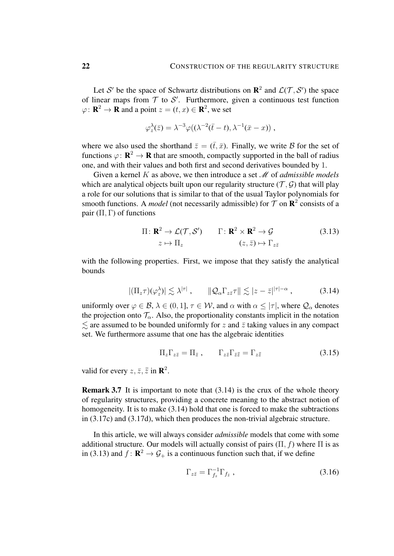Let S' be the space of Schwartz distributions on  $\mathbb{R}^2$  and  $\mathcal{L}(\mathcal{T}, \mathcal{S}')$  the space of linear maps from  $T$  to  $S'$ . Furthermore, given a continuous test function  $\varphi: \mathbf{R}^2 \to \mathbf{R}$  and a point  $z = (t, x) \in \mathbf{R}^2$ , we set

$$
\varphi_z^{\lambda}(\bar{z}) = \lambda^{-3} \varphi((\lambda^{-2}(\bar{t}-t), \lambda^{-1}(\bar{x}-x)),
$$

where we also used the shorthand  $\bar{z} = (\bar{t}, \bar{x})$ . Finally, we write B for the set of functions  $\varphi: \mathbf{R}^2 \to \mathbf{R}$  that are smooth, compactly supported in the ball of radius one, and with their values and both first and second derivatives bounded by 1.

Given a kernel K as above, we then introduce a set M of *admissible models* which are analytical objects built upon our regularity structure  $(\mathcal{T}, \mathcal{G})$  that will play a role for our solutions that is similar to that of the usual Taylor polynomials for smooth functions. A *model* (not necessarily admissible) for  $T$  on  $\mathbb{R}^2$  consists of a pair  $(\Pi, \Gamma)$  of functions

<span id="page-21-1"></span>
$$
\Pi: \mathbf{R}^2 \to \mathcal{L}(\mathcal{T}, \mathcal{S}') \qquad \Gamma: \mathbf{R}^2 \times \mathbf{R}^2 \to \mathcal{G} \tag{3.13}
$$
\n
$$
z \mapsto \Pi_z \qquad \qquad (z, \bar{z}) \mapsto \Gamma_{z\bar{z}}
$$

with the following properties. First, we impose that they satisfy the analytical bounds

$$
|(\Pi_z \tau)(\varphi_z^{\lambda})| \lesssim \lambda^{|\tau|} , \qquad \|\mathcal{Q}_{\alpha}\Gamma_{z\bar{z}}\tau\| \lesssim |z-\bar{z}|^{|\tau|-\alpha} , \qquad (3.14)
$$

uniformly over  $\varphi \in \mathcal{B}$ ,  $\lambda \in (0, 1]$ ,  $\tau \in \mathcal{W}$ , and  $\alpha$  with  $\alpha \leq |\tau|$ , where  $\mathcal{Q}_{\alpha}$  denotes the projection onto  $\mathcal{T}_{\alpha}$ . Also, the proportionality constants implicit in the notation  $\leq$  are assumed to be bounded uniformly for z and  $\overline{z}$  taking values in any compact set. We furthermore assume that one has the algebraic identities

<span id="page-21-2"></span><span id="page-21-0"></span>
$$
\Pi_z \Gamma_{z\bar{z}} = \Pi_{\bar{z}} , \qquad \Gamma_{z\bar{z}} \Gamma_{\bar{z}\bar{\bar{z}}} = \Gamma_{z\bar{\bar{z}}}
$$
(3.15)

valid for every  $z, \bar{z}, \bar{\bar{z}}$  in  $\mathbb{R}^2$ .

Remark 3.7 It is important to note that [\(3.14\)](#page-21-0) is the crux of the whole theory of regularity structures, providing a concrete meaning to the abstract notion of homogeneity. It is to make [\(3.14\)](#page-21-0) hold that one is forced to make the subtractions in [\(3.17c\)](#page-22-0) and [\(3.17d\)](#page-22-0), which then produces the non-trivial algebraic structure.

In this article, we will always consider *admissible* models that come with some additional structure. Our models will actually consist of pairs  $(\Pi, f)$  where  $\Pi$  is as in [\(3.13\)](#page-21-1) and  $f: \mathbf{R}^2 \to \mathcal{G}_+$  is a continuous function such that, if we define

<span id="page-21-3"></span>
$$
\Gamma_{z\bar{z}} = \Gamma_{f_z}^{-1} \Gamma_{f_{\bar{z}}},\tag{3.16}
$$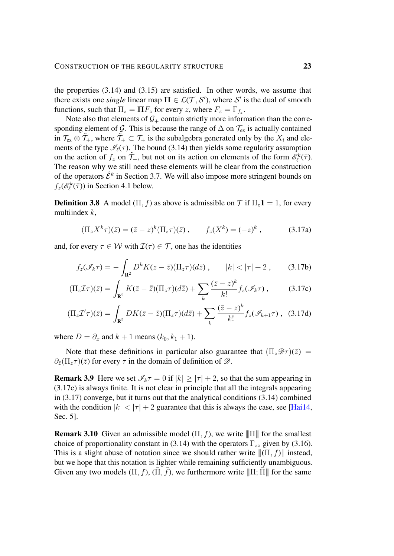the properties [\(3.14\)](#page-21-0) and [\(3.15\)](#page-21-2) are satisfied. In other words, we assume that there exists one *single* linear map  $\Pi \in \mathcal{L}(\mathcal{T}, \mathcal{S}')$ , where  $\mathcal{S}'$  is the dual of smooth functions, such that  $\Pi_z = \Pi F_z$  for every z, where  $F_z = \Gamma_{f_z}$ .

Note also that elements of  $G_+$  contain strictly more information than the corresponding element of G. This is because the range of  $\Delta$  on  $\mathcal{T}_{ex}$  is actually contained in  $\mathcal{T}_{ex} \otimes \mathcal{T}_{+}$ , where  $\mathcal{T}_{+} \subset \mathcal{T}_{+}$  is the subalgebra generated only by the  $X_i$  and elements of the type  $\mathcal{I}_{\ell}(\tau)$ . The bound [\(3.14\)](#page-21-0) then yields some regularity assumption on the action of  $f_z$  on  $\tilde{\mathcal{T}}_+$ , but not on its action on elements of the form  $\tilde{\mathscr{E}}_{\ell}^k(\bar{\tau})$ . The reason why we still need these elements will be clear from the construction of the operators  $\hat{\mathcal{E}}^k$  in Section [3.7.](#page-27-0) We will also impose more stringent bounds on  $f_z(\mathcal{E}_{\ell}^k(\overline{\tau}))$  in Section [4.1](#page-31-0) below.

**Definition 3.8** A model ( $\Pi$ , f) as above is admissible on  $\mathcal{T}$  if  $\Pi_z \mathbf{1} = 1$ , for every multiindex  $k$ ,

<span id="page-22-0"></span>
$$
(\Pi_z X^k \tau)(\bar{z}) = (\bar{z} - z)^k (\Pi_z \tau)(\bar{z}), \qquad f_z(X^k) = (-z)^k , \qquad (3.17a)
$$

and, for every  $\tau \in W$  with  $\mathcal{I}(\tau) \in \mathcal{T}$ , one has the identities

$$
f_z(\mathscr{I}_k \tau) = -\int_{\mathbf{R}^2} D^k K(z - \bar{z}) (\Pi_z \tau) (d\bar{z}), \qquad |k| < |\tau| + 2 , \qquad (3.17b)
$$

$$
(\Pi_z \mathcal{I}\tau)(\bar{z}) = \int_{\mathbf{R}^2} K(\bar{z} - \bar{\bar{z}})(\Pi_z \tau)(d\bar{\bar{z}}) + \sum_k \frac{(\bar{z} - z)^k}{k!} f_z(\mathcal{I}_k \tau) ,\qquad (3.17c)
$$

$$
(\Pi_z \mathcal{I}' \tau)(\bar{z}) = \int_{\mathbf{R}^2} DK(\bar{z} - \bar{\bar{z}})(\Pi_z \tau)(d\bar{\bar{z}}) + \sum_k \frac{(\bar{z} - z)^k}{k!} f_z(\mathcal{I}_{k+1} \tau), \quad (3.17d)
$$

where  $D = \partial_x$  and  $k + 1$  means  $(k_0, k_1 + 1)$ .

Note that these definitions in particular also guarantee that  $(\Pi_z \mathscr{D}(\bar{z})) =$  $\partial_{\bar{z}}(\Pi_z\tau)(\bar{z})$  for every  $\tau$  in the domain of definition of  $\mathscr{D}$ .

**Remark 3.9** Here we set  $\mathcal{I}_k \tau = 0$  if  $|k| \ge |\tau| + 2$ , so that the sum appearing in [\(3.17c\)](#page-22-0) is always finite. It is not clear in principle that all the integrals appearing in [\(3.17\)](#page-22-0) converge, but it turns out that the analytical conditions [\(3.14\)](#page-21-0) combined with the condition  $|k| < |\tau| + 2$  guarantee that this is always the case, see [\[Hai14,](#page-102-1) Sec. 5].

**Remark 3.10** Given an admissible model  $(\Pi, f)$ , we write  $\|\Pi\|$  for the smallest choice of proportionality constant in [\(3.14\)](#page-21-0) with the operators  $\Gamma_{z\bar{z}}$  given by [\(3.16\)](#page-21-3). This is a slight abuse of notation since we should rather write  $\|({\Pi}, f)\|$  instead, but we hope that this notation is lighter while remaining sufficiently unambiguous. Given any two models  $(\Pi, f)$ ,  $(\overline{\Pi}, \overline{f})$ , we furthermore write  $\|\Pi\tilde{\Pi}\|$  for the same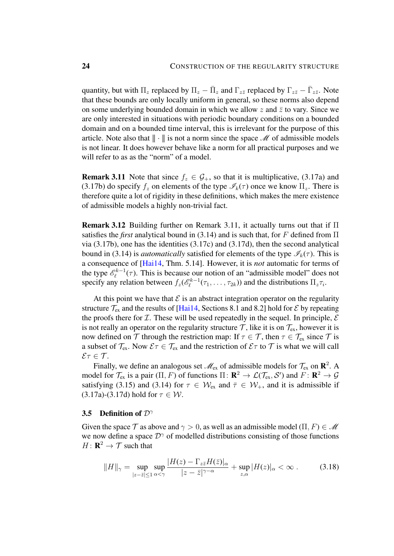quantity, but with  $\Pi_z$  replaced by  $\Pi_z - \bar{\Pi}_z$  and  $\Gamma_{z\bar{z}}$  replaced by  $\Gamma_{z\bar{z}} - \bar{\Gamma}_{z\bar{z}}$ . Note that these bounds are only locally uniform in general, so these norms also depend on some underlying bounded domain in which we allow z and  $\bar{z}$  to vary. Since we are only interested in situations with periodic boundary conditions on a bounded domain and on a bounded time interval, this is irrelevant for the purpose of this article. Note also that  $\|\cdot\|$  is not a norm since the space  $\mathcal M$  of admissible models is not linear. It does however behave like a norm for all practical purposes and we will refer to as as the "norm" of a model.

<span id="page-23-1"></span>**Remark 3.11** Note that since  $f_z \in \mathcal{G}_+$ , so that it is multiplicative, [\(3.17a\)](#page-22-0) and [\(3.17b\)](#page-22-0) do specify  $f_z$  on elements of the type  $\mathcal{I}_k(\tau)$  once we know  $\Pi_z$ . There is therefore quite a lot of rigidity in these definitions, which makes the mere existence of admissible models a highly non-trivial fact.

**Remark 3.12** Building further on Remark [3.11,](#page-23-1) it actually turns out that if  $\Pi$ satisfies the *first* analytical bound in [\(3.14\)](#page-21-0) and is such that, for F defined from  $\Pi$ via  $(3.17b)$ , one has the identities  $(3.17c)$  and  $(3.17d)$ , then the second analytical bound in [\(3.14\)](#page-21-0) is *automatically* satisfied for elements of the type  $\mathscr{I}_k(\tau)$ . This is a consequence of [\[Hai14,](#page-102-1) Thm. 5.14]. However, it is *not* automatic for terms of the type  $\mathscr{E}_{\ell}^{k-1}$  $\ell^{k-1}(\tau)$ . This is because our notion of an "admissible model" does not specify any relation between  $f_z(e^{k-1})$  $\mathcal{L}_{\ell}^{(k-1)}(\tau_1,\ldots,\tau_{2k})$  and the distributions  $\Pi_z\tau_i$ .

At this point we have that  $\mathcal E$  is an abstract integration operator on the regularity structure  $\mathcal{T}_{ex}$  and the results of [\[Hai14,](#page-102-1) Sections 8.1 and 8.2] hold for  $\mathcal{E}$  by repeating the proofs there for  $I$ . These will be used repeatedly in the sequel. In principle,  $E$ is not really an operator on the regularity structure  $\mathcal{T}$ , like it is on  $\mathcal{T}_{ex}$ , however it is now defined on T through the restriction map: If  $\tau \in \mathcal{T}$ , then  $\tau \in \mathcal{T}_{ex}$  since T is a subset of  $\mathcal{T}_{ex}$ . Now  $\mathcal{E}\tau \in \mathcal{T}_{ex}$  and the restriction of  $\mathcal{E}\tau$  to  $\mathcal{T}$  is what we will call  $\mathcal{E}\tau\in\mathcal{T}.$ 

Finally, we define an analogous set  $\mathcal{M}_{ex}$  of admissible models for  $\mathcal{T}_{ex}$  on  $\mathbb{R}^2$ . A model for  $\mathcal{T}_{ex}$  is a pair  $(\Pi, F)$  of functions  $\Pi \colon \mathbf{R}^2 \to \mathcal{L}(\mathcal{T}_{ex}, \mathcal{S}')$  and  $F \colon \mathbf{R}^2 \to \mathcal{G}$ satisfying [\(3.15\)](#page-21-2) and [\(3.14\)](#page-21-0) for  $\tau \in \mathcal{W}_{ex}$  and  $\bar{\tau} \in \mathcal{W}_{+}$ , and it is admissible if [\(3.17a\)](#page-22-0)-[\(3.17d\)](#page-22-0) hold for  $\tau \in \mathcal{W}$ .

#### <span id="page-23-0"></span>3.5 Definition of  $\mathcal{D}^{\gamma}$

Given the space  $\mathcal T$  as above and  $\gamma > 0$ , as well as an admissible model  $(\Pi, F) \in \mathcal M$ we now define a space  $\mathcal{D}^{\gamma}$  of modelled distributions consisting of those functions  $H: \mathbf{R}^2 \to \mathcal{T}$  such that

$$
||H||_{\gamma} = \sup_{|z-\bar{z}| \le 1} \sup_{\alpha < \gamma} \frac{|H(z) - \Gamma_{z\bar{z}} H(\bar{z})|_{\alpha}}{|z-\bar{z}|^{\gamma-\alpha}} + \sup_{z,\alpha} |H(z)|_{\alpha} < \infty.
$$
 (3.18)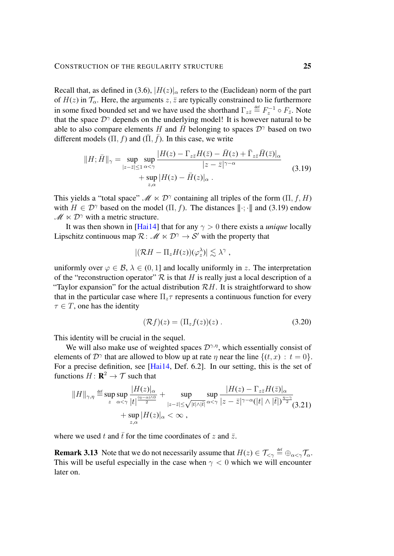Recall that, as defined in [\(3.6\)](#page-16-1),  $|H(z)|_{\alpha}$  refers to the (Euclidean) norm of the part of  $H(z)$  in  $\mathcal{T}_{\alpha}$ . Here, the arguments  $z, \bar{z}$  are typically constrained to lie furthermore in some fixed bounded set and we have used the shorthand  $\Gamma_{z\bar{z}} \stackrel{\text{def}}{=} F_z^{-1} \circ F_{\bar{z}}$ . Note that the space  $\mathcal{D}^{\gamma}$  depends on the underlying model! It is however natural to be able to also compare elements H and  $\bar{H}$  belonging to spaces  $\mathcal{D}^{\gamma}$  based on two different models  $(\Pi, f)$  and  $(\bar{\Pi}, \bar{f})$ . In this case, we write

$$
||H; \bar{H}||_{\gamma} = \sup_{|z-\bar{z}| \le 1} \sup_{\alpha < \gamma} \frac{|H(z) - \Gamma_{z\bar{z}} H(\bar{z}) - \bar{H}(z) + \bar{\Gamma}_{z\bar{z}} \bar{H}(\bar{z})|_{\alpha}}{|z-\bar{z}|^{\gamma-\alpha}} + \sup_{z,\alpha} |H(z) - \bar{H}(z)|_{\alpha} . \tag{3.19}
$$

This yields a "total space"  $\mathcal{M} \ltimes \mathcal{D}^{\gamma}$  containing all triples of the form  $(\Pi, f, H)$ with  $H \in \mathcal{D}^{\gamma}$  based on the model ( $\Pi$ , f). The distances  $\|\cdot\|$  and [\(3.19\)](#page-24-0) endow  $\mathscr{M} \ltimes \mathcal{D}^{\gamma}$  with a metric structure.

It was then shown in [\[Hai14\]](#page-102-1) that for any  $\gamma > 0$  there exists a *unique* locally Lipschitz continuous map  $\mathcal{R}: \mathcal{M} \times \mathcal{D}^{\gamma} \to \mathcal{S}'$  with the property that

<span id="page-24-0"></span>
$$
|(\mathcal{R}H - \Pi_z H(z))(\varphi_z^{\lambda})| \lesssim \lambda^{\gamma},
$$

uniformly over  $\varphi \in \mathcal{B}, \lambda \in (0, 1]$  and locally uniformly in z. The interpretation of the "reconstruction operator"  $R$  is that H is really just a local description of a "Taylor expansion" for the actual distribution  $\mathcal{R}H$ . It is straightforward to show that in the particular case where  $\Pi_z \tau$  represents a continuous function for every  $\tau \in T$ , one has the identity

<span id="page-24-1"></span>
$$
(\mathcal{R}f)(z) = (\Pi_z f(z))(z) . \tag{3.20}
$$

This identity will be crucial in the sequel.

We will also make use of weighted spaces  $\mathcal{D}^{\gamma,\eta}$ , which essentially consist of elements of  $\mathcal{D}^{\gamma}$  that are allowed to blow up at rate  $\eta$  near the line  $\{(t, x) : t = 0\}.$ For a precise definition, see [\[Hai14,](#page-102-1) Def. 6.2]. In our setting, this is the set of functions  $H: \mathbf{R}^2 \to \mathcal{T}$  such that

$$
||H||_{\gamma,\eta} \stackrel{\text{def}}{=} \sup_z \sup_{\alpha < \gamma} \frac{|H(z)|_{\alpha}}{|t|^{\frac{(\eta-\alpha)\wedge 0}{2}}} + \sup_{|z-\bar{z}| \leq \sqrt{|t|\wedge|\bar{t}|}} \sup_{\alpha < \gamma} \frac{|H(z) - \Gamma_{z\bar{z}}H(\bar{z})|_{\alpha}}{|z-\bar{z}|^{\gamma-\alpha}(|t| \wedge |\bar{t}|)^{\frac{\eta-\gamma}{2}}}_{\gamma,\alpha} (3.21)
$$
\n
$$
+ \sup_{z,\alpha} |H(z)|_{\alpha} < \infty ,
$$

where we used t and  $\bar{t}$  for the time coordinates of z and  $\bar{z}$ .

**Remark 3.13** Note that we do not necessarily assume that  $H(z) \in \mathcal{T}_{\leq \gamma} \stackrel{\text{def}}{=} \oplus_{\alpha \leq \gamma} \mathcal{T}_{\alpha}$ . This will be useful especially in the case when  $\gamma < 0$  which we will encounter later on.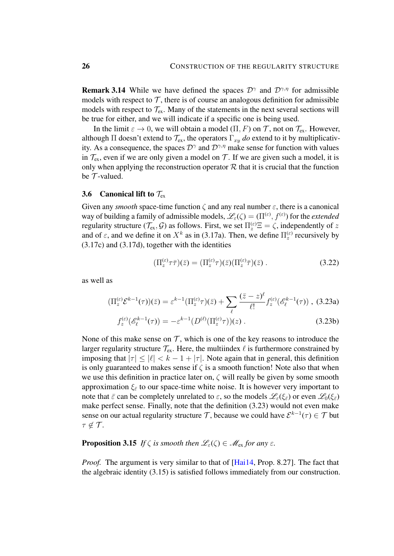**Remark 3.14** While we have defined the spaces  $\mathcal{D}^{\gamma}$  and  $\mathcal{D}^{\gamma,\eta}$  for admissible models with respect to  $\mathcal T$ , there is of course an analogous definition for admissible models with respect to  $\mathcal{T}_{ex}$ . Many of the statements in the next several sections will be true for either, and we will indicate if a specific one is being used.

In the limit  $\varepsilon \to 0$ , we will obtain a model  $(\Pi, F)$  on T, not on  $\mathcal{T}_{ex}$ . However, although  $\Pi$  doesn't extend to  $\mathcal{T}_{ex}$ , the operators  $\Gamma_{xy}$  *do* extend to it by multiplicativity. As a consequence, the spaces  $\mathcal{D}^{\gamma}$  and  $\mathcal{D}^{\gamma,\eta}$  make sense for function with values in  $\mathcal{T}_{ex}$ , even if we are only given a model on  $\mathcal{T}$ . If we are given such a model, it is only when applying the reconstruction operator  $R$  that it is crucial that the function be  $T$ -valued.

## <span id="page-25-0"></span>3.6 Canonical lift to  $\mathcal{T}_{ex}$

Given any *smooth* space-time function  $\zeta$  and any real number  $\varepsilon$ , there is a canonical way of building a family of admissible models,  $\mathscr{L}_{\varepsilon}(\zeta) = (\Pi^{(\varepsilon)}, f^{(\varepsilon)})$  for the *extended* regularity structure  $(\mathcal{T}_{ex}, \mathcal{G})$  as follows. First, we set  $\Pi_z^{(\varepsilon)} \Xi = \zeta$ , independently of z and of  $\varepsilon$ , and we define it on  $X^k$  as in [\(3.17a\)](#page-22-0). Then, we define  $\Pi_z^{(\varepsilon)}$  recursively by [\(3.17c\)](#page-22-0) and [\(3.17d\)](#page-22-0), together with the identities

<span id="page-25-1"></span>
$$
(\Pi_z^{(\varepsilon)} \tau \bar{\tau})(\bar{z}) = (\Pi_z^{(\varepsilon)} \tau)(\bar{z}) (\Pi_z^{(\varepsilon)} \bar{\tau})(\bar{z}) . \tag{3.22}
$$

as well as

<span id="page-25-2"></span>
$$
(\Pi_z^{(\varepsilon)} \mathcal{E}^{k-1}(\tau))(\bar{z}) = \varepsilon^{k-1} (\Pi_z^{(\varepsilon)} \tau)(\bar{z}) + \sum_{\ell} \frac{(\bar{z} - z)^{\ell}}{\ell!} f_z^{(\varepsilon)}(\mathscr{E}_{\ell}^{k-1}(\tau)),
$$
 (3.23a)

$$
f_z^{(\varepsilon)}(\mathscr{E}_\ell^{k-1}(\tau)) = -\varepsilon^{k-1}(D^{(\ell)}(\Pi_z^{(\varepsilon)}\tau))(z) . \tag{3.23b}
$$

None of this make sense on  $T$ , which is one of the key reasons to introduce the larger regularity structure  $\mathcal{T}_{ex}$ . Here, the multiindex  $\ell$  is furthermore constrained by imposing that  $|\tau| \leq |\ell| < k - 1 + |\tau|$ . Note again that in general, this definition is only guaranteed to makes sense if  $\zeta$  is a smooth function! Note also that when we use this definition in practice later on,  $\zeta$  will really be given by some smooth approximation  $\xi_{\bar{\varepsilon}}$  to our space-time white noise. It is however very important to note that  $\bar{\varepsilon}$  can be completely unrelated to  $\varepsilon$ , so the models  $\mathscr{L}_{\varepsilon}(\xi_{\bar{\varepsilon}})$  or even  $\mathscr{L}_0(\xi_{\bar{\varepsilon}})$ make perfect sense. Finally, note that the definition [\(3.23\)](#page-25-2) would not even make sense on our actual regularity structure  $\mathcal{T}$ , because we could have  $\mathcal{E}^{k-1}(\tau) \in \mathcal{T}$  but  $\tau \notin \mathcal{T}$ .

## **Proposition 3.15** *If*  $\zeta$  *is smooth then*  $\mathscr{L}_{\varepsilon}(\zeta) \in \mathscr{M}_{\varepsilon}$  *for any*  $\varepsilon$ *.*

*Proof.* The argument is very similar to that of [\[Hai14,](#page-102-1) Prop. 8.27]. The fact that the algebraic identity [\(3.15\)](#page-21-2) is satisfied follows immediately from our construction.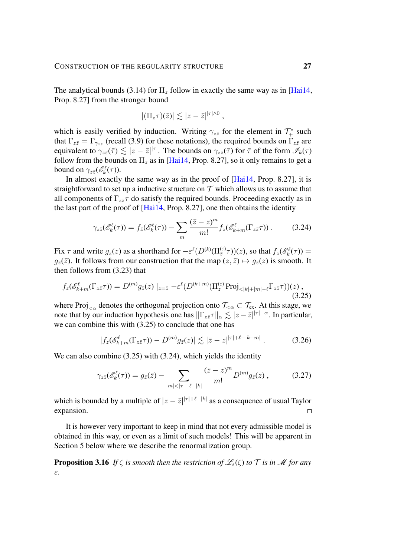The analytical bounds [\(3.14\)](#page-21-0) for  $\Pi_z$  follow in exactly the same way as in [\[Hai14,](#page-102-1) Prop. 8.27] from the stronger bound

<span id="page-26-1"></span>
$$
|(\Pi_z \tau)(\bar{z})| \lesssim |z-\bar{z}|^{|\tau|\wedge 0},
$$

which is easily verified by induction. Writing  $\gamma_{z\bar{z}}$  for the element in  $\mathcal{T}^*_+$  such that  $\Gamma_{z\bar{z}} = \Gamma_{\gamma_{z\bar{z}}}$  (recall [\(3.9\)](#page-18-0) for these notations), the required bounds on  $\Gamma_{z\bar{z}}$  are equivalent to  $\gamma_{z\bar{z}}(\bar{\tau}) \lesssim |z-\bar{z}|^{|\bar{\tau}|}$ . The bounds on  $\gamma_{z\bar{z}}(\bar{\tau})$  for  $\bar{\tau}$  of the form  $\mathscr{I}_k(\tau)$ follow from the bounds on  $\Pi_z$  as in [\[Hai14,](#page-102-1) Prop. 8.27], so it only remains to get a bound on  $\gamma_{z\bar{z}}(\mathscr{E}_k^{\ell}(\tau))$ .

In almost exactly the same way as in the proof of [\[Hai14,](#page-102-1) Prop. 8.27], it is straightforward to set up a inductive structure on  $T$  which allows us to assume that all components of  $\Gamma_{z\bar{z}}\tau$  do satisfy the required bounds. Proceeding exactly as in the last part of the proof of [\[Hai14,](#page-102-1) Prop. 8.27], one then obtains the identity

$$
\gamma_{z\bar{z}}(\mathscr{E}_k^{\ell}(\tau)) = f_{\bar{z}}(\mathscr{E}_k^{\ell}(\tau)) - \sum_m \frac{(\bar{z} - z)^m}{m!} f_z(\mathscr{E}_{k+m}^{\ell}(\Gamma_{z\bar{z}}\tau)) . \tag{3.24}
$$

Fix  $\tau$  and write  $g_{\bar{z}}(z)$  as a shorthand for  $-\varepsilon^{\ell}(D^{(k)}(\Pi_{\bar{z}}^{(\varepsilon)}\tau))(z)$ , so that  $f_{\bar{z}}(\mathscr{E}_k^{\ell}(\tau)) =$  $g_{\overline{z}}(\overline{z})$ . It follows from our construction that the map  $(z, \overline{z}) \mapsto g_{\overline{z}}(z)$  is smooth. It then follows from [\(3.23\)](#page-25-2) that

$$
f_z(\mathscr{E}_{k+m}^{\ell}(\Gamma_{z\bar{z}}\tau)) = D^{(m)}g_{\bar{z}}(z) \mid_{z=\bar{z}} -\varepsilon^{\ell}(D^{(k+m)}(\Pi_z^{(\varepsilon)}\operatorname{Proj}_{\leq |k|+|m|-\ell}\Gamma_{z\bar{z}}\tau))(z) , \tag{3.25}
$$

where Proj<sub> $\langle \alpha \rangle$ </sub> denotes the orthogonal projection onto  $\mathcal{T}_{\langle \alpha \rangle} \subset \mathcal{T}_{ex}$ . At this stage, we note that by our induction hypothesis one has  $\|\Gamma_{z\bar{z}}\tau\|_{\alpha} \lesssim |z-\bar{z}|^{|\tau|-\alpha}$ . In particular, we can combine this with [\(3.25\)](#page-26-0) to conclude that one has

<span id="page-26-0"></span>
$$
|f_z(\mathscr{E}_{k+m}^\ell(\Gamma_{z\bar{z}}\tau)) - D^{(m)}g_{\bar{z}}(z)| \lesssim |\bar{z} - z|^{|\tau| + \ell - |k + m|} \,. \tag{3.26}
$$

We can also combine [\(3.25\)](#page-26-0) with [\(3.24\)](#page-26-1), which yields the identity

$$
\gamma_{z\bar{z}}(\mathscr{E}_k^{\ell}(\tau)) = g_{\bar{z}}(\bar{z}) - \sum_{|m| < |\tau| + \ell - |k|} \frac{(\bar{z} - z)^m}{m!} D^{(m)} g_{\bar{z}}(z) ,\tag{3.27}
$$

which is bounded by a multiple of  $|z - \bar{z}|^{|\tau| + \ell - |k|}$  as a consequence of usual Taylor expansion.  $\Box$ 

It is however very important to keep in mind that not every admissible model is obtained in this way, or even as a limit of such models! This will be apparent in Section [5](#page-43-0) below where we describe the renormalization group.

**Proposition 3.16** *If*  $\zeta$  *is smooth then the restriction of*  $\mathscr{L}_{\varepsilon}(\zeta)$  *to*  $\tau$  *is in*  $\mathscr{M}$  *for any* ε*.*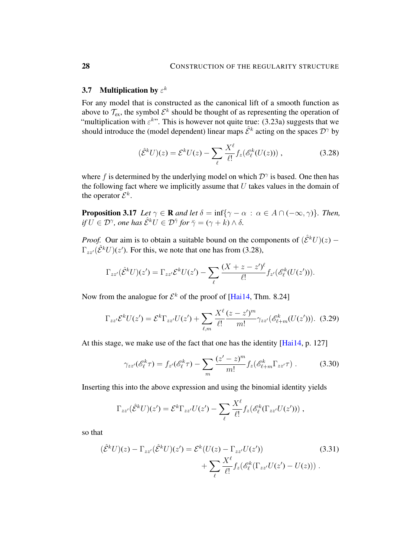## <span id="page-27-0"></span>3.7 Multiplication by  $\varepsilon^k$

For any model that is constructed as the canonical lift of a smooth function as above to  $\mathcal{T}_{ex}$ , the symbol  $\mathcal{E}^k$  should be thought of as representing the operation of "multiplication with  $\varepsilon^{k}$ ". This is however not quite true: [\(3.23a\)](#page-25-2) suggests that we should introduce the (model dependent) linear maps  $\hat{\mathcal{E}}^k$  acting on the spaces  $\mathcal{D}^{\gamma}$  by

<span id="page-27-1"></span>
$$
(\hat{\mathcal{E}}^k U)(z) = \mathcal{E}^k U(z) - \sum_{\ell} \frac{X^{\ell}}{\ell!} f_z(\mathcal{E}_{\ell}^k (U(z))) , \qquad (3.28)
$$

where f is determined by the underlying model on which  $\mathcal{D}^{\gamma}$  is based. One then has the following fact where we implicitly assume that  $U$  takes values in the domain of the operator  $\mathcal{E}^k$ .

<span id="page-27-2"></span>**Proposition 3.17** *Let*  $\gamma \in \mathbb{R}$  *and let*  $\delta = \inf{\gamma - \alpha : \alpha \in A \cap (-\infty, \gamma)}$ *. Then,* if  $U \in \mathcal{D}^\gamma$ , one has  $\hat{\mathcal{E}}^k U \in \mathcal{D}^{\bar{\gamma}}$  for  $\bar{\gamma} = (\gamma + k) \wedge \delta$ .

*Proof.* Our aim is to obtain a suitable bound on the components of  $(\hat{\mathcal{E}}^k U)(z)$  –  $\Gamma_{zz'}(\hat{\mathcal{E}}^k U)(z')$ . For this, we note that one has from [\(3.28\)](#page-27-1),

$$
\Gamma_{zz'}(\hat{\mathcal{E}}^k U)(z') = \Gamma_{zz'}\mathcal{E}^k U(z') - \sum_{\ell} \frac{(X+z-z')^{\ell}}{\ell!} f_{z'}(\mathcal{E}^k_{\ell}(U(z'))).
$$

Now from the analogue for  $\mathcal{E}^k$  of the proof of [\[Hai14,](#page-102-1) Thm. 8.24]

$$
\Gamma_{zz'}\mathcal{E}^k U(z') = \mathcal{E}^k \Gamma_{zz'} U(z') + \sum_{\ell,m} \frac{X^{\ell}}{\ell!} \frac{(z-z')^m}{m!} \gamma_{zz'}(\mathscr{E}^k_{\ell+m}(U(z'))). \tag{3.29}
$$

At this stage, we make use of the fact that one has the identity [\[Hai14,](#page-102-1) p. 127]

$$
\gamma_{zz'}(\mathscr{E}_{\ell}^k \tau) = f_{z'}(\mathscr{E}_{\ell}^k \tau) - \sum_{m} \frac{(z'-z)^m}{m!} f_z(\mathscr{E}_{\ell+m}^k \Gamma_{zz'} \tau) . \tag{3.30}
$$

Inserting this into the above expression and using the binomial identity yields

$$
\Gamma_{zz'}(\hat{\mathcal{E}}^k U)(z') = \mathcal{E}^k \Gamma_{zz'} U(z') - \sum_{\ell} \frac{X^{\ell}}{\ell!} f_z(\mathcal{E}_{\ell}^k (\Gamma_{zz'} U(z'))),
$$

so that

$$
(\hat{\mathcal{E}}^k U)(z) - \Gamma_{zz'}(\hat{\mathcal{E}}^k U)(z') = \mathcal{E}^k (U(z) - \Gamma_{zz'} U(z'))
$$
\n
$$
+ \sum_{\ell} \frac{X^{\ell}}{\ell!} f_z(\mathcal{E}^k_{\ell} (\Gamma_{zz'} U(z') - U(z))).
$$
\n(3.31)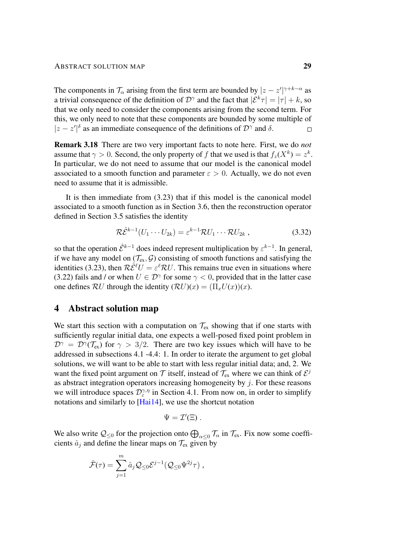The components in  $\mathcal{T}_{\alpha}$  arising from the first term are bounded by  $|z - z'|^{\gamma + k - \alpha}$  as a trivial consequence of the definition of  $\mathcal{D}^{\gamma}$  and the fact that  $|\mathcal{E}^{k}\tau| = |\tau| + k$ , so that we only need to consider the components arising from the second term. For this, we only need to note that these components are bounded by some multiple of  $|z-z'|^{\delta}$  as an immediate consequence of the definitions of  $\mathcal{D}^{\gamma}$  and  $\delta$ .

Remark 3.18 There are two very important facts to note here. First, we do *not* assume that  $\gamma > 0$ . Second, the only property of f that we used is that  $f_z(X^k) = z^k$ . In particular, we do not need to assume that our model is the canonical model associated to a smooth function and parameter  $\varepsilon > 0$ . Actually, we do not even need to assume that it is admissible.

It is then immediate from [\(3.23\)](#page-25-2) that if this model is the canonical model associated to a smooth function as in Section [3.6,](#page-25-0) then the reconstruction operator defined in Section [3.5](#page-23-0) satisfies the identity

$$
\mathcal{R}\hat{\mathcal{E}}^{k-1}(U_1\cdots U_{2k}) = \varepsilon^{k-1}\mathcal{R}U_1\cdots\mathcal{R}U_{2k},\qquad(3.32)
$$

so that the operation  $\hat{\mathcal{E}}^{k-1}$  does indeed represent multiplication by  $\varepsilon^{k-1}$ . In general, if we have any model on  $(\mathcal{T}_{ex}, \mathcal{G})$  consisting of smooth functions and satisfying the identities [\(3.23\)](#page-25-2), then  $\mathcal{R} \hat{\mathcal{E}}^{\ell} U = \varepsilon^{\ell} \mathcal{R} U$ . This remains true even in situations where [\(3.22\)](#page-25-1) fails and / or when  $U \in \mathcal{D}^{\gamma}$  for some  $\gamma < 0$ , provided that in the latter case one defines  $\mathcal{R}U$  through the identity  $(\mathcal{R}U)(x) = (\Pi_x U(x))(x)$ .

## <span id="page-28-0"></span>4 Abstract solution map

We start this section with a computation on  $\mathcal{T}_{ex}$  showing that if one starts with sufficiently regular initial data, one expects a well-posed fixed point problem in  $\mathcal{D}^{\gamma} = \mathcal{D}^{\gamma}(\mathcal{T}_{\text{ex}})$  for  $\gamma > 3/2$ . There are two key issues which will have to be addressed in subsections [4.1](#page-31-0) [-4.4:](#page-40-0) 1. In order to iterate the argument to get global solutions, we will want to be able to start with less regular initial data; and, 2. We want the fixed point argument on  $\mathcal T$  itself, instead of  $\mathcal T_{\text{ex}}$  where we can think of  $\mathcal E^j$ as abstract integration operators increasing homogeneity by  $j$ . For these reasons we will introduce spaces  $\mathcal{D}_{\varepsilon}^{\gamma,\eta}$  in Section [4.1.](#page-31-0) From now on, in order to simplify notations and similarly to [\[Hai14\]](#page-102-1), we use the shortcut notation

$$
\Psi = \mathcal{I}'(\Xi) \; .
$$

We also write  $Q_{\leq 0}$  for the projection onto  $\bigoplus_{\alpha \leq 0} \mathcal{T}_{\alpha}$  in  $\mathcal{T}_{ex}$ . Fix now some coefficients  $\hat{a}_j$  and define the linear maps on  $\mathcal{T}_{ex}$  given by

$$
\hat{\mathcal{F}}(\tau) = \sum_{j=1}^m \hat{a}_j \mathcal{Q}_{\leq 0} \mathcal{E}^{j-1} (\mathcal{Q}_{\leq 0} \Psi^{2j} \tau) ,
$$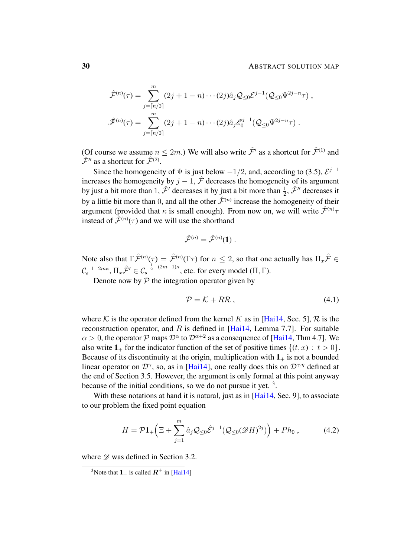#### 30 **ABSTRACT SOLUTION MAP**

$$
\hat{\mathcal{F}}^{(n)}(\tau) = \sum_{j=\lceil n/2 \rceil}^{m} (2j+1-n) \cdots (2j) \hat{a}_j \mathcal{Q}_{\leq 0} \mathcal{E}^{j-1}(\mathcal{Q}_{\leq 0} \Psi^{2j-n} \tau) ,
$$
  

$$
\hat{\mathcal{F}}^{(n)}(\tau) = \sum_{j=\lceil n/2 \rceil}^{m} (2j+1-n) \cdots (2j) \hat{a}_j \mathcal{E}_0^{j-1}(\mathcal{Q}_{\leq 0} \Psi^{2j-n} \tau) .
$$

(Of course we assume  $n \leq 2m$ .) We will also write  $\hat{\mathcal{F}}'$  as a shortcut for  $\hat{\mathcal{F}}^{(1)}$  and  $\hat{\mathcal{F}}''$  as a shortcut for  $\hat{\mathcal{F}}^{(2)}$ .

Since the homogeneity of  $\Psi$  is just below  $-1/2$ , and, according to [\(3.5\)](#page-16-2),  $\mathcal{E}^{j-1}$ increases the homogeneity by  $j - 1$ ,  $\hat{\mathcal{F}}$  decreases the homogeneity of its argument by just a bit more than 1,  $\hat{\mathcal{F}}'$  decreases it by just a bit more than  $\frac{1}{2}$ ,  $\hat{\mathcal{F}}''$  decreases it by a little bit more than 0, and all the other  $\hat{\mathcal{F}}^{(n)}$  increase the homogeneity of their argument (provided that  $\kappa$  is small enough). From now on, we will write  $\hat{\mathcal{F}}^{(n)}$ instead of  $\tilde{\mathcal{F}}^{(n)}(\tau)$  and we will use the shorthand

$$
\hat{\mathcal{F}}^{(n)} = \hat{\mathcal{F}}^{(n)}(1) \; .
$$

Note also that  $\Gamma \hat{\mathcal{F}}^{(n)}(\tau) = \hat{\mathcal{F}}^{(n)}(\Gamma \tau)$  for  $n \leq 2$ , so that one actually has  $\Pi_x \hat{\mathcal{F}} \in$  $\mathcal{C}_\mathfrak{s}^{-1-2m\kappa}, \Pi_x \hat{\mathcal{F}}' \in \mathcal{C}_\mathfrak{s}^{-\frac{1}{2}-(2m-1)\kappa}$ , etc. for every model (Π, Γ).

Denote now by  $P$  the integration operator given by

<span id="page-29-1"></span>
$$
\mathcal{P} = \mathcal{K} + R\mathcal{R} \,, \tag{4.1}
$$

where K is the operator defined from the kernel K as in [\[Hai14,](#page-102-1) Sec. 5], R is the reconstruction operator, and  $R$  is defined in [\[Hai14,](#page-102-1) Lemma 7.7]. For suitable  $\alpha > 0$ , the operator P maps  $\mathcal{D}^{\alpha}$  to  $\mathcal{D}^{\alpha+2}$  as a consequence of [\[Hai14,](#page-102-1) Thm 4.7]. We also write  $1_+$  for the indicator function of the set of positive times  $\{(t, x) : t > 0\}.$ Because of its discontinuity at the origin, multiplication with  $1_+$  is not a bounded linear operator on  $\mathcal{D}^{\gamma}$ , so, as in [\[Hai14\]](#page-102-1), one really does this on  $\mathcal{D}^{\gamma,\eta}$  defined at the end of Section [3.5.](#page-23-0) However, the argument is only formal at this point anyway because of the initial conditions, so we do not pursue it yet.<sup>[3](#page-29-0)</sup>.

With these notations at hand it is natural, just as in [\[Hai14,](#page-102-1) Sec. 9], to associate to our problem the fixed point equation

$$
H = \mathcal{P} \mathbf{1}_{+} \Big( \Xi + \sum_{j=1}^{m} \hat{a}_{j} \mathcal{Q}_{\leq 0} \hat{\mathcal{E}}^{j-1} (\mathcal{Q}_{\leq 0} (\mathscr{D} H)^{2j}) \Big) + P h_{0} , \qquad (4.2)
$$

where  $\mathscr{D}$  was defined in Section [3.2.](#page-16-0)

<span id="page-29-0"></span><sup>&</sup>lt;sup>3</sup>Note that  $1_+$  is called  $R^+$  in [\[Hai14\]](#page-102-1)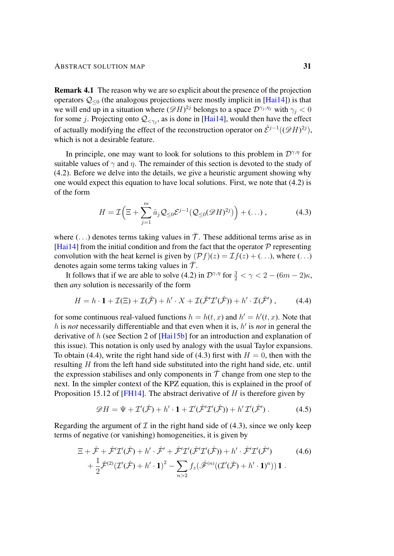Remark 4.1 The reason why we are so explicit about the presence of the projection operators  $Q_{\leq 0}$  (the analogous projections were mostly implicit in [\[Hai14\]](#page-102-1)) is that we will end up in a situation where  $(\mathscr{D}H)^{2j}$  belongs to a space  $\mathcal{D}^{\gamma_j,\eta_j}$  with  $\gamma_j < 0$ for some j. Projecting onto  $\mathcal{Q}_{\leq \gamma_j}$ , as is done in [\[Hai14\]](#page-102-1), would then have the effect of actually modifying the effect of the reconstruction operator on  $\hat{\mathcal{E}}^{j-1}((\mathscr{D}H)^{2j})$ , which is not a desirable feature.

In principle, one may want to look for solutions to this problem in  $\mathcal{D}^{\gamma,\eta}$  for suitable values of  $\gamma$  and  $\eta$ . The remainder of this section is devoted to the study of [\(4.2\)](#page-29-1). Before we delve into the details, we give a heuristic argument showing why one would expect this equation to have local solutions. First, we note that [\(4.2\)](#page-29-1) is of the form

<span id="page-30-2"></span><span id="page-30-1"></span>
$$
H = \mathcal{I}\Big(\Xi + \sum_{j=1}^{m} \hat{a}_j \mathcal{Q}_{\leq 0} \mathcal{E}^{j-1}(\mathcal{Q}_{\leq 0}(\mathcal{D}H)^{2j})\Big) + (\dots), \tag{4.3}
$$

where (...) denotes terms taking values in  $\overline{T}$ . These additional terms arise as in [\[Hai14\]](#page-102-1) from the initial condition and from the fact that the operator  $P$  representing convolution with the heat kernel is given by  $(\mathcal{P}f)(z) = \mathcal{I}f(z) + (\ldots)$ , where  $(\ldots)$ denotes again some terms taking values in  $\bar{\mathcal{T}}$ .

It follows that if we are able to solve [\(4.2\)](#page-29-1) in  $\mathcal{D}^{\gamma,\eta}$  for  $\frac{3}{2} < \gamma < 2 - (6m - 2)\kappa$ , then *any* solution is necessarily of the form

$$
H = h \cdot \mathbf{1} + \mathcal{I}(\Xi) + \mathcal{I}(\hat{\mathcal{F}}) + h' \cdot X + \mathcal{I}(\hat{\mathcal{F}}'\mathcal{I}'(\hat{\mathcal{F}})) + h' \cdot \mathcal{I}(\hat{\mathcal{F}}'),\tag{4.4}
$$

for some continuous real-valued functions  $h = h(t, x)$  and  $h' = h'(t, x)$ . Note that h is *not* necessarily differentiable and that even when it is, h' is not in general the derivative of h (see Section 2 of [\[Hai15b\]](#page-102-12) for an introduction and explanation of this issue). This notation is only used by analogy with the usual Taylor expansions. To obtain [\(4.4\)](#page-30-2), write the right hand side of [\(4.3\)](#page-30-1) first with  $H = 0$ , then with the resulting H from the left hand side substituted into the right hand side, etc. until the expression stabilises and only components in  $\bar{\mathcal{T}}$  change from one step to the next. In the simpler context of the KPZ equation, this is explained in the proof of Proposition 15.12 of [\[FH14\]](#page-102-13). The abstract derivative of  $H$  is therefore given by

<span id="page-30-0"></span>
$$
\mathscr{D}H = \Psi + \mathcal{I}'(\hat{\mathcal{F}}) + h' \cdot \mathbf{1} + \mathcal{I}'(\hat{\mathcal{F}}'\mathcal{I}'(\hat{\mathcal{F}})) + h'\mathcal{I}'(\hat{\mathcal{F}}'). \tag{4.5}
$$

Regarding the argument of  $\mathcal I$  in the right hand side of [\(4.3\)](#page-30-1), since we only keep terms of negative (or vanishing) homogeneities, it is given by

$$
\begin{split} \n\Xi + \hat{\mathcal{F}} + \hat{\mathcal{F}}'\mathcal{I}'(\hat{\mathcal{F}}) + h' \cdot \hat{\mathcal{F}}' + \hat{\mathcal{F}}'\mathcal{I}'(\hat{\mathcal{F}}'\mathcal{I}'(\hat{\mathcal{F}})) + h' \cdot \hat{\mathcal{F}}'\mathcal{I}'(\hat{\mathcal{F}}') \\ \n&+ \frac{1}{2}\hat{\mathcal{F}}^{(2)}(\mathcal{I}'(\hat{\mathcal{F}}) + h' \cdot \mathbf{1})^2 - \sum_{n>2} f_z(\hat{\mathcal{F}}^{(n)}((\mathcal{I}'(\hat{\mathcal{F}}) + h' \cdot \mathbf{1})^n))\mathbf{1} \, . \n\end{split} \tag{4.6}
$$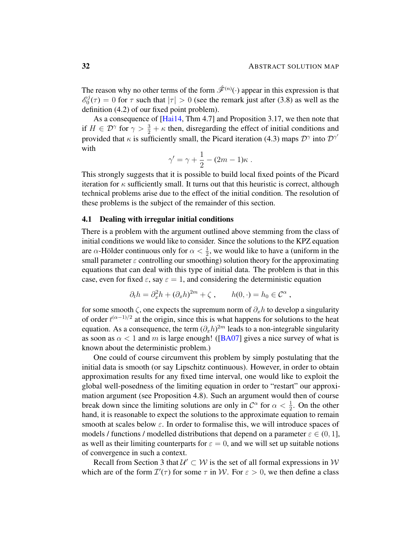The reason why no other terms of the form  $\hat{\mathcal{F}}^{(n)}(\cdot)$  appear in this expression is that  $\mathscr{E}^j_0$  $\mathcal{O}_0^{0}(\tau) = 0$  for  $\tau$  such that  $|\tau| > 0$  (see the remark just after [\(3.8\)](#page-17-1) as well as the definition [\(4.2\)](#page-29-1) of our fixed point problem).

As a consequence of [\[Hai14,](#page-102-1) Thm 4.7] and Proposition [3.17,](#page-27-2) we then note that if  $H \in \mathcal{D}^{\gamma}$  for  $\gamma > \frac{3}{2} + \kappa$  then, disregarding the effect of initial conditions and provided that  $\kappa$  is sufficiently small, the Picard iteration [\(4.3\)](#page-30-1) maps  $\mathcal{D}^{\gamma}$  into  $\mathcal{D}^{\gamma'}$ with

$$
\gamma' = \gamma + \frac{1}{2} - (2m - 1)\kappa.
$$

This strongly suggests that it is possible to build local fixed points of the Picard iteration for  $\kappa$  sufficiently small. It turns out that this heuristic is correct, although technical problems arise due to the effect of the initial condition. The resolution of these problems is the subject of the remainder of this section.

#### <span id="page-31-0"></span>4.1 Dealing with irregular initial conditions

There is a problem with the argument outlined above stemming from the class of initial conditions we would like to consider. Since the solutions to the KPZ equation are  $\alpha$ -Hölder continuous only for  $\alpha < \frac{1}{2}$ , we would like to have a (uniform in the small parameter  $\varepsilon$  controlling our smoothing) solution theory for the approximating equations that can deal with this type of initial data. The problem is that in this case, even for fixed  $\varepsilon$ , say  $\varepsilon = 1$ , and considering the deterministic equation

$$
\partial_t h = \partial_x^2 h + (\partial_x h)^{2m} + \zeta , \qquad h(0, \cdot) = h_0 \in \mathcal{C}^{\alpha} ,
$$

for some smooth  $\zeta$ , one expects the supremum norm of  $\partial_x h$  to develop a singularity of order  $t^{(\alpha-1)/2}$  at the origin, since this is what happens for solutions to the heat equation. As a consequence, the term  $(\partial_x h)^{2m}$  leads to a non-integrable singularity as soon as  $\alpha < 1$  and m is large enough! ([\[BA07\]](#page-101-4) gives a nice survey of what is known about the deterministic problem.)

One could of course circumvent this problem by simply postulating that the initial data is smooth (or say Lipschitz continuous). However, in order to obtain approximation results for any fixed time interval, one would like to exploit the global well-posedness of the limiting equation in order to "restart" our approximation argument (see Proposition [4.8\)](#page-35-0). Such an argument would then of course break down since the limiting solutions are only in  $\mathcal{C}^{\alpha}$  for  $\alpha < \frac{1}{2}$ . On the other hand, it is reasonable to expect the solutions to the approximate equation to remain smooth at scales below  $\varepsilon$ . In order to formalise this, we will introduce spaces of models / functions / modelled distributions that depend on a parameter  $\varepsilon \in (0, 1]$ , as well as their limiting counterparts for  $\varepsilon = 0$ , and we will set up suitable notions of convergence in such a context.

Recall from Section [3](#page-14-0) that  $\mathcal{U}' \subset \mathcal{W}$  is the set of all formal expressions in  $\mathcal{W}$ which are of the form  $\mathcal{I}'(\tau)$  for some  $\tau$  in W. For  $\varepsilon > 0$ , we then define a class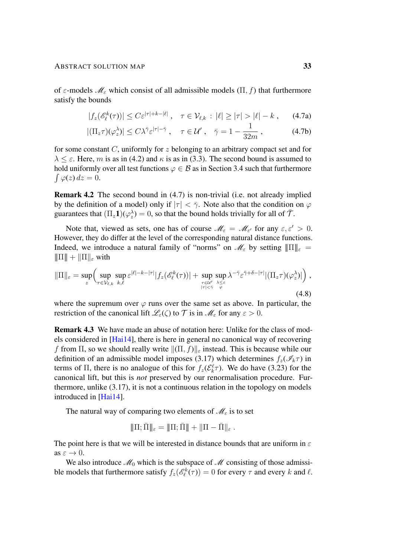of  $\varepsilon$ -models  $\mathcal{M}_{\varepsilon}$  which consist of all admissible models  $(\Pi, f)$  that furthermore satisfy the bounds

<span id="page-32-0"></span>
$$
|f_z(\mathscr{E}_{\ell}^k(\tau))| \leq C\epsilon^{|\tau|+k-|\ell|} \,, \quad \tau \in \mathcal{V}_{\ell,k} : |\ell| \geq |\tau| > |\ell| - k \,, \qquad (4.7a)
$$

$$
|(\Pi_z \tau)(\varphi_z^{\lambda})| \le C\lambda^{\bar{\gamma}} \varepsilon^{|\tau| - \bar{\gamma}}, \quad \tau \in \mathcal{U}', \quad \bar{\gamma} = 1 - \frac{1}{32m}, \quad (4.7b)
$$

for some constant  $C$ , uniformly for z belonging to an arbitrary compact set and for  $\lambda \leq \varepsilon$ . Here, m is as in [\(4.2\)](#page-29-1) and  $\kappa$  is as in [\(3.3\)](#page-15-1). The second bound is assumed to hold uniformly over all test functions  $\varphi \in \mathcal{B}$  as in Section [3.4](#page-20-0) such that furthermore  $\int \varphi(z) dz = 0.$ 

Remark 4.2 The second bound in [\(4.7\)](#page-32-0) is non-trivial (i.e. not already implied by the definition of a model) only if  $|\tau| < \bar{\gamma}$ . Note also that the condition on  $\varphi$ guarantees that  $(\Pi_z \mathbf{1})(\varphi_z) = 0$ , so that the bound holds trivially for all of  $\bar{\mathcal{T}}$ .

Note that, viewed as sets, one has of course  $\mathcal{M}_{\varepsilon} = \mathcal{M}_{\varepsilon'}$  for any  $\varepsilon, \varepsilon' > 0$ . However, they do differ at the level of the corresponding natural distance functions. Indeed, we introduce a natural family of "norms" on  $\mathcal{M}_{\varepsilon}$  by setting  $||\Pi||_{\varepsilon}$  =  $\|\Pi\| + \|\Pi\|_{\varepsilon}$  with

$$
\|\Pi\|_{\varepsilon} = \sup_{z} \Big( \sup_{\tau \in \mathcal{V}_{\ell,k}} \sup_{k,\ell} \varepsilon^{|\ell|-k-|\tau|} |f_z(\mathscr{E}_{\ell}^k(\tau))| + \sup_{\tau \in \mathcal{U}' \atop |\tau| < \bar{\gamma}} \sup_{\lambda \leq \varepsilon \atop \varphi} \lambda^{-\bar{\gamma}} \varepsilon^{\bar{\gamma}+\delta-|\tau|} |(\Pi_z \tau)(\varphi_z^{\lambda})| \Big), \tag{4.8}
$$

where the supremum over  $\varphi$  runs over the same set as above. In particular, the restriction of the canonical lift  $\mathscr{L}_{\varepsilon}(\zeta)$  to  $\mathcal T$  is in  $\mathscr{M}_{\varepsilon}$  for any  $\varepsilon > 0$ .

Remark 4.3 We have made an abuse of notation here: Unlike for the class of models considered in [\[Hai14\]](#page-102-1), there is here in general no canonical way of recovering f from  $\Pi$ , so we should really write  $\|(\Pi, f)\|_{\varepsilon}$  instead. This is because while our definition of an admissible model imposes [\(3.17\)](#page-22-0) which determines  $f_z(\mathscr{I}_k\tau)$  in terms of  $\Pi$ , there is no analogue of this for  $f_z(\mathcal{E}_k^{\ell})$ . We do have [\(3.23\)](#page-25-2) for the canonical lift, but this is *not* preserved by our renormalisation procedure. Furthermore, unlike [\(3.17\)](#page-22-0), it is not a continuous relation in the topology on models introduced in [\[Hai14\]](#page-102-1).

The natural way of comparing two elements of  $\mathcal{M}_{\varepsilon}$  is to set

$$
|\!|\!|\Pi;\bar\Pi|\!|\!|_\varepsilon=\|\!|\Pi;\bar\Pi|\!|\!|+\|\Pi-\bar\Pi|\!|_\varepsilon\;.
$$

The point here is that we will be interested in distance bounds that are uniform in  $\varepsilon$ as  $\varepsilon \to 0$ .

We also introduce  $\mathcal{M}_0$  which is the subspace of  $\mathcal M$  consisting of those admissible models that furthermore satisfy  $f_z(\mathscr{E}_{\ell}^k(\tau)) = 0$  for every  $\tau$  and every k and  $\ell$ .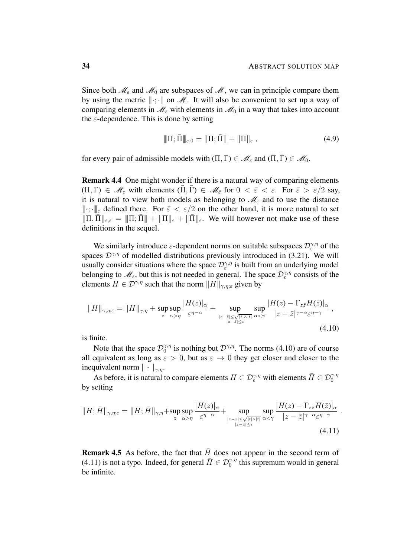Since both  $\mathcal{M}_{\varepsilon}$  and  $\mathcal{M}_{0}$  are subspaces of  $\mathcal{M}$ , we can in principle compare them by using the metric  $\|\cdot\|$ ;  $\|\cdot\|$  on  $\mathcal{M}$ . It will also be convenient to set up a way of comparing elements in  $\mathcal{M}_{\varepsilon}$  with elements in  $\mathcal{M}_0$  in a way that takes into account the  $\varepsilon$ -dependence. This is done by setting

$$
\|\Pi; \bar{\Pi}\|_{\varepsilon,0} = \|\Pi; \bar{\Pi}\| + \|\Pi\|_{\varepsilon},
$$
\n(4.9)

for every pair of admissible models with  $(\Pi, \Gamma) \in \mathcal{M}_{\varepsilon}$  and  $(\overline{\Pi}, \overline{\Gamma}) \in \mathcal{M}_{0}$ .

Remark 4.4 One might wonder if there is a natural way of comparing elements  $(\Pi, \Gamma) \in \mathscr{M}_{\varepsilon}$  with elements  $(\Pi, \Gamma) \in \mathscr{M}_{\varepsilon}$  for  $0 < \overline{\varepsilon} < \varepsilon$ . For  $\overline{\varepsilon} > \varepsilon/2$  say, it is natural to view both models as belonging to  $\mathcal{M}_{\varepsilon}$  and to use the distance  $\|\cdot\|_{\varepsilon}$  defined there. For  $\bar{\varepsilon} < \varepsilon/2$  on the other hand, it is more natural to set  $\|\Pi,\Pi\|_{\varepsilon,\bar{\varepsilon}}=\|\Pi;\Pi\|+\|\Pi\|_{\varepsilon}+\|\bar{\Pi}\|_{\bar{\varepsilon}}$ . We will however not make use of these definitions in the sequel.

We similarly introduce  $\varepsilon$ -dependent norms on suitable subspaces  $\mathcal{D}_{\varepsilon}^{\gamma,\eta}$  of the spaces  $\mathcal{D}^{\gamma,\eta}$  of modelled distributions previously introduced in [\(3.21\)](#page-24-1). We will usually consider situations where the space  $\mathcal{D}_{\varepsilon}^{\gamma,\eta}$  is built from an underlying model belonging to  $\mathcal{M}_{\varepsilon}$ , but this is not needed in general. The space  $\mathcal{D}_{\varepsilon}^{\gamma,\eta}$  consists of the elements  $H \in \mathcal{D}^{\gamma,\eta}$  such that the norm  $\|H\|_{\gamma,\eta;\varepsilon}$  given by

<span id="page-33-0"></span>
$$
||H||_{\gamma,\eta;\varepsilon} = ||H||_{\gamma,\eta} + \sup_{z} \sup_{\alpha>\eta} \frac{|H(z)|_{\alpha}}{\varepsilon^{\eta-\alpha}} + \sup_{|z-\overline{z}|\leq \sqrt{|t|\wedge|\overline{t}|}} \sup_{\alpha<\gamma} \frac{|H(z)-\Gamma_{z\overline{z}}H(\overline{z})|_{\alpha}}{|z-\overline{z}|^{\gamma-\alpha}\varepsilon^{\eta-\gamma}} ,\tag{4.10}
$$

is finite.

Note that the space  $\mathcal{D}_0^{\gamma,\eta}$  $\gamma_{0}^{\gamma,\eta}$  is nothing but  $\mathcal{D}^{\gamma,\eta}$ . The norms [\(4.10\)](#page-33-0) are of course all equivalent as long as  $\varepsilon > 0$ , but as  $\varepsilon \to 0$  they get closer and closer to the inequivalent norm  $\|\cdot\|_{\gamma,n}$ .

As before, it is natural to compare elements  $H \in \mathcal{D}_{\varepsilon}^{\gamma,\eta}$  with elements  $\bar{H} \in \mathcal{D}_{0}^{\gamma,\eta}$ by setting

<span id="page-33-1"></span>
$$
||H; \bar{H}||_{\gamma, \eta; \varepsilon} = ||H; \bar{H}||_{\gamma, \eta} + \sup_{z} \sup_{\alpha > \eta} \frac{|H(z)|_{\alpha}}{\varepsilon^{\eta - \alpha}} + \sup_{\substack{|z - \bar{z}| \le \sqrt{|t|\wedge|\bar{t}|} \\ |z - \bar{z}| \le \varepsilon}} \sup_{\alpha < \gamma} \frac{|H(z) - \Gamma_{z\bar{z}} H(\bar{z})|_{\alpha}}{|z - \bar{z}|^{\gamma - \alpha} \varepsilon^{\eta - \gamma}}.
$$
\n(4.11)

**Remark 4.5** As before, the fact that  $\overline{H}$  does not appear in the second term of [\(4.11\)](#page-33-1) is not a typo. Indeed, for general  $\bar{H} \in \mathcal{D}_0^{\gamma,\eta}$  this supremum would in general be infinite.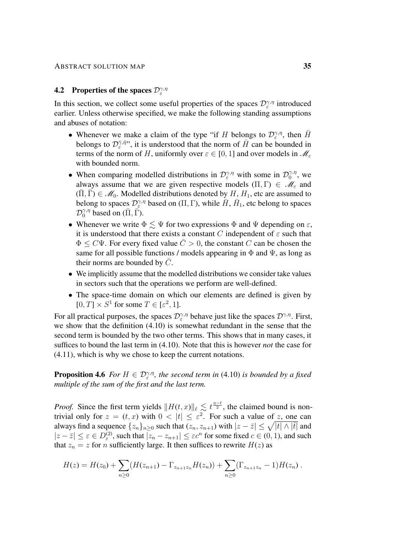## <span id="page-34-0"></span>**4.2** Properties of the spaces  $\mathcal{D}_{\varepsilon}^{\gamma,\eta}$

In this section, we collect some useful properties of the spaces  $\mathcal{D}_{\varepsilon}^{\gamma,\eta}$  introduced earlier. Unless otherwise specified, we make the following standing assumptions and abuses of notation:

- Whenever we make a claim of the type "if H belongs to  $\mathcal{D}_{\varepsilon}^{\gamma,\eta}$ , then  $\bar{H}$ belongs to  $\mathcal{D}_{\varepsilon}^{\bar{\gamma}, \bar{\eta}}$ ", it is understood that the norm of  $\bar{H}$  can be bounded in terms of the norm of H, uniformly over  $\varepsilon \in [0, 1]$  and over models in  $\mathcal{M}_{\varepsilon}$ with bounded norm.
- When comparing modelled distributions in  $\mathcal{D}_{\varepsilon}^{\gamma,\eta}$  with some in  $\mathcal{D}_{0}^{\gamma,\eta}$  $\int_0^{\gamma,\eta}$ , we always assume that we are given respective models  $(\Pi, \Gamma) \in \mathcal{M}_{\varepsilon}$  and  $(\overline{\Pi}, \overline{\Gamma}) \in \mathcal{M}_0$ . Modelled distributions denoted by  $H, H_1$ , etc are assumed to belong to spaces  $\mathcal{D}_{\varepsilon}^{\gamma,\eta}$  based on (Π, Γ), while  $\bar{H}$ ,  $\bar{H}_1$ , etc belong to spaces  $\mathcal{D}_0^{\gamma,\eta}$  based on  $(\bar{\Pi}, \bar{\Gamma})$ .
- Whenever we write  $\Phi \leq \Psi$  for two expressions  $\Phi$  and  $\Psi$  depending on  $\varepsilon$ , it is understood that there exists a constant C independent of  $\varepsilon$  such that  $\Phi \leq C \Psi$ . For every fixed value  $\overline{C} > 0$ , the constant C can be chosen the same for all possible functions / models appearing in  $\Phi$  and  $\Psi$ , as long as their norms are bounded by  $\overline{C}$ .
- We implicitly assume that the modelled distributions we consider take values in sectors such that the operations we perform are well-defined.
- The space-time domain on which our elements are defined is given by  $[0, T] \times S^1$  for some  $T \in [\varepsilon^2, 1]$ .

For all practical purposes, the spaces  $\mathcal{D}_{\varepsilon}^{\gamma,\eta}$  behave just like the spaces  $\mathcal{D}^{\gamma,\eta}$ . First, we show that the definition [\(4.10\)](#page-33-0) is somewhat redundant in the sense that the second term is bounded by the two other terms. This shows that in many cases, it suffices to bound the last term in [\(4.10\)](#page-33-0). Note that this is however *not* the case for [\(4.11\)](#page-33-1), which is why we chose to keep the current notations.

**Proposition 4.6** *For*  $H \in \mathcal{D}_{\varepsilon}^{\gamma,\eta}$ , the second term in [\(4.10\)](#page-33-0) is bounded by a fixed *multiple of the sum of the first and the last term.*

*Proof.* Since the first term yields  $||H(t, x)||_{\ell} \le t^{\frac{\eta-\ell}{2}}$ , the claimed bound is nontrivial only for  $z = (t, x)$  with  $0 < |t| \leq \varepsilon^2$ . For such a value of z, one can always find a sequence  $\{z_n\}_{n\geq 0}$  such that  $(z_n, z_{n+1})$  with  $|z-\bar{z}|\leq \sqrt{|t|\wedge |\bar{t}|}$  and  $|z-\overline{z}| \le \varepsilon \in D_{\varepsilon}^{(2)}$ , such that  $|z_n - z_{n+1}| \le \varepsilon c^n$  for some fixed  $c \in (0, 1)$ , and such that  $z_n = z$  for *n* sufficiently large. It then suffices to rewrite  $H(z)$  as

$$
H(z) = H(z_0) + \sum_{n\geq 0} (H(z_{n+1}) - \Gamma_{z_{n+1}z_n} H(z_n)) + \sum_{n\geq 0} (\Gamma_{z_{n+1}z_n} - 1) H(z_n).
$$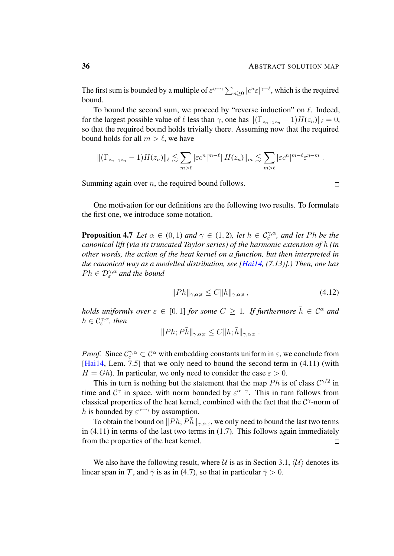$\Box$ 

The first sum is bounded by a multiple of  $\varepsilon^{\eta-\gamma} \sum_{n\geq 0} |c^n \varepsilon|^{\gamma-\ell}$ , which is the required bound.

To bound the second sum, we proceed by "reverse induction" on  $\ell$ . Indeed, for the largest possible value of  $\ell$  less than  $\gamma$ , one has  $\|(\Gamma_{z_{n+1}z_n} - 1)H(z_n)\|_{\ell} = 0$ , so that the required bound holds trivially there. Assuming now that the required bound holds for all  $m > l$ , we have

$$
\|(\Gamma_{z_{n+1}z_n}-1)H(z_n)\|_{\ell}\lesssim \sum_{m>\ell}|\varepsilon c^n|^{m-\ell}\|H(z_n)\|_m\lesssim \sum_{m>\ell}|\varepsilon c^n|^{m-\ell}\varepsilon^{\eta-m}.
$$

Summing again over  $n$ , the required bound follows.

One motivation for our definitions are the following two results. To formulate the first one, we introduce some notation.

**Proposition 4.7** *Let*  $\alpha \in (0,1)$  *and*  $\gamma \in (1,2)$ *, let*  $h \in C^{\gamma,\alpha}_{\varepsilon}$ *, and let Ph be the canonical lift (via its truncated Taylor series) of the harmonic extension of* h *(in other words, the action of the heat kernel on a function, but then interpreted in the canonical way as a modelled distribution, see [\[Hai14,](#page-102-1) (7.13)].) Then, one has*  $Ph \in \mathcal{D}_{\varepsilon}^{\gamma,\alpha}$  and the bound

$$
||Ph||_{\gamma,\alpha;\varepsilon} \le C||h||_{\gamma,\alpha;\varepsilon},\tag{4.12}
$$

*holds uniformly over*  $\varepsilon \in [0,1]$  *for some*  $C \geq 1$ *. If furthermore*  $\bar{h} \in C^{\alpha}$  *and*  $h \in \mathcal{C}_{\varepsilon}^{\gamma, \alpha}$ , then

$$
||Ph; P\bar{h}||_{\gamma,\alpha;\varepsilon} \leq C||h; \bar{h}||_{\gamma,\alpha;\varepsilon} .
$$

*Proof.* Since  $C_{\varepsilon}^{\gamma,\alpha} \subset C^{\alpha}$  with embedding constants uniform in  $\varepsilon$ , we conclude from [\[Hai14,](#page-102-1) Lem. 7.5] that we only need to bound the second term in  $(4.11)$  (with  $H = Gh$ ). In particular, we only need to consider the case  $\varepsilon > 0$ .

This in turn is nothing but the statement that the map  $Ph$  is of class  $C^{\gamma/2}$  in time and  $C^{\gamma}$  in space, with norm bounded by  $\varepsilon^{\alpha-\gamma}$ . This in turn follows from classical properties of the heat kernel, combined with the fact that the  $C^{\gamma}$ -norm of h is bounded by  $\varepsilon^{\alpha-\gamma}$  by assumption.

To obtain the bound on  $||Ph; P\bar{h}||_{\gamma,\alpha;\varepsilon}$ , we only need to bound the last two terms in  $(4.11)$  in terms of the last two terms in  $(1.7)$ . This follows again immediately from the properties of the heat kernel.  $\Box$ 

<span id="page-35-0"></span>We also have the following result, where U is as in Section [3.1,](#page-14-1)  $\langle U \rangle$  denotes its linear span in  $\mathcal T$ , and  $\bar \gamma$  is as in [\(4.7\)](#page-32-0), so that in particular  $\bar \gamma > 0$ .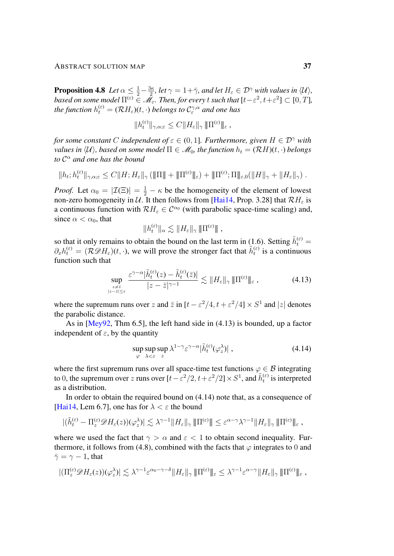**Proposition 4.8** Let  $\alpha \leq \frac{1}{2} - \frac{3\kappa}{2}$  $\frac{2k}{2}$ *, let*  $\gamma = 1 + \bar{\gamma}$ *, and let*  $H_{\varepsilon} \in \mathcal{D}^{\gamma}$  with values in  $\langle \mathcal{U} \rangle$ *,* based on some model  $\Pi^{(\varepsilon)}\in\mathscr{M}_\varepsilon$ . Then, for every  $t$  such that  $[t-\varepsilon^2,t+\varepsilon^2]\subset[0,T]$ , the function  $h_t^{(\varepsilon)} = (\mathcal{R} H_\varepsilon)(t,\cdot)$  belongs to  $\mathcal{C}^{\gamma, \alpha}_\varepsilon$  and one has

$$
||h_t^{(\varepsilon)}||_{\gamma,\alpha;\varepsilon} \leq C ||H_{\varepsilon}||_{\gamma} \, \|\Pi^{(\varepsilon)}\|_{\varepsilon} \, ,
$$

*for some constant* C *independent* of  $\varepsilon \in (0, 1]$ *. Furthermore, given*  $H \in \mathcal{D}^{\gamma}$  *with values in*  $\langle U \rangle$ *, based on some model*  $\Pi \in \mathcal{M}_0$ *, the function*  $h_t = (\mathcal{R}H)(t, \cdot)$  *belongs to* C <sup>α</sup> *and one has the bound*

$$
||h_t;h_t^{(\varepsilon)}||_{\gamma,\alpha;\varepsilon}\leq C||H;H_{\varepsilon}||_{\gamma}(\|\Pi\|+\|\Pi^{(\varepsilon)}\|_{\varepsilon})+\|\Pi^{(\varepsilon)};\Pi\|_{\varepsilon,0}(\|H\|_{\gamma}+\|H_{\varepsilon}\|_{\gamma}).
$$

*Proof.* Let  $\alpha_0 = |\mathcal{I}(\Xi)| = \frac{1}{2} - \kappa$  be the homogeneity of the element of lowest non-zero homogeneity in U. It then follows from [\[Hai14,](#page-102-0) Prop. 3.28] that  $\mathcal{R}H_{\varepsilon}$  is a continuous function with  $\mathcal{R}H_{\varepsilon} \in \mathcal{C}^{\alpha_0}$  (with parabolic space-time scaling) and, since  $\alpha < \alpha_0$ , that

<span id="page-36-0"></span>
$$
||h_t^{(\varepsilon)}||_{\alpha} \lesssim ||H_{\varepsilon}||_{\gamma} \, \|\Pi^{(\varepsilon)}\| \;,
$$

so that it only remains to obtain the bound on the last term in [\(1.6\)](#page-4-0). Setting  $\tilde{h}_t^{(\varepsilon)}$  =  $\partial_x h_t^{(\varepsilon)} = (\mathcal{R}\mathcal{D}H_{\varepsilon})(t,\cdot)$ , we will prove the stronger fact that  $\tilde{h}_t^{(\varepsilon)}$  is a continuous function such that

$$
\sup_{\substack{z \neq \bar{z} \\ |z - \bar{z}| \leq \varepsilon}} \frac{\varepsilon^{\gamma - \alpha} |\tilde{h}_{t}^{(\varepsilon)}(z) - \tilde{h}_{t}^{(\varepsilon)}(\bar{z})|}{|z - \bar{z}|^{\gamma - 1}} \lesssim \|H_{\varepsilon}\|_{\gamma} \|\Pi^{(\varepsilon)}\|_{\varepsilon}, \tag{4.13}
$$

where the supremum runs over z and  $\bar{z}$  in  $[t - \varepsilon^2/4, t + \varepsilon^2/4] \times S^1$  and  $|z|$  denotes the parabolic distance.

As in [\[Mey92,](#page-103-0) Thm 6.5], the left hand side in [\(4.13\)](#page-36-0) is bounded, up a factor independent of  $\varepsilon$ , by the quantity

<span id="page-36-1"></span>
$$
\sup_{\varphi} \sup_{\lambda < \varepsilon} \sup_{z} \lambda^{1-\gamma} \varepsilon^{\gamma-\alpha} |\tilde{h}_t^{(\varepsilon)}(\varphi_z^{\lambda})| \;, \tag{4.14}
$$

where the first supremum runs over all space-time test functions  $\varphi \in \mathcal{B}$  integrating to 0, the supremum over z runs over  $[t-\varepsilon^2/2, t+\varepsilon^2/2] \times S^1$ , and  $\tilde{h}_t^{(\varepsilon)}$  is interpreted as a distribution.

In order to obtain the required bound on [\(4.14\)](#page-36-1) note that, as a consequence of [\[Hai14,](#page-102-0) Lem 6.7], one has for  $\lambda < \varepsilon$  the bound

$$
|(\tilde{h}^{(\varepsilon)}_{t}-\Pi_{z}^{(\varepsilon)}\mathscr{D}H_{\varepsilon}(z))(\varphi_{z}^{\lambda})|\lesssim \lambda^{\gamma-1}\|H_{\varepsilon}\|_{\gamma}\|\Pi^{(\varepsilon)}\|\leq \varepsilon^{\alpha-\gamma}\lambda^{\gamma-1}\|H_{\varepsilon}\|_{\gamma}\|\Pi^{(\varepsilon)}\|_{\varepsilon},
$$

where we used the fact that  $\gamma > \alpha$  and  $\varepsilon < 1$  to obtain second inequality. Fur-thermore, it follows from [\(4.8\)](#page-32-0), combined with the facts that  $\varphi$  integrates to 0 and  $\bar{\gamma} = \gamma - 1$ , that

$$
|(\Pi_z^{(\varepsilon)}\mathscr{D}H_{\varepsilon}(z))(\varphi_z^{\lambda})| \lesssim \lambda^{\gamma-1} \varepsilon^{\alpha_0-\gamma-\delta} \|H_{\varepsilon}\|_{\gamma} \|\Pi^{(\varepsilon)}\|_{\varepsilon} \leq \lambda^{\gamma-1} \varepsilon^{\alpha-\gamma} \|H_{\varepsilon}\|_{\gamma} \|\Pi^{(\varepsilon)}\|_{\varepsilon} ,
$$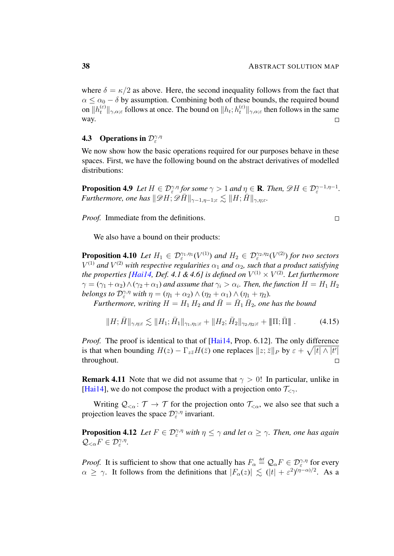where  $\delta = \kappa/2$  as above. Here, the second inequality follows from the fact that  $\alpha \leq \alpha_0 - \delta$  by assumption. Combining both of these bounds, the required bound on  $||h_t^{(\varepsilon)}||_{\gamma,\alpha;\varepsilon}$  follows at once. The bound on  $||h_t; h_t^{(\varepsilon)}||_{\gamma,\alpha;\varepsilon}$  then follows in the same way.  $\Box$ 

# **4.3** Operations in  $\mathcal{D}_{\varepsilon}^{\gamma,\eta}$

We now show how the basic operations required for our purposes behave in these spaces. First, we have the following bound on the abstract derivatives of modelled distributions:

<span id="page-37-1"></span>**Proposition 4.9** Let  $H \in \mathcal{D}_{\varepsilon}^{\gamma,\eta}$  for some  $\gamma > 1$  and  $\eta \in \mathbf{R}$ . Then,  $\mathscr{D}H \in \mathcal{D}_{\varepsilon}^{\gamma-1,\eta-1}$ . *Furthermore, one has*  $\|\mathscr{D}H; \mathscr{D}\bar{H}\|_{\gamma-1,\eta-1;\varepsilon} \lesssim \|H; \bar{H}\|_{\gamma,\eta;\varepsilon}$ .

*Proof.* Immediate from the definitions.

<span id="page-37-0"></span>
$$
\Box
$$

We also have a bound on their products:

<span id="page-37-2"></span>**Proposition 4.10** Let  $H_1 \in \mathcal{D}_{\varepsilon}^{\gamma_1,\eta_1}(V^{(1)})$  and  $H_2 \in \mathcal{D}_{\varepsilon}^{\gamma_2,\eta_2}(V^{(2)})$  for two sectors  $V^{(1)}$  and  $V^{(2)}$  with respective regularities  $\alpha_1$  and  $\alpha_2$ , such that a product satisfying the properties [\[Hai14,](#page-102-0) Def. 4.1 & 4.6] is defined on  $V^{(1)} \times V^{(2)}$ . Let furthermore  $\gamma=(\gamma_1+\alpha_2)\wedge(\gamma_2+\alpha_1)$  and assume that  $\gamma_i>\alpha_i.$  Then, the function  $H=H_1\,H_2$ *belongs to*  $\mathcal{D}_{\varepsilon}^{\gamma,\eta}$  *with*  $\eta = (\eta_1 + \alpha_2) \wedge (\eta_2 + \alpha_1) \wedge (\eta_1 + \eta_2)$ *.* 

*Furthermore, writing*  $H = H_1 H_2$  *and*  $\overline{H} = \overline{H}_1 \overline{H}_2$ *, one has the bound* 

$$
||H; \bar{H}||_{\gamma, \eta; \varepsilon} \lesssim ||H_1; \bar{H}_1||_{\gamma_1, \eta_1; \varepsilon} + ||H_2; \bar{H}_2||_{\gamma_2, \eta_2; \varepsilon} + ||\Pi; \bar{\Pi}||. \tag{4.15}
$$

*Proof.* The proof is identical to that of [\[Hai14,](#page-102-0) Prop. 6.12]. The only difference is that when bounding  $H(z) - \Gamma_{z\bar{z}}H(\bar{z})$  one replaces  $||z;\bar{z}||_P$  by  $\varepsilon + \sqrt{|t| \wedge |t'|}$ throughout.  $\Box$ 

**Remark 4.11** Note that we did not assume that  $\gamma > 0$ ! In particular, unlike in [\[Hai14\]](#page-102-0), we do not compose the product with a projection onto  $\mathcal{T}_{\leq \gamma}$ .

Writing  $Q_{\leq \alpha} : \mathcal{T} \to \mathcal{T}$  for the projection onto  $\mathcal{T}_{\leq \alpha}$ , we also see that such a projection leaves the space  $\mathcal{D}_{\varepsilon}^{\gamma,\eta}$  invariant.

<span id="page-37-3"></span>**Proposition 4.12** Let  $F \in \mathcal{D}_{\varepsilon}^{\gamma,\eta}$  with  $\eta \leq \gamma$  and let  $\alpha \geq \gamma$ . Then, one has again  $\mathcal{Q}_{<\alpha}F \in \mathcal{D}_{\varepsilon}^{\gamma,\eta}.$ 

*Proof.* It is sufficient to show that one actually has  $F_\alpha \stackrel{\text{def}}{=} Q_\alpha F \in \mathcal{D}_\varepsilon^{\gamma,\eta}$  for every  $\alpha \geq \gamma$ . It follows from the definitions that  $|F_{\alpha}(z)| \lesssim (|t| + \varepsilon^2)^{(\eta - \alpha)/2}$ . As a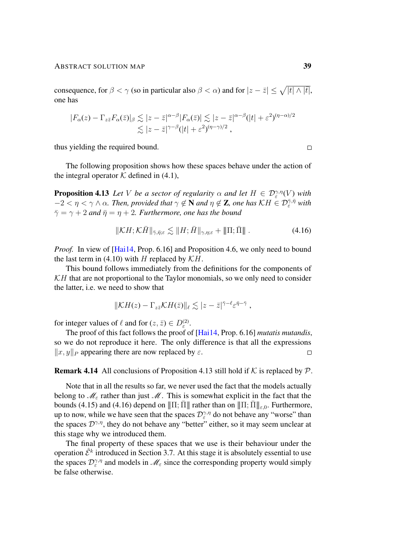consequence, for  $\beta < \gamma$  (so in particular also  $\beta < \alpha$ ) and for  $|z - \bar{z}| \leq \sqrt{|t| \wedge |\bar{t}|}$ , one has

$$
|F_{\alpha}(z) - \Gamma_{z\bar{z}} F_{\alpha}(\bar{z})|_{\beta} \lesssim |z - \bar{z}|^{\alpha-\beta} |F_{\alpha}(\bar{z})| \lesssim |z - \bar{z}|^{\alpha-\beta} (|t| + \varepsilon^2)^{(\eta-\alpha)/2}
$$
  

$$
\lesssim |z - \bar{z}|^{\gamma-\beta} (|t| + \varepsilon^2)^{(\eta-\gamma)/2},
$$

thus yielding the required bound.

The following proposition shows how these spaces behave under the action of the integral operator  $K$  defined in [\(4.1\)](#page-29-0),

**Proposition 4.13** Let V be a sector of regularity  $\alpha$  and let  $H \in \mathcal{D}_{\varepsilon}^{\gamma,\eta}(V)$  with  $-2 < \eta < \gamma \wedge \alpha$ . Then, provided that  $\gamma \notin \mathbf{N}$  and  $\eta \notin \mathbf{Z}$ , one has  $KH \in \mathcal{D}_{\varepsilon}^{\overline{\gamma},\overline{\eta}}$  with  $\bar{\gamma} = \gamma + 2$  *and*  $\bar{\eta} = \eta + 2$ *. Furthermore, one has the bound* 

<span id="page-38-0"></span>
$$
\|\mathcal{K}H; \mathcal{K}\bar{H}\|_{\bar{\gamma},\bar{\eta};\varepsilon} \lesssim \|H; \bar{H}\|_{\gamma,\eta;\varepsilon} + \|\Pi; \bar{\Pi}\|.
$$
 (4.16)

*Proof.* In view of [\[Hai14,](#page-102-0) Prop. 6.16] and Proposition [4.6,](#page-34-0) we only need to bound the last term in [\(4.10\)](#page-33-0) with H replaced by  $KH$ .

This bound follows immediately from the definitions for the components of  $KH$  that are not proportional to the Taylor monomials, so we only need to consider the latter, i.e. we need to show that

$$
\|\mathcal{K}H(z)-\Gamma_{z\bar{z}}\mathcal{K}H(\bar{z})\|_{\ell}\lesssim |z-\bar{z}|^{\bar{\gamma}-\ell}\varepsilon^{\bar{\eta}-\bar{\gamma}}\,,
$$

for integer values of  $\ell$  and for  $(z, \bar{z}) \in D_{\varepsilon}^{(2)}$ .

The proof of this fact follows the proof of [\[Hai14,](#page-102-0) Prop. 6.16] *mutatis mutandis*, so we do not reproduce it here. The only difference is that all the expressions  $\Vert x, y \Vert_P$  appearing there are now replaced by  $\varepsilon$ .  $\Box$ 

**Remark 4.14** All conclusions of Proposition [4.13](#page-38-0) still hold if  $K$  is replaced by  $P$ .

Note that in all the results so far, we never used the fact that the models actually belong to  $\mathcal{M}_{\varepsilon}$  rather than just  $\mathcal{M}$ . This is somewhat explicit in the fact that the bounds [\(4.15\)](#page-37-0) and [\(4.16\)](#page-38-1) depend on  $\|\Pi;\bar{\Pi}\|$  rather than on  $\|\Pi;\bar{\Pi}\|_{\epsilon,0}$ . Furthermore, up to now, while we have seen that the spaces  $\mathcal{D}_{\varepsilon}^{\gamma,\eta}$  do not behave any "worse" than the spaces  $\mathcal{D}^{\gamma,\eta}$ , they do not behave any "better" either, so it may seem unclear at this stage why we introduced them.

<span id="page-38-2"></span>The final property of these spaces that we use is their behaviour under the operation  $\hat{\mathcal{E}}^k$  introduced in Section [3.7.](#page-27-0) At this stage it is absolutely essential to use the spaces  $\mathcal{D}_{\varepsilon}^{\gamma,\eta}$  and models in  $\mathcal{M}_{\varepsilon}$  since the corresponding property would simply be false otherwise.

<span id="page-38-1"></span> $\Box$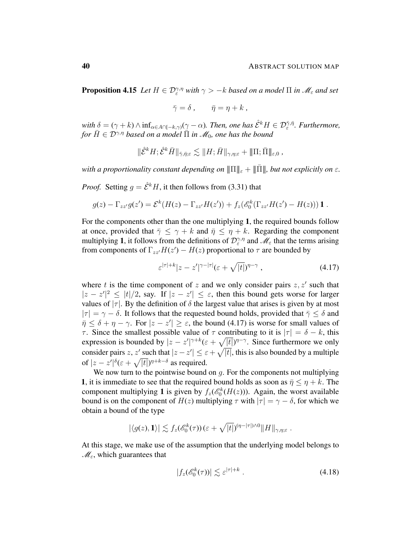**Proposition 4.15** Let  $H \in \mathcal{D}_{\varepsilon}^{\gamma,\eta}$  with  $\gamma > -k$  based on a model  $\Pi$  in  $\mathscr{M}_{\varepsilon}$  and set

$$
\bar{\gamma} = \delta \,, \qquad \bar{\eta} = \eta + k \,,
$$

 $\text{with } \delta = (\gamma + k) \wedge \inf_{\alpha \in A \cap [-k,\gamma)} (\gamma - \alpha)$ . Then, one has  $\hat{\mathcal{E}}^k H \in \mathcal{D}_{\varepsilon}^{\bar{\gamma},\bar{\eta}}$ . Furthermore, *for*  $\overline{H} \in \mathcal{D}^{\gamma,\eta}$  *based on a model*  $\overline{\Pi}$  *in*  $\mathcal{M}_0$ *, one has the bound* 

$$
\|\hat{\mathcal{E}}^k H; \hat{\mathcal{E}}^k \bar{H}\|_{\bar{\gamma},\bar{\eta};\varepsilon} \lesssim \|H; \bar{H}\|_{\gamma,\eta;\varepsilon} + \|\Pi; \bar{\Pi}\|_{\varepsilon,0} ,
$$

*with a proportionality constant depending on*  $\|\Pi\|_{\varepsilon} + \|\Pi\|$ *, but not explicitly on*  $\varepsilon$ *.* 

*Proof.* Setting  $q = \hat{\mathcal{E}}^k H$ , it then follows from [\(3.31\)](#page-27-1) that

$$
g(z) - \Gamma_{zz'}g(z') = \mathcal{E}^k(H(z) - \Gamma_{zz'}H(z')) + f_z(\mathscr{E}_0^k(\Gamma_{zz'}H(z') - H(z)))\mathbf{1}.
$$

For the components other than the one multiplying 1, the required bounds follow at once, provided that  $\bar{\gamma} \leq \gamma + k$  and  $\bar{\eta} \leq \eta + k$ . Regarding the component multiplying 1, it follows from the definitions of  $\mathcal{D}_{\varepsilon}^{\gamma,\eta}$  and  $\mathscr{M}_{\varepsilon}$  that the terms arising from components of  $\Gamma_{zz'}H(z') - H(z)$  proportional to  $\tau$  are bounded by

<span id="page-39-0"></span>
$$
\varepsilon^{|\tau|+k}|z-z'|^{\gamma-|\tau|}(\varepsilon+\sqrt{|t|})^{\eta-\gamma},\qquad(4.17)
$$

where t is the time component of z and we only consider pairs  $z, z'$  such that  $|z - z'|^2 \le |t|/2$ , say. If  $|z - z'| \le \varepsilon$ , then this bound gets worse for larger values of  $|\tau|$ . By the definition of  $\delta$  the largest value that arises is given by at most  $|\tau| = \gamma - \delta$ . It follows that the requested bound holds, provided that  $\bar{\gamma} \leq \delta$  and  $\bar{\eta} \leq \delta + \eta - \gamma$ . For  $|z - z'| \geq \varepsilon$ , the bound [\(4.17\)](#page-39-0) is worse for small values of τ. Since the smallest possible value of τ contributing to it is  $|\tau| = \delta - k$ , this expression is bounded by  $|z - z'|^{\gamma + k} (\varepsilon + \sqrt{|t|})^{\eta - \gamma}$ . Since furthermore we only consider pairs z, z' such that  $|z - z'| \leq \varepsilon + \sqrt{|t|}$ , this is also bounded by a multiple of  $|z-z'|^{\delta} (\varepsilon + \sqrt{|t|})^{\eta + k - \delta}$  as required.

We now turn to the pointwise bound on  $q$ . For the components not multiplying 1, it is immediate to see that the required bound holds as soon as  $\bar{\eta} \leq \eta + k$ . The component multiplying 1 is given by  $f_z(\mathcal{E}_0^k(H(z)))$ . Again, the worst available bound is on the component of  $H(z)$  multiplying  $\tau$  with  $|\tau| = \gamma - \delta$ , for which we obtain a bound of the type

$$
|\langle g(z), \mathbf{1} \rangle| \lesssim f_z(\mathscr{E}_0^k(\tau)) \left( \varepsilon + \sqrt{|t|} \right)^{(\eta - |\tau|) \wedge 0} ||H||_{\gamma, \eta; \varepsilon}.
$$

At this stage, we make use of the assumption that the underlying model belongs to  $\mathcal{M}_{\varepsilon}$ , which guarantees that

<span id="page-39-1"></span>
$$
|f_z(\mathscr{E}_0^k(\tau))| \lesssim \varepsilon^{|\tau|+k} \ . \tag{4.18}
$$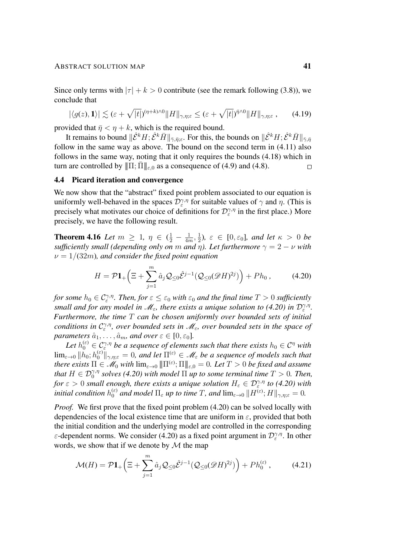Since only terms with  $|\tau| + k > 0$  contribute (see the remark following [\(3.8\)](#page-17-0)), we conclude that

$$
|\langle g(z), \mathbf{1}\rangle| \lesssim (\varepsilon + \sqrt{|t|})^{(\eta + k)\wedge 0} ||H||_{\gamma, \eta; \varepsilon} \leq (\varepsilon + \sqrt{|t|})^{\bar{\eta}\wedge 0} ||H||_{\gamma, \eta; \varepsilon}, \qquad (4.19)
$$

provided that  $\bar{\eta} < \eta + k$ , which is the required bound.

It remains to bound  $\|\hat{\mathcal{E}}^kH;\hat{\mathcal{E}}^kH\|_{\bar{\gamma},\bar{\eta};\varepsilon}$ . For this, the bounds on  $\|\hat{\mathcal{E}}^kH;\hat{\mathcal{E}}^kH\|_{\bar{\gamma},\bar{\eta}}$ follow in the same way as above. The bound on the second term in [\(4.11\)](#page-33-1) also follows in the same way, noting that it only requires the bounds [\(4.18\)](#page-39-1) which in turn are controlled by  $\|\Pi;\bar{\Pi}\|_{\epsilon,0}$  as a consequence of [\(4.9\)](#page-33-2) and [\(4.8\)](#page-32-0).  $\Box$ 

#### 4.4 Picard iteration and convergence

We now show that the "abstract" fixed point problem associated to our equation is uniformly well-behaved in the spaces  $\mathcal{D}_{\varepsilon}^{\gamma,\eta}$  for suitable values of  $\gamma$  and  $\eta$ . (This is precisely what motivates our choice of definitions for  $\mathcal{D}_{\varepsilon}^{\gamma,\eta}$  in the first place.) More precisely, we have the following result.

<span id="page-40-2"></span>**Theorem 4.16** *Let*  $m \ge 1$ ,  $\eta \in (\frac{1}{2} - \frac{1}{4n})$  $\frac{1}{4m}, \frac{1}{2}$  $(\frac{1}{2})$ ,  $\varepsilon \in [0, \varepsilon_0]$ , and let  $\kappa > 0$  be *sufficiently small (depending only on* m *and*  $\eta$ ). Let furthermore  $\gamma = 2 - \nu$  *with*  $\nu = 1/(32m)$ , and consider the fixed point equation

<span id="page-40-0"></span>
$$
H = \mathcal{P}\mathbf{1}_{+}\left(\Xi + \sum_{j=1}^{m} \hat{a}_{j} \mathcal{Q}_{\leq 0} \hat{\mathcal{E}}^{j-1} (\mathcal{Q}_{\leq 0} (\mathscr{D} H)^{2j})\right) + P h_{0}, \tag{4.20}
$$

for some  $h_0 \in \mathcal{C}^{\gamma,\eta}_\varepsilon$ . Then, for  $\varepsilon \leq \varepsilon_0$  with  $\varepsilon_0$  and the final time  $T > 0$  sufficiently *small and for any model in*  $\mathcal{M}_{\varepsilon}$ *, there exists a unique solution to [\(4.20\)](#page-40-0) in*  $\mathcal{D}_{\varepsilon}^{\gamma,\eta}$ *. Furthermore, the time* T *can be chosen uniformly over bounded sets of initial conditions in*  $C_{\varepsilon}^{\gamma,\eta}$ , over bounded sets in  $\mathscr{M}_{\varepsilon}$ , over bounded sets in the space of *parameters*  $\hat{a}_1, \ldots, \hat{a}_m$ *, and over*  $\varepsilon \in [0, \varepsilon_0]$ *.* 

Let  $h_0^{(\varepsilon)}\in \mathcal{C}^{\gamma,\eta}_\varepsilon$  be a sequence of elements such that there exists  $h_0\in \mathcal{C}^\eta$  with  $\lim_{\varepsilon\to 0} \|h_0; h_0^{(\varepsilon)}\|_{\gamma,\eta;\varepsilon} = 0$ , and let  $\Pi^{(\varepsilon)}\in\mathscr{M}_\varepsilon$  be a sequence of models such that *there exists*  $\Pi \in \mathscr{M}_0$  with  $\lim_{\varepsilon \to 0} |\!|\!|\Pi^{(\varepsilon)}; \Pi |\!|\!|_{\varepsilon,0} = 0$ . Let  $T > 0$  be fixed and assume *that*  $H \in \mathcal{D}_0^{\gamma,\eta}$  solves [\(4.20\)](#page-40-0) with model  $\Pi$  up to some terminal time  $T > 0$ . Then, *for*  $\varepsilon > 0$  *small enough, there exists a unique solution*  $H_{\varepsilon} \in \mathcal{D}_{\varepsilon}^{\gamma,\eta}$  *to [\(4.20\)](#page-40-0) with initial condition*  $h_0^{(\varepsilon)}$  and model  $\Pi_\varepsilon$  up to time T, and  $\lim_{\varepsilon\to 0} \|H^{(\varepsilon)};H\|_{\gamma,\eta;\varepsilon} = 0$ .

*Proof.* We first prove that the fixed point problem [\(4.20\)](#page-40-0) can be solved locally with dependencies of the local existence time that are uniform in  $\varepsilon$ , provided that both the initial condition and the underlying model are controlled in the corresponding  $\varepsilon$ -dependent norms. We consider [\(4.20\)](#page-40-0) as a fixed point argument in  $\mathcal{D}_{\varepsilon}^{\gamma,\eta}$ . In other words, we show that if we denote by  $M$  the map

<span id="page-40-1"></span>
$$
\mathcal{M}(H) = \mathcal{P}\mathbf{1}_{+}\left(\Xi + \sum_{j=1}^{m} \hat{a}_{j} \mathcal{Q}_{\leq 0} \hat{\mathcal{E}}^{j-1}(\mathcal{Q}_{\leq 0}(\mathscr{D}H)^{2j})\right) + Ph_0^{(\varepsilon)},\tag{4.21}
$$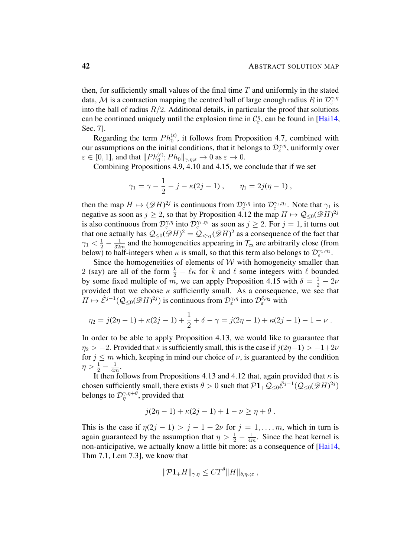then, for sufficiently small values of the final time  $T$  and uniformly in the stated data, M is a contraction mapping the centred ball of large enough radius R in  $\mathcal{D}_{\varepsilon}^{\gamma,\eta}$ into the ball of radius  $R/2$ . Additional details, in particular the proof that solutions can be continued uniquely until the explosion time in  $C_{\varepsilon}^{\eta}$ , can be found in [\[Hai14,](#page-102-0) Sec. 7].

Regarding the term  $Ph_0^{(\varepsilon)}$ , it follows from Proposition [4.7,](#page-35-0) combined with our assumptions on the initial conditions, that it belongs to  $\mathcal{D}_{\varepsilon}^{\gamma,\eta}$ , uniformly over  $\varepsilon \in [0, 1]$ , and that  $||Ph_0^{(\varepsilon)}$ ;  $Ph_0||_{\gamma, \eta; \varepsilon} \to 0$  as  $\varepsilon \to 0$ .

Combining Propositions [4.9,](#page-37-1) [4.10](#page-37-2) and [4.15,](#page-38-2) we conclude that if we set

$$
\gamma_1 = \gamma - \frac{1}{2} - j - \kappa(2j - 1), \qquad \eta_1 = 2j(\eta - 1),
$$

then the map  $H \mapsto (\mathscr{D}H)^{2j}$  is continuous from  $\mathcal{D}_{\varepsilon}^{\gamma,\eta}$  into  $\mathcal{D}_{\varepsilon}^{\gamma_1,\eta_1}$ . Note that  $\gamma_1$  is negative as soon as  $j \ge 2$ , so that by Proposition [4.12](#page-37-3) the map  $H \mapsto \mathcal{Q}_{\le 0}(\mathscr{D}H)^{2j}$ is also continuous from  $\mathcal{D}_{\varepsilon}^{\gamma,\eta}$  into  $\mathcal{D}_{\varepsilon}^{\gamma_1,\eta_1}$  as soon as  $j \geq 2$ . For  $j = 1$ , it turns out  $\epsilon$  πιω  $\nu_{\epsilon}$ that one actually has  $\mathcal{Q}_{\leq 0}(\mathscr{D}H)^2 = \mathcal{Q}_{\leq \gamma_1}(\mathscr{D}H)^2$  as a consequence of the fact that  $\gamma_1 < \frac{1}{2} - \frac{1}{324}$  $\frac{1}{32m}$  and the homogeneities appearing in  $\mathcal{T}_{ex}$  are arbitrarily close (from below) to half-integers when  $\kappa$  is small, so that this term also belongs to  $\mathcal{D}_{\varepsilon}^{\gamma_1,\eta_1}$ .

Since the homogeneities of elements of  $W$  with homogeneity smaller than 2 (say) are all of the form  $\frac{k}{2} - \ell \kappa$  for k and  $\ell$  some integers with  $\ell$  bounded by some fixed multiple of m, we can apply Proposition [4.15](#page-38-2) with  $\delta = \frac{1}{2} - 2\nu$ provided that we choose  $\kappa$  sufficiently small. As a consequence, we see that  $H \mapsto \hat{\mathcal{E}}^{j-1}(\mathcal{Q}_{\leq 0}(\mathscr{D}H)^{2j})$  is continuous from  $\mathcal{D}_{\varepsilon}^{\gamma,\eta}$  into  $\mathcal{D}_{\varepsilon}^{\delta,\eta_2}$  with

$$
\eta_2 = j(2\eta - 1) + \kappa(2j - 1) + \frac{1}{2} + \delta - \gamma = j(2\eta - 1) + \kappa(2j - 1) - 1 - \nu.
$$

In order to be able to apply Proposition [4.13,](#page-38-0) we would like to guarantee that  $\eta_2$  > −2. Provided that  $\kappa$  is sufficiently small, this is the case if  $j(2\eta-1)$  > −1+2 $\nu$ for  $j \leq m$  which, keeping in mind our choice of  $\nu$ , is guaranteed by the condition  $\eta > \frac{1}{2} - \frac{1}{4n}$  $\frac{1}{4m}$ .

It then follows from Propositions [4.13](#page-38-0) and [4.12](#page-37-3) that, again provided that  $\kappa$  is chosen sufficiently small, there exists  $\theta > 0$  such that  $\mathcal{P}1_+ \mathcal{Q}_{\leq 0}\hat{\mathcal{E}}^{j-1}(\mathcal{Q}_{\leq 0}(\mathscr{D}H)^{2j})$ belongs to  $\mathcal{D}_{\eta}^{\gamma,\eta+\theta}$ , provided that

$$
j(2\eta - 1) + \kappa(2j - 1) + 1 - \nu \ge \eta + \theta.
$$

This is the case if  $\eta(2j - 1) > j - 1 + 2\nu$  for  $j = 1, \ldots, m$ , which in turn is again guaranteed by the assumption that  $\eta > \frac{1}{2} - \frac{1}{4n}$  $\frac{1}{4m}$ . Since the heat kernel is non-anticipative, we actually know a little bit more: as a consequence of [\[Hai14,](#page-102-0) Thm 7.1, Lem 7.3], we know that

$$
\|\mathcal{P} \mathbf{1}_{+}H\|_{\gamma,\eta} \leq C T^{\theta} \|H\|_{\delta,\eta_2;\varepsilon},
$$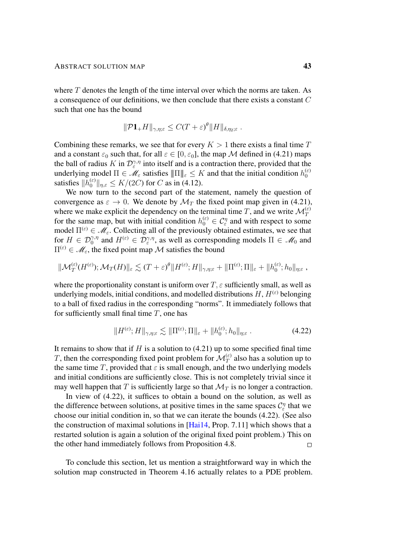where  $T$  denotes the length of the time interval over which the norms are taken. As a consequence of our definitions, we then conclude that there exists a constant C such that one has the bound

$$
\|\mathcal{P} \mathbf{1}_{+}H\|_{\gamma,\eta;\varepsilon} \leq C(T+\varepsilon)^{\theta} \|H\|_{\delta,\eta_2;\varepsilon}.
$$

Combining these remarks, we see that for every  $K > 1$  there exists a final time T and a constant  $\varepsilon_0$  such that, for all  $\varepsilon \in [0, \varepsilon_0]$ , the map M defined in [\(4.21\)](#page-40-1) maps the ball of radius K in  $\mathcal{D}_{\varepsilon}^{\gamma,\eta}$  into itself and is a contraction there, provided that the underlying model  $\Pi \in \mathcal{M}_{\varepsilon}$  satisfies  $\|\Pi\|_{\varepsilon} \leq K$  and that the initial condition  $h_0^{(\varepsilon)}$ 0 satisfies  $||h_0^{(\varepsilon)}||_{\eta,\varepsilon} \le K/(2C)$  for C as in [\(4.12\)](#page-35-1).

We now turn to the second part of the statement, namely the question of convergence as  $\varepsilon \to 0$ . We denote by  $\mathcal{M}_T$  the fixed point map given in [\(4.21\)](#page-40-1), where we make explicit the dependency on the terminal time T, and we write  $\mathcal{M}_T^{(\varepsilon)}$ for the same map, but with initial condition  $h_0^{(\varepsilon)} \in C_\varepsilon^{\eta}$  and with respect to some model  $\Pi^{(\varepsilon)} \in \mathcal{M}_{\varepsilon}$ . Collecting all of the previously obtained estimates, we see that for  $H \in \mathcal{D}_0^{\gamma,\eta}$  and  $H^{(\varepsilon)} \in \mathcal{D}_\varepsilon^{\gamma,\eta}$ , as well as corresponding models  $\Pi \in \mathcal{M}_0$  and  $\Pi^{(\varepsilon)} \in \mathcal{M}_{\varepsilon}$ , the fixed point map M satisfies the bound

$$
\|\mathcal{M}_T^{(\varepsilon)}(H^{(\varepsilon)}); \mathcal{M}_T(H)\|_{\varepsilon} \lesssim (T+\varepsilon)^{\theta} \|H^{(\varepsilon)}; H\|_{\gamma, \eta; \varepsilon} + \|\Pi^{(\varepsilon)}; \Pi\|_{\varepsilon} + \|h_0^{(\varepsilon)}; h_0\|_{\eta; \varepsilon},
$$

where the proportionality constant is uniform over  $T$ ,  $\varepsilon$  sufficiently small, as well as underlying models, initial conditions, and modelled distributions  $H, H^{(\varepsilon)}$  belonging to a ball of fixed radius in the corresponding "norms". It immediately follows that for sufficiently small final time  $T$ , one has

<span id="page-42-0"></span>
$$
||H^{(\varepsilon)};H||_{\gamma,\eta;\varepsilon} \lesssim ||\Pi^{(\varepsilon)};\Pi||_{\varepsilon} + ||h_0^{(\varepsilon)};h_0||_{\eta;\varepsilon}.
$$
 (4.22)

It remains to show that if  $H$  is a solution to [\(4.21\)](#page-40-1) up to some specified final time T, then the corresponding fixed point problem for  $\mathcal{M}_T^{(\varepsilon)}$  also has a solution up to the same time T, provided that  $\varepsilon$  is small enough, and the two underlying models and initial conditions are sufficiently close. This is not completely trivial since it may well happen that T is sufficiently large so that  $\mathcal{M}_T$  is no longer a contraction.

In view of [\(4.22\)](#page-42-0), it suffices to obtain a bound on the solution, as well as the difference between solutions, at positive times in the same spaces  $C_{\varepsilon}^{\eta}$  that we choose our initial condition in, so that we can iterate the bounds [\(4.22\)](#page-42-0). (See also the construction of maximal solutions in [\[Hai14,](#page-102-0) Prop. 7.11] which shows that a restarted solution is again a solution of the original fixed point problem.) This on the other hand immediately follows from Proposition [4.8.](#page-35-2)  $\Box$ 

To conclude this section, let us mention a straightforward way in which the solution map constructed in Theorem [4.16](#page-40-2) actually relates to a PDE problem.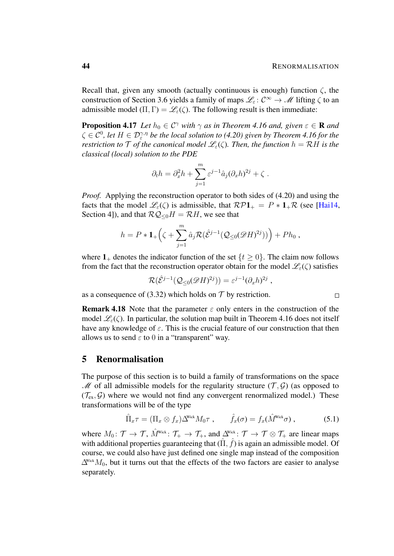Recall that, given any smooth (actually continuous is enough) function  $\zeta$ , the construction of Section [3.6](#page-25-0) yields a family of maps  $\mathscr{L}_{\varepsilon} : C^{\infty} \to \mathscr{M}$  lifting  $\zeta$  to an admissible model  $(\Pi, \Gamma) = \mathcal{L}_{\varepsilon}(\zeta)$ . The following result is then immediate:

<span id="page-43-1"></span>**Proposition 4.17** *Let*  $h_0 \in C^{\gamma}$  *with*  $\gamma$  *as in Theorem [4.16](#page-40-2) and, given*  $\varepsilon \in \mathbb{R}$  *and*  $\zeta \in \mathcal{C}^0$ , let  $H \in \mathcal{D}_{\varepsilon}^{\gamma,\eta}$  be the local solution to [\(4.20\)](#page-40-0) given by Theorem [4.16](#page-40-2) for the *restriction to*  $\mathcal T$  *of the canonical model*  $\mathcal L_{\varepsilon}(\zeta)$ *. Then, the function*  $h = \mathcal R H$  *is the classical (local) solution to the PDE*

$$
\partial_t h = \partial_x^2 h + \sum_{j=1}^m \varepsilon^{j-1} \hat{a}_j (\partial_x h)^{2j} + \zeta.
$$

*Proof.* Applying the reconstruction operator to both sides of [\(4.20\)](#page-40-0) and using the facts that the model  $\mathscr{L}_{\varepsilon}(\zeta)$  is admissible, that  $\mathcal{RP}1_+ = P * 1_+\mathcal{R}$  (see [\[Hai14,](#page-102-0) Section 4]), and that  $\mathcal{RQ}_{\leq 0}H = \mathcal{R}H$ , we see that

$$
h = P * \mathbf{1}_{+}\Big(\zeta + \sum_{j=1}^{m} \hat{a}_{j} \mathcal{R}(\hat{\mathcal{E}}^{j-1}(\mathcal{Q}_{\leq 0}(\mathscr{D}H)^{2j}))\Big) + P h_{0},
$$

where  $1_+$  denotes the indicator function of the set  $\{t \geq 0\}$ . The claim now follows from the fact that the reconstruction operator obtain for the model  $\mathscr{L}_{\varepsilon}(\zeta)$  satisfies

$$
\mathcal{R}(\hat{\mathcal{E}}^{j-1}(\mathcal{Q}_{\leq 0}(\mathscr{D}H)^{2j})) = \varepsilon^{j-1}(\partial_x h)^{2j},
$$

as a consequence of [\(3.32\)](#page-28-0) which holds on  $\mathcal T$  by restriction.

**Remark 4.18** Note that the parameter  $\varepsilon$  only enters in the construction of the model  $\mathcal{L}_{\varepsilon}(\zeta)$ . In particular, the solution map built in Theorem [4.16](#page-40-2) does not itself have any knowledge of  $\varepsilon$ . This is the crucial feature of our construction that then allows us to send  $\varepsilon$  to 0 in a "transparent" way.

## 5 Renormalisation

The purpose of this section is to build a family of transformations on the space  $\mathscr M$  of all admissible models for the regularity structure  $(\mathcal T, \mathcal G)$  (as opposed to  $(\mathcal{T}_{ex}, \mathcal{G})$  where we would not find any convergent renormalized model.) These transformations will be of the type

$$
\hat{\Pi}_x \tau = (\Pi_x \otimes f_x) \Delta^{\text{Wick}} M_0 \tau , \qquad \hat{f}_x(\sigma) = f_x(\hat{M}^{\text{Wick}} \sigma) , \qquad (5.1)
$$

where  $M_0: \mathcal{T} \to \mathcal{T}$ ,  $\hat{M}^{\text{Wick}}: \mathcal{T}_+ \to \mathcal{T}_+$ , and  $\Delta^{\text{Wick}}: \mathcal{T} \to \mathcal{T} \otimes \mathcal{T}_+$  are linear maps with additional properties guaranteeing that  $(\hat{\Pi}, \hat{f})$  is again an admissible model. Of course, we could also have just defined one single map instead of the composition  $\Delta^{\text{Wick}}M_0$ , but it turns out that the effects of the two factors are easier to analyse separately.

<span id="page-43-0"></span> $\Box$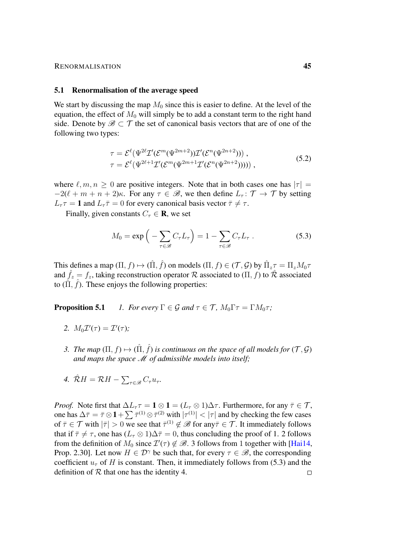#### RENORMALISATION 45

#### 5.1 Renormalisation of the average speed

We start by discussing the map  $M_0$  since this is easier to define. At the level of the equation, the effect of  $M_0$  will simply be to add a constant term to the right hand side. Denote by  $\mathscr{B} \subset \mathcal{T}$  the set of canonical basis vectors that are of one of the following two types:

<span id="page-44-5"></span>
$$
\tau = \mathcal{E}^{\ell}(\Psi^{2\ell} \mathcal{I}'(\mathcal{E}^m(\Psi^{2m+2})) \mathcal{I}'(\mathcal{E}^n(\Psi^{2n+2}))) ,\tau = \mathcal{E}^{\ell}(\Psi^{2\ell+1} \mathcal{I}'(\mathcal{E}^m(\Psi^{2m+1} \mathcal{I}'(\mathcal{E}^n(\Psi^{2n+2})))) ) ,
$$
\n(5.2)

where  $\ell, m, n \geq 0$  are positive integers. Note that in both cases one has  $|\tau| =$  $-2(\ell + m + n + 2)\kappa$ . For any  $\tau \in \mathcal{B}$ , we then define  $L_{\tau} : \mathcal{T} \to \mathcal{T}$  by setting  $L_{\tau} \tau = 1$  and  $L_{\tau} \bar{\tau} = 0$  for every canonical basis vector  $\bar{\tau} \neq \tau$ .

Finally, given constants  $C_{\tau} \in \mathbf{R}$ , we set

<span id="page-44-3"></span>
$$
M_0 = \exp\left(-\sum_{\tau \in \mathcal{B}} C_{\tau} L_{\tau}\right) = 1 - \sum_{\tau \in \mathcal{B}} C_{\tau} L_{\tau} . \tag{5.3}
$$

This defines a map  $(\Pi, f) \mapsto (\hat{\Pi}, \hat{f})$  on models  $(\Pi, f) \in (\mathcal{T}, \mathcal{G})$  by  $\hat{\Pi}_z \tau = \Pi_z M_0 \tau$ and  $\hat{f}_z = f_z$ , taking reconstruction operator R associated to  $(\Pi, f)$  to R associated to  $(\hat{\Pi}, \hat{f})$ . These enjoys the following properties:

<span id="page-44-0"></span>**Proposition 5.1** *1. For every*  $\Gamma \in \mathcal{G}$  *and*  $\tau \in \mathcal{T}$ *,*  $M_0 \Gamma \tau = \Gamma M_0 \tau$ *;* 

- <span id="page-44-1"></span>2.  $M_0 \mathcal{I}'(\tau) = \mathcal{I}'(\tau);$
- <span id="page-44-2"></span>3. The map  $(\Pi, f) \mapsto (\hat{\Pi}, \hat{f})$  is continuous on the space of all models for  $(\mathcal{T}, \mathcal{G})$ *and maps the space* M *of admissible models into itself;*
- <span id="page-44-4"></span>*4.*  $\hat{\mathcal{R}}H = \mathcal{R}H - \sum_{\tau \in \mathcal{B}} C_{\tau}u_{\tau}$ .

*Proof.* Note first that  $\Delta L_{\tau} \tau = 1 \otimes 1 = (L_{\tau} \otimes 1)\Delta \tau$ . Furthermore, for any  $\bar{\tau} \in \mathcal{T}$ , one has  $\Delta \bar{\tau} = \bar{\tau} \otimes 1 + \sum \bar{\tau}^{(1)} \otimes \bar{\tau}^{(2)}$  with  $|\tau^{(1)}| < |\tau|$  and by checking the few cases of  $\bar{\tau} \in \mathcal{T}$  with  $|\bar{\tau}| > 0$  we see that  $\bar{\tau}^{(1)} \notin \mathcal{B}$  for any  $\bar{\tau} \in \mathcal{T}$ . It immediately follows that if  $\bar{\tau} \neq \tau$ , one has  $(L_{\tau} \otimes 1)\Delta \bar{\tau} = 0$ , thus concluding the proof of [1.](#page-44-0) [2](#page-44-1) follows from the definition of  $M_0$  since  $\mathcal{I}'(\tau) \notin \mathcal{B}$ . [3](#page-44-2) follows from 1 together with [\[Hai14,](#page-102-0) Prop. 2.30]. Let now  $H \in \mathcal{D}^{\gamma}$  be such that, for every  $\tau \in \mathcal{B}$ , the corresponding coefficient  $u_{\tau}$  of H is constant. Then, it immediately follows from [\(5.3\)](#page-44-3) and the definition of  $R$  that one has the identity [4.](#page-44-4)  $\Box$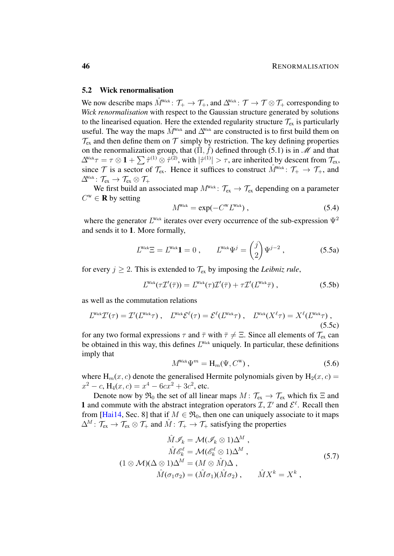### 5.2 Wick renormalisation

We now describe maps  $\hat{M}^{\text{wick}}$ :  $\mathcal{T}_+ \to \mathcal{T}_+$ , and  $\Delta^{\text{wick}}$ :  $\mathcal{T} \to \mathcal{T} \otimes \mathcal{T}_+$  corresponding to *Wick renormalisation* with respect to the Gaussian structure generated by solutions to the linearised equation. Here the extended regularity structure  $\mathcal{T}_{ex}$  is particularly useful. The way the maps  $\hat{M}^{\text{Wick}}$  and  $\Delta^{\text{Wick}}$  are constructed is to first build them on  $\mathcal{T}_{\rm ex}$  and then define them on  $\mathcal{T}$  simply by restriction. The key defining properties on the renormalization group, that  $(\hat{\Pi}, \hat{\hat{f}})$  defined through [\(5.1\)](#page-43-0) is in  $\mathcal{M}$  and that  $\Delta^{\text{Wick}}\tau = \tau \otimes 1 + \sum \hat{\tau}^{(1)} \otimes \hat{\tau}^{(2)}$ , with  $|\hat{\tau}^{(1)}| > \tau$ , are inherited by descent from  $\mathcal{T}_{\text{ex}}$ , since T is a sector of  $\mathcal{T}_{ex}$ . Hence it suffices to construct  $\hat{M}^{\text{wick}}$ :  $\mathcal{T}_{+} \to \mathcal{T}_{+}$ , and  $\Delta^{\!\!\scriptscriptstyle\mathrm{Wick}}\colon \mathcal{T}_{\mathrm{ex}} \to \mathcal{T}_{\mathrm{ex}} \otimes \mathcal{T}_{+}$ 

We first build an associated map  $M^{\text{Wick}}$ :  $\mathcal{T}_{ex} \to \mathcal{T}_{ex}$  depending on a parameter  $C^w \in \mathbf{R}$  by setting

<span id="page-45-2"></span><span id="page-45-0"></span>
$$
MWick = \exp(-CW LWick), \qquad (5.4)
$$

where the generator  $L^{\text{Wick}}$  iterates over every occurrence of the sub-expression  $\Psi^2$ and sends it to 1. More formally,

$$
LWick \Xi = LWick \mathbf{1} = 0 , \qquad LWick \Psij = \begin{pmatrix} j \\ 2 \end{pmatrix} \Psij-2 , \qquad (5.5a)
$$

for every  $j \ge 2$ . This is extended to  $\mathcal{T}_{ex}$  by imposing the *Leibniz rule*,

$$
L^{\text{Wick}}(\tau \mathcal{I}'(\bar{\tau})) = L^{\text{Wick}}(\tau) \mathcal{I}'(\bar{\tau}) + \tau \mathcal{I}'(L^{\text{Wick}}\bar{\tau}), \qquad (5.5b)
$$

as well as the commutation relations

$$
L^{\text{Wick}}\mathcal{I}'(\tau) = \mathcal{I}'(L^{\text{Wick}}\tau) ,\quad L^{\text{Wick}}\mathcal{E}^{\ell}(\tau) = \mathcal{E}^{\ell}(L^{\text{Wick}}\tau) ,\quad L^{\text{Wick}}(X^{\ell}\tau) = X^{\ell}(L^{\text{Wick}}\tau) ,\tag{5.5c}
$$

for any two formal expressions  $\tau$  and  $\bar{\tau}$  with  $\bar{\tau} \neq \Xi$ . Since all elements of  $\mathcal{T}_{ex}$  can be obtained in this way, this defines  $L^{\text{Wick}}$  uniquely. In particular, these definitions imply that

<span id="page-45-3"></span><span id="page-45-1"></span>
$$
M^{\text{Wick}}\Psi^m = \mathcal{H}_m(\Psi, C^{\mathbf{W}})\,,\tag{5.6}
$$

where  $H_m(x, c)$  denote the generalised Hermite polynomials given by  $H_2(x, c)$  =  $x^2 - c$ , H<sub>4</sub>(x, c) =  $x^4 - 6cx^2 + 3c^2$ , etc.

Denote now by  $\mathfrak{R}_0$  the set of all linear maps  $M : \mathcal{T}_{ex} \to \mathcal{T}_{ex}$  which fix  $\Xi$  and 1 and commute with the abstract integration operators  $\mathcal{I}, \mathcal{I}'$  and  $\mathcal{E}^{\ell}$ . Recall then from [\[Hai14,](#page-102-0) Sec. 8] that if  $M \in \mathfrak{R}_0$ , then one can uniquely associate to it maps  $\Delta^M$ :  $\mathcal{T}_{ex} \to \mathcal{T}_{ex} \otimes \mathcal{T}_+$  and  $\hat{M}$ :  $\mathcal{T}_+ \to \mathcal{T}_+$  satisfying the properties

$$
\hat{M}\mathcal{I}_k = \mathcal{M}(\mathcal{I}_k \otimes 1)\Delta^M ,
$$
\n
$$
\hat{M}\mathcal{E}_k^{\ell} = \mathcal{M}(\mathcal{E}_k^{\ell} \otimes 1)\Delta^M ,
$$
\n
$$
(1 \otimes \mathcal{M})(\Delta \otimes 1)\Delta^M = (M \otimes \hat{M})\Delta ,
$$
\n
$$
\hat{M}(\sigma_1 \sigma_2) = (\hat{M}\sigma_1)(\hat{M}\sigma_2) , \qquad \hat{M}X^k = X^k ,
$$
\n(5.7)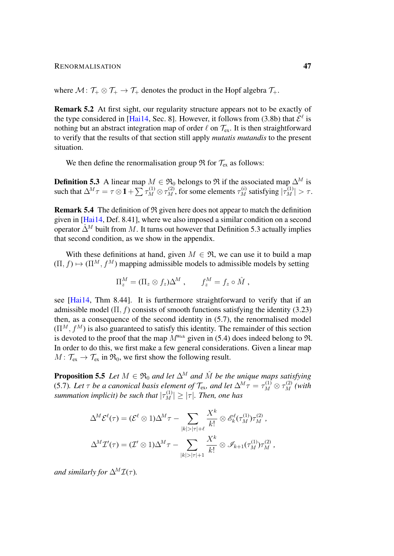where  $M: \mathcal{T}_+ \otimes \mathcal{T}_+ \to \mathcal{T}_+$  denotes the product in the Hopf algebra  $\mathcal{T}_+$ .

Remark 5.2 At first sight, our regularity structure appears not to be exactly of the type considered in [\[Hai14,](#page-102-0) Sec. 8]. However, it follows from [\(3.8b\)](#page-17-0) that  $\mathcal{E}^{\ell}$  is nothing but an abstract integration map of order  $\ell$  on  $\mathcal{T}_{ex}$ . It is then straightforward to verify that the results of that section still apply *mutatis mutandis* to the present situation.

We then define the renormalisation group  $\Re$  for  $\mathcal{T}_{ex}$  as follows:

<span id="page-46-0"></span>**Definition 5.3** A linear map  $M \in \mathfrak{R}_0$  belongs to  $\mathfrak{R}$  if the associated map  $\Delta^M$  is such that  $\Delta^M \tau = \tau \otimes \mathbf{1} + \sum \tau_M^{(1)} \otimes \tau_M^{(2)}$ , for some elements  $\tau_M^{(i)}$  satisfying  $|\tau_M^{(1)}| > \tau$ .

Remark 5.4 The definition of R given here does not appear to match the definition given in [\[Hai14,](#page-102-0) Def. 8.41], where we also imposed a similar condition on a second operator  $\hat{\Delta}^M$  built from M. It turns out however that Definition [5.3](#page-46-0) actually implies that second condition, as we show in the appendix.

With these definitions at hand, given  $M \in \mathfrak{R}$ , we can use it to build a map  $(\Pi, f) \mapsto (\Pi^M, f^M)$  mapping admissible models to admissible models by setting

$$
\Pi_z^M = (\Pi_z \otimes f_z) \Delta^M , \qquad f_z^M = f_z \circ \hat{M} ,
$$

see [\[Hai14,](#page-102-0) Thm 8.44]. It is furthermore straightforward to verify that if an admissible model  $(\Pi, f)$  consists of smooth functions satisfying the identity [\(3.23\)](#page-25-1) then, as a consequence of the second identity in [\(5.7\)](#page-45-1), the renormalised model  $(\Pi^M, f^M)$  is also guaranteed to satisfy this identity. The remainder of this section is devoted to the proof that the map  $M^{\text{Wick}}$  given in [\(5.4\)](#page-45-2) does indeed belong to  $\mathfrak{R}$ . In order to do this, we first make a few general considerations. Given a linear map  $M: \mathcal{T}_{ex} \to \mathcal{T}_{ex}$  in  $\mathfrak{R}_0$ , we first show the following result.

<span id="page-46-1"></span>**Proposition 5.5** *Let*  $M \in \mathfrak{R}_0$  *and let*  $\Delta^M$  *and*  $\hat{M}$  *be the unique maps satisfying* [\(5.7\)](#page-45-1). Let  $\tau$  be a canonical basis element of  $\mathcal{T}_{ex}$ , and let  $\Delta^M \tau = \tau_M^{(1)} \otimes \tau_M^{(2)}$  (with *summation implicit) be such that*  $|\tau_M^{(1)}| \geq |\tau|$ *. Then, one has* 

$$
\Delta^M \mathcal{E}^{\ell}(\tau) = (\mathcal{E}^{\ell} \otimes 1) \Delta^M \tau - \sum_{|k| > |\tau| + \ell} \frac{X^k}{k!} \otimes \mathcal{E}_k^{\ell}(\tau_M^{(1)}) \tau_M^{(2)},
$$
  

$$
\Delta^M \mathcal{I}'(\tau) = (\mathcal{I}' \otimes 1) \Delta^M \tau - \sum_{|k| > |\tau| + 1} \frac{X^k}{k!} \otimes \mathcal{I}_{k+1}(\tau_M^{(1)}) \tau_M^{(2)},
$$

*and similarly for*  $\Delta^M \mathcal{I}(\tau)$ *.*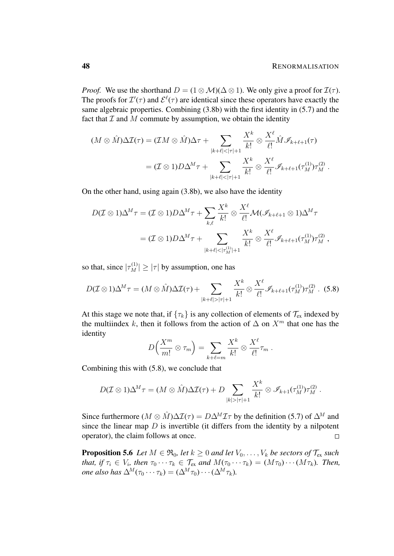*Proof.* We use the shorthand  $D = (1 \otimes M)(\Delta \otimes 1)$ . We only give a proof for  $\mathcal{I}(\tau)$ . The proofs for  $\mathcal{I}'(\tau)$  and  $\mathcal{E}^{\ell}(\tau)$  are identical since these operators have exactly the same algebraic properties. Combining [\(3.8b\)](#page-17-0) with the first identity in [\(5.7\)](#page-45-1) and the fact that  $\mathcal I$  and  $M$  commute by assumption, we obtain the identity

$$
(M \otimes \hat{M})\Delta \mathcal{I}(\tau) = (\mathcal{I}M \otimes \hat{M})\Delta \tau + \sum_{|k+\ell|<|\tau|+1} \frac{X^k}{k!} \otimes \frac{X^\ell}{\ell!} \hat{M} \mathcal{I}_{k+\ell+1}(\tau)
$$
  
=  $(\mathcal{I} \otimes 1)D\Delta^M \tau + \sum_{|k+\ell|<|\tau|+1} \frac{X^k}{k!} \otimes \frac{X^\ell}{\ell!} \mathcal{I}_{k+\ell+1}(\tau_M^{(1)}) \tau_M^{(2)}.$ 

On the other hand, using again [\(3.8b\)](#page-17-0), we also have the identity

$$
D(\mathcal{I} \otimes 1)\Delta^M \tau = (\mathcal{I} \otimes 1)D\Delta^M \tau + \sum_{k,\ell} \frac{X^k}{k!} \otimes \frac{X^{\ell}}{\ell!} \mathcal{M}(\mathscr{I}_{k+\ell+1} \otimes 1)\Delta^M \tau
$$
  
=  $(\mathcal{I} \otimes 1)D\Delta^M \tau + \sum_{|k+\ell|<|\tau_M^{(1)}|+1} \frac{X^k}{k!} \otimes \frac{X^{\ell}}{\ell!} \mathcal{I}_{k+\ell+1}(\tau_M^{(1)})\tau_M^{(2)},$ 

so that, since  $|\tau_M^{(1)}| \ge |\tau|$  by assumption, one has

$$
D(\mathcal{I}\otimes 1)\Delta^M\tau = (M\otimes \hat{M})\Delta \mathcal{I}(\tau) + \sum_{|k+\ell|>| \tau|+1} \frac{X^k}{k!} \otimes \frac{X^\ell}{\ell!} \mathcal{I}_{k+\ell+1}(\tau_M^{(1)})\tau_M^{(2)}.
$$
 (5.8)

At this stage we note that, if  $\{\tau_k\}$  is any collection of elements of  $\mathcal{T}_{ex}$  indexed by the multiindex k, then it follows from the action of  $\Delta$  on  $X^m$  that one has the identity

<span id="page-47-0"></span>
$$
D\left(\frac{X^m}{m!} \otimes \tau_m\right) = \sum_{k+\ell=m} \frac{X^k}{k!} \otimes \frac{X^{\ell}}{\ell!} \tau_m.
$$

Combining this with [\(5.8\)](#page-47-0), we conclude that

$$
D(\mathcal{I}\otimes 1)\Delta^M\tau = (M\otimes \hat{M})\Delta \mathcal{I}(\tau) + D\sum_{|k|>| \tau|+1} \frac{X^k}{k!} \otimes \mathscr{I}_{k+1}(\tau_M^{(1)})\tau_M^{(2)}.
$$

Since furthermore ( $M \otimes \hat{M}$ ) $\Delta \mathcal{I}(\tau) = D \Delta^M \mathcal{I} \tau$  by the definition [\(5.7\)](#page-45-1) of  $\Delta^M$  and since the linear map  $D$  is invertible (it differs from the identity by a nilpotent operator), the claim follows at once.  $\Box$ 

<span id="page-47-1"></span>**Proposition 5.6** *Let*  $M \in \mathfrak{R}_0$ *, let*  $k \geq 0$  *and let*  $V_0, \ldots, V_k$  *be sectors of*  $\mathcal{T}_{ex}$  *such that, if*  $\tau_i \in V_i$ *, then*  $\tau_0 \cdots \tau_k \in \mathcal{T}_{ex}$  *and*  $M(\tau_0 \cdots \tau_k) = (M\tau_0) \cdots (M\tau_k)$ *. Then, one also has*  $\Delta^M(\tau_0 \cdots \tau_k) = (\Delta^M \tau_0) \cdots (\Delta^M \tau_k)$ .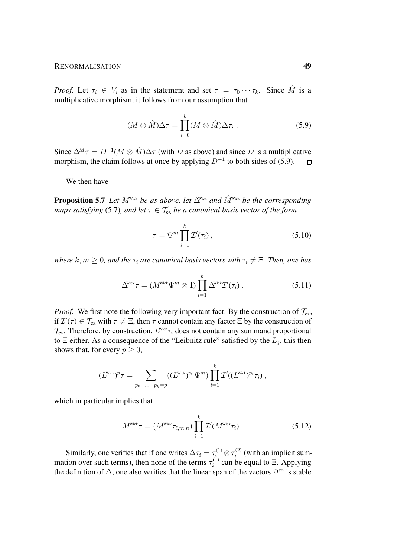*Proof.* Let  $\tau_i \in V_i$  as in the statement and set  $\tau = \tau_0 \cdots \tau_k$ . Since M is a multiplicative morphism, it follows from our assumption that

<span id="page-48-0"></span>
$$
(M \otimes \hat{M})\Delta \tau = \prod_{i=0}^{k} (M \otimes \hat{M})\Delta \tau_i.
$$
 (5.9)

Since  $\Delta^M \tau = D^{-1}(M \otimes \hat{M}) \Delta \tau$  (with D as above) and since D is a multiplicative morphism, the claim follows at once by applying  $D^{-1}$  to both sides of [\(5.9\)](#page-48-0).  $\Box$ 

We then have

<span id="page-48-1"></span>**Proposition 5.7** *Let*  $M^{\text{Wick}}$  *be as above, let*  $\Delta^{\text{Wick}}$  *and*  $\hat{M}^{\text{Wick}}$  *be the corresponding maps satisfying* [\(5.7\)](#page-45-1)*, and let*  $\tau \in \mathcal{T}_{ex}$  *be a canonical basis vector of the form* 

$$
\tau = \Psi^m \prod_{i=1}^k \mathcal{I}'(\tau_i), \qquad (5.10)
$$

*where*  $k, m \geq 0$ *, and the*  $\tau_i$  *are canonical basis vectors with*  $\tau_i \neq \Xi$ *. Then, one has* 

$$
\Delta^{\text{Wick}}\tau = (M^{\text{Wick}}\Psi^m \otimes \mathbf{1}) \prod_{i=1}^k \Delta^{\text{Wick}} \mathcal{I}'(\tau_i) . \tag{5.11}
$$

*Proof.* We first note the following very important fact. By the construction of  $\mathcal{T}_{ex}$ , if  $\mathcal{I}'(\tau) \in \mathcal{T}_{ex}$  with  $\tau \neq \Xi$ , then  $\tau$  cannot contain any factor  $\Xi$  by the construction of  $\mathcal{T}_{\text{ex}}$ . Therefore, by construction,  $L^{\text{Wick}}\tau_i$  does not contain any summand proportional to  $\Xi$  either. As a consequence of the "Leibnitz rule" satisfied by the  $L_j$ , this then shows that, for every  $p \geq 0$ ,

$$
(L^{Wick})^p \tau = \sum_{p_0 + \ldots + p_k = p} ((L^{Wick})^{p_0} \Psi^m) \prod_{i=1}^k \mathcal{I}'((L^{Wick})^{p_i} \tau_i) ,
$$

which in particular implies that

$$
M^{\text{Wick}}\tau = (M^{\text{Wick}}\tau_{\ell,m,n}) \prod_{i=1}^{k} \mathcal{I}'(M^{\text{Wick}}\tau_i) . \tag{5.12}
$$

Similarly, one verifies that if one writes  $\Delta \tau_i = \tau_i^{(1)} \otimes \tau_i^{(2)}$  $i^{(2)}$  (with an implicit summation over such terms), then none of the terms  $\tau_i^{(1)}$  $i_i^{(1)}$  can be equal to  $\Xi$ . Applying the definition of  $\Delta$ , one also verifies that the linear span of the vectors  $\Psi^m$  is stable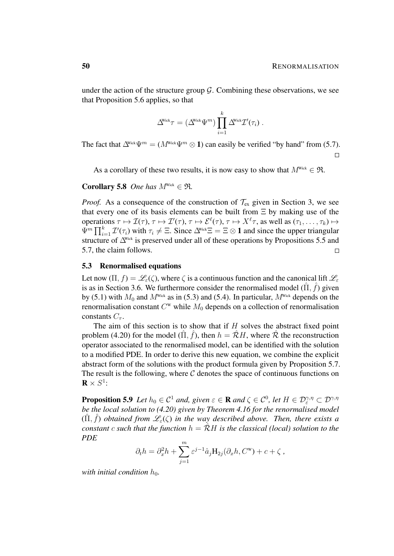under the action of the structure group  $\mathcal G$ . Combining these observations, we see that Proposition [5.6](#page-47-1) applies, so that

$$
\Delta^{\!\!\scriptscriptstyle\mathrm{Wick}}\tau = (\Delta^{\!\!\scriptscriptstyle\mathrm{Wick}}\Psi^m)\prod_{i=1}^k \Delta^{\!\!\scriptscriptstyle\mathrm{Wick}}\mathcal{I}'(\tau_i) \; .
$$

The fact that  $\Delta^{\text{Wick}}\Psi^m = (M^{\text{Wick}}\Psi^m \otimes 1)$  can easily be verified "by hand" from [\(5.7\)](#page-45-1).  $\Box$ 

As a corollary of these two results, it is now easy to show that  $M^{\text{Wick}} \in \mathfrak{R}$ .

Corollary 5.8 *One has*  $M^{\text{Wick}} \in \mathfrak{R}$ .

*Proof.* As a consequence of the construction of  $\mathcal{T}_{ex}$  given in Section [3,](#page-14-0) we see that every one of its basis elements can be built from  $\Xi$  by making use of the operations  $\tau \mapsto \mathcal{I}(\tau)$ ,  $\tau \mapsto \mathcal{I}'(\tau)$ ,  $\tau \mapsto \mathcal{E}^{\ell}(\tau)$ ,  $\tau \mapsto X^{\ell} \tau$ , as well as  $(\tau_1, \ldots, \tau_k) \mapsto$  $\Psi^m \prod_{i=1}^k \mathcal{I}'(\tau_i)$  with  $\tau_i \neq \Xi$ . Since  $\Delta^{\text{Wick}}\Xi = \Xi \otimes \mathbf{1}$  and since the upper triangular structure of  $\Delta^{\text{Wick}}$  is preserved under all of these operations by Propositions [5.5](#page-46-1) and [5.7,](#page-48-1) the claim follows.  $\Box$ 

#### 5.3 Renormalised equations

Let now  $(\Pi, f) = \mathscr{L}_{\varepsilon}(\zeta)$ , where  $\zeta$  is a continuous function and the canonical lift  $\mathscr{L}_{\varepsilon}$ is as in Section [3.6.](#page-25-0) We furthermore consider the renormalised model  $(\hat{\Pi}, \hat{f})$  given by [\(5.1\)](#page-43-0) with  $M_0$  and  $M<sup>Wick</sup>$  as in [\(5.3\)](#page-44-3) and [\(5.4\)](#page-45-2). In particular,  $M<sup>Wick</sup>$  depends on the renormalisation constant  $C^w$  while  $M_0$  depends on a collection of renormalisation constants  $C_{\tau}$ .

The aim of this section is to show that if  $H$  solves the abstract fixed point problem [\(4.20\)](#page-40-0) for the model  $(\hat{\Pi}, \hat{f})$ , then  $h = \hat{\mathcal{R}}H$ , where  $\hat{\mathcal{R}}$  the reconstruction operator associated to the renormalised model, can be identified with the solution to a modified PDE. In order to derive this new equation, we combine the explicit abstract form of the solutions with the product formula given by Proposition [5.7.](#page-48-1) The result is the following, where  $C$  denotes the space of continuous functions on  $\mathbf{R}\times S^1$ :

**Proposition 5.9** Let  $h_0 \in C^1$  and, given  $\varepsilon \in \mathbf{R}$  and  $\zeta \in C^0$ , let  $H \in \mathcal{D}_{\varepsilon}^{\gamma,\eta} \subset \mathcal{D}^{\gamma,\eta}$ *be the local solution to [\(4.20\)](#page-40-0) given by Theorem [4.16](#page-40-2) for the renormalised model*  $(\hat{\Pi}, \hat{f})$  *obtained from*  $\mathscr{L}_{\varepsilon}(\zeta)$  *in the way described above. Then, there exists a constant* c *such that the function*  $h = \mathcal{R}H$  *is the classical (local) solution to the PDE*

$$
\partial_t h = \partial_x^2 h + \sum_{j=1}^m \varepsilon^{j-1} \hat{a}_j \mathbf{H}_{2j}(\partial_x h, C^{\mathbf{w}}) + c + \zeta,
$$

*with initial condition*  $h_0$ *.*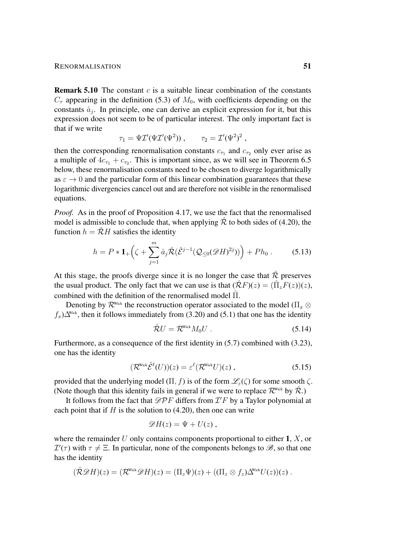#### RENORMALISATION 51

**Remark 5.10** The constant c is a suitable linear combination of the constants  $C_{\tau}$  appearing in the definition [\(5.3\)](#page-44-3) of  $M_0$ , with coefficients depending on the constants  $\hat{a}_j$ . In principle, one can derive an explicit expression for it, but this expression does not seem to be of particular interest. The only important fact is that if we write

$$
\tau_1 = \Psi \mathcal{I}'(\Psi \mathcal{I}'(\Psi^2)), \qquad \tau_2 = \mathcal{I}'(\Psi^2)^2,
$$

then the corresponding renormalisation constants  $c_{\tau_1}$  and  $c_{\tau_2}$  only ever arise as a multiple of  $4c_{\tau_1} + c_{\tau_2}$ . This is important since, as we will see in Theorem [6.5](#page-65-0) below, these renormalisation constants need to be chosen to diverge logarithmically as  $\varepsilon \to 0$  and the particular form of this linear combination guarantees that these logarithmic divergencies cancel out and are therefore not visible in the renormalised equations.

*Proof.* As in the proof of Proposition [4.17,](#page-43-1) we use the fact that the renormalised model is admissible to conclude that, when applying  $\hat{\mathcal{R}}$  to both sides of [\(4.20\)](#page-40-0), the function  $h = \mathcal{R}H$  satisfies the identity

$$
h = P * \mathbf{1}_{+} \left( \zeta + \sum_{j=1}^{m} \hat{a}_{j} \hat{\mathcal{R}} (\hat{\mathcal{E}}^{j-1} (\mathcal{Q}_{\leq 0} (\mathscr{D} H)^{2j})) \right) + P h_{0} . \tag{5.13}
$$

At this stage, the proofs diverge since it is no longer the case that  $\hat{\mathcal{R}}$  preserves the usual product. The only fact that we can use is that  $(\hat{\mathcal{R}}F)(z) = (\hat{\Pi}_z F(z))(z)$ , combined with the definition of the renormalised model  $\Pi$ .

Denoting by  $\mathcal{R}^{\text{Wick}}$  the reconstruction operator associated to the model ( $\Pi_x \otimes$  $f<sub>x</sub>$ )∆<sup>Wick</sup>, then it follows immediately from [\(3.20\)](#page-24-0) and [\(5.1\)](#page-43-0) that one has the identity

<span id="page-50-2"></span><span id="page-50-1"></span><span id="page-50-0"></span>
$$
\hat{\mathcal{R}}U = \mathcal{R}^{\text{Wick}} M_0 U \tag{5.14}
$$

Furthermore, as a consequence of the first identity in [\(5.7\)](#page-45-1) combined with [\(3.23\)](#page-25-1), one has the identity

$$
(\mathcal{R}^{\text{Wick}}\hat{\mathcal{E}}^{\ell}(U))(z) = \varepsilon^{\ell}(\mathcal{R}^{\text{Wick}}U)(z) , \qquad (5.15)
$$

provided that the underlying model ( $\Pi$ , f) is of the form  $\mathscr{L}_{\varepsilon}(\zeta)$  for some smooth  $\zeta$ . (Note though that this identity fails in general if we were to replace  $\mathcal{R}^{\text{Wick}}$  by  $\hat{\mathcal{R}}$ .)

It follows from the fact that  $\mathscr{D}P F$  differs from  $\mathcal{I}'F$  by a Taylor polynomial at each point that if  $H$  is the solution to [\(4.20\)](#page-40-0), then one can write

$$
\mathscr{D}H(z)=\Psi+U(z)\,,
$$

where the remainder U only contains components proportional to either 1,  $X$ , or  $\mathcal{I}'(\tau)$  with  $\tau \neq \Xi$ . In particular, none of the components belongs to  $\mathscr{B}$ , so that one has the identity

$$
(\hat{\mathcal{R}} \mathscr{D} H)(z) = (\mathcal{R}^{\text{Wick}} \mathscr{D} H)(z) = (\Pi_z \Psi)(z) + ((\Pi_z \otimes f_z) \Delta^{\text{Wick}} U(z))(z).
$$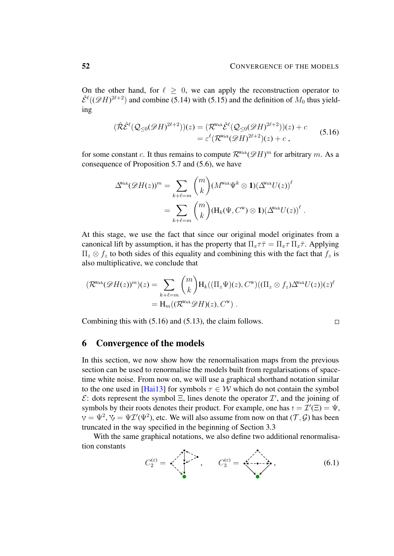On the other hand, for  $\ell \geq 0$ , we can apply the reconstruction operator to  $\hat{\mathcal{E}}^{\ell}((\mathscr{D}H)^{2\ell+2})$  and combine [\(5.14\)](#page-50-0) with [\(5.15\)](#page-50-1) and the definition of  $M_0$  thus yielding

$$
(\hat{\mathcal{R}}\hat{\mathcal{E}}^{\ell}(\mathcal{Q}_{\leq 0}(\mathscr{D}H)^{2\ell+2}))(z) = (\mathcal{R}^{\text{Wick}}\hat{\mathcal{E}}^{\ell}(\mathcal{Q}_{\leq 0}(\mathscr{D}H)^{2\ell+2}))(z) + c
$$
  

$$
= \varepsilon^{\ell}(\mathcal{R}^{\text{Wick}}(\mathscr{D}H)^{2\ell+2})(z) + c,
$$
 (5.16)

for some constant c. It thus remains to compute  $\mathcal{R}^{\text{Wick}}(\mathscr{D}H)^m$  for arbitrary m. As a consequence of Proposition [5.7](#page-48-1) and [\(5.6\)](#page-45-3), we have

$$
\Delta^{\!\!\scriptscriptstyle\mathrm{Wick}}(\mathscr{D} H(z))^{m} = \sum_{k+\ell=m} \binom{m}{k} (M^{\!\!\scriptscriptstyle\mathrm{Wick}}\Psi^k \otimes \mathbf{1}) (\Delta^{\!\!\scriptscriptstyle\mathrm{Wick}} U(z))^\ell \\ = \sum_{k+\ell=m} \binom{m}{k} (\mathrm{H}_k(\Psi, C^{\mathrm{W}}) \otimes \mathbf{1}) (\Delta^{\!\!\scriptscriptstyle\mathrm{Wick}} U(z))^\ell \; .
$$

At this stage, we use the fact that since our original model originates from a canonical lift by assumption, it has the property that  $\Pi_x \tau \bar{\tau} = \Pi_x \tau \Pi_x \bar{\tau}$ . Applying  $\Pi_z \otimes f_z$  to both sides of this equality and combining this with the fact that  $f_z$  is also multiplicative, we conclude that

$$
(\mathcal{R}^{\text{Wick}}(\mathscr{D}H(z))^m)(z) = \sum_{k+\ell=m} {m \choose k} H_k((\Pi_z \Psi)(z), C^{\text{w}})((\Pi_z \otimes f_z) \Delta^{\text{Wick}} U(z))(z)^{\ell}
$$
  
=  $H_m((\mathcal{R}^{\text{Wick}} \mathscr{D}H)(z), C^{\text{w}}).$ 

Combining this with [\(5.16\)](#page-51-0) and [\(5.13\)](#page-50-2), the claim follows.

<span id="page-51-1"></span><span id="page-51-0"></span>
$$
\Box
$$

### 6 Convergence of the models

In this section, we now show how the renormalisation maps from the previous section can be used to renormalise the models built from regularisations of spacetime white noise. From now on, we will use a graphical shorthand notation similar to the one used in [\[Hai13\]](#page-102-1) for symbols  $\tau \in W$  which do not contain the symbol  $\mathcal{E}$ : dots represent the symbol  $\Xi$ , lines denote the operator  $\mathcal{I}'$ , and the joining of symbols by their roots denotes their product. For example, one has  $t = \mathcal{I}'(\Xi) = \Psi$ ,  $=\Psi^2$ ,  $\forall \phi = \Psi \mathcal{I}'(\Psi^2)$ , etc. We will also assume from now on that  $(\mathcal{T}, \mathcal{G})$  has been truncated in the way specified in the beginning of Section [3.3](#page-19-0)

With the same graphical notations, we also define two additional renormalisation constants

$$
C_2^{(\varepsilon)} = \left\langle \begin{array}{ccc} \overline{\mathcal{N}} & \overline{\mathcal{N}} & \overline{\mathcal{N}} \\ \overline{\mathcal{N}} & \overline{\mathcal{N}} & \overline{\mathcal{N}} \\ \overline{\mathcal{N}} & \overline{\mathcal{N}} & \overline{\mathcal{N}} \end{array} \right\rangle, \qquad C_3^{(\varepsilon)} = \left\langle \begin{array}{ccc} \overline{\mathcal{N}} & \overline{\mathcal{N}} & \overline{\mathcal{N}} \\ \overline{\mathcal{N}} & \overline{\mathcal{N}} & \overline{\mathcal{N}} \\ \overline{\mathcal{N}} & \overline{\mathcal{N}} \end{array} \right\rangle, \qquad (6.1)
$$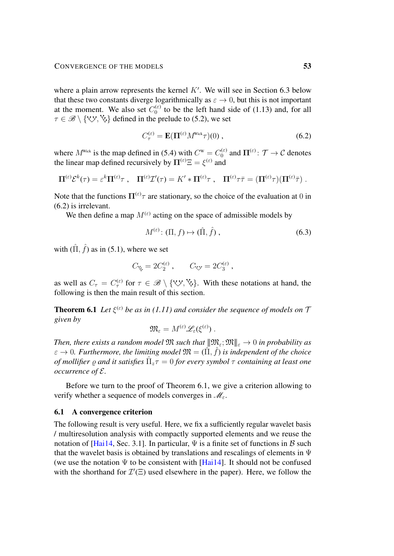where a plain arrow represents the kernel  $K'$ . We will see in Section [6.3](#page-65-1) below that these two constants diverge logarithmically as  $\varepsilon \to 0$ , but this is not important at the moment. We also set  $C_0^{(\varepsilon)}$  $_0^{(\epsilon)}$  to be the left hand side of [\(1.13\)](#page-6-0) and, for all  $\tau \in \mathscr{B} \setminus \{ \vee, \vee, \vee \}$  defined in the prelude to [\(5.2\)](#page-44-5), we set

<span id="page-52-0"></span>
$$
C_{\tau}^{(\varepsilon)} = \mathbf{E}(\mathbf{\Pi}^{(\varepsilon)}M^{\text{Wick}}\tau)(0) ,\qquad(6.2)
$$

where  $M^{\text{Wick}}$  is the map defined in [\(5.4\)](#page-45-2) with  $C^{\text{W}} = C_0^{(\varepsilon)}$  $u_0^{(\varepsilon)}$  and  $\Pi^{(\varepsilon)}$ :  $\mathcal{T} \to \mathcal{C}$  denotes the linear map defined recursively by  $\Pi^{(\varepsilon)}\Xi = \xi^{(\varepsilon)}$  and

$$
\Pi^{(\varepsilon)}\mathcal{E}^k(\tau)=\varepsilon^k\Pi^{(\varepsilon)}\tau\;,\quad \Pi^{(\varepsilon)}\mathcal{I}'(\tau)=K'\ast\Pi^{(\varepsilon)}\tau\;,\quad \Pi^{(\varepsilon)}\tau\bar{\tau}=(\Pi^{(\varepsilon)}\tau)(\Pi^{(\varepsilon)}\bar{\tau})\;.
$$

Note that the functions  $\Pi^{(\varepsilon)}\tau$  are stationary, so the choice of the evaluation at 0 in [\(6.2\)](#page-52-0) is irrelevant.

We then define a map  $M^{(\varepsilon)}$  acting on the space of admissible models by

$$
M^{(\varepsilon)} \colon (\Pi, f) \mapsto (\hat{\Pi}, \hat{f}), \tag{6.3}
$$

with  $(\hat{\Pi}, \hat{f})$  as in [\(5.1\)](#page-43-0), where we set

$$
C_{\zeta} = 2C_2^{(\varepsilon)} , \qquad C_{\zeta y} = 2C_3^{(\varepsilon)} ,
$$

as well as  $C_{\tau} = C_{\tau}^{(\varepsilon)}$  for  $\tau \in \mathscr{B} \setminus {\{\vee\}, \{\vee\},\}$ . With these notations at hand, the following is then the main result of this section.

<span id="page-52-1"></span>**Theorem 6.1** Let  $\xi^{(\varepsilon)}$  be as in [\(1.11\)](#page-6-1) and consider the sequence of models on  $\mathcal{T}$ *given by*

$$
\mathfrak{M}_{\varepsilon} = M^{(\varepsilon)} \mathscr{L}_{\varepsilon} (\xi^{(\varepsilon)}) \ .
$$

*Then, there exists a random model*  $\mathfrak{M}$  *such that*  $\|\mathfrak{M}_{\varepsilon}; \mathfrak{M}\|_{\varepsilon} \to 0$  *in probability as*  $\varepsilon \to 0$ . Furthermore, the limiting model  $\mathfrak{M} = (\hat{\Pi}, \hat{f})$  is independent of the choice *of mollifier* % *and it satisfies* Πˆ <sup>z</sup>τ = 0 *for every symbol* τ *containing at least one occurrence of* E*.*

Before we turn to the proof of Theorem [6.1,](#page-52-1) we give a criterion allowing to verify whether a sequence of models converges in  $\mathcal{M}_{\varepsilon}$ .

## 6.1 A convergence criterion

The following result is very useful. Here, we fix a sufficiently regular wavelet basis / multiresolution analysis with compactly supported elements and we reuse the notation of [\[Hai14,](#page-102-0) Sec. 3.1]. In particular,  $\Psi$  is a finite set of functions in  $\beta$  such that the wavelet basis is obtained by translations and rescalings of elements in  $\Psi$ (we use the notation  $\Psi$  to be consistent with [\[Hai14\]](#page-102-0). It should not be confused with the shorthand for  $\mathcal{I}'(\Xi)$  used elsewhere in the paper). Here, we follow the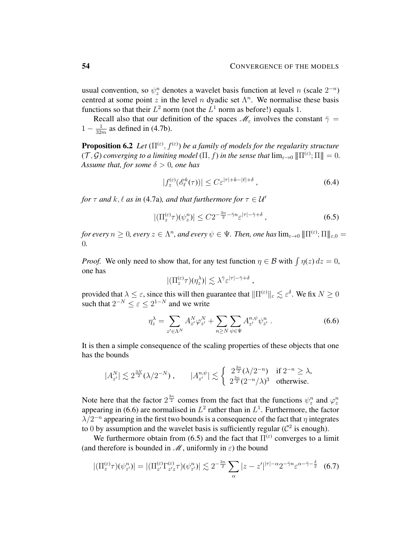usual convention, so  $\psi_z^n$  denotes a wavelet basis function at level n (scale  $2^{-n}$ ) centred at some point z in the level n dyadic set  $\Lambda^n$ . We normalise these basis functions so that their  $L^2$  norm (not the  $L^1$  norm as before!) equals 1.

Recall also that our definition of the spaces  $\mathcal{M}_{\varepsilon}$  involves the constant  $\bar{\gamma}$  =  $1-\frac{1}{32}$  $\frac{1}{32m}$  as defined in [\(4.7b\)](#page-32-1).

**Proposition 6.2** Let  $(\Pi^{(\varepsilon)}, f^{(\varepsilon)})$  be a family of models for the regularity structure  $(T, \mathcal{G})$  converging to a limiting model  $(\Pi, f)$  in the sense that  $\lim_{\varepsilon \to 0} \|\Pi^{(\varepsilon)}; \Pi\| = 0$ . *Assume that, for some*  $\delta > 0$ *, one has* 

<span id="page-53-3"></span><span id="page-53-1"></span>
$$
|f_z^{(\varepsilon)}(\mathscr{E}_\ell^k(\tau))| \le C \varepsilon^{|\tau| + k - |\ell| + \delta} \,, \tag{6.4}
$$

*for*  $\tau$  *and*  $k$ ,  $\ell$  *as in* [\(4.7a\)](#page-32-1)*, and that furthermore for*  $\tau \in \mathcal{U}'$ 

$$
|(\Pi_z^{(\varepsilon)}\tau)(\psi_z^n)| \le C2^{-\frac{3n}{2}-\bar{\gamma}n}\varepsilon^{|\tau|-\bar{\gamma}+\delta},\tag{6.5}
$$

 $f$ or every  $n\geq 0$ , every  $z\in \Lambda^n$ , and every  $\psi\in \Psi$ . Then, one has  $\lim_{\varepsilon\to 0} |\!|\!|\Pi^{(\varepsilon)};\Pi|\!|\!|_{\varepsilon,0}=0$ 0*.*

*Proof.* We only need to show that, for any test function  $\eta \in \mathcal{B}$  with  $\int \eta(z) dz = 0$ , one has

<span id="page-53-0"></span>
$$
|(\Pi_z^{(\varepsilon)}\tau)(\eta_z^{\lambda})| \lesssim \lambda^{\bar{\gamma}} \varepsilon^{|\tau|-\bar{\gamma}+\delta} ,
$$

provided that  $\lambda \leq \varepsilon$ , since this will then guarantee that  $\|\Pi^{(\varepsilon)}\|_{\varepsilon} \lesssim \varepsilon^{\delta}$ . We fix  $N \geq 0$ such that  $2^{-N} \leq \varepsilon \leq 2^{1-N}$  and we write

<span id="page-53-2"></span>
$$
\eta_z^{\lambda} = \sum_{z' \in \Lambda^N} A_{z'}^N \varphi_{z'}^N + \sum_{n \ge N} \sum_{\psi \in \Psi} A_{z'}^{n, \psi} \psi_{z'}^n . \tag{6.6}
$$

It is then a simple consequence of the scaling properties of these objects that one has the bounds

$$
|A_{z'}^N| \lesssim 2^{\frac{3N}{2}}(\lambda/2^{-N})\,, \qquad |A_{z'}^{n,\psi}| \lesssim \left\{ \begin{array}{ll} 2^{\frac{3n}{2}}(\lambda/2^{-n}) & \text{if } 2^{-n} \geq \lambda, \\ 2^{\frac{3n}{2}}(2^{-n}/\lambda)^3 & \text{otherwise.} \end{array} \right.
$$

Note here that the factor  $2^{\frac{3n}{2}}$  comes from the fact that the functions  $\psi_z^n$  and  $\varphi_z^n$ appearing in [\(6.6\)](#page-53-0) are normalised in  $L^2$  rather than in  $L^1$ . Furthermore, the factor  $\lambda/2^{-n}$  appearing in the first two bounds is a consequence of the fact that  $\eta$  integrates to 0 by assumption and the wavelet basis is sufficiently regular ( $\mathcal{C}^2$  is enough).

We furthermore obtain from [\(6.5\)](#page-53-1) and the fact that  $\Pi^{(\varepsilon)}$  converges to a limit (and therefore is bounded in  $\mathcal M$ , uniformly in  $\varepsilon$ ) the bound

$$
\left| \left( \Pi_z^{(\varepsilon)} \tau \right) (\psi_{z'}^n) \right| = \left| \left( \Pi_{z'}^{(\varepsilon)} \Gamma_{z' z}^{(\varepsilon)} \tau \right) (\psi_{z'}^n) \right| \lesssim 2^{-\frac{3n}{2}} \sum_{\alpha} |z - z'|^{|\tau| - \alpha} 2^{-\bar{\gamma} n} \varepsilon^{\alpha - \bar{\gamma} - \frac{\delta}{2}} \tag{6.7}
$$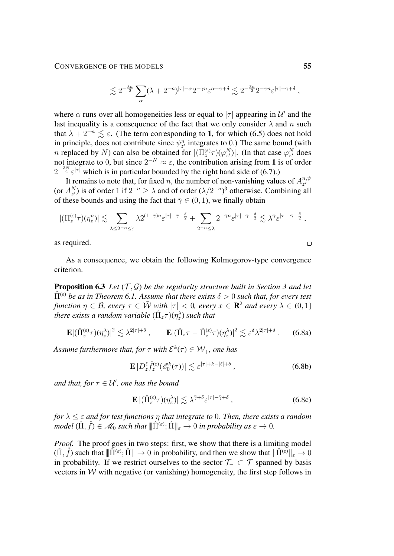$$
\lesssim 2^{-\frac{3n}{2}} \sum_{\alpha} (\lambda + 2^{-n})^{|\tau| - \alpha} 2^{-\bar{\gamma} n} \varepsilon^{\alpha - \bar{\gamma} + \delta} \lesssim 2^{-\frac{3n}{2}} 2^{-\bar{\gamma} n} \varepsilon^{|\tau| - \bar{\gamma} + \delta} ,
$$

where  $\alpha$  runs over all homogeneities less or equal to  $|\tau|$  appearing in  $\mathcal{U}'$  and the last inequality is a consequence of the fact that we only consider  $\lambda$  and n such that  $\lambda + 2^{-n} \leq \varepsilon$ . (The term corresponding to 1, for which [\(6.5\)](#page-53-1) does not hold in principle, does not contribute since  $\psi_{z}^n$  integrates to 0.) The same bound (with *n* replaced by *N*) can also be obtained for  $|(\Pi_z^{(\varepsilon)}\tau)(\varphi_{z'}^N)|$ . (In that case  $\varphi_{z'}^N$  does not integrate to 0, but since  $2^{-N} \approx \varepsilon$ , the contribution arising from 1 is of order  $2^{-\frac{3N}{2}} \varepsilon^{|\tau|}$  which is in particular bounded by the right hand side of [\(6.7\)](#page-53-2).)

It remains to note that, for fixed n, the number of non-vanishing values of  $A_{z}^{n,\psi}$  $z'$ (or  $A_{z'}^N$ ) is of order 1 if  $2^{-n} \ge \lambda$  and of order  $(\lambda/2^{-n})^3$  otherwise. Combining all of these bounds and using the fact that  $\bar{\gamma} \in (0, 1)$ , we finally obtain

$$
|(\Pi_z^{(\varepsilon)}\tau)(\eta_z^n)| \lesssim \sum_{\lambda \leq 2^{-n} \leq \varepsilon} \lambda 2^{(1-\bar{\gamma})n} \varepsilon^{|\tau|-\bar{\gamma}-\frac{\delta}{2}} + \sum_{2^{-n} \leq \lambda} 2^{-\bar{\gamma}n} \varepsilon^{|\tau|-\bar{\gamma}-\frac{\delta}{2}} \lesssim \lambda^{\bar{\gamma}} \varepsilon^{|\tau|-\bar{\gamma}-\frac{\delta}{2}},
$$

as required.

As a consequence, we obtain the following Kolmogorov-type convergence criterion.

<span id="page-54-1"></span>**Proposition 6.[3](#page-14-0)** Let  $(T, \mathcal{G})$  be the regularity structure built in Section 3 and let  $\hat{\Pi}^{(\varepsilon)}$  *be as in Theorem [6.1.](#page-52-1) Assume that there exists*  $\delta > 0$  *such that, for every test function*  $\eta \in \mathcal{B}$ , every  $\tau \in \overline{\mathcal{W}}$  with  $|\tau| < 0$ , every  $x \in \mathbb{R}^2$  and every  $\lambda \in (0, 1]$ there exists a random variable  $(\hat{\Pi}_z \tau)(\eta_z^{\lambda})$  such that

$$
\mathbf{E} |(\hat{\Pi}_{z}^{(\varepsilon)} \tau)(\eta_{z}^{\lambda})|^{2} \lesssim \lambda^{2|\tau|+\delta} , \qquad \mathbf{E} |(\hat{\Pi}_{z} \tau - \hat{\Pi}_{z}^{(\varepsilon)} \tau)(\eta_{z}^{\lambda})|^{2} \lesssim \varepsilon^{\delta} \lambda^{2|\tau|+\delta} . \qquad (6.8a)
$$

Assume furthermore that, for  $\tau$  with  $\mathcal{E}^k(\tau) \in \mathcal{W}_+$ , one has

<span id="page-54-0"></span>
$$
\mathbf{E}\left|D_z^{\ell}\hat{f}_z^{(\varepsilon)}(\mathscr{E}_0^k(\tau))\right| \lesssim \varepsilon^{|\tau|+k-|\ell|+\delta},\tag{6.8b}
$$

and that, for  $\tau \in U'$ , one has the bound

$$
\mathbf{E}\left|(\hat{\Pi}_{z}^{(\varepsilon)}\tau)(\eta_{z}^{\lambda})\right| \lesssim \lambda^{\bar{\gamma}+\delta}\varepsilon^{|\tau|-\bar{\gamma}+\delta} ,\qquad(6.8c)
$$

*for* λ ≤ ε *and for test functions* η *that integrate to* 0*. Then, there exists a random*  $\vec{m}$  *model*  $(\hat{\Pi}, \hat{f}) \in \mathscr{M}_0$  such that  $\|\hat{\Pi}^{(\varepsilon)}; \hat{\Pi}\|_{\varepsilon} \to 0$  in probability as  $\varepsilon \to 0$ .

*Proof.* The proof goes in two steps: first, we show that there is a limiting model  $(\hat{\Pi}, \hat{f})$  such that  $\|\tilde{\Pi}^{(\varepsilon)}\| \to 0$  in probability, and then we show that  $\|\hat{\Pi}^{(\varepsilon)}\|_{\varepsilon} \to 0$ in probability. If we restrict ourselves to the sector  $\mathcal{T}_\neg \subset \mathcal{T}$  spanned by basis vectors in  $W$  with negative (or vanishing) homogeneity, the first step follows in

 $\Box$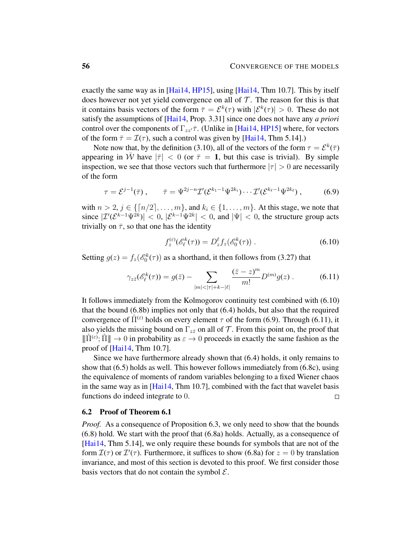exactly the same way as in [\[Hai14,](#page-102-0) [HP15\]](#page-103-1), using [\[Hai14,](#page-102-0) Thm 10.7]. This by itself does however not yet yield convergence on all of  $\mathcal T$ . The reason for this is that it contains basis vectors of the form  $\bar{\tau} = \mathcal{E}^k(\tau)$  with  $|\mathcal{E}^k(\tau)| > 0$ . These do not satisfy the assumptions of [\[Hai14,](#page-102-0) Prop. 3.31] since one does not have any *a priori* control over the components of  $\Gamma_{zz'}\bar{\tau}$ . (Unlike in [\[Hai14,](#page-102-0) [HP15\]](#page-103-1) where, for vectors of the form  $\bar{\tau} = \mathcal{I}(\tau)$ , such a control was given by [\[Hai14,](#page-102-0) Thm 5.14].)

Note now that, by the definition [\(3.10\)](#page-19-1), all of the vectors of the form  $\tau = \mathcal{E}^k(\overline{\tau})$ appearing in W have  $|\bar{\tau}| < 0$  (or  $\bar{\tau} = 1$ , but this case is trivial). By simple inspection, we see that those vectors such that furthermore  $|\tau| > 0$  are necessarily of the form

$$
\tau = \mathcal{E}^{j-1}(\bar{\tau}), \qquad \bar{\tau} = \Psi^{2j-n} \mathcal{I}'(\mathcal{E}^{k_1-1} \Psi^{2k_i}) \cdots \mathcal{I}'(\mathcal{E}^{k_{\ell}-1} \Psi^{2k_{\ell}}), \qquad (6.9)
$$

with  $n > 2$ ,  $j \in \{ \lceil n/2 \rceil, \ldots, m \}$ , and  $k_i \in \{1, \ldots, m\}$ . At this stage, we note that since  $|\mathcal{I}'(\mathcal{E}^{k-1}\Psi^{2k})| < 0$ ,  $|\mathcal{E}^{k-1}\Psi^{2k}| < 0$ , and  $|\Psi| < 0$ , the structure group acts trivially on  $\bar{\tau}$ , so that one has the identity

<span id="page-55-2"></span><span id="page-55-1"></span><span id="page-55-0"></span>
$$
f_z^{(\varepsilon)}(\mathscr{E}_\ell^k(\tau)) = D_z^\ell f_z(\mathscr{E}_0^k(\tau))\,. \tag{6.10}
$$

Setting  $g(z) = f_z(\mathscr{E}_0^k(\tau))$  as a shorthand, it then follows from [\(3.27\)](#page-26-0) that

$$
\gamma_{z\bar{z}}(\mathscr{E}_{\ell}^{k}(\tau)) = g(\bar{z}) - \sum_{|m| < |\tau| + k - |\ell|} \frac{(\bar{z} - z)^{m}}{m!} D^{(m)} g(z) . \tag{6.11}
$$

It follows immediately from the Kolmogorov continuity test combined with [\(6.10\)](#page-55-0) that the bound [\(6.8b\)](#page-54-0) implies not only that [\(6.4\)](#page-53-3) holds, but also that the required convergence of  $\Pi^{(\varepsilon)}$  holds on every element  $\tau$  of the form [\(6.9\)](#page-55-1). Through [\(6.11\)](#page-55-2), it also yields the missing bound on  $\Gamma_{z\bar{z}}$  on all of  $\mathcal T$ . From this point on, the proof that  $\|\hat{\Pi}^{(\varepsilon)}; \hat{\Pi}\| \to 0$  in probability as  $\varepsilon \to 0$  proceeds in exactly the same fashion as the proof of [\[Hai14,](#page-102-0) Thm 10.7].

Since we have furthermore already shown that [\(6.4\)](#page-53-3) holds, it only remains to show that [\(6.5\)](#page-53-1) holds as well. This however follows immediately from [\(6.8c\)](#page-54-0), using the equivalence of moments of random variables belonging to a fixed Wiener chaos in the same way as in  $[Hai14, Thm 10.7]$  $[Hai14, Thm 10.7]$ , combined with the fact that wavelet basis functions do indeed integrate to 0.  $\Box$ 

#### 6.2 Proof of Theorem [6.1](#page-52-1)

*Proof.* As a consequence of Proposition [6.3,](#page-54-1) we only need to show that the bounds [\(6.8\)](#page-54-0) hold. We start with the proof that [\(6.8a\)](#page-54-0) holds. Actually, as a consequence of [\[Hai14,](#page-102-0) Thm 5.14], we only require these bounds for symbols that are not of the form  $\mathcal{I}(\tau)$  or  $\mathcal{I}'(\tau)$ . Furthermore, it suffices to show [\(6.8a\)](#page-54-0) for  $z = 0$  by translation invariance, and most of this section is devoted to this proof. We first consider those basis vectors that do not contain the symbol  $\mathcal{E}$ .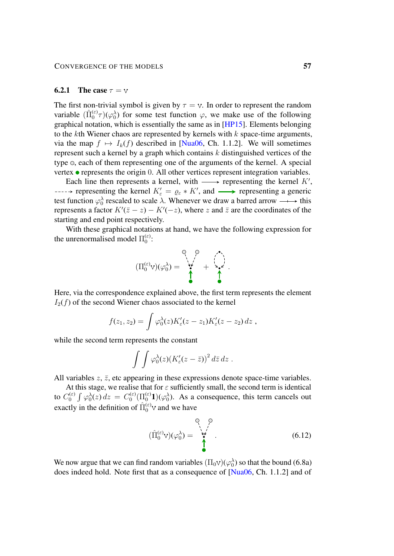#### **6.2.1** The case  $\tau = \nu$

The first non-trivial symbol is given by  $\tau = v$ . In order to represent the random variable  $(\hat{\Pi}_0^{(\varepsilon)} \tau)(\varphi_0^{\lambda})$  for some test function  $\varphi$ , we make use of the following graphical notation, which is essentially the same as in [\[HP15\]](#page-103-1). Elements belonging to the kth Wiener chaos are represented by kernels with  $k$  space-time arguments, via the map  $f \mapsto I_k(f)$  described in [\[Nua06,](#page-103-2) Ch. 1.1.2]. We will sometimes represent such a kernel by a graph which contains  $k$  distinguished vertices of the type  $\circ$ , each of them representing one of the arguments of the kernel. A special vertex  $\bullet$  represents the origin 0. All other vertices represent integration variables.

Each line then represents a kernel, with  $\longrightarrow$  representing the kernel  $K'$ , representing the kernel  $K'_{\varepsilon} = \varrho_{\varepsilon} * K'$ , and  $\longrightarrow$  representing a generic test function  $\varphi_0^{\lambda}$  rescaled to scale  $\lambda$ . Whenever we draw a barred arrow  $\longrightarrow$  this represents a factor  $K'(\bar{z}-z) - K'(-z)$ , where z and  $\bar{z}$  are the coordinates of the starting and end point respectively.

With these graphical notations at hand, we have the following expression for the unrenormalised model  $\Pi_0^{(\varepsilon)}$  $_{0}^{\left( \varepsilon\right) }.$ 



Here, via the correspondence explained above, the first term represents the element  $I_2(f)$  of the second Wiener chaos associated to the kernel

$$
f(z_1, z_2) = \int \varphi_0^{\lambda}(z) K_{\varepsilon}'(z - z_1) K_{\varepsilon}'(z - z_2) dz ,
$$

while the second term represents the constant

$$
\int \int \varphi_0^{\lambda}(z) (K_{\varepsilon}'(z-\bar{z}))^2 d\bar{z} dz .
$$

All variables  $z$ ,  $\bar{z}$ , etc appearing in these expressions denote space-time variables.

At this stage, we realise that for  $\varepsilon$  sufficiently small, the second term is identical to  $C_0^{(\varepsilon)}$  $\int_0^{(\varepsilon)} \int \varphi_0^{\lambda}(z) dz = C_0^{(\varepsilon)}$  $\binom{(\varepsilon)}{0} \left( \prod_{0}^{(\varepsilon)} 1 \right) (\varphi_0^{\lambda})$ . As a consequence, this term cancels out exactly in the definition of  $\hat{\Pi}_0^{(\varepsilon)}$  and we have

<span id="page-56-0"></span>
$$
(\hat{\Pi}_0^{(\varepsilon)} \mathbf{v})(\varphi_0^{\lambda}) = \begin{pmatrix} 0 & 0 \\ \mathbf{v}^{\lambda} & \mathbf{v} \\ \mathbf{v}^{\lambda} & \mathbf{v} \end{pmatrix} . \tag{6.12}
$$

We now argue that we can find random variables  $(\Pi_0 v)(\varphi_0^{\lambda})$  so that the bound [\(6.8a\)](#page-54-0) does indeed hold. Note first that as a consequence of [\[Nua06,](#page-103-2) Ch. 1.1.2] and of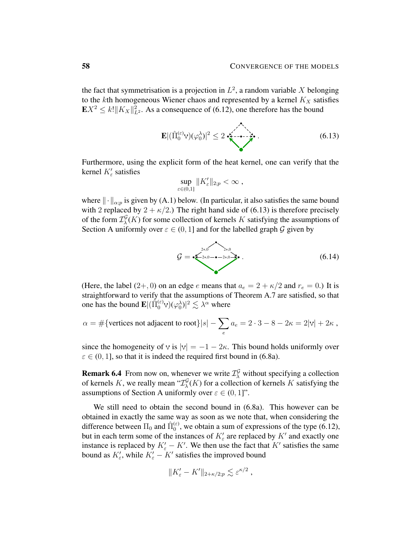the fact that symmetrisation is a projection in  $L^2$ , a random variable X belonging to the kth homogeneous Wiener chaos and represented by a kernel  $K_X$  satisfies  $\mathbf{E} X^2 \leq k! \|K_X\|_{L^2}^2$ . As a consequence of [\(6.12\)](#page-56-0), one therefore has the bound

E|(Πˆ (ε) 0 )(ϕ λ 0 )| <sup>2</sup> ≤ 2 . (6.13)

Furthermore, using the explicit form of the heat kernel, one can verify that the kernel  $K'_{\varepsilon}$  satisfies

<span id="page-57-0"></span>
$$
\sup_{\varepsilon\in(0,1]}\|K_{\varepsilon}'\|_{2;p}<\infty,
$$

where  $\|\cdot\|_{\alpha;p}$  is given by [\(A.1\)](#page-78-0) below. (In particular, it also satisfies the same bound with 2 replaced by  $2 + \kappa/2$ .) The right hand side of [\(6.13\)](#page-57-0) is therefore precisely of the form  $\mathcal{I}^{\mathcal{G}}_{\lambda}$  $\mathcal{L}_{\lambda}^{G}(K)$  for some collection of kernels K satisfying the assumptions of Section [A](#page-78-1) uniformly over  $\varepsilon \in (0, 1]$  and for the labelled graph G given by

<span id="page-57-1"></span>
$$
\mathcal{G} = \sum_{k=2+0}^{2+0} e^{-2+0} e^{-2+0} \tag{6.14}
$$

(Here, the label  $(2+,0)$  on an edge e means that  $a_e = 2 + \kappa/2$  and  $r_e = 0$ .) It is straightforward to verify that the assumptions of Theorem [A.7](#page-83-0) are satisfied, so that one has the bound  $\mathbf{E} |(\hat{\Pi}_0^{(\varepsilon)} \vee)(\varphi_0^{\lambda})|^2 \lesssim \lambda^{\alpha}$  where

$$
\alpha = \#\{\text{vertices not adjacent to root}\}|s| - \sum_{e} a_e = 2 \cdot 3 - 8 - 2\kappa = 2|\mathbf{v}| + 2\kappa,
$$

since the homogeneity of v is  $|v| = -1 - 2\kappa$ . This bound holds uniformly over  $\varepsilon \in (0, 1]$ , so that it is indeed the required first bound in [\(6.8a\)](#page-54-0).

**Remark 6.4** From now on, whenever we write  $\mathcal{I}^{\mathcal{G}}_{\lambda}$  without specifying a collection of kernels K, we really mean " $\mathcal{I}^{\mathcal{G}}_{\lambda}$  $\mathcal{L}_{\lambda}^{G}(K)$  for a collection of kernels K satisfying the assumptions of Section [A](#page-78-1) uniformly over  $\varepsilon \in (0,1]$ ".

We still need to obtain the second bound in [\(6.8a\)](#page-54-0). This however can be obtained in exactly the same way as soon as we note that, when considering the difference between  $\Pi_0$  and  $\hat{\Pi}_0^{(\varepsilon)}$ , we obtain a sum of expressions of the type [\(6.12\)](#page-56-0), but in each term some of the instances of  $K'_{\varepsilon}$  are replaced by  $K'$  and exactly one instance is replaced by  $K'_{\varepsilon} - K'$ . We then use the fact that K' satisfies the same bound as  $K'_{\varepsilon}$ , while  $K'_{\varepsilon} - K'$  satisfies the improved bound

$$
||K'_{\varepsilon} - K'||_{2+\kappa/2;p} \lesssim \varepsilon^{\kappa/2},
$$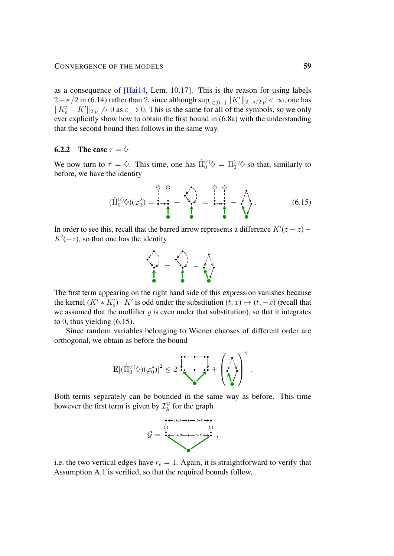as a consequence of [\[Hai14,](#page-102-0) Lem. 10.17]. This is the reason for using labels  $2 + \kappa/2$  in [\(6.14\)](#page-57-1) rather than 2, since although  $\sup_{\varepsilon \in (0,1]} \|K_\varepsilon'\|_{2 + \kappa/2; p} < \infty$ , one has  $||K'_{\varepsilon} - K'||_{2;p} \to 0$  as  $\varepsilon \to 0$ . This is the same for all of the symbols, so we only ever explicitly show how to obtain the first bound in [\(6.8a\)](#page-54-0) with the understanding that the second bound then follows in the same way.

## 6.2.2 The case  $\tau = \dot{\varphi}$

We now turn to  $\tau = \diamond$ . This time, one has  $\hat{\Pi}_0^{(\varepsilon)} \diamondsuit = \Pi_0^{(\varepsilon)} \diamondsuit$  so that, similarly to before, we have the identity

$$
(\hat{\Pi}_0^{(\varepsilon)} \diamondsuit)(\varphi_0^\lambda) = \mathbf{1} + \mathbf{1} + \mathbf{1} + \mathbf{1} + \mathbf{1} + \mathbf{1} + \mathbf{1} + \mathbf{1} + \mathbf{1} + \mathbf{1} + \mathbf{1} + \mathbf{1} + \mathbf{1} + \mathbf{1} + \mathbf{1} + \mathbf{1} + \mathbf{1} + \mathbf{1} + \mathbf{1} + \mathbf{1} + \mathbf{1} + \mathbf{1} + \mathbf{1} + \mathbf{1} + \mathbf{1} + \mathbf{1} + \mathbf{1} + \mathbf{1} + \mathbf{1} + \mathbf{1} + \mathbf{1} + \mathbf{1} + \mathbf{1} + \mathbf{1} + \mathbf{1} + \mathbf{1} + \mathbf{1} + \mathbf{1} + \mathbf{1} + \mathbf{1} + \mathbf{1} + \mathbf{1} + \mathbf{1} + \mathbf{1} + \mathbf{1} + \mathbf{1} + \mathbf{1} + \mathbf{1} + \mathbf{1} + \mathbf{1} + \mathbf{1} + \mathbf{1} + \mathbf{1} + \mathbf{1} + \mathbf{1} + \mathbf{1} + \mathbf{1} + \mathbf{1} + \mathbf{1} + \mathbf{1} + \mathbf{1} + \mathbf{1} + \mathbf{1} + \mathbf{1} + \mathbf{1} + \mathbf{1} + \mathbf{1} + \mathbf{1} + \mathbf{1} + \mathbf{1} + \mathbf{1} + \mathbf{1} + \mathbf{1} + \mathbf{1} + \mathbf{1} + \mathbf{1} + \mathbf{1} + \mathbf{1} + \mathbf{1} + \mathbf{1} + \mathbf{1} + \mathbf{1} + \mathbf{1} + \mathbf{1} + \mathbf{1} + \mathbf{1} + \mathbf{1} + \mathbf{1} + \mathbf{1} + \mathbf{1} + \mathbf{1} + \mathbf{1} + \mathbf{1} + \mathbf{1} + \mathbf{1} + \mathbf{1} + \mathbf{1} + \mathbf{1} + \mathbf{1} + \mathbf{1} + \mathbf{1} + \mathbf{1} + \mathbf{1} + \mathbf{1} + \mathbf{1}
$$

In order to see this, recall that the barred arrow represents a difference  $K'(\bar{z}-z)$  –  $K'(-z)$ , so that one has the identity

<span id="page-58-0"></span>

The first term appearing on the right hand side of this expression vanishes because the kernel  $(K' * K'_{\epsilon}) \cdot K'$  is odd under the substitution  $(t, x) \mapsto (t, -x)$  (recall that we assumed that the mollifier  $\rho$  is even under that substitution), so that it integrates to 0, thus yielding  $(6.15)$ .

Since random variables belonging to Wiener chaoses of different order are orthogonal, we obtain as before the bound



Both terms separately can be bounded in the same way as before. This time however the first term is given by  $\mathcal{I}^{\mathcal{G}}_{\lambda}$  $\frac{G}{\lambda}$  for the graph



i.e. the two vertical edges have  $r_e = 1$ . Again, it is straightforward to verify that Assumption [A.1](#page-79-0) is verified, so that the required bounds follow.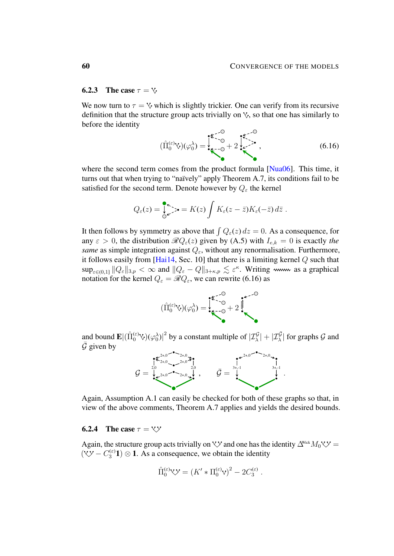#### <span id="page-59-1"></span>**6.2.3** The case  $\tau = \forall$

We now turn to  $\tau = \nu$  which is slightly trickier. One can verify from its recursive definition that the structure group acts trivially on  $\vee$ , so that one has similarly to before the identity

<span id="page-59-0"></span>
$$
(\hat{\Pi}_0^{(\varepsilon)} \vee)(\varphi_0^{\lambda}) = \sum_{k=-0}^{\infty} + 2 \sum_{k=-\infty}^{\infty} \cdot , \qquad (6.16)
$$

where the second term comes from the product formula [\[Nua06\]](#page-103-2). This time, it turns out that when trying to "naïvely" apply Theorem [A.7,](#page-83-0) its conditions fail to be satisfied for the second term. Denote however by  $Q_{\varepsilon}$  the kernel

$$
Q_{\varepsilon}(z) = \int_{0}^{\infty} z \cdot \mathbf{S} = K(z) \int K_{\varepsilon}(z - \bar{z}) K_{\varepsilon}(-\bar{z}) d\bar{z}.
$$

It then follows by symmetry as above that  $\int Q_{\varepsilon}(z) dz = 0$ . As a consequence, for any  $\varepsilon > 0$ , the distribution  $\Re Q_{\varepsilon}(z)$  given by [\(A.5\)](#page-79-1) with  $I_{e,k} = 0$  is exactly the *same* as simple integration against  $Q_{\varepsilon}$ , without any renormalisation. Furthermore, it follows easily from [\[Hai14,](#page-102-0) Sec. 10] that there is a limiting kernel  $Q$  such that  $\sup_{\varepsilon \in (0,1]} \|Q_{\varepsilon}\|_{3,p} < \infty$  and  $\|Q_{\varepsilon} - Q\|_{3+\kappa,p} \lesssim \varepsilon^{\kappa}$ . Writing www as a graphical notation for the kernel  $Q_{\varepsilon} = \mathscr{R}Q_{\varepsilon}$ , we can rewrite [\(6.16\)](#page-59-0) as



and bound  $\mathbf{E} |(\hat{\Pi}_0^{(\varepsilon)} \vee)(\varphi_0^{\lambda})|^2$  by a constant multiple of  $|\mathcal{I}^{\mathcal{G}}_{\lambda}| + |\mathcal{I}^{\bar{\mathcal{G}}}_{\lambda}|$  for graphs  $\mathcal{G}$  and  $\mathcal G$  given by



Again, Assumption [A.1](#page-79-0) can easily be checked for both of these graphs so that, in view of the above comments, Theorem [A.7](#page-83-0) applies and yields the desired bounds.

#### **6.2.4** The case  $\tau = \forall \forall$

Again, the structure group acts trivially on  $\forall y$  and one has the identity  $\Delta^{\text{Wick}}M_0 \forall y$  $(\forall y - C_3^{(\varepsilon)}\mathbf{1}) \otimes \mathbf{1}$ . As a consequence, we obtain the identity

$$
\hat{\Pi}_0^{(\varepsilon)} \circlearrowleft \varkappa = (K' * \Pi_0^{(\varepsilon)} \circlearrowleft)^2 - 2C_3^{(\varepsilon)}.
$$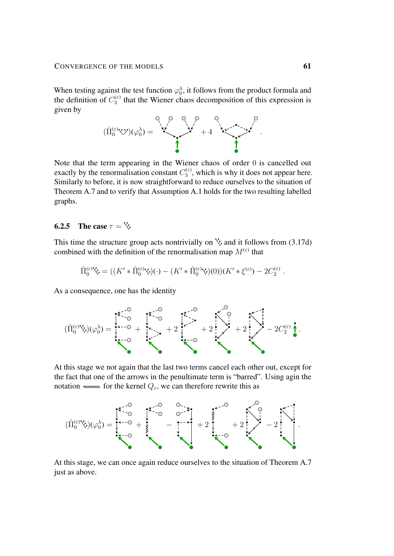When testing against the test function  $\varphi_0^{\lambda}$ , it follows from the product formula and the definition of  $C_3^{(\varepsilon)}$  $\frac{d^{(ε)}}{3}$  that the Wiener chaos decomposition of this expression is given by



Note that the term appearing in the Wiener chaos of order 0 is cancelled out exactly by the renormalisation constant  $C_3^{(\varepsilon)}$  $y_3^{(\epsilon)}$ , which is why it does not appear here. Similarly to before, it is now straightforward to reduce ourselves to the situation of Theorem [A.7](#page-83-0) and to verify that Assumption [A.1](#page-79-0) holds for the two resulting labelled graphs.

# 6.2.5 The case  $\tau = \sqrt{2}$ .

This time the structure group acts nontrivially on  $\sqrt{\ }$  and it follows from [\(3.17d\)](#page-22-0) combined with the definition of the renormalisation map  $M^{(\varepsilon)}$  that

$$
\hat{\Pi}_0^{(\varepsilon)} \circ \nabla = ((K' * \hat{\Pi}_0^{(\varepsilon)} \circ)(\cdot) - (K' * \hat{\Pi}_0^{(\varepsilon)} \circ)(0))(K' * \xi^{(\varepsilon)}) - 2C_2^{(\varepsilon)}.
$$

As a consequence, one has the identity

$$
(\hat{\Pi}_{0}^{(\varepsilon)}\hat{\nabla})(\varphi_{0}^{\lambda})=\begin{matrix} \ast\stackrel{\cdot\cdot}{\downarrow}\circ\circ & \ast\stackrel{\cdot\cdot}{\downarrow}\circ\circ\\ \ast\stackrel{\cdot\cdot}{\downarrow}\circ\circ & +2\stackrel{\cdot\cdot}{\downarrow}\circ\circ\circ\\ \ast\stackrel{\cdot\cdot}{\downarrow}\circ\circ\circ & +2\stackrel{\cdot\cdot}{\downarrow}\circ\circ\circ\\ \ast\stackrel{\cdot\cdot}{\downarrow}\circ\circ\circ\circ\circ\circ\bullet\end{matrix}.
$$

At this stage we not again that the last two terms cancel each other out, except for the fact that one of the arrows in the penultimate term is "barred". Using agin the notation www. for the kernel  $Q_{\varepsilon}$ , we can therefore rewrite this as



At this stage, we can once again reduce ourselves to the situation of Theorem [A.7](#page-83-0) just as above.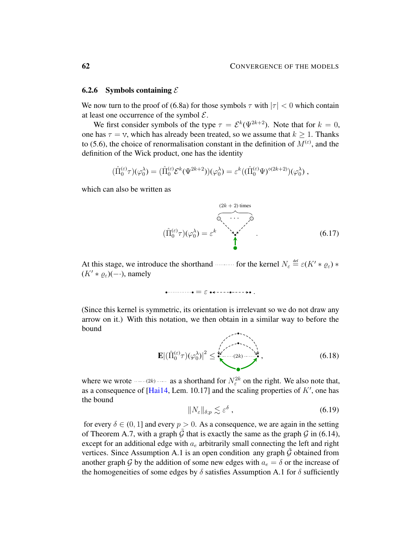### <span id="page-61-1"></span>6.2.6 Symbols containing  $\mathcal E$

We now turn to the proof of [\(6.8a\)](#page-54-0) for those symbols  $\tau$  with  $|\tau| < 0$  which contain at least one occurrence of the symbol  $\mathcal{E}$ .

We first consider symbols of the type  $\tau = \mathcal{E}^k(\Psi^{2k+2})$ . Note that for  $k = 0$ , one has  $\tau = v$ , which has already been treated, so we assume that  $k > 1$ . Thanks to [\(5.6\)](#page-45-3), the choice of renormalisation constant in the definition of  $M^{(\varepsilon)}$ , and the definition of the Wick product, one has the identity

$$
(\hat{\Pi}_0^{(\varepsilon)} \tau)(\varphi_0^{\lambda}) = (\hat{\Pi}_0^{(\varepsilon)} \mathcal{E}^k(\Psi^{2k+2}))(\varphi_0^{\lambda}) = \varepsilon^k ((\hat{\Pi}_0^{(\varepsilon)} \Psi)^{\diamond (2k+2)})(\varphi_0^{\lambda}),
$$

which can also be written as

$$
(\hat{\Pi}_0^{(\varepsilon)}\tau)(\varphi_0^{\lambda}) = \varepsilon^k \qquad (6.17)
$$

At this stage, we introduce the shorthand for the kernel  $N_{\varepsilon} \stackrel{\text{def}}{=} \varepsilon (K' * \varrho_{\varepsilon}) *$  $(K' * \rho_{\varepsilon})(- \cdot)$ , namely

= ε .

(Since this kernel is symmetric, its orientation is irrelevant so we do not draw any arrow on it.) With this notation, we then obtain in a similar way to before the bound

$$
\mathbf{E} |(\hat{\Pi}_0^{(\varepsilon)} \tau)(\varphi_0^{\lambda})|^2 \leq \sum_{k=-\infty}^{k} (2k) \cdots \sum_{k=0}^{k} (6.18)
$$

where we wrote  $\cdots (2k)$  as a shorthand for  $N_{\varepsilon}^{2k}$  on the right. We also note that, as a consequence of [\[Hai14,](#page-102-0) Lem. 10.17] and the scaling properties of  $K'$ , one has the bound

<span id="page-61-0"></span>
$$
||N_{\varepsilon}||_{\delta;p} \lesssim \varepsilon^{\delta} \tag{6.19}
$$

for every  $\delta \in (0, 1]$  and every  $p > 0$ . As a consequence, we are again in the setting of Theorem [A.7,](#page-83-0) with a graph  $\tilde{\mathcal{G}}$  that is exactly the same as the graph  $\mathcal{G}$  in [\(6.14\)](#page-57-1), except for an additional edge with  $a_e$  arbitrarily small connecting the left and right vertices. Since Assumption [A.1](#page-79-0) is an open condition any graph  $\tilde{G}$  obtained from another graph G by the addition of some new edges with  $a_e = \delta$  or the increase of the homogeneities of some edges by  $\delta$  satisfies Assumption [A.1](#page-79-0) for  $\delta$  sufficiently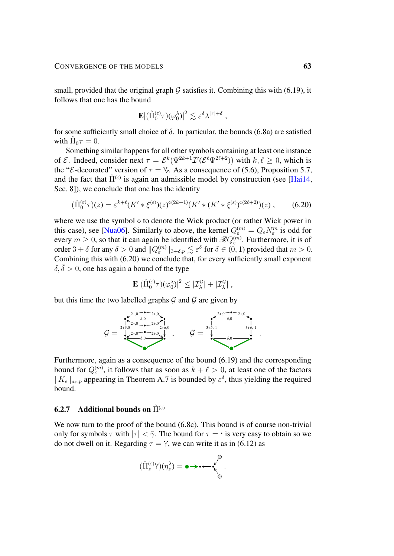small, provided that the original graph  $G$  satisfies it. Combining this with [\(6.19\)](#page-61-0), it follows that one has the bound

<span id="page-62-0"></span>
$$
\mathbf{E} |(\hat{\Pi}_0^{(\varepsilon)} \tau)(\varphi_0^{\lambda})|^2 \lesssim \varepsilon^{\delta} \lambda^{|\tau|+\delta} ,
$$

for some sufficiently small choice of  $\delta$ . In particular, the bounds [\(6.8a\)](#page-54-0) are satisfied with  $\hat{\Pi}_0 \tau = 0$ .

Something similar happens for all other symbols containing at least one instance of  $\mathcal E$ . Indeed, consider next  $\tau = \mathcal E^k(\Psi^{2k+1}\mathcal I'(\mathcal E^\ell\Psi^{2\ell+2}))$  with  $k,\ell \geq 0$ , which is the "*E*-decorated" version of  $\tau = \vee$ . As a consequence of [\(5.6\)](#page-45-3), Proposition [5.7,](#page-48-1) and the fact that  $\hat{\Pi}^{(\varepsilon)}$  is again an admissible model by construction (see [\[Hai14,](#page-102-0) Sec. 8]), we conclude that one has the identity

$$
(\hat{\Pi}_0^{(\varepsilon)}\tau)(z) = \varepsilon^{k+\ell} (K' * \xi^{(\varepsilon)})(z)^{\diamond (2k+1)} (K' * (K' * \xi^{(\varepsilon)})^{\diamond (2\ell+2)})(z) ,\qquad(6.20)
$$

where we use the symbol  $\diamond$  to denote the Wick product (or rather Wick power in this case), see [\[Nua06\]](#page-103-2). Similarly to above, the kernel  $Q_{\varepsilon}^{(m)} = Q_{\varepsilon} N_{\varepsilon}^{m}$  is odd for every  $m \geq 0$ , so that it can again be identified with  $\mathscr{R} Q_{\varepsilon}^{(m)}$ . Furthermore, it is of order  $3 + \delta$  for any  $\delta > 0$  and  $||Q_{\varepsilon}^{(m)}||_{3+\delta,p} \lesssim \varepsilon^{\delta}$  for  $\delta \in (0,1)$  provided that  $m > 0$ . Combining this with [\(6.20\)](#page-62-0) we conclude that, for every sufficiently small exponent  $\delta, \overline{\delta} > 0$ , one has again a bound of the type

$$
\mathbf{E}\vert (\hat\Pi_0^{(\varepsilon)}\tau)(\varphi_0^\lambda)\vert^2\leq \vert \mathcal{I}^{\mathcal{G}}_\lambda\vert + \vert \mathcal{I}^{\bar{\mathcal{G}}}_\lambda\vert\;,
$$

but this time the two labelled graphs  $\mathcal G$  and  $\bar{\mathcal G}$  are given by



Furthermore, again as a consequence of the bound [\(6.19\)](#page-61-0) and the corresponding bound for  $Q_{\varepsilon}^{(m)}$ , it follows that as soon as  $k + \ell > 0$ , at least one of the factors  $||K_e||_{a_e;p}$  appearing in Theorem [A.7](#page-83-0) is bounded by  $\varepsilon^{\delta}$ , thus yielding the required bound.

# **6.2.7** Additional bounds on  $\hat{\Pi}^{(\varepsilon)}$

We now turn to the proof of the bound [\(6.8c\)](#page-54-0). This bound is of course non-trivial only for symbols  $\tau$  with  $|\tau| < \bar{\gamma}$ . The bound for  $\tau = \tau$  is very easy to obtain so we do not dwell on it. Regarding  $\tau = Y$ , we can write it as in [\(6.12\)](#page-56-0) as

(Πˆ (ε) z )(η λ z ) = .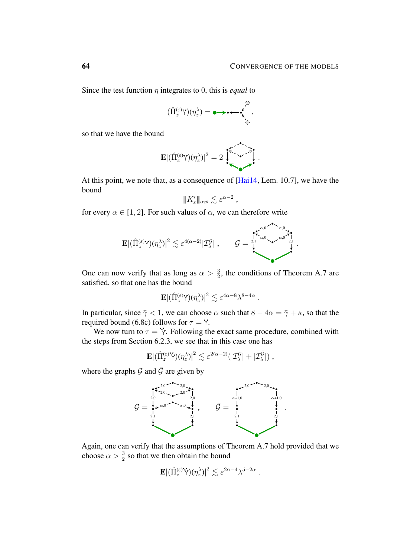.

Since the test function η integrates to 0, this is *equal* to

$$
(\hat{\Pi}_z^{(\varepsilon)} Y)(\eta_z^{\lambda}) = \bullet \rightarrow \bullet \leftarrow \bullet \leftarrow \bullet \atop \searrow \bullet
$$

so that we have the bound

$$
\mathbf{E} |(\hat{\Pi}_z^{(\varepsilon)} Y)(\eta_z^{\lambda})|^2 = 2 \sum_{\lambda} \sum_{\lambda} \sum_{\lambda} \hat{f}_{\lambda}^{\lambda}.
$$

At this point, we note that, as a consequence of [\[Hai14,](#page-102-0) Lem. 10.7], we have the bound

$$
|\!|\!| K_\varepsilon' |\!|\!|_{\alpha;p}\lesssim \varepsilon^{\alpha-2}
$$

,

.

 $\bullet$ 

for every  $\alpha \in [1, 2]$ . For such values of  $\alpha$ , we can therefore write

$$
\mathbf{E}|(\hat{\Pi}_z^{(\varepsilon)}\mathsf{Y})(\eta_z^{\lambda})|^2 \lesssim \varepsilon^{4(\alpha-2)}|\mathcal{I}_{\lambda}^{\mathcal{G}}| \;,\qquad \mathcal{G}=\bigcup_{\substack{2,1\\ \downarrow}}^{\mathbf{K}_{\alpha,0}}\sum_{\substack{\alpha,0\\ \downarrow\\ \downarrow}}^{\alpha,0}\sum_{\substack{2,1\\ \downarrow\\ \downarrow}}^{\alpha,0}
$$

One can now verify that as long as  $\alpha > \frac{3}{2}$ , the conditions of Theorem [A.7](#page-83-0) are satisfied, so that one has the bound

$$
\mathbf{E} |(\hat{\Pi}_z^{(\varepsilon)}\mathbf{Y})(\eta_z^{\lambda})|^2 \lesssim \varepsilon^{4\alpha -8}\lambda^{8-4\alpha}
$$

In particular, since  $\bar{\gamma}$  < 1, we can choose  $\alpha$  such that  $8 - 4\alpha = \bar{\gamma} + \kappa$ , so that the required bound [\(6.8c\)](#page-54-0) follows for  $\tau = Y$ .

We now turn to  $\tau = Y$ . Following the exact same procedure, combined with the steps from Section [6.2.3,](#page-59-1) we see that in this case one has

$$
\mathbf{E}\vert(\hat{\Pi}_{z}^{(\varepsilon)}\mathbf{\hat{Y}})(\eta_{z}^{\lambda})\vert^{2}\lesssim \varepsilon^{2(\alpha-2)}(\vert\mathcal{I}_{\lambda}^{\mathcal{G}}\vert+\vert\mathcal{I}_{\lambda}^{\bar{\mathcal{G}}}\vert)\;,
$$

where the graphs  $\mathcal G$  and  $\bar{\mathcal G}$  are given by



Again, one can verify that the assumptions of Theorem [A.7](#page-83-0) hold provided that we choose  $\alpha > \frac{3}{2}$  so that we then obtain the bound

$$
\mathbf{E} |(\hat{\Pi}_z^{(\varepsilon)} \hat{\Upsilon})(\eta_z^{\lambda})|^2 \lesssim \varepsilon^{2\alpha - 4} \lambda^{5 - 2\alpha} .
$$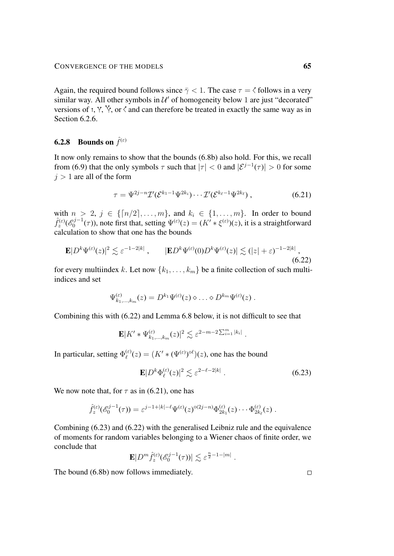Again, the required bound follows since  $\bar{\gamma}$  < 1. The case  $\tau$  =  $\zeta$  follows in a very similar way. All other symbols in  $\mathcal{U}'$  of homogeneity below 1 are just "decorated" versions of t, Y,  $\forall$ , or  $\langle$  and can therefore be treated in exactly the same way as in Section [6.2.6.](#page-61-1)

# **6.2.8** Bounds on  $\hat{f}^{(\varepsilon)}$

It now only remains to show that the bounds [\(6.8b\)](#page-54-0) also hold. For this, we recall from [\(6.9\)](#page-55-1) that the only symbols  $\tau$  such that  $|\tau| < 0$  and  $|\mathcal{E}^{j-1}(\tau)| > 0$  for some  $j > 1$  are all of the form

<span id="page-64-1"></span>
$$
\tau = \Psi^{2j-n} \mathcal{I}'(\mathcal{E}^{k_1-1} \Psi^{2k_i}) \cdots \mathcal{I}'(\mathcal{E}^{k_\ell-1} \Psi^{2k_\ell}), \qquad (6.21)
$$

with  $n > 2$ ,  $j \in \{[n/2], \ldots, m\}$ , and  $k_i \in \{1, \ldots, m\}$ . In order to bound  $\hat{f}_z^{(\varepsilon)}(\mathscr{E}_0^{j-1}$  $\mathbb{Q}_0^{(p-1)}(\tau)$ ), note first that, setting  $\Psi^{(\varepsilon)}(z) = (K' * \xi^{(\varepsilon)})(z)$ , it is a straightforward calculation to show that one has the bounds

$$
\mathbf{E}|D^k\Psi^{(\varepsilon)}(z)|^2 \lesssim \varepsilon^{-1-2|k|} \,, \qquad |\mathbf{E}D^k\Psi^{(\varepsilon)}(0)D^k\Psi^{(\varepsilon)}(z)| \lesssim (|z| + \varepsilon)^{-1-2|k|} \,, \tag{6.22}
$$

for every multiindex k. Let now  $\{k_1, \ldots, k_m\}$  be a finite collection of such multiindices and set

<span id="page-64-0"></span>
$$
\Psi_{k_1,\ldots,k_m}^{(\varepsilon)}(z) = D^{k_1} \Psi^{(\varepsilon)}(z) \diamond \ldots \diamond D^{k_m} \Psi^{(\varepsilon)}(z) .
$$

Combining this with [\(6.22\)](#page-64-0) and Lemma [6.8](#page-66-0) below, it is not difficult to see that

$$
\mathbf{E}|K' * \Psi_{k_1,\dots,k_m}^{(\varepsilon)}(z)|^2 \lesssim \varepsilon^{2-m-2\sum_{i=1}^m |k_i|}.
$$

In particular, setting  $\Phi_{\ell}^{(\varepsilon)}$  $\mathcal{L}^{(\varepsilon)}(z) = (K' * (\Psi^{(\varepsilon)})^{\diamond \ell})(z)$ , one has the bound

$$
\mathbf{E}|D^k \Phi_\ell^{(\varepsilon)}(z)|^2 \lesssim \varepsilon^{2-\ell-2|k|} \ . \tag{6.23}
$$

We now note that, for  $\tau$  as in [\(6.21\)](#page-64-1), one has

$$
\hat{f}_z^{(\varepsilon)}(\mathscr{E}_0^{j-1}(\tau)) = \varepsilon^{j-1+|k|-\ell} \Psi^{(\varepsilon)}(z)^{\diamond(2j-n)} \Phi_{2k_1}^{(\varepsilon)}(z) \cdots \Phi_{2k_\ell}^{(\varepsilon)}(z) .
$$

Combining [\(6.23\)](#page-64-2) and [\(6.22\)](#page-64-0) with the generalised Leibniz rule and the equivalence of moments for random variables belonging to a Wiener chaos of finite order, we conclude that

$$
\mathbf{E}|D^m\hat{f}_z^{(\varepsilon)}(\mathscr{E}_0^{j-1}(\tau))| \lesssim \varepsilon^{\frac{n}{2}-1-|m|}.
$$

The bound [\(6.8b\)](#page-54-0) now follows immediately.

<span id="page-64-2"></span> $\Box$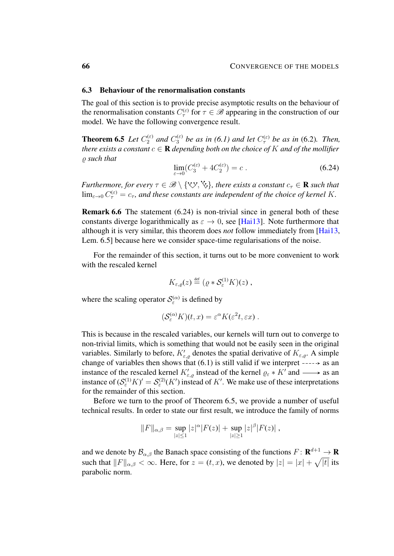## <span id="page-65-1"></span>6.3 Behaviour of the renormalisation constants

The goal of this section is to provide precise asymptotic results on the behaviour of the renormalisation constants  $C_{\tau}^{(\varepsilon)}$  for  $\tau \in \mathscr{B}$  appearing in the construction of our model. We have the following convergence result.

<span id="page-65-0"></span>**Theorem 6.5** Let  $C_2^{(\varepsilon)}$  and  $C_3^{(\varepsilon)}$  be as in [\(6.1\)](#page-51-1) and let  $C_\tau^{(\varepsilon)}$  be as in [\(6.2\)](#page-52-0). Then, *there exists a constant*  $c \in \mathbf{R}$  *depending both on the choice of* K *and of the mollifier*  $\rho$  such that

<span id="page-65-2"></span>
$$
\lim_{\varepsilon \to 0} (C_3^{(\varepsilon)} + 4C_2^{(\varepsilon)}) = c \ . \tag{6.24}
$$

*Furthermore, for every*  $\tau \in \mathcal{B} \setminus \{ \forall y, \forall y \}$ , there exists a constant  $c_{\tau} \in \mathbf{R}$  such that  $\lim_{\varepsilon\to 0}C_{\tau}^{(\varepsilon)}=c_{\tau}$ , and these constants are independent of the choice of kernel K.

Remark 6.6 The statement [\(6.24\)](#page-65-2) is non-trivial since in general both of these constants diverge logarithmically as  $\varepsilon \to 0$ , see [\[Hai13\]](#page-102-1). Note furthermore that although it is very similar, this theorem does *not* follow immediately from [\[Hai13,](#page-102-1) Lem. 6.5] because here we consider space-time regularisations of the noise.

For the remainder of this section, it turns out to be more convenient to work with the rescaled kernel

$$
K_{\varepsilon,\varrho}(z) \stackrel{\text{def}}{=} (\varrho * \mathcal{S}^{(1)}_{\varepsilon} K)(z) ,
$$

where the scaling operator  $S_{\varepsilon}^{(\alpha)}$  is defined by

$$
(\mathcal{S}_{\varepsilon}^{(\alpha)} K)(t, x) = \varepsilon^{\alpha} K(\varepsilon^2 t, \varepsilon x) .
$$

This is because in the rescaled variables, our kernels will turn out to converge to non-trivial limits, which is something that would not be easily seen in the original variables. Similarly to before,  $K'_{\varepsilon,\varrho}$  denotes the spatial derivative of  $K_{\varepsilon,\varrho}$ . A simple change of variables then shows that  $(6.1)$  is still valid if we interpret  $---\rightarrow$  as an instance of the rescaled kernel  $K'_{\varepsilon,\varrho}$  instead of the kernel  $\varrho_{\varepsilon} * K'$  and  $\longrightarrow$  as an instance of  $(S_{\varepsilon}^{(1)}K)' = S_{\varepsilon}^{(2)}(K')$  instead of K'. We make use of these interpretations for the remainder of this section.

Before we turn to the proof of Theorem [6.5,](#page-65-0) we provide a number of useful technical results. In order to state our first result, we introduce the family of norms

$$
||F||_{\alpha,\beta} = \sup_{|z| \le 1} |z|^{\alpha} |F(z)| + \sup_{|z| \ge 1} |z|^{\beta} |F(z)|,
$$

<span id="page-65-3"></span>and we denote by  $\mathcal{B}_{\alpha,\beta}$  the Banach space consisting of the functions  $F: \mathbf{R}^{d+1} \to \mathbf{R}$ such that  $||F||_{\alpha,\beta} < \infty$ . Here, for  $z = (t, x)$ , we denoted by  $|z| = |x| + \sqrt{|t|}$  its parabolic norm.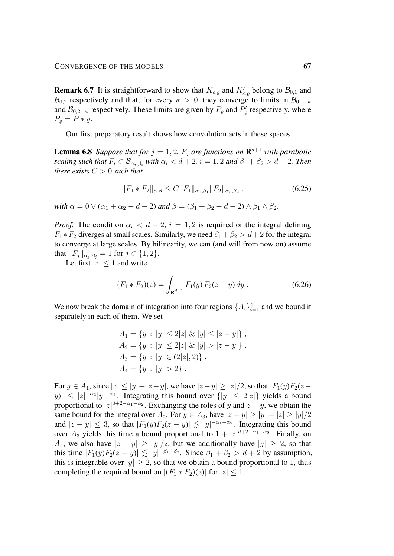**Remark 6.7** It is straightforward to show that  $K_{\varepsilon,\varrho}$  and  $K'_{\varepsilon,\varrho}$  belong to  $\mathcal{B}_{0,1}$  and  $\mathcal{B}_{0,2}$  respectively and that, for every  $\kappa > 0$ , they converge to limits in  $\mathcal{B}_{0,1-\kappa}$ and  $\mathcal{B}_{0,2-\kappa}$  respectively. These limits are given by  $P_{\varrho}$  and  $P'_{\varrho}$  respectively, where  $P_o = P * \varrho.$ 

Our first preparatory result shows how convolution acts in these spaces.

<span id="page-66-0"></span>**Lemma 6.8** Suppose that for  $j = 1, 2$ ,  $F_j$  are functions on  $\mathbf{R}^{d+1}$  with parabolic *scaling such that*  $F_i \in \mathcal{B}_{\alpha_i,\beta_i}$  *with*  $\alpha_i < d+2$ ,  $i = 1, 2$  *and*  $\beta_1 + \beta_2 > d+2$ . *Then there exists*  $C > 0$  *such that* 

$$
||F_1 * F_2||_{\alpha,\beta} \le C||F_1||_{\alpha_1,\beta_1} ||F_2||_{\alpha_2,\beta_2}, \qquad (6.25)
$$

*with*  $\alpha = 0 \vee (\alpha_1 + \alpha_2 - d - 2)$  *and*  $\beta = (\beta_1 + \beta_2 - d - 2) \wedge \beta_1 \wedge \beta_2$ *.* 

*Proof.* The condition  $\alpha_i < d + 2$ ,  $i = 1, 2$  is required or the integral defining  $F_1 * F_2$  diverges at small scales. Similarly, we need  $\beta_1 + \beta_2 > d + 2$  for the integral to converge at large scales. By bilinearity, we can (and will from now on) assume that  $||F_j||_{\alpha_i, \beta_j} = 1$  for  $j \in \{1, 2\}.$ 

Let first  $|z| \leq 1$  and write

<span id="page-66-1"></span>
$$
(F_1 * F_2)(z) = \int_{\mathbf{R}^{d+1}} F_1(y) F_2(z - y) dy . \tag{6.26}
$$

We now break the domain of integration into four regions  $\{A_i\}_{i=1}^4$  and we bound it separately in each of them. We set

$$
A_1 = \{y : |y| \le 2|z| \& |y| \le |z - y|\},
$$
  
\n
$$
A_2 = \{y : |y| \le 2|z| \& |y| > |z - y|\},
$$
  
\n
$$
A_3 = \{y : |y| \in (2|z|, 2)\},
$$
  
\n
$$
A_4 = \{y : |y| > 2\}.
$$

For  $y \in A_1$ , since  $|z| \le |y| + |z - y|$ , we have  $|z - y| \ge |z|/2$ , so that  $|F_1(y)F_2(z - y)|$  $|y| \leq |z|^{-\alpha_2}|y|^{-\alpha_1}$ . Integrating this bound over  $\{|y| \leq 2|z|\}$  yields a bound proportional to  $|z|^{d+2-\alpha_1-\alpha_2}$ . Exchanging the roles of y and  $z-y$ , we obtain the same bound for the integral over  $A_2$ . For  $y \in A_3$ , have  $|z - y| \ge |y| - |z| \ge |y|/2$ and  $|z - y| \leq 3$ , so that  $|F_1(y)F_2(z - y)| \lesssim |y|^{-\alpha_1 - \alpha_2}$ . Integrating this bound over  $A_3$  yields this time a bound proportional to  $1 + |z|^{d+2-\alpha_1-\alpha_2}$ . Finally, on  $A_4$ , we also have  $|z - y| \ge |y|/2$ , but we additionally have  $|y| \ge 2$ , so that this time  $|F_1(y)F_2(z-y)| \lesssim |y|^{-\beta_1-\beta_2}$ . Since  $\beta_1 + \beta_2 > d + 2$  by assumption, this is integrable over  $|y| \geq 2$ , so that we obtain a bound proportional to 1, thus completing the required bound on  $|(F_1 * F_2)(z)|$  for  $|z| \leq 1$ .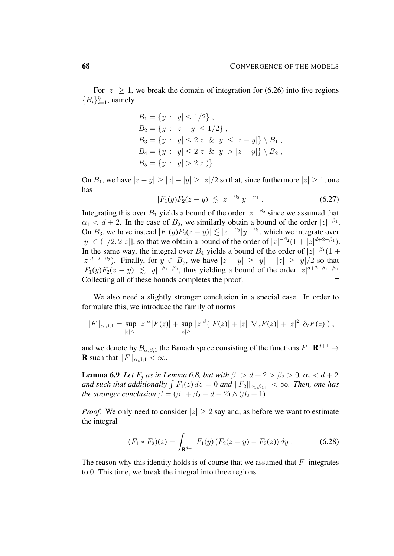For  $|z| \geq 1$ , we break the domain of integration for [\(6.26\)](#page-66-1) into five regions  ${B_i}_{i=1}^5$ , namely

$$
B_1 = \{y : |y| \le 1/2\},
$$
  
\n
$$
B_2 = \{y : |z - y| \le 1/2\},
$$
  
\n
$$
B_3 = \{y : |y| \le 2|z| \& |y| \le |z - y|\} \setminus B_1,
$$
  
\n
$$
B_4 = \{y : |y| \le 2|z| \& |y| > |z - y|\} \setminus B_2,
$$
  
\n
$$
B_5 = \{y : |y| > 2|z|\}.
$$

On  $B_1$ , we have  $|z - y| \ge |z| - |y| \ge |z|/2$  so that, since furthermore  $|z| \ge 1$ , one has

$$
|F_1(y)F_2(z-y)| \lesssim |z|^{-\beta_2}|y|^{-\alpha_1} . \tag{6.27}
$$

Integrating this over  $B_1$  yields a bound of the order  $|z|^{-\beta_2}$  since we assumed that  $\alpha_1 < d+2$ . In the case of  $B_2$ , we similarly obtain a bound of the order  $|z|^{-\beta_1}$ . On  $B_3$ , we have instead  $|F_1(y)F_2(z-y)| \lesssim |z|^{-\beta_2}|y|^{-\beta_1}$ , which we integrate over  $|y| \in (1/2, 2|z|]$ , so that we obtain a bound of the order of  $|z|^{-\beta_2}(1+|z|^{d+2-\beta_1})$ . In the same way, the integral over  $B_4$  yields a bound of the order of  $|z|^{-\beta_1}(1 +$  $|z|^{d+2-\beta_2}$ ). Finally, for  $y \in B_5$ , we have  $|z-y| \ge |y| - |z| \ge |y|/2$  so that  $|F_1(y)F_2(z-y)| \lesssim |y|^{-\beta_1-\beta_2}$ , thus yielding a bound of the order  $|z|^{d+2-\beta_1-\beta_2}$ . Collecting all of these bounds completes the proof.  $\Box$ 

We also need a slightly stronger conclusion in a special case. In order to formulate this, we introduce the family of norms

$$
||F||_{\alpha,\beta;1} = \sup_{|z| \leq 1} |z|^{\alpha} |F(z)| + \sup_{|z| \geq 1} |z|^{\beta} (|F(z)| + |z| |\nabla_x F(z)| + |z|^2 |\partial_t F(z)|),
$$

and we denote by  $\mathcal{B}_{\alpha,\beta;1}$  the Banach space consisting of the functions  $F: \mathbf{R}^{d+1} \to$ **R** such that  $||F||_{\alpha,\beta;1} < \infty$ .

<span id="page-67-0"></span>**Lemma 6.9** *Let*  $F_j$  *as in Lemma [6.8,](#page-66-0) but with*  $\beta_1 > d + 2 > \beta_2 > 0$ ,  $\alpha_i < d + 2$ , and such that additionally  $\int F_1(z) dz = 0$  and  $||F_2||_{\alpha_1,\beta_1;1} < \infty$ *. Then, one has the stronger conclusion*  $\beta = (\beta_1 + \beta_2 - d - 2) \wedge (\beta_2 + 1)$ *.* 

*Proof.* We only need to consider  $|z| \ge 2$  say and, as before we want to estimate the integral

$$
(F_1 * F_2)(z) = \int_{\mathbf{R}^{d+1}} F_1(y) (F_2(z - y) - F_2(z)) dy.
$$
 (6.28)

The reason why this identity holds is of course that we assumed that  $F_1$  integrates to 0. This time, we break the integral into three regions.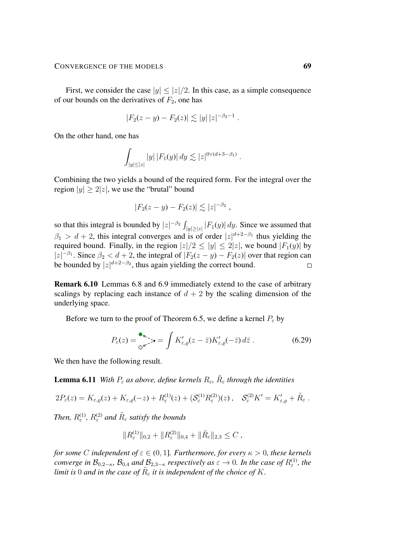First, we consider the case  $|y| \leq |z|/2$ . In this case, as a simple consequence of our bounds on the derivatives of  $F_2$ , one has

$$
|F_2(z - y) - F_2(z)| \lesssim |y| |z|^{-\beta_2 - 1}.
$$

On the other hand, one has

$$
\int_{|y| \leq |z|} |y| |F_1(y)| dy \lesssim |z|^{0 \vee (d+3-\beta_1)}.
$$

Combining the two yields a bound of the required form. For the integral over the region  $|y| \ge 2|z|$ , we use the "brutal" bound

$$
|F_2(z - y) - F_2(z)| \lesssim |z|^{-\beta_2},
$$

so that this integral is bounded by  $|z|^{-\beta_2} \int_{|y| \geq |z|} |F_1(y)| dy$ . Since we assumed that  $\beta_1 > d+2$ , this integral converges and is of order  $|z|^{d+2-\beta_1}$  thus yielding the required bound. Finally, in the region  $|z|/2 \le |y| \le 2|z|$ , we bound  $|F_1(y)|$  by  $|z|^{-\beta_1}$ . Since  $\beta_2 < d+2$ , the integral of  $|F_2(z-y) - F_2(z)|$  over that region can be bounded by  $|z|^{d+2-\beta_2}$ , thus again yielding the correct bound.  $\Box$ 

Remark 6.10 Lemmas [6.8](#page-66-0) and [6.9](#page-67-0) immediately extend to the case of arbitrary scalings by replacing each instance of  $d + 2$  by the scaling dimension of the underlying space.

Before we turn to the proof of Theorem [6.5,](#page-65-0) we define a kernel  $P_{\varepsilon}$  by

$$
P_{\varepsilon}(z) = \int_{0}^{\bullet} \sum_{\varepsilon} \sum_{\varepsilon} \int K'_{\varepsilon,\varrho}(z - \bar{z}) K'_{\varepsilon,\varrho}(-\bar{z}) d\bar{z} . \tag{6.29}
$$

<span id="page-68-0"></span>We then have the following result.

**Lemma 6.11** With  $P_{\varepsilon}$  as above, define kernels  $R_{\varepsilon}$ ,  $\tilde{R}_{\varepsilon}$  through the identities

$$
2P_{\varepsilon}(z) = K_{\varepsilon,\varrho}(z) + K_{\varepsilon,\varrho}(-z) + R_{\varepsilon}^{(1)}(z) + (\mathcal{S}_{\varepsilon}^{(1)} R_{\varepsilon}^{(2)})(z) , \quad \mathcal{S}_{\varepsilon}^{(2)} K' = K'_{\varepsilon,\varrho} + \tilde{R}_{\varepsilon} .
$$

*Then,*  $R_{\varepsilon}^{(1)}$ ,  $R_{\varepsilon}^{(2)}$  and  $\tilde{R}_{\varepsilon}$  satisfy the bounds

$$
||R_{\varepsilon}^{(1)}||_{0,2} + ||R_{\varepsilon}^{(2)}||_{0,4} + ||\tilde{R}_{\varepsilon}||_{2,3} \leq C,
$$

*for some C independent of*  $\varepsilon \in (0,1]$ *. Furthermore, for every*  $\kappa > 0$ *, these kernels converge in*  $\mathcal{B}_{0,2-\kappa}$ ,  $\mathcal{B}_{0,4}$  *and*  $\mathcal{B}_{2,3-\kappa}$  *respectively as*  $\varepsilon \to 0$ . In the case of  $R^{(1)}_{\varepsilon}$ , the *limit is* 0 *and in the case of*  $\tilde{R}_{\varepsilon}$  *it is independent of the choice of*  $K$ .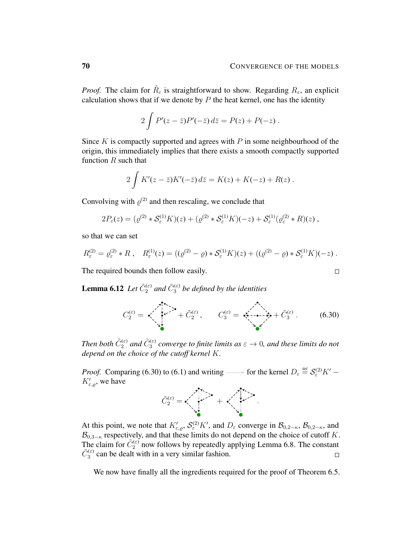*Proof.* The claim for  $\tilde{R}_{\varepsilon}$  is straightforward to show. Regarding  $R_{\varepsilon}$ , an explicit calculation shows that if we denote by  $P$  the heat kernel, one has the identity

$$
2\int P'(z-\bar{z})P'(-\bar{z})\,d\bar{z}=P(z)+P(-z)\,.
$$

Since K is compactly supported and agrees with  $P$  in some neighbourhood of the origin, this immediately implies that there exists a smooth compactly supported function  $R$  such that

$$
2\int K'(z-\bar{z})K'(-\bar{z})\,d\bar{z}=K(z)+K(-z)+R(z)\,.
$$

Convolving with  $\varrho^{(2)}$  and then rescaling, we conclude that

$$
2P_{\varepsilon}(z) = (\varrho^{(2)} * S_{\varepsilon}^{(1)} K)(z) + (\varrho^{(2)} * S_{\varepsilon}^{(1)} K)(-z) + S_{\varepsilon}^{(1)}(\varrho_{\varepsilon}^{(2)} * R)(z) ,
$$

so that we can set

$$
R_{\varepsilon}^{(2)} = \varrho_{\varepsilon}^{(2)} * R \ , \quad R_{\varepsilon}^{(1)}(z) = ((\varrho^{(2)} - \varrho) * \mathcal{S}_{\varepsilon}^{(1)} K)(z) + ((\varrho^{(2)} - \varrho) * \mathcal{S}_{\varepsilon}^{(1)} K)(-z) \ .
$$

The required bounds then follow easily.

<span id="page-69-1"></span>**Lemma 6.12** Let  $\tilde{C}_2^{(\varepsilon)}$  and  $\tilde{C}_3^{(\varepsilon)}$  be defined by the identities

$$
C_2^{(\varepsilon)} = \sqrt{\left(\frac{1}{2}\right)^{1/2}} + \tilde{C}_2^{(\varepsilon)}, \qquad C_3^{(\varepsilon)} = \sqrt{\left(\frac{1}{2}\right)^{1/2}} + \tilde{C}_3^{(\varepsilon)}.
$$
 (6.30)

Then both  $\tilde{C}_2^{(\varepsilon)}$  and  $\tilde{C}_3^{(\varepsilon)}$  converge to finite limits as  $\varepsilon \to 0$ , and these limits do not *depend on the choice of the cutoff kernel* K*.*

*Proof.* Comparing [\(6.30\)](#page-69-0) to [\(6.1\)](#page-51-1) and writing  $\longrightarrow$  for the kernel  $D_{\varepsilon} \stackrel{\text{def}}{=} S_{\varepsilon}^{(2)} K'$  $K'_{\varepsilon,\varrho}$ , we have

$$
\tilde{C}_{2}^{(\varepsilon)} = \sqrt{\frac{1}{2} \sum_{i=1}^{N-1} (1-\varepsilon_i)^{2}} + \sqrt{\frac{1}{2} \sum_{i=1}^{N-1} (1-\varepsilon_i)^{2}}.
$$

At this point, we note that  $K'_{\varepsilon,\varrho}, \mathcal{S}^{(2)}_{\varepsilon} K'$ , and  $D_{\varepsilon}$  converge in  $\mathcal{B}_{0,2-\kappa}, \mathcal{B}_{0,2-\kappa}$ , and  $\mathcal{B}_{0,3-\kappa}$  respectively, and that these limits do not depend on the choice of cutoff K. The claim for  $\tilde{C}_2^{(\varepsilon)}$  now follows by repeatedly applying Lemma [6.8.](#page-66-0) The constant  $\tilde{C}_3^{(\varepsilon)}$  can be dealt with in a very similar fashion.  $\Box$ 

We now have finally all the ingredients required for the proof of Theorem [6.5.](#page-65-0)

<span id="page-69-0"></span>
$$
\Box
$$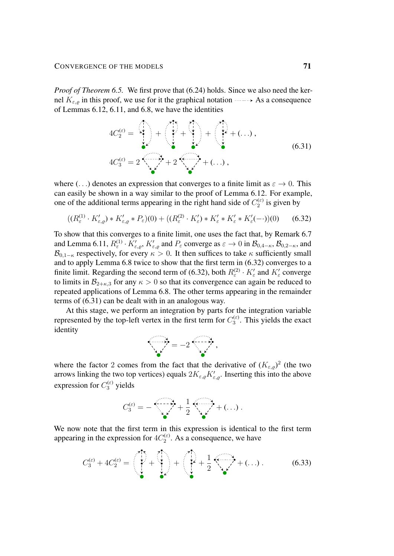*Proof of Theorem [6.5.](#page-65-0)* We first prove that [\(6.24\)](#page-65-2) holds. Since we also need the kernel  $K_{\varepsilon,o}$  in this proof, we use for it the graphical notation  $\cdots$  As a consequence of Lemmas [6.12,](#page-69-1) [6.11,](#page-68-0) and [6.8,](#page-66-0) we have the identities

<span id="page-70-1"></span>
$$
4C_2^{(\varepsilon)} = 2 \sqrt{\frac{1}{\varepsilon}} + 2 \sqrt{\frac{1}{\varepsilon}} + (\dots),
$$
\n
$$
4C_3^{(\varepsilon)} = 2 \sqrt{\frac{1}{\varepsilon}} + 2 \sqrt{\frac{1}{\varepsilon}} + (\dots),
$$
\n(6.31)

where (...) denotes an expression that converges to a finite limit as  $\varepsilon \to 0$ . This can easily be shown in a way similar to the proof of Lemma [6.12.](#page-69-1) For example, one of the additional terms appearing in the right hand side of  $C_2^{(\varepsilon)}$  $2^{(\epsilon)}$  is given by

$$
((R^{(1)}_{\varepsilon} \cdot K'_{\varepsilon,\varrho}) * K'_{\varepsilon,\varrho} * P_{\varepsilon})(0) + ((R^{(2)}_{\varepsilon} \cdot K'_{\varepsilon}) * K'_{\varepsilon} * K'_{\varepsilon} * K'_{\varepsilon}(-\cdot))(0)
$$
 (6.32)

To show that this converges to a finite limit, one uses the fact that, by Remark [6.7](#page-65-3) and Lemma [6.11,](#page-68-0)  $R_{\varepsilon}^{(1)} \cdot K_{\varepsilon,\varrho}^{\prime}$ ,  $K_{\varepsilon,\varrho}^{\prime}$  and  $P_{\varepsilon}$  converge as  $\varepsilon \to 0$  in  $\mathcal{B}_{0,4-\kappa}$ ,  $\mathcal{B}_{0,2-\kappa}$ , and  $\mathcal{B}_{0,1-\kappa}$  respectively, for every  $\kappa > 0$ . It then suffices to take  $\kappa$  sufficiently small and to apply Lemma [6.8](#page-66-0) twice to show that the first term in [\(6.32\)](#page-70-0) converges to a finite limit. Regarding the second term of [\(6.32\)](#page-70-0), both  $R_{\varepsilon}^{(2)} \cdot K_{\varepsilon}'$  and  $K_{\varepsilon}'$  converge to limits in  $\mathcal{B}_{2+\kappa,3}$  for any  $\kappa > 0$  so that its convergence can again be reduced to repeated applications of Lemma [6.8.](#page-66-0) The other terms appearing in the remainder terms of [\(6.31\)](#page-70-1) can be dealt with in an analogous way.

At this stage, we perform an integration by parts for the integration variable represented by the top-left vertex in the first term for  $C_3^{(\varepsilon)}$  $\frac{d(\epsilon)}{3}$ . This yields the exact identity

<span id="page-70-0"></span>

where the factor 2 comes from the fact that the derivative of  $(K_{\varepsilon,\rho})^2$  (the two arrows linking the two top vertices) equals  $2K_{\varepsilon,\varrho}K'_{\varepsilon,\varrho}$ . Inserting this into the above expression for  $C_3^{(\varepsilon)}$  yields

<span id="page-70-2"></span>
$$
C_3^{(\varepsilon)} = -\frac{1}{2} \left( \frac{1}{2} \frac{1}{2} \left( \frac{1}{2} \frac{1}{2} \left( \frac{1}{2} \right) \right) + \left( \frac{1}{2} \right) \right).
$$

We now note that the first term in this expression is identical to the first term appearing in the expression for  $4C_2^{(\varepsilon)}$  $2^{(ε)}$ . As a consequence, we have

$$
C_3^{(\varepsilon)} + 4C_2^{(\varepsilon)} = \left(\begin{array}{c} \cdot \\ \cdot \\ \cdot \\ \cdot \end{array}\right) + \left(\begin{array}{c} \cdot \\ \cdot \\ \cdot \\ \cdot \end{array}\right) + \frac{1}{2} \left(\begin{array}{c} \cdot \\ \cdot \\ \cdot \\ \cdot \end{array}\right) + (\ldots) \qquad (6.33)
$$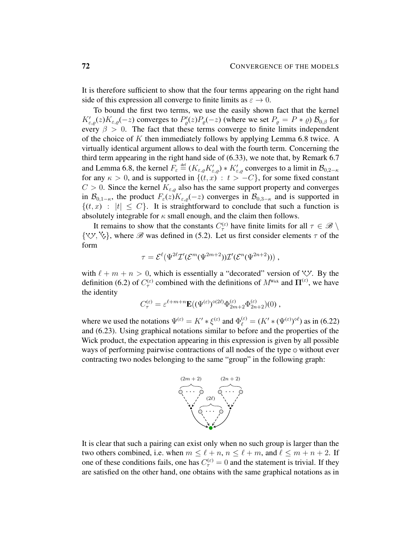It is therefore sufficient to show that the four terms appearing on the right hand side of this expression all converge to finite limits as  $\varepsilon \to 0$ .

To bound the first two terms, we use the easily shown fact that the kernel  $K'_{\varepsilon,\varrho}(z)K_{\varepsilon,\varrho}(-z)$  converges to  $P'_\varrho(z)P_\varrho(-z)$  (where we set  $P_\varrho=P*\varrho$ )  $\mathcal{B}_{0,\varrho}$  for every  $\beta > 0$ . The fact that these terms converge to finite limits independent of the choice of K then immediately follows by applying Lemma [6.8](#page-66-0) twice. A virtually identical argument allows to deal with the fourth term. Concerning the third term appearing in the right hand side of [\(6.33\)](#page-70-2), we note that, by Remark [6.7](#page-65-3) and Lemma [6.8,](#page-66-0) the kernel  $F_{\varepsilon} \stackrel{\text{def}}{=} (K_{\varepsilon,\varrho} K'_{\varepsilon,\varrho}) * K'_{\varepsilon,\varrho}$  converges to a limit in  $\mathcal{B}_{0,2-\kappa}$ for any  $\kappa > 0$ , and is supported in  $\{(t, x) : t > -C\}$ , for some fixed constant  $C > 0$ . Since the kernel  $K_{\varepsilon,o}$  also has the same support property and converges in  $\mathcal{B}_{0,1-\kappa}$ , the product  $F_{\varepsilon}(z)K_{\varepsilon,\rho}(-z)$  converges in  $\mathcal{B}_{0,3-\kappa}$  and is supported in  $\{(t, x) : |t| < C\}$ . It is straightforward to conclude that such a function is absolutely integrable for  $\kappa$  small enough, and the claim then follows.

It remains to show that the constants  $C_{\tau}^{(\varepsilon)}$  have finite limits for all  $\tau \in \mathscr{B} \setminus \mathscr{B}$  $\{ \forall y, \forall \}$ , where  $\mathscr{B}$  was defined in [\(5.2\)](#page-44-5). Let us first consider elements  $\tau$  of the form

$$
\tau = \mathcal{E}^{\ell}(\Psi^{2\ell} \mathcal{I}'(\mathcal{E}^m(\Psi^{2m+2})) \mathcal{I}'(\mathcal{E}^n(\Psi^{2n+2})))
$$

with  $\ell + m + n > 0$ , which is essentially a "decorated" version of  $\forall y$ . By the definition [\(6.2\)](#page-52-0) of  $C_{\tau}^{(\varepsilon)}$  combined with the definitions of  $M^{\text{Wick}}$  and  $\Pi^{(\varepsilon)}$ , we have the identity

$$
C_{\tau}^{(\varepsilon)} = \varepsilon^{\ell+m+n} \mathbf{E}((\Psi^{(\varepsilon)})^{\diamond (2\ell)} \Phi_{2m+2}^{(\varepsilon)} \Phi_{2n+2}^{(\varepsilon)}) (0) ,
$$

where we used the notations  $\Psi^{(\varepsilon)} = K' * \xi^{(\varepsilon)}$  and  $\Phi_{\ell}^{(\varepsilon)} = (K' * (\Psi^{(\varepsilon)})^{\circ \ell})$  as in [\(6.22\)](#page-64-0) and [\(6.23\)](#page-64-2). Using graphical notations similar to before and the properties of the Wick product, the expectation appearing in this expression is given by all possible ways of performing pairwise contractions of all nodes of the type  $\circ$  without ever contracting two nodes belonging to the same "group" in the following graph:



It is clear that such a pairing can exist only when no such group is larger than the two others combined, i.e. when  $m \leq \ell + n, n \leq \ell + m$ , and  $\ell \leq m + n + 2$ . If one of these conditions fails, one has  $C_{\tau}^{(\varepsilon)} = 0$  and the statement is trivial. If they are satisfied on the other hand, one obtains with the same graphical notations as in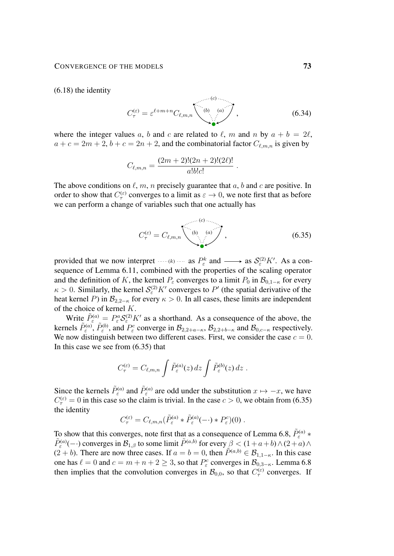[\(6.18\)](#page-61-0) the identity

$$
C_{\tau}^{(\varepsilon)} = \varepsilon^{\ell+m+n} C_{\ell,m,n} \qquad \qquad (b) \qquad (a) \qquad (6.34)
$$

where the integer values a, b and c are related to  $\ell$ , m and n by  $a + b = 2\ell$ ,  $a + c = 2m + 2$ ,  $b + c = 2n + 2$ , and the combinatorial factor  $C_{\ell,m,n}$  is given by

$$
C_{\ell,m,n} = \frac{(2m+2)!(2n+2)!(2\ell)!}{a!b!c!}.
$$

The above conditions on  $\ell$ , m, n precisely guarantee that a, b and c are positive. In order to show that  $C_{\tau}^{(\varepsilon)}$  converges to a limit as  $\varepsilon \to 0$ , we note first that as before we can perform a change of variables such that one actually has

<span id="page-72-0"></span>
$$
C_{\tau}^{(\varepsilon)} = C_{\ell,m,n} \qquad \qquad (6.35)
$$

provided that we now interpret  $\cdots (k)$  as  $P_{\varepsilon}^k$  and  $\longrightarrow$  as  $S_{\varepsilon}^{(2)}K'$ . As a consequence of Lemma [6.11,](#page-68-0) combined with the properties of the scaling operator and the definition of K, the kernel  $P_{\varepsilon}$  converges to a limit  $P_0$  in  $\mathcal{B}_{0,1-\kappa}$  for every  $\kappa > 0$ . Similarly, the kernel  $S_{\varepsilon}^{(2)} K'$  converges to P' (the spatial derivative of the heat kernel P) in  $\mathcal{B}_{2,2-\kappa}$  for every  $\kappa > 0$ . In all cases, these limits are independent of the choice of kernel K.

Write  $\tilde{P}_{\varepsilon}^{(a)} = P_{\varepsilon}^{a} S_{\varepsilon}^{(2)} K'$  as a shorthand. As a consequence of the above, the kernels  $\tilde{P}_{\varepsilon}^{(a)}$ ,  $\tilde{P}_{\varepsilon}^{(b)}$ , and  $P_{\varepsilon}^{c}$  converge in  $\mathcal{B}_{2,2+a-\kappa}$ ,  $\mathcal{B}_{2,2+b-\kappa}$  and  $\mathcal{B}_{0,c-\kappa}$  respectively. We now distinguish between two different cases. First, we consider the case  $c = 0$ . In this case we see from [\(6.35\)](#page-72-0) that

$$
C_{\tau}^{(\varepsilon)} = C_{\ell,m,n} \int \tilde{P}_{\varepsilon}^{(a)}(z) dz \int \tilde{P}_{\varepsilon}^{(b)}(z) dz .
$$

Since the kernels  $\tilde{P}^{(a)}_{\varepsilon}$  and  $\tilde{P}^{(a)}_{\varepsilon}$  are odd under the substitution  $x \mapsto -x$ , we have  $C_{\tau}^{(\varepsilon)} = 0$  in this case so the claim is trivial. In the case  $c > 0$ , we obtain from [\(6.35\)](#page-72-0) the identity

$$
C_{\tau}^{(\varepsilon)} = C_{\ell,m,n}(\tilde{P}_{\varepsilon}^{(a)} * \tilde{P}_{\varepsilon}^{(a)}(-\cdot) * P_{\varepsilon}^{c})(0).
$$

To show that this converges, note first that as a consequence of Lemma [6.8,](#page-66-0)  $\tilde{P}_{\varepsilon}^{(a)}$  \*  $\tilde{P}_{\varepsilon}^{(a)}(-)$  converges in  $\mathcal{B}_{1,\beta}$  to some limit  $\tilde{P}^{(a,b)}$  for every  $\beta < (1+a+b) \wedge (2+a) \wedge$  $(2 + b)$ . There are now three cases. If  $a = b = 0$ , then  $\tilde{P}^{(a,b)} \in \mathcal{B}_{1,1-\kappa}$ . In this case one has  $\ell = 0$  and  $c = m + n + 2 \ge 3$ , so that  $P_{\varepsilon}^c$  converges in  $\mathcal{B}_{0,3-\kappa}$ . Lemma [6.8](#page-66-0) then implies that the convolution converges in  $\mathcal{B}_{0,0}$ , so that  $C_{\tau}^{(\varepsilon)}$  converges. If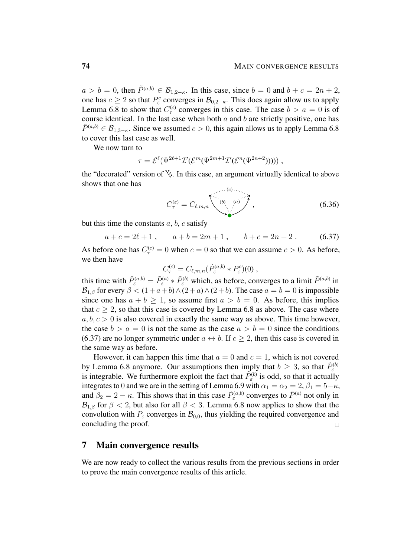$a > b = 0$ , then  $\tilde{P}^{(a,b)} \in \mathcal{B}_{1,2-\kappa}$ . In this case, since  $b = 0$  and  $b + c = 2n + 2$ , one has  $c \geq 2$  so that  $P^c_{\varepsilon}$  converges in  $\mathcal{B}_{0,2-\kappa}$ . This does again allow us to apply Lemma [6.8](#page-66-0) to show that  $C_{\tau}^{(\varepsilon)}$  converges in this case. The case  $b > a = 0$  is of course identical. In the last case when both  $a$  and  $b$  are strictly positive, one has  $\tilde{P}^{(a,b)} \in \mathcal{B}_{1,3-\kappa}$ . Since we assumed  $c > 0$ , this again allows us to apply Lemma [6.8](#page-66-0) to cover this last case as well.

We now turn to

$$
\tau = \mathcal{E}^{\ell}(\Psi^{2\ell+1}\mathcal{I}'(\mathcal{E}^m(\Psi^{2m+1}\mathcal{I}'(\mathcal{E}^n(\Psi^{2n+2}))))),
$$

the "decorated" version of  $\&$ . In this case, an argument virtually identical to above shows that one has  $\ldots$  (c)  $\ldots$ 

<span id="page-73-0"></span>
$$
C_{\tau}^{(\varepsilon)} = C_{\ell,m,n} \qquad \qquad (6.36)
$$

but this time the constants  $a, b, c$  satisfy

$$
a + c = 2\ell + 1, \qquad a + b = 2m + 1, \qquad b + c = 2n + 2. \tag{6.37}
$$

As before one has  $C_{\tau}^{(\varepsilon)} = 0$  when  $c = 0$  so that we can assume  $c > 0$ . As before, we then have

$$
C_{\tau}^{(\varepsilon)} = C_{\ell,m,n}(\tilde{P}_{\varepsilon}^{(a,b)} * P_{\varepsilon}^{c})(0) ,
$$

this time with  $\tilde{P}_{\varepsilon}^{(a,b)} = \tilde{P}_{\varepsilon}^{(a)} * \tilde{P}_{\varepsilon}^{(b)}$  which, as before, converges to a limit  $\tilde{P}^{(a,b)}$  in  $\mathcal{B}_{1,\beta}$  for every  $\beta < (1 + a + b) \wedge (2 + a) \wedge (2 + b)$ . The case  $a = b = 0$  is impossible since one has  $a + b > 1$ , so assume first  $a > b = 0$ . As before, this implies that  $c > 2$ , so that this case is covered by Lemma [6.8](#page-66-0) as above. The case where  $a, b, c > 0$  is also covered in exactly the same way as above. This time however, the case  $b > a = 0$  is not the same as the case  $a > b = 0$  since the conditions [\(6.37\)](#page-73-0) are no longer symmetric under  $a \leftrightarrow b$ . If  $c > 2$ , then this case is covered in the same way as before.

However, it can happen this time that  $a = 0$  and  $c = 1$ , which is not covered by Lemma [6.8](#page-66-0) anymore. Our assumptions then imply that  $b \geq 3$ , so that  $\tilde{P}_{\varepsilon}^{(b)}$ is integrable. We furthermore exploit the fact that  $\tilde{P}_{\varepsilon}^{(b)}$  is odd, so that it actually integrates to 0 and we are in the setting of Lemma [6.9](#page-67-0) with  $\alpha_1 = \alpha_2 = 2$ ,  $\beta_1 = 5-\kappa$ , and  $\beta_2 = 2 - \kappa$ . This shows that in this case  $\tilde{P}_{\varepsilon}^{(a,b)}$  converges to  $\tilde{P}^{(a)}$  not only in  $\mathcal{B}_{1,\beta}$  for  $\beta < 2$ , but also for all  $\beta < 3$ . Lemma [6.8](#page-66-0) now applies to show that the convolution with  $P_{\varepsilon}$  converges in  $\mathcal{B}_{0,0}$ , thus yielding the required convergence and concluding the proof.  $\Box$ 

## 7 Main convergence results

We are now ready to collect the various results from the previous sections in order to prove the main convergence results of this article.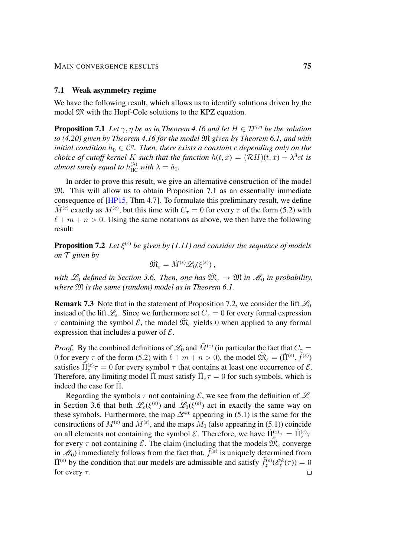#### 7.1 Weak asymmetry regime

We have the following result, which allows us to identify solutions driven by the model  $M$  with the Hopf-Cole solutions to the KPZ equation.

<span id="page-74-0"></span>**Proposition 7.1** *Let*  $\gamma$ ,  $\eta$  *be as in Theorem [4.16](#page-40-0) and let*  $H \in \mathcal{D}^{\gamma, \eta}$  *be the solution to [\(4.20\)](#page-40-1) given by Theorem [4.16](#page-40-0) for the model* M *given by Theorem [6.1,](#page-52-0) and with initial condition*  $h_0 \in \mathcal{C}^{\eta}$ . Then, there exists a constant c depending only on the *choice of cutoff kernel K such that the function*  $h(t, x) = (\mathcal{R}H)(t, x) - \lambda^3 ct$  *is almost surely equal to*  $h_{\text{HC}}^{(\lambda)}$  with  $\lambda = \hat{a}_1$ .

In order to prove this result, we give an alternative construction of the model M. This will allow us to obtain Proposition [7.1](#page-74-0) as an essentially immediate consequence of [\[HP15,](#page-103-0) Thm 4.7]. To formulate this preliminary result, we define  $\tilde{M}^{(\varepsilon)}$  exactly as  $M^{(\varepsilon)}$ , but this time with  $C_{\tau} = 0$  for every  $\tau$  of the form [\(5.2\)](#page-44-0) with  $\ell + m + n > 0$ . Using the same notations as above, we then have the following result:

<span id="page-74-1"></span>**Proposition 7.2** Let  $\xi^{(\varepsilon)}$  be given by [\(1.11\)](#page-6-0) and consider the sequence of models *on* T *given by*

$$
\tilde{\mathfrak{M}}_{\varepsilon} = \tilde{M}^{(\varepsilon)} \mathscr{L}_0(\xi^{(\varepsilon)}) \, ,
$$

with  $\mathscr{L}_0$  defined in Section [3.6.](#page-25-0) Then, one has  $\tilde{\mathfrak{M}}_{\varepsilon} \to \mathfrak{M}$  in  $\mathscr{M}_0$  in probability, *where* M *is the same (random) model as in Theorem [6.1.](#page-52-0)*

**Remark 7.3** Note that in the statement of Proposition [7.2,](#page-74-1) we consider the lift  $\mathcal{L}_0$ instead of the lift  $\mathcal{L}_{\varepsilon}$ . Since we furthermore set  $C_{\tau} = 0$  for every formal expression  $\tau$  containing the symbol  $\mathcal{E}$ , the model  $\tilde{M}_{\varepsilon}$  yields 0 when applied to any formal expression that includes a power of  $\mathcal{E}$ .

*Proof.* By the combined definitions of  $\mathscr{L}_0$  and  $\tilde{M}^{(\varepsilon)}$  (in particular the fact that  $C_\tau$  = 0 for every  $\tau$  of the form [\(5.2\)](#page-44-0) with  $\ell + m + n > 0$ ), the model  $\widetilde{\mathfrak{M}}_{\varepsilon} = (\tilde{\Pi}^{(\varepsilon)}, \tilde{f}^{(\varepsilon)})$ satisfies  $\tilde{\Pi}_z^{(\varepsilon)} \tau = 0$  for every symbol  $\tau$  that contains at least one occurrence of  $\mathcal{E}$ . Therefore, any limiting model  $\tilde{\Pi}$  must satisfy  $\tilde{\Pi}_z \tau = 0$  for such symbols, which is indeed the case for  $\Pi$ .

Regarding the symbols  $\tau$  not containing  $\mathcal{E}$ , we see from the definition of  $\mathcal{L}_{\varepsilon}$ in Section [3.6](#page-25-0) that both  $\mathscr{L}_{\varepsilon}(\xi^{(\varepsilon)})$  and  $\mathscr{L}_0(\xi^{(\varepsilon)})$  act in exactly the same way on these symbols. Furthermore, the map  $\Delta^{\text{Wick}}$  appearing in [\(5.1\)](#page-43-0) is the same for the constructions of  $M^{(\varepsilon)}$  and  $\tilde{M}^{(\varepsilon)}$ , and the maps  $M_0$  (also appearing in [\(5.1\)](#page-43-0)) coincide on all elements not containing the symbol  $\mathcal{E}$ . Therefore, we have  $\tilde{\Pi}_{z}^{(\varepsilon)}\tau = \hat{\Pi}_{z}^{(\varepsilon)}\tau$ for every  $\tau$  not containing  $\mathcal{E}$ . The claim (including that the models  $\tilde{M}_{\varepsilon}$  converge in  $\mathcal{M}_0$ ) immediately follows from the fact that,  $\tilde{f}^{(\varepsilon)}$  is uniquely determined from  $\tilde{\Pi}^{(\varepsilon)}$  by the condition that our models are admissible and satisfy  $\tilde{f}_z^{(\varepsilon)}(\mathscr{E}_\ell^k(\tau)) = 0$ for every  $\tau$ .  $\Box$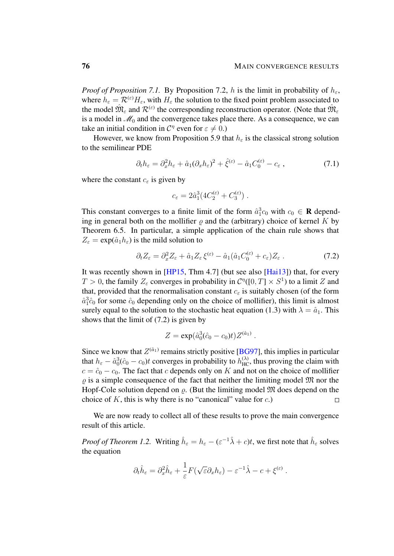*Proof of Proposition* [7.1.](#page-74-0) By Proposition [7.2,](#page-74-1) h is the limit in probability of  $h_{\varepsilon}$ , where  $h_{\varepsilon} = \mathcal{R}^{(\varepsilon)} H_{\varepsilon}$ , with  $H_{\varepsilon}$  the solution to the fixed point problem associated to the model  $\hat{M}_{\varepsilon}$  and  $\mathcal{R}^{(\varepsilon)}$  the corresponding reconstruction operator. (Note that  $\hat{M}_{\varepsilon}$ is a model in  $\mathcal{M}_0$  and the convergence takes place there. As a consequence, we can take an initial condition in  $C^{\eta}$  even for  $\varepsilon \neq 0$ .)

However, we know from Proposition [5.9](#page-49-0) that  $h_{\varepsilon}$  is the classical strong solution to the semilinear PDE

$$
\partial_t h_{\varepsilon} = \partial_x^2 h_{\varepsilon} + \hat{a}_1 (\partial_x h_{\varepsilon})^2 + \hat{\xi}^{(\varepsilon)} - \hat{a}_1 C_0^{(\varepsilon)} - c_{\varepsilon} , \qquad (7.1)
$$

where the constant  $c_{\varepsilon}$  is given by

<span id="page-75-0"></span>
$$
c_{\varepsilon} = 2\hat{a}_1^3 (4C_2^{(\varepsilon)} + C_3^{(\varepsilon)}) \ .
$$

This constant converges to a finite limit of the form  $\hat{a}_1^3 c_0$  with  $c_0 \in \mathbf{R}$  depending in general both on the mollifier  $\rho$  and the (arbitrary) choice of kernel K by Theorem [6.5.](#page-65-0) In particular, a simple application of the chain rule shows that  $Z_{\varepsilon} = \exp(\hat{a}_1 h_{\varepsilon})$  is the mild solution to

$$
\partial_t Z_{\varepsilon} = \partial_x^2 Z_{\varepsilon} + \hat{a}_1 Z_{\varepsilon} \xi^{(\varepsilon)} - \hat{a}_1 (\hat{a}_1 C_0^{(\varepsilon)} + c_{\varepsilon}) Z_{\varepsilon} \,. \tag{7.2}
$$

It was recently shown in [\[HP15,](#page-103-0) Thm 4.7] (but see also [\[Hai13\]](#page-102-0)) that, for every  $T > 0$ , the family  $Z_{\varepsilon}$  converges in probability in  $\mathcal{C}^{\eta}([0, T] \times S^1)$  to a limit Z and that, provided that the renormalisation constant  $c_{\varepsilon}$  is suitably chosen (of the form  $\hat{a}_1^3 \hat{c}_0$  for some  $\hat{c}_0$  depending only on the choice of mollifier), this limit is almost surely equal to the solution to the stochastic heat equation [\(1.3\)](#page-1-0) with  $\lambda = \hat{a}_1$ . This shows that the limit of [\(7.2\)](#page-75-0) is given by

$$
Z = \exp(\hat{a}_0^3(\hat{c}_0 - c_0)t)Z^{(\hat{a}_1)}.
$$

Since we know that  $Z^{(\hat{a}_1)}$  remains strictly positive [\[BG97\]](#page-101-0), this implies in particular that  $h_{\varepsilon} - \hat{a}_0^3(\hat{c}_0 - c_0)t$  converges in probability to  $h_{HC}^{(\lambda)}$ , thus proving the claim with  $c = \hat{c}_0 - c_0$ . The fact that c depends only on K and not on the choice of mollifier  $\rho$  is a simple consequence of the fact that neither the limiting model  $\mathfrak{M}$  nor the Hopf-Cole solution depend on  $\rho$ . (But the limiting model  $\mathfrak{M}$  does depend on the choice of  $K$ , this is why there is no "canonical" value for  $c$ .)  $\Box$ 

We are now ready to collect all of these results to prove the main convergence result of this article.

*Proof of Theorem [1.2.](#page-7-0)* Writing  $\hat{h}_{\varepsilon} = h_{\varepsilon} - (\varepsilon^{-1}\hat{\lambda} + c)t$ , we first note that  $\hat{h}_{\varepsilon}$  solves the equation

$$
\partial_t \hat{h}_{\varepsilon} = \partial_x^2 \hat{h}_{\varepsilon} + \frac{1}{\varepsilon} F(\sqrt{\varepsilon} \partial_x h_{\varepsilon}) - \varepsilon^{-1} \hat{\lambda} - c + \xi^{(\varepsilon)}.
$$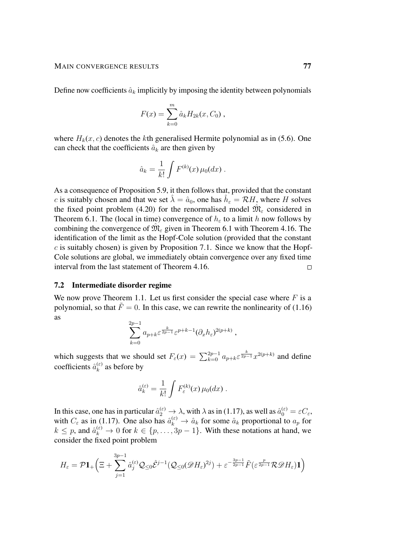Define now coefficients  $\hat{a}_k$  implicitly by imposing the identity between polynomials

$$
F(x) = \sum_{k=0}^{m} \hat{a}_k H_{2k}(x, C_0) ,
$$

where  $H_k(x, c)$  denotes the kth generalised Hermite polynomial as in [\(5.6\)](#page-45-0). One can check that the coefficients  $\hat{a}_k$  are then given by

$$
\hat{a}_k = \frac{1}{k!} \int F^{(k)}(x) \,\mu_0(dx) \; .
$$

As a consequence of Proposition [5.9,](#page-49-0) it then follows that, provided that the constant c is suitably chosen and that we set  $\hat{\lambda} = \hat{a}_0$ , one has  $\hat{h}_{\varepsilon} = \mathcal{R}H$ , where H solves the fixed point problem [\(4.20\)](#page-40-1) for the renormalised model  $\hat{M}_{\varepsilon}$  considered in Theorem [6.1.](#page-52-0) The (local in time) convergence of  $h_{\varepsilon}$  to a limit h now follows by combining the convergence of  $\hat{M}_{\varepsilon}$  given in Theorem [6.1](#page-52-0) with Theorem [4.16.](#page-40-0) The identification of the limit as the Hopf-Cole solution (provided that the constant  $c$  is suitably chosen) is given by Proposition [7.1.](#page-74-0) Since we know that the Hopf-Cole solutions are global, we immediately obtain convergence over any fixed time interval from the last statement of Theorem [4.16.](#page-40-0)  $\Box$ 

## 7.2 Intermediate disorder regime

We now prove Theorem [1.1.](#page-7-1) Let us first consider the special case where  $F$  is a polynomial, so that  $\tilde{F} = 0$ . In this case, we can rewrite the nonlinearity of [\(1.16\)](#page-7-2) as

$$
\sum_{k=0}^{2p-1} a_{p+k} \varepsilon^{\frac{k}{2p-1}} \varepsilon^{p+k-1} (\partial_x h_{\varepsilon})^{2(p+k)},
$$

which suggests that we should set  $F_{\varepsilon}(x) = \sum_{k=0}^{2p-1} a_{p+k} \varepsilon^{\frac{k}{2p-1}} x^{2(p+k)}$  and define coefficients  $\hat{a}_k^{(\varepsilon)}$  $\binom{\infty}{k}$  as before by

$$
\hat{a}_{k}^{(\varepsilon)} = \frac{1}{k!} \int F_{\varepsilon}^{(k)}(x) \,\mu_0(dx) \; .
$$

In this case, one has in particular  $\hat{a}_2^{(\varepsilon)} \to \lambda$ , with  $\lambda$  as in [\(1.17\)](#page-7-3), as well as  $\hat{a}_0^{(\varepsilon)} = \varepsilon C_{\varepsilon}$ , with  $C_{\varepsilon}$  as in [\(1.17\)](#page-7-3). One also has  $\hat{a}_k^{(\varepsilon)} \to \hat{a}_k$  for some  $\hat{a}_k$  proportional to  $a_p$  for  $k \leq p$ , and  $\hat{a}_k^{(\varepsilon)} \to 0$  for  $k \in \{p, \ldots, 3p-1\}$ . With these notations at hand, we consider the fixed point problem

$$
H_{\varepsilon} = \mathcal{P} \mathbf{1}_{+} \left( \Xi + \sum_{j=1}^{3p-1} \hat{a}_{j}^{(\varepsilon)} \mathcal{Q}_{\leq 0} \hat{\mathcal{E}}^{j-1} (\mathcal{Q}_{\leq 0} (\mathscr{D} H_{\varepsilon})^{2j}) + \varepsilon^{-\frac{3p-1}{2p-1}} \tilde{F} (\varepsilon^{\frac{p}{2p-1}} \mathcal{R} \mathscr{D} H_{\varepsilon}) \mathbf{1} \right)
$$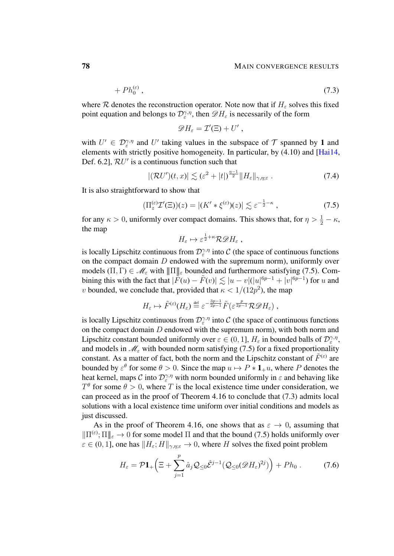$$
+ Ph_0^{(\varepsilon)}, \tag{7.3}
$$

where R denotes the reconstruction operator. Note now that if  $H<sub>\varepsilon</sub>$  solves this fixed point equation and belongs to  $\mathcal{D}_{\varepsilon}^{\gamma,\eta}$ , then  $\mathscr{D}H_{\varepsilon}$  is necessarily of the form

<span id="page-77-1"></span>
$$
\mathscr{D}H_{\varepsilon}=\mathcal{I}'(\Xi)+U'\ ,
$$

with  $U' \in \mathcal{D}_{\varepsilon}^{\gamma,\eta}$  and U' taking values in the subspace of  $\mathcal T$  spanned by 1 and elements with strictly positive homogeneity. In particular, by [\(4.10\)](#page-33-0) and [\[Hai14,](#page-102-1) Def. 6.2],  $RU'$  is a continuous function such that

$$
|(\mathcal{R}U')(t,x)| \lesssim (\varepsilon^2 + |t|)^{\frac{\eta-1}{2}} \|H_{\varepsilon}\|_{\gamma,\eta;\varepsilon}.
$$
 (7.4)

It is also straightforward to show that

$$
\left(\Pi_z^{(\varepsilon)}\mathcal{I}'(\Xi)\right)(z) = \left|(K' * \xi^{(\varepsilon)})(z)\right| \lesssim \varepsilon^{-\frac{1}{2} - \kappa},\tag{7.5}
$$

for any  $\kappa > 0$ , uniformly over compact domains. This shows that, for  $\eta > \frac{1}{2} - \kappa$ , the map

<span id="page-77-0"></span>
$$
H_{\varepsilon} \mapsto \varepsilon^{\frac{1}{2}+\kappa} \mathcal{R} \mathcal{D} H_{\varepsilon} ,
$$

is locally Lipschitz continuous from  $\mathcal{D}_{\varepsilon}^{\gamma,\eta}$  into C (the space of continuous functions on the compact domain  $D$  endowed with the supremum norm), uniformly over models  $(\Pi, \Gamma) \in \mathcal{M}_{\varepsilon}$  with  $\|\Pi\|_{\varepsilon}$  bounded and furthermore satisfying [\(7.5\)](#page-77-0). Combining this with the fact that  $|\tilde{F}(u) - \tilde{F}(v)| \lesssim |u - v| (|u|^{6p-1} + |v|^{6p-1})$  for u and *v* bounded, we conclude that, provided that  $\kappa < 1/(12p^2)$ , the map

$$
H_{\varepsilon} \mapsto \tilde{F}^{(\varepsilon)}(H_{\varepsilon}) \stackrel{\text{def}}{=} \varepsilon^{-\frac{3p-1}{2p-1}} \tilde{F}(\varepsilon^{\frac{p}{2p-1}} \mathcal{R} \mathcal{D} H_{\varepsilon}) ,
$$

is locally Lipschitz continuous from  $\mathcal{D}_{\varepsilon}^{\gamma,\eta}$  into C (the space of continuous functions on the compact domain  $D$  endowed with the supremum norm), with both norm and Lipschitz constant bounded uniformly over  $\varepsilon \in (0, 1]$ ,  $H_{\varepsilon}$  in bounded balls of  $\mathcal{D}_{\varepsilon}^{\gamma, \eta}$ , and models in  $\mathcal{M}_{\varepsilon}$  with bounded norm satisfying [\(7.5\)](#page-77-0) for a fixed proportionality constant. As a matter of fact, both the norm and the Lipschitz constant of  $\tilde{F}^{(\varepsilon)}$  are bounded by  $\varepsilon^{\theta}$  for some  $\theta > 0$ . Since the map  $u \mapsto P * \mathbf{1}_{+}u$ , where P denotes the heat kernel, maps C into  $\mathcal{D}_{\varepsilon}^{\gamma,\eta}$  with norm bounded uniformly in  $\varepsilon$  and behaving like  $T^{\theta}$  for some  $\theta > 0$ , where T is the local existence time under consideration, we can proceed as in the proof of Theorem [4.16](#page-40-0) to conclude that [\(7.3\)](#page-77-1) admits local solutions with a local existence time uniform over initial conditions and models as just discussed.

As in the proof of Theorem [4.16,](#page-40-0) one shows that as  $\varepsilon \to 0$ , assuming that  $\|\Pi^{(\varepsilon)};\Pi\|_{\varepsilon}\to 0$  for some model  $\Pi$  and that the bound [\(7.5\)](#page-77-0) holds uniformly over  $\varepsilon \in (0, 1]$ , one has  $||H_{\varepsilon}; H||_{\gamma, \eta; \varepsilon} \to 0$ , where H solves the fixed point problem

$$
H_{\varepsilon} = \mathcal{P}\mathbf{1}_{+}\left(\Xi + \sum_{j=1}^{p} \hat{a}_{j} \mathcal{Q}_{\leq 0} \hat{\mathcal{E}}^{j-1}(\mathcal{Q}_{\leq 0}(\mathscr{D}H_{\varepsilon})^{2j})\right) + Ph_{0}.
$$
 (7.6)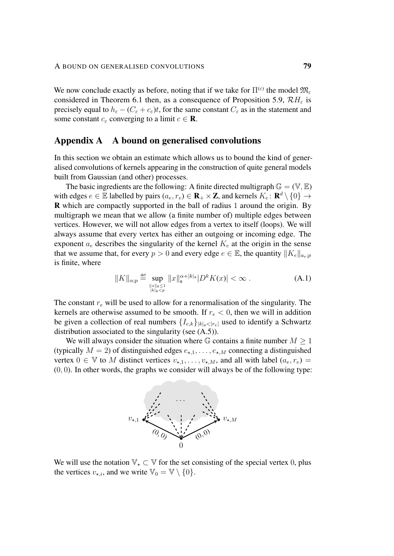We now conclude exactly as before, noting that if we take for  $\Pi^{(\varepsilon)}$  the model  $\mathfrak{M}_{\varepsilon}$ considered in Theorem [6.1](#page-52-0) then, as a consequence of Proposition [5.9,](#page-49-0)  $\mathcal{R}H_{\varepsilon}$  is precisely equal to  $h_{\varepsilon} - (C_{\varepsilon} + c_{\varepsilon})t$ , for the same constant  $C_{\varepsilon}$  as in the statement and some constant  $c_{\varepsilon}$  converging to a limit  $c \in \mathbf{R}$ .

## Appendix A A bound on generalised convolutions

In this section we obtain an estimate which allows us to bound the kind of generalised convolutions of kernels appearing in the construction of quite general models built from Gaussian (and other) processes.

The basic ingredients are the following: A finite directed multigraph  $\mathbb{G} = (\mathbb{V}, \mathbb{E})$ with edges  $e \in \mathbb{E}$  labelled by pairs  $(a_e, r_e) \in \mathbf{R}_+ \times \mathbf{Z}$ , and kernels  $K_e : \mathbf{R}^d \setminus \{0\} \to$ R which are compactly supported in the ball of radius 1 around the origin. By multigraph we mean that we allow (a finite number of) multiple edges between vertices. However, we will not allow edges from a vertex to itself (loops). We will always assume that every vertex has either an outgoing or incoming edge. The exponent  $a_e$  describes the singularity of the kernel  $K_e$  at the origin in the sense that we assume that, for every  $p > 0$  and every edge  $e \in \mathbb{E}$ , the quantity  $||K_e||_{a_e;p}$ is finite, where

<span id="page-78-0"></span>
$$
||K||_{\alpha;p} \stackrel{\text{def}}{=} \sup_{\substack{||x||_{\mathfrak{s}} \le 1 \\ |k|_{\mathfrak{s}} < p}} ||x||_{\mathfrak{s}}^{\alpha+|k|_{\mathfrak{s}}} |D^k K(x)| < \infty . \tag{A.1}
$$

The constant  $r_e$  will be used to allow for a renormalisation of the singularity. The kernels are otherwise assumed to be smooth. If  $r_e < 0$ , then we will in addition be given a collection of real numbers  $\{I_{e,k}\}_{|k|_{\mathfrak{s}}<|r_e|}$  used to identify a Schwartz distribution associated to the singularity (see [\(A.5\)](#page-79-0)).

We will always consider the situation where G contains a finite number  $M \geq 1$ (typically  $M = 2$ ) of distinguished edges  $e_{\star,1}, \ldots, e_{\star,M}$  connecting a distinguished vertex  $0 \in \mathbb{V}$  to M distinct vertices  $v_{\star,1}, \ldots, v_{\star,M}$ , and all with label  $(a_e, r_e)$  $(0, 0)$ . In other words, the graphs we consider will always be of the following type:



We will use the notation  $\mathbb{V}_\star \subset \mathbb{V}$  for the set consisting of the special vertex 0, plus the vertices  $v_{\star,i}$ , and we write  $\mathbb{V}_0 = \mathbb{V} \setminus \{0\}.$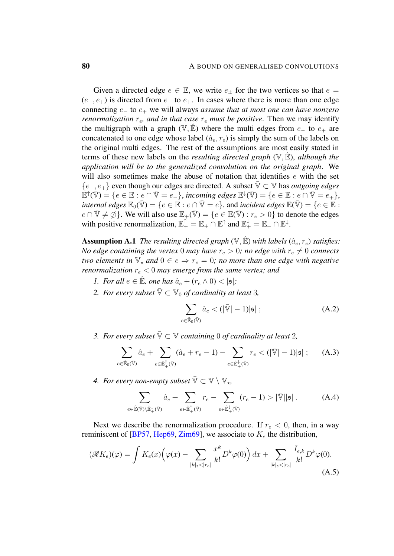Given a directed edge  $e \in \mathbb{E}$ , we write  $e_{+}$  for the two vertices so that  $e =$  $(e_-, e_+)$  is directed from  $e_-$  to  $e_+$ . In cases where there is more than one edge connecting e<sup>−</sup> to e<sup>+</sup> we will always *assume that at most one can have nonzero renormalization*  $r_e$ , and in that case  $r_e$  must be positive. Then we may identify the multigraph with a graph ( $V, \mathbb{E}$ ) where the multi edges from  $e_+$  to  $e_+$  are concatenated to one edge whose label  $(\hat{a}_e, r_e)$  is simply the sum of the labels on the original multi edges. The rest of the assumptions are most easily stated in terms of these new labels on the *resulting directed graph*  $(\mathbb{V}, \mathbb{E})$ , *although the application will be to the generalized convolution on the original graph*. We will also sometimes make the abuse of notation that identifies  $e$  with the set {e−, e+} even though our edges are directed. A subset V¯ ⊂ V has *outgoing edges*  $\mathbb{E}^{\uparrow}(\bar{\mathbb{V}}) = \{e \in \mathbb{E} : e \cap \bar{\mathbb{V}} = e_-\},\, incoming\, edges\, \mathbb{E}^{\downarrow}(\bar{\mathbb{V}}) = \{e \in \mathbb{E} : e \cap \bar{\mathbb{V}} = e_+\},\,$ *internal edges*  $\mathbb{E}_0(\overline{V}) = \{e \in \mathbb{E} : e \cap \overline{V} = e\}$ , and *incident edges*  $\mathbb{E}(\overline{V}) = \{e \in \mathbb{E} : e \cap \overline{V} = e\}$ .  $e \cap \overline{\mathbb{V}} \neq \emptyset$ . We will also use  $\mathbb{E}_+(\overline{\mathbb{V}}) = \{e \in \mathbb{E}(\overline{\mathbb{V}}) : r_e > 0\}$  to denote the edges with positive renormalization,  $\mathbb{E}_+^{\uparrow} = \mathbb{E}_+ \cap \mathbb{E}^{\uparrow}$  and  $\mathbb{E}_+^{\downarrow} = \mathbb{E}_+ \cap \mathbb{E}^{\downarrow}$ .

<span id="page-79-1"></span>**Assumption A.1** *The resulting directed graph*  $(\mathbb{V}, \mathbb{E})$  *with labels*  $(\hat{a}_e, r_e)$  *satisfies: No edge containing the vertex* 0 *may have*  $r_e > 0$ *; no edge with*  $r_e \neq 0$  *connects two elements in*  $\mathbb{V}_*$  *and*  $0 \in e \Rightarrow r_e = 0$ *; no more than one edge with negative renormalization*  $r_e < 0$  *may emerge from the same vertex; and* 

- *1. For all*  $e \in \mathbb{E}$ *, one has*  $\hat{a}_e + (r_e \wedge 0) < |\mathfrak{s}|$ *;*
- 2. *For every subset*  $\overline{\mathbb{V}} \subset \mathbb{V}_0$  *of cardinality at least* 3*,*

$$
\sum_{e \in \hat{\mathbb{E}}_0(\bar{\mathbb{V}})} \hat{a}_e < (|\bar{\mathbb{V}}| - 1)|\mathfrak{s}| \tag{A.2}
$$

*3. For every subset*  $\overline{\mathbb{V}} \subset \mathbb{V}$  *containing* 0 *of cardinality at least* 2*,* 

$$
\sum_{e \in \hat{\mathbb{E}}_0(\bar{\mathbb{V}})} \hat{a}_e + \sum_{e \in \hat{\mathbb{E}}_+^{\uparrow}(\bar{\mathbb{V}})} (\hat{a}_e + r_e - 1) - \sum_{e \in \hat{\mathbb{E}}_+^{\downarrow}(\bar{\mathbb{V}})} r_e < (|\bar{\mathbb{V}}| - 1)|\mathfrak{s}| \ ; \tag{A.3}
$$

*4. For every non-empty subset*  $\overline{\mathbb{V}} \subset \mathbb{V} \setminus \mathbb{V}_*$ ,

<span id="page-79-0"></span>
$$
\sum_{e \in \hat{\mathbb{E}}(\bar{\mathbb{V}}) \setminus \hat{\mathbb{E}}^{\downarrow}_{+}(\bar{\mathbb{V}})} \hat{a}_e + \sum_{e \in \hat{\mathbb{E}}^{\uparrow}_{+}(\bar{\mathbb{V}})} r_e - \sum_{e \in \hat{\mathbb{E}}^{\downarrow}_{+}(\bar{\mathbb{V}})} (r_e - 1) > |\bar{\mathbb{V}}| |\mathfrak{s}|.
$$
 (A.4)

Next we describe the renormalization procedure. If  $r_e < 0$ , then, in a way reminiscent of [\[BP57,](#page-101-1) [Hep69,](#page-102-2) [Zim69\]](#page-104-0), we associate to  $K_e$  the distribution,

$$
(\mathcal{R}K_e)(\varphi) = \int K_e(x) \Big(\varphi(x) - \sum_{|k|_{\mathfrak{s}} < |r_e|} \frac{x^k}{k!} D^k \varphi(0) \Big) \, dx + \sum_{|k|_{\mathfrak{s}} < |r_e|} \frac{I_{e,k}}{k!} D^k \varphi(0).
$$
\n(A.5)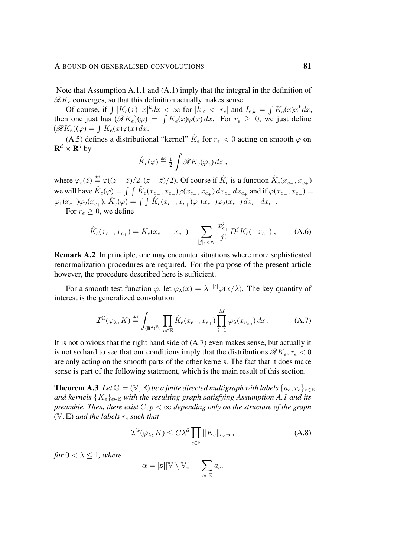Note that Assumption [A.1.](#page-79-1)1 and [\(A.1\)](#page-78-0) imply that the integral in the definition of  $\mathscr{R}K_e$  converges, so that this definition actually makes sense.

Of course, if  $\int |K_e(x)||x|^k dx < \infty$  for  $|k|_{\mathfrak{s}} < |r_e|$  and  $I_{e,k} = \int K_e(x)x^k dx$ , then one just has  $(\mathscr{R}K_e)(\varphi) = \int K_e(x)\varphi(x) dx$ . For  $r_e \geq 0$ , we just define  $(\mathscr{R}K_e)(\varphi) = \int K_e(x)\varphi(x)\,dx.$ 

[\(A.5\)](#page-79-0) defines a distributional "kernel"  $\hat{K}_e$  for  $r_e < 0$  acting on smooth  $\varphi$  on  ${\bf R}^d \times {\bf R}^d$  by

$$
\hat{K}_e(\varphi) \stackrel{\text{def}}{=} \frac{1}{2} \int \mathscr{R} K_e(\varphi_z) \, dz \;,
$$

where  $\varphi_z(\bar{z}) \stackrel{\text{def}}{=} \varphi((z+\bar{z})/2, (z-\bar{z})/2)$ . Of course if  $\hat{K}_e$  is a function  $\hat{K}_e(x_{e-}, x_{e+})$ we will have  $\hat{K}_e(\varphi) = \int \int \hat{K}_e(x_{e-}, x_{e+}) \varphi(x_{e-}, x_{e+}) dx_{e-} dx_{e+}$  and if  $\varphi(x_{e-}, x_{e+}) =$  $\varphi_1(x_{e_-})\varphi_2(x_{e_+}), \hat{K}_e(\varphi) = \int \int \hat{K}_e(x_{e_-}, x_{e_+})\varphi_1(x_{e_-})\varphi_2(x_{e_+}) dx_{e_-} dx_{e_+}.$ 

For  $r_e \geq 0$ , we define

$$
\hat{K}_e(x_{e_-}, x_{e_+}) = K_e(x_{e_+} - x_{e_-}) - \sum_{|j|_s < r_e} \frac{x_{e_+}^j}{j!} D^j K_e(-x_{e_-}), \tag{A.6}
$$

Remark A.2 In principle, one may encounter situations where more sophisticated renormalization procedures are required. For the purpose of the present article however, the procedure described here is sufficient.

For a smooth test function  $\varphi$ , let  $\varphi_\lambda(x) = \lambda^{-|\mathfrak{s}|} \varphi(x/\lambda)$ . The key quantity of interest is the generalized convolution

<span id="page-80-0"></span>
$$
\mathcal{I}^{\mathbb{G}}(\varphi_{\lambda}, K) \stackrel{\text{def}}{=} \int_{(\mathbf{R}^d)^{\mathbb{V}_0}} \prod_{e \in \mathbb{E}} \hat{K}_e(x_{e_-}, x_{e_+}) \prod_{i=1}^M \varphi_{\lambda}(x_{v_{\star,i}}) dx.
$$
 (A.7)

It is not obvious that the right hand side of [\(A.7\)](#page-80-0) even makes sense, but actually it is not so hard to see that our conditions imply that the distributions  $\mathscr{R}K_e$ ,  $r_e < 0$ are only acting on the smooth parts of the other kernels. The fact that it does make sense is part of the following statement, which is the main result of this section.

<span id="page-80-2"></span>**Theorem A.3** *Let*  $\mathbb{G} = (\mathbb{V}, \mathbb{E})$  *be a finite directed multigraph with labels*  $\{a_e, r_e\}_{e \in \mathbb{E}}$ *and kernels*  ${K_e}_{e \in E}$  *with the resulting graph satisfying Assumption [A.1](#page-79-1) and its preamble. Then, there exist*  $C, p < \infty$  *depending only on the structure of the graph*  $(V, E)$  *and the labels*  $r_e$  *such that* 

$$
\mathcal{I}^{\mathbb{G}}(\varphi_{\lambda}, K) \le C\lambda^{\tilde{\alpha}} \prod_{e \in \mathbb{E}} \|K_e\|_{a_e; p}, \qquad (A.8)
$$

*for*  $0 < \lambda \leq 1$ *, where* 

<span id="page-80-1"></span>
$$
\tilde{\alpha} = |\mathfrak{s}||\mathbb{V} \setminus \mathbb{V}_\star| - \sum_{e \in \mathbb{E}} a_e.
$$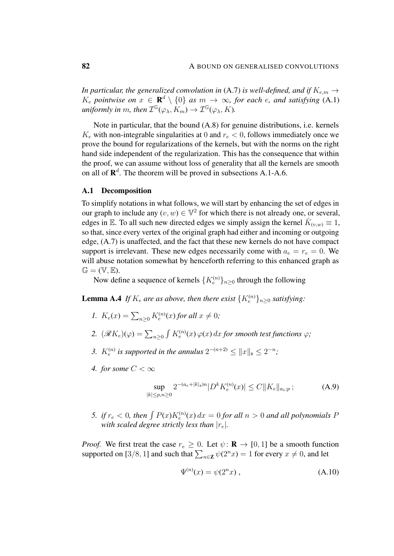*In particular, the generalized convolution in* [\(A.7\)](#page-80-0) *is well-defined, and if*  $K_{e,m} \rightarrow$  $K_e$  pointwise on  $x \in \mathbf{R}^d \setminus \{0\}$  as  $m \to \infty$ , for each e, and satisfying [\(A.1\)](#page-78-0) uniformly in m, then  $\mathcal{I}^{\mathbb{G}}(\varphi_\lambda,K_m) \to \mathcal{I}^{\mathbb{G}}(\varphi_\lambda,K)$ .

Note in particular, that the bound [\(A.8\)](#page-80-1) for genuine distributions, i.e. kernels  $K_e$  with non-integrable singularities at 0 and  $r_e < 0$ , follows immediately once we prove the bound for regularizations of the kernels, but with the norms on the right hand side independent of the regularization. This has the consequence that within the proof, we can assume without loss of generality that all the kernels are smooth on all of  $\mathbb{R}^d$ . The theorem will be proved in subsections [A.1](#page-81-0)[-A.6.](#page-92-0)

#### <span id="page-81-0"></span>A.1 Decomposition

To simplify notations in what follows, we will start by enhancing the set of edges in our graph to include any  $(v, w) \in \mathbb{V}^2$  for which there is not already one, or several, edges in E. To all such new directed edges we simply assign the kernel  $\hat{K}_{(v,w)} \equiv 1$ , so that, since every vertex of the original graph had either and incoming or outgoing edge, [\(A.7\)](#page-80-0) is unaffected, and the fact that these new kernels do not have compact support is irrelevant. These new edges necessarily come with  $a_e = r_e = 0$ . We will abuse notation somewhat by henceforth referring to this enhanced graph as  $\mathbb{G} = (\mathbb{V}, \mathbb{E}).$ 

Now define a sequence of kernels  $\{K_e^{(n)}\}_{n\geq 0}$  through the following

**Lemma A.4** If  $K_e$  are as above, then there exist  $\{K_e^{(n)}\}_{n\geq 0}$  satisfying:

- *1.*  $K_e(x) = \sum_{n \geq 0} K_e^{(n)}(x)$  for all  $x \neq 0$ ;
- 2.  $(\mathscr{R} K_e)(\varphi) = \sum_{n\geq 0} \int K_e^{(n)}(x) \, \varphi(x) \, dx$  for smooth test functions  $\varphi$ *;*
- 3.  $K_e^{(n)}$  is supported in the annulus  $2^{-(n+2)} \leq ||x||_{\mathfrak{s}} \leq 2^{-n}$ ;
- *4. for some*  $C < \infty$

<span id="page-81-2"></span><span id="page-81-1"></span>
$$
\sup_{|k| \le p, n \ge 0} 2^{-(a_e + |k|_\mathfrak{s})n} |D^k K_e^{(n)}(x)| \le C \|K_e\|_{a_e; p};\tag{A.9}
$$

5. *if*  $r_e$  < 0, then  $\int P(x)K_e^{(n)}(x) dx = 0$  *for all*  $n > 0$  *and all polynomials* P *with scaled degree strictly less than*  $|r_e|$ *.* 

*Proof.* We first treat the case  $r_e \geq 0$ . Let  $\psi : \mathbf{R} \to [0, 1]$  be a smooth function supported on [3/8, 1] and such that  $\sum_{n\in\mathbf{Z}} \psi(2^n x) = 1$  for every  $x \neq 0$ , and let

<span id="page-81-3"></span>
$$
\Psi^{(n)}(x) = \psi(2^n x) , \qquad (A.10)
$$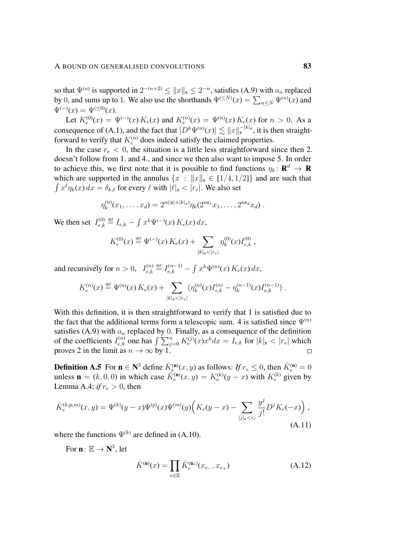so that  $\Psi^{(n)}$  is supported in  $2^{-(n+2)} \leq ||x||_{\mathfrak{s}} \leq 2^{-n}$ , satisfies [\(A.9\)](#page-81-1) with  $a_n$  replaced by 0, and sums up to 1. We also use the shorthands  $\Psi^{(\leq N)}(x) = \sum_{n \leq N} \Psi^{(n)}(x)$  and  $\Psi^{(-)}(x) = \Psi^{(\leq 0)}(x).$ 

Let  $K_e^{(0)}(x) = \Psi^{(-)}(x) K_e(x)$  and  $K_e^{(n)}(x) = \Psi^{(n)}(x) K_e(x)$  for  $n > 0$ . As a consequence of [\(A.1\)](#page-78-0), and the fact that  $|D^k \Psi^{(n)}(x)| \lesssim ||x||_{{\mathfrak{s}}}^{-|k|_{{\mathfrak{s}}}},$  it is then straightforward to verify that  $K_e^{(n)}$  does indeed satisfy the claimed properties.

In the case  $r_e < 0$ , the situation is a little less straightforward since then 2. doesn't follow from 1. and 4., and since we then also want to impose 5. In order to achieve this, we first note that it is possible to find functions  $\eta_k: \mathbf{R}^d \to \mathbf{R}$ which are supported in the annulus  $\{x : ||x||_{\mathfrak{s}} \in [1/4, 1/2]\}$  and are such that  $\int x^{\ell} \eta_k(x) dx = \delta_{k,\ell}$  for every  $\ell$  with  $|\ell|_{\mathfrak{s}} < |r_e|$ . We also set

$$
\eta_k^{(n)}(x_1,\ldots,x_d) = 2^{n(|\mathfrak{s}|+|k|_{\mathfrak{s}})} \eta_k(2^{n\mathfrak{s}_1}x_1,\ldots,2^{n\mathfrak{s}_d}x_d) .
$$

We then set  $I_{e,k}^{(0)}$  $\tilde{f}_{e,k}^{(0)} \stackrel{\text{def}}{=} I_{e,k} - \int x^k \Psi^{(-)}(x) \, K_e(x) \, dx,$ 

$$
K_e^{(0)}(x) \stackrel{\text{def}}{=} \Psi^{(-)}(x) K_e(x) + \sum_{|k|_{\mathfrak{s}} < |r_e|} \eta_k^{(0)}(x) I_{e,k}^{(0)},
$$

and recursively for  $n > 0$ ,  $I_{e,k}^{(n)}$  $\chi_{e,k}^{(n)} \stackrel{\text{def}}{=} I_{e,k}^{(n-1)} - \int x^k \Psi^{(n)}(x) K_e(x) dx,$ 

$$
K_e^{(n)}(x) \stackrel{\text{def}}{=} \Psi^{(n)}(x) K_e(x) + \sum_{|k|_{\mathfrak{s}} < |r_e|} \left( \eta_k^{(n)}(x) I_{e,k}^{(n)} - \eta_k^{(n-1)}(x) I_{e,k}^{(n-1)} \right).
$$

With this definition, it is then straightforward to verify that 1 is satisfied due to the fact that the additional terms form a telescopic sum. 4 is satisfied since  $\Psi^{(n)}$ satisfies [\(A.9\)](#page-81-1) with  $a_n$  replaced by 0. Finally, as a consequence of the definition of the coefficients  $I_{e,k}^{(n)}$  one has  $\int \sum_{j=0}^{n} K_e^{(j)}(x) x^k dx = I_{e,k}$  for  $|k|_{\mathfrak{s}} < |r_e|$  which proves 2 in the limit as  $n \to \infty$  by 1.

<span id="page-82-0"></span>**Definition A.5** For  $\mathbf{n} \in \mathbb{N}^3$  define  $\hat{K}_e^{(\mathbf{n})}(x, y)$  as follows: If  $r_e \le 0$ , then  $\hat{K}_e^{(\mathbf{n})} = 0$ unless  $\mathbf{n} = (k, 0, 0)$  in which case  $\hat{K}_e^{(\mathbf{n})}(x, y) = K_e^{(k)}(y - x)$  with  $K_e^{(k)}$  given by Lemma [A.4;](#page-81-2) *if*  $r_e > 0$ , then

$$
\hat{K}_{e}^{(k,p,m)}(x,y) = \Psi^{(k)}(y-x)\Psi^{(p)}(x)\Psi^{(m)}(y)\left(K_{e}(y-x)-\sum_{|j|_{s}< r_{e}}\frac{y^{j}}{j!}D^{j}K_{e}(-x)\right),\tag{A.11}
$$

where the functions  $\Psi^{(k)}$  are defined in [\(A.10\)](#page-81-3).

For  $\mathbf{n} \colon \mathbb{E} \to \mathbf{N}^3$ , let

<span id="page-82-2"></span><span id="page-82-1"></span>
$$
\hat{K}^{(\mathbf{n})}(x) = \prod_{e \in \mathbb{E}} \hat{K}_e^{(\mathbf{n}_e)}(x_{e_-}, x_{e_+})
$$
\n(A.12)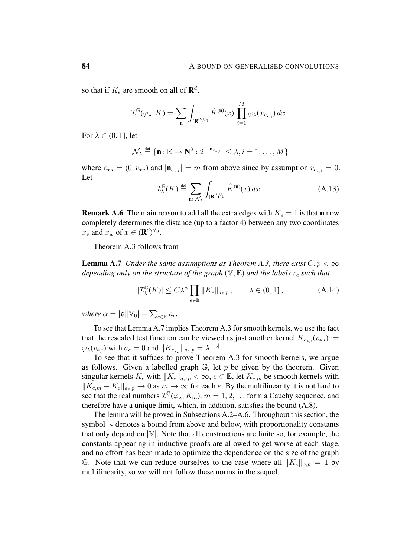so that if  $K_e$  are smooth on all of  $\mathbf{R}^d$ ,

$$
\mathcal{I}^{\mathbb{G}}(\varphi_{\lambda}, K) = \sum_{\mathbf{n}} \int_{(\mathbf{R}^d)^{\mathbb{V}_0}} \hat{K}^{(\mathbf{n})}(x) \prod_{i=1}^M \varphi_{\lambda}(x_{v_{\star,i}}) dx.
$$

For  $\lambda \in (0, 1]$ , let

$$
\mathcal{N}_{\lambda} \stackrel{\text{def}}{=} \{\mathbf{n} \colon \mathbb{E} \to \mathbf{N}^3 : 2^{-|\mathbf{n}_{e_{\star,i}}|} \leq \lambda, i = 1, \dots, M\}
$$

where  $e_{\star,i} = (0, v_{\star,i})$  and  $|\mathbf{n}_{e_{\star,i}}| = m$  from above since by assumption  $r_{e_{\star,i}} = 0$ . Let

<span id="page-83-1"></span>
$$
\mathcal{I}_{\lambda}^{\mathbb{G}}(K) \stackrel{\text{def}}{=} \sum_{\mathbf{n} \in \mathcal{N}_{\lambda}} \int_{(\mathbf{R}^d)^{\mathbb{V}_0}} \hat{K}^{(\mathbf{n})}(x) dx . \tag{A.13}
$$

**Remark A.6** The main reason to add all the extra edges with  $K_e = 1$  is that **n** now completely determines the distance (up to a factor 4) between any two coordinates  $x_v$  and  $x_w$  of  $x \in (\mathbf{R}^d)^{\mathbb{V}_0}$ .

Theorem [A.3](#page-80-2) follows from

<span id="page-83-0"></span>**Lemma A.7** *Under the same assumptions as Theorem [A.3,](#page-80-2) there exist*  $C, p < \infty$ *depending only on the structure of the graph*  $(\mathbb{V}, \mathbb{E})$  *and the labels*  $r_e$  *such that* 

<span id="page-83-2"></span>
$$
|\mathcal{I}_{\lambda}^{\mathbb{G}}(K)| \le C\lambda^{\alpha} \prod_{e \in \mathbb{E}} \|K_e\|_{a_e;p} , \qquad \lambda \in (0,1] , \qquad (A.14)
$$

*where*  $\alpha = |\mathfrak{s}| |\mathbb{V}_0| - \sum_{e \in \mathbb{E}} a_e$ .

To see that Lemma [A.7](#page-83-0) implies Theorem [A.3](#page-80-2) for smooth kernels, we use the fact that the rescaled test function can be viewed as just another kernel  $K_{e_{**}}(v_{*,i})$  :=  $\varphi_\lambda(v_{*,i})$  with  $a_e = 0$  and  $||K_{e_{*,i}}||_{a_e;p} = \lambda^{-|s|}$ .

To see that it suffices to prove Theorem [A.3](#page-80-2) for smooth kernels, we argue as follows. Given a labelled graph  $\mathbb{G}$ , let p be given by the theorem. Given singular kernels  $K_e$  with  $||K_e||_{a_e;p} < \infty$ ,  $e \in \mathbb{E}$ , let  $K_{e,m}$  be smooth kernels with  $||K_{e,m} - K_e||_{a_e;p} \to 0$  as  $m \to \infty$  for each e. By the multilinearity it is not hard to see that the real numbers  $\mathcal{I}^{\mathbb{G}}(\varphi_\lambda, K_m)$ ,  $m = 1, 2, \dots$  form a Cauchy sequence, and therefore have a unique limit, which, in addition, satisfies the bound [\(A.8\)](#page-80-1).

The lemma will be proved in Subsections [A.2](#page-84-0)[–A.6.](#page-92-0) Throughout this section, the symbol ∼ denotes a bound from above and below, with proportionality constants that only depend on  $|\mathbb{V}|$ . Note that all constructions are finite so, for example, the constants appearing in inductive proofs are allowed to get worse at each stage, and no effort has been made to optimize the dependence on the size of the graph G. Note that we can reduce ourselves to the case where all  $||K_e||_{\alpha;p} = 1$  by multilinearity, so we will not follow these norms in the sequel.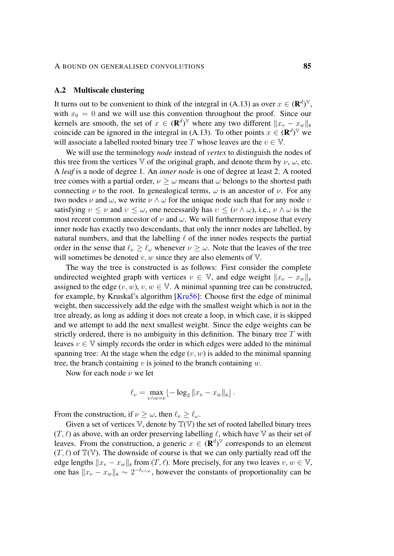### <span id="page-84-0"></span>A.2 Multiscale clustering

It turns out to be convenient to think of the integral in [\(A.13\)](#page-83-1) as over  $x \in (\mathbf{R}^d)^{\mathbb{V}}$ , with  $x_0 = 0$  and we will use this convention throughout the proof. Since our kernels are smooth, the set of  $x \in (\mathbf{R}^d)^{\mathbb{V}}$  where any two different  $||x_v - x_w||_{\mathfrak{s}}$ coincide can be ignored in the integral in [\(A.13\)](#page-83-1). To other points  $x \in (\mathbf{R}^d)^{\mathbb{V}}$  we will associate a labelled rooted binary tree T whose leaves are the  $v \in V$ .

We will use the terminology *node* instead of *vertex* to distinguish the nodes of this tree from the vertices V of the original graph, and denote them by  $\nu$ ,  $\omega$ , etc. A *leaf* is a node of degree 1. An *inner node* is one of degree at least 2. A rooted tree comes with a partial order,  $\nu > \omega$  means that  $\omega$  belongs to the shortest path connecting  $\nu$  to the root. In genealogical terms,  $\omega$  is an ancestor of  $\nu$ . For any two nodes  $\nu$  and  $\omega$ , we write  $\nu \wedge \omega$  for the unique node such that for any node  $\nu$ satisfying  $v \leq \nu$  and  $v \leq \omega$ , one necessarily has  $v \leq (\nu \wedge \omega)$ , i.e.,  $\nu \wedge \omega$  is the most recent common ancestor of  $\nu$  and  $\omega$ . We will furthermore impose that every inner node has exactly two descendants, that only the inner nodes are labelled, by natural numbers, and that the labelling  $\ell$  of the inner nodes respects the partial order in the sense that  $\ell_{\nu} \geq \ell_{\omega}$  whenever  $\nu \geq \omega$ . Note that the leaves of the tree will sometimes be denoted  $v, w$  since they are also elements of  $V$ .

The way the tree is constructed is as follows: First consider the complete undirected weighted graph with vertices  $v \in V$ , and edge weight  $||x_v - x_w||$ assigned to the edge  $(v, w)$ ,  $v, w \in V$ . A minimal spanning tree can be constructed, for example, by Kruskal's algorithm [\[Kru56\]](#page-103-1): Choose first the edge of minimal weight, then successively add the edge with the smallest weight which is not in the tree already, as long as adding it does not create a loop, in which case, it is skipped and we attempt to add the next smallest weight. Since the edge weights can be strictly ordered, there is no ambiguity in this definition. The binary tree  $T$  with leaves  $v \in V$  simply records the order in which edges were added to the minimal spanning tree: At the stage when the edge  $(v, w)$  is added to the minimal spanning tree, the branch containing v is joined to the branch containing  $w$ .

Now for each node  $\nu$  we let

$$
\ell_{\nu} = \max_{v \wedge w = \nu} \lfloor -\log_2 \|x_v - x_w\|_{\mathfrak{s}} \rfloor.
$$

From the construction, if  $v \ge \omega$ , then  $\ell_{\nu} \ge \ell_{\omega}$ .

Given a set of vertices  $V$ , denote by  $T(V)$  the set of rooted labelled binary trees  $(T, \ell)$  as above, with an order preserving labelling  $\ell$ , which have V as their set of leaves. From the construction, a generic  $x \in (\mathbf{R}^d)^{\mathbb{V}}$  corresponds to an element  $(T, \ell)$  of  $\mathbb{T}(V)$ . The downside of course is that we can only partially read off the edge lengths  $||x_v - x_w||_s$  from  $(T, \ell)$ . More precisely, for any two leaves  $v, w \in V$ , one has  $||x_v - x_w||_{\mathfrak{s}} \sim 2^{-\ell_{v \wedge w}}$ , however the constants of proportionality can be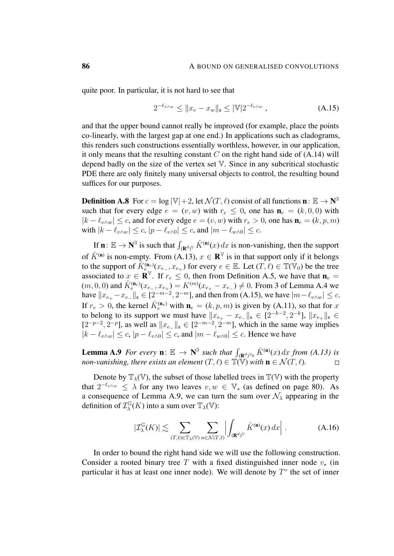quite poor. In particular, it is not hard to see that

<span id="page-85-0"></span>
$$
2^{-\ell_{v\wedge w}} \le ||x_v - x_w||_{\mathfrak{s}} \le |\mathbb{V}| 2^{-\ell_{v\wedge w}}, \tag{A.15}
$$

and that the upper bound cannot really be improved (for example, place the points co-linearly, with the largest gap at one end.) In applications such as cladograms, this renders such constructions essentially worthless, however, in our application, it only means that the resulting constant  $C$  on the right hand side of  $(A.14)$  will depend badly on the size of the vertex set  $V$ . Since in any subcritical stochastic PDE there are only finitely many universal objects to control, the resulting bound suffices for our purposes.

**Definition A.8** For  $c = \log |\mathbb{V}| + 2$ , let  $\mathcal{N}(T, \ell)$  consist of all functions  $\mathbf{n}: \mathbb{E} \to \mathbf{N}^3$ such that for every edge  $e = (v, w)$  with  $r_e \leq 0$ , one has  $\mathbf{n}_e = (k, 0, 0)$  with  $|k - \ell_{v \wedge w}| \leq c$ , and for every edge  $e = (v, w)$  with  $r_e > 0$ , one has  $\mathbf{n}_e = (k, p, m)$ with  $|k - \ell_{v \wedge w}| \leq c$ ,  $|p - \ell_{v \wedge 0}| \leq c$ , and  $|m - \ell_{w \wedge 0}| \leq c$ .

If  $\mathbf{n} \colon \mathbb{E} \to \mathbf{N}^3$  is such that  $\int_{(\mathbf{R}^d)^V} \hat{K}^{(\mathbf{n})}(x) dx$  is non-vanishing, then the support of  $\hat{K}^{(n)}$  is non-empty. From [\(A.13\)](#page-83-1),  $x \in \mathbb{R}^{\mathbb{V}}$  is in that support only if it belongs to the support of  $\hat{K}^{(n_e)}_{e_{n_s}}(x_{e_{-}}, x_{e_{+}})$  for every  $e \in \mathbb{E}$ . Let  $(\overline{T}, \ell) \in \mathbb{T}(\mathbb{V}_0)$  be the tree associated to  $x \in \mathbf{R}^{\mathbb{V}}$ . If  $r_e \leq 0$ , then from Definition [A.5,](#page-82-0) we have that  $\mathbf{n}_e =$  $(m, 0, 0)$  and  $\hat{K}_e^{(\mathbf{n}_e)}(x_{e-}, x_{e+}) = K^{(m)}(x_{e+} - x_{e-}) \neq 0$ . From 3 of Lemma [A.4](#page-81-2) we have  $||x_{e_+} - x_{e_-}||_{\mathfrak{s}} \in [2^{-m-2}, 2^{-m}]$ , and then from [\(A.15\)](#page-85-0), we have  $|m - \ell_{v \wedge w}| \le c$ . If  $r_e > 0$ , the kernel  $\hat{K}_e^{(\mathbf{n}_e)}$  with  $\mathbf{n}_e = (k, p, m)$  is given by [\(A.11\)](#page-82-1), so that for x to belong to its support we must have  $||x_{e_+} - x_{e_-}||_{\mathfrak{s}} \in [2^{-k-2}, 2^{-k}]$ ,  $||x_{e_+}||_{\mathfrak{s}} \in$  $[2^{-p-2}, 2^{-p}]$ , as well as  $||x_{e_-}||_{\infty} \in [2^{-m-2}, 2^{-m}]$ , which in the same way implies  $|k - \ell_{v \wedge w}| \leq c, |p - \ell_{v \wedge 0}| \leq c$ , and  $|m - \ell_{w \wedge 0}| \leq c$ . Hence we have

<span id="page-85-1"></span>**Lemma A.9** *For every*  $\mathbf{n} \colon \mathbb{E} \to \mathbb{N}^3$  *such that*  $\int_{(\mathbb{R}^d)^{\mathbb{V}_0}} \hat{K}^{(\mathbf{n})}(x) dx$  *from* [\(A.13\)](#page-83-1) *is non-vanishing, there exists an element*  $(T, \ell) \in \mathbb{T}(\overline{V})$  *with*  $\mathbf{n} \in \mathcal{N}(T, \ell)$ *.*  $\Box$ 

Denote by  $\mathbb{T}_{\lambda}(\mathbb{V})$ , the subset of those labelled trees in  $\mathbb{T}(\mathbb{V})$  with the property that  $2^{-\ell_{v\wedge w}} \leq \lambda$  for any two leaves  $v, w \in \mathbb{V}_{\star}$  (as defined on page [80\)](#page-78-0). As a consequence of Lemma [A.9,](#page-85-1) we can turn the sum over  $\mathcal{N}_{\lambda}$  appearing in the definition of  $\mathcal{I}^{\mathbb{G}}_{\lambda}$  $\mathcal{L}_{\lambda}^{\mathbb{G}}(K)$  into a sum over  $\mathbb{T}_{\lambda}(\mathbb{V})$ :

<span id="page-85-2"></span>
$$
|\mathcal{I}_{\lambda}^{\mathbb{G}}(K)| \lesssim \sum_{(T,\ell)\in \mathbb{T}_{\lambda}(\mathbb{V})} \sum_{n\in \mathcal{N}(T,\ell)} \left| \int_{(\mathbf{R}^d)^{\mathbb{V}}} \hat{K}^{(\mathbf{n})}(x) \, dx \right| \,. \tag{A.16}
$$

In order to bound the right hand side we will use the following construction. Consider a rooted binary tree T with a fixed distinguished inner node  $v<sub>\star</sub>$  (in particular it has at least one inner node). We will denote by  $T^{\circ}$  the set of inner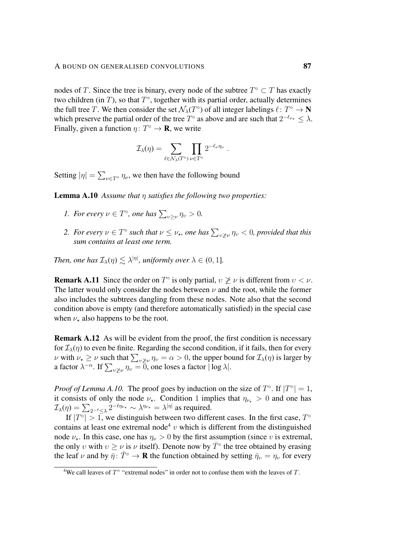#### A BOUND ON GENERALISED CONVOLUTIONS 87

nodes of T. Since the tree is binary, every node of the subtree  $T^{\circ} \subset T$  has exactly two children (in  $T$ ), so that  $T^{\circ}$ , together with its partial order, actually determines the full tree T. We then consider the set  $\mathcal{N}_{\lambda}(T^{\circ})$  of all integer labelings  $\ell \colon T^{\circ} \to \mathbb{N}$ which preserve the partial order of the tree  $T^{\circ}$  as above and are such that  $2^{-\ell_{\nu_{\star}}} \leq \lambda$ . Finally, given a function  $\eta \colon T^{\circ} \to \mathbf{R}$ , we write

$$
\mathcal{I}_{\lambda}(\eta) = \sum_{\ell \in \mathcal{N}_{\lambda}(T^{\circ})} \prod_{\nu \in T^{\circ}} 2^{-\ell_{\nu} \eta_{\nu}}.
$$

<span id="page-86-0"></span>Setting  $|\eta| = \sum_{\nu \in T^{\circ}} \eta_{\nu}$ , we then have the following bound

Lemma A.10 *Assume that* η *satisfies the following two properties:*

- *1. For every*  $\nu \in T^{\circ}$ *, one has*  $\sum_{v \ge \nu} \eta_v > 0$ *.*
- 2. For every  $\nu \in T^{\circ}$  such that  $\nu \leq \nu_{\star}$ , one has  $\sum_{v \not\geq \nu} \eta_v < 0$ , provided that this *sum contains at least one term.*

*Then, one has*  $\mathcal{I}_{\lambda}(\eta) \lesssim \lambda^{|\eta|}$ , uniformly over  $\lambda \in (0,1]$ .

**Remark A.11** Since the order on  $T^{\circ}$  is only partial,  $v \not\geq v$  is different from  $v < v$ . The latter would only consider the nodes between  $\nu$  and the root, while the former also includes the subtrees dangling from these nodes. Note also that the second condition above is empty (and therefore automatically satisfied) in the special case when  $\nu_{\star}$  also happens to be the root.

Remark A.12 As will be evident from the proof, the first condition is necessary for  $\mathcal{I}_{\lambda}(\eta)$  to even be finite. Regarding the second condition, if it fails, then for every *ν* with  $\nu_{\star} \ge \nu$  such that  $\sum_{v \not\ge \nu} \eta_v = \alpha > 0$ , the upper bound for  $\mathcal{I}_{\lambda}(\eta)$  is larger by a factor  $\lambda^{-\alpha}$ . If  $\sum_{v \not\geq v} \eta_v = \overline{0}$ , one loses a factor  $|\log \lambda|$ .

*Proof of Lemma [A.10.](#page-86-0)* The proof goes by induction on the size of  $T^{\circ}$ . If  $|T^{\circ}| = 1$ , it consists of only the node  $\nu_{\star}$ . Condition 1 implies that  $\eta_{\nu_{\star}} > 0$  and one has  $\mathcal{I}_{\lambda}(\eta) = \sum_{2^{-\ell} \leq \lambda} 2^{-\ell \eta_{\nu_{\star}}} \sim \lambda^{\eta_{\nu_{\star}}} = \lambda^{|\eta|}$  as required.

If  $|T^{\circ}| > 1$ , we distinguish between two different cases. In the first case,  $T^{\circ}$ contains at least one extremal node<sup>[4](#page-86-1)</sup>  $v$  which is different from the distinguished node  $\nu_{\star}$ . In this case, one has  $\eta_{\nu} > 0$  by the first assumption (since v is extremal, the only v with  $v \ge v$  is v itself). Denote now by  $\bar{T}^{\circ}$  the tree obtained by erasing the leaf  $\nu$  and by  $\bar{\eta}$ :  $\bar{T}^\circ \to \mathbf{R}$  the function obtained by setting  $\bar{\eta}_v = \eta_v$  for every

<span id="page-86-1"></span><sup>&</sup>lt;sup>4</sup>We call leaves of  $T^{\circ}$  "extremal nodes" in order not to confuse them with the leaves of T.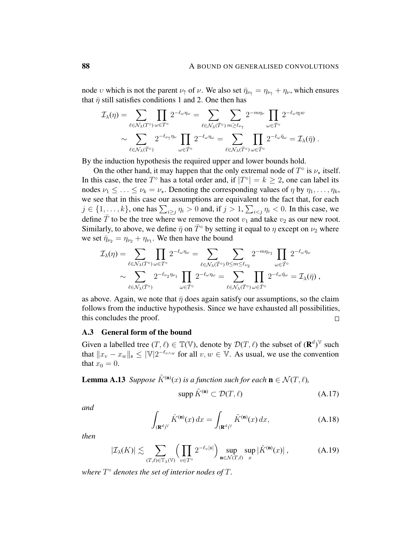node v which is not the parent  $\nu_{\uparrow}$  of v. We also set  $\bar{\eta}_{\nu_{\uparrow}} = \eta_{\nu_{\uparrow}} + \eta_{\nu}$ , which ensures that  $\bar{\eta}$  still satisfies conditions 1 and 2. One then has

$$
\mathcal{I}_{\lambda}(\eta) = \sum_{\ell \in \mathcal{N}_{\lambda}(T^{\circ})} \prod_{\omega \in T^{\circ}} 2^{-\ell_{\omega}\eta_{\omega}} = \sum_{\ell \in \mathcal{N}_{\lambda}(\bar{T}^{\circ})} \sum_{m \geq \ell_{\nu_{\uparrow}}} 2^{-m\eta_{\nu}} \prod_{\omega \in \bar{T}^{\circ}} 2^{-\ell_{\omega}\eta_{\omega}}
$$

$$
\sim \sum_{\ell \in \mathcal{N}_{\lambda}(\bar{T}^{\circ})} 2^{-\ell_{\nu_{\uparrow}}\eta_{\nu}} \prod_{\omega \in \bar{T}^{\circ}} 2^{-\ell_{\omega}\eta_{\omega}} = \sum_{\ell \in \mathcal{N}_{\lambda}(\bar{T}^{\circ})} \prod_{\omega \in \bar{T}^{\circ}} 2^{-\ell_{\omega}\bar{\eta}_{\omega}} = \mathcal{I}_{\lambda}(\bar{\eta}).
$$

By the induction hypothesis the required upper and lower bounds hold.

On the other hand, it may happen that the only extremal node of  $T^{\circ}$  is  $\nu_{\star}$  itself. In this case, the tree  $T^{\circ}$  has a total order and, if  $|T^{\circ}| = k \geq 2$ , one can label its nodes  $\nu_1 \leq \ldots \leq \nu_k = \nu_{\star}$ . Denoting the corresponding values of  $\eta$  by  $\eta_1, \ldots, \eta_k$ , we see that in this case our assumptions are equivalent to the fact that, for each  $j \in \{1, \ldots, k\}$ , one has  $\sum_{i \geq j} \eta_i > 0$  and, if  $j > 1$ ,  $\sum_{i < j} \eta_i < 0$ . In this case, we define  $\overline{T}$  to be the tree where we remove the root  $v_1$  and take  $v_2$  as our new root. Similarly, to above, we define  $\bar{\eta}$  on  $\bar{T}°$  by setting it equal to  $\eta$  except on  $\nu_2$  where we set  $\bar{\eta}_{\nu_2} = \eta_{\nu_2} + \eta_{\nu_1}$ . We then have the bound

$$
\mathcal{I}_{\lambda}(\eta) = \sum_{\ell \in \mathcal{N}_{\lambda}(T^{\circ})} \prod_{\omega \in T^{\circ}} 2^{-\ell_{\omega}\eta_{\omega}} = \sum_{\ell \in \mathcal{N}_{\lambda}(\bar{T}^{\circ})} \sum_{0 \le m \le \ell_{\nu_2}} 2^{-m\eta_{\nu_1}} \prod_{\omega \in \bar{T}^{\circ}} 2^{-\ell_{\omega}\eta_{\omega}}
$$

$$
\sim \sum_{\ell \in \mathcal{N}_{\lambda}(\bar{T}^{\circ})} 2^{-\ell_{\nu_2}\eta_{\nu_1}} \prod_{\omega \in \bar{T}^{\circ}} 2^{-\ell_{\omega}\eta_{\omega}} = \sum_{\ell \in \mathcal{N}_{\lambda}(\bar{T}^{\circ})} \prod_{\omega \in \bar{T}^{\circ}} 2^{-\ell_{\omega}\bar{\eta}_{\omega}} = \mathcal{I}_{\lambda}(\bar{\eta}),
$$

as above. Again, we note that  $\bar{\eta}$  does again satisfy our assumptions, so the claim follows from the inductive hypothesis. Since we have exhausted all possibilities, this concludes the proof.  $\Box$ 

## A.3 General form of the bound

Given a labelled tree  $(T, \ell) \in \mathbb{T}(V)$ , denote by  $\mathcal{D}(T, \ell)$  the subset of  $(\mathbf{R}^d)^{\mathbb{V}}$  such that  $||x_v - x_w||_{\mathfrak{s}} \leq |\mathbb{V}| 2^{-\ell_{v \wedge w}}$  for all  $v, w \in \mathbb{V}$ . As usual, we use the convention that  $x_0 = 0$ .

**Lemma A.13** *Suppose*  $\tilde{K}^{(n)}(x)$  *is a function such for each*  $\mathbf{n} \in \mathcal{N}(T, \ell)$ *,* 

<span id="page-87-1"></span><span id="page-87-0"></span>
$$
\text{supp}\,\tilde{K}^{(\mathbf{n})}\subset\mathcal{D}(T,\ell)\tag{A.17}
$$

*and*

$$
\int_{(\mathbf{R}^d)^{\mathbb{V}}} \hat{K}^{(\mathbf{n})}(x) dx = \int_{(\mathbf{R}^d)^{\mathbb{V}}} \tilde{K}^{(\mathbf{n})}(x) dx,
$$
\n(A.18)

*then*

$$
|\mathcal{I}_{\lambda}(K)| \lesssim \sum_{(T,\ell)\in\mathbb{T}_{\lambda}(\mathbb{V})} \left(\prod_{v\in T^{\circ}} 2^{-\ell_{v}|s|}\right) \sup_{\mathbf{n}\in\mathcal{N}(T,\ell)} \sup_{x} |\tilde{K}^{(\mathbf{n})}(x)|\,,\tag{A.19}
$$

*where* T ◦ *denotes the set of interior nodes of* T*.*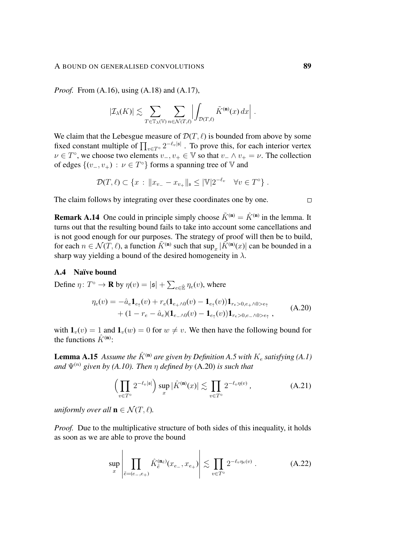#### A BOUND ON GENERALISED CONVOLUTIONS 89

*Proof.* From [\(A.16\)](#page-85-2), using [\(A.18\)](#page-87-0) and [\(A.17\)](#page-87-1),

$$
|\mathcal{I}_{\lambda}(K)| \lesssim \sum_{T \in \mathbb{T}_{\lambda}(\mathbb{V})} \sum_{n \in \mathcal{N}(T,\ell)} \left| \int_{\mathcal{D}(T,\ell)} \tilde{K}^{(\mathbf{n})}(x) \, dx \right| \, .
$$

We claim that the Lebesgue measure of  $\mathcal{D}(T, \ell)$  is bounded from above by some fixed constant multiple of  $\prod_{v \in T^{\circ}} 2^{-\ell_v |\mathfrak{s}|}$ . To prove this, for each interior vertex  $\nu \in T^{\circ}$ , we choose two elements  $v_-, v_+ \in \mathbb{V}$  so that  $v_- \wedge v_+ = \nu$ . The collection of edges  $\{(v_-, v_+) : v \in T^\circ\}$  forms a spanning tree of V and

$$
\mathcal{D}(T,\ell) \subset \{x : ||x_{v_-} - x_{v_+}||_{\mathfrak{s}} \leq |\mathbb{V}|2^{-\ell_v} \quad \forall v \in T^{\circ}\}.
$$

The claim follows by integrating over these coordinates one by one.

**Remark A.14** One could in principle simply choose  $\tilde{K}^{(n)} = \hat{K}^{(n)}$  in the lemma. It turns out that the resulting bound fails to take into account some cancellations and is not good enough for our purposes. The strategy of proof will then be to build, for each  $n \in \mathcal{N}(T, \ell)$ , a function  $\tilde{K}^{(n)}$  such that  $\sup_x |\tilde{K}^{(n)}(x)|$  can be bounded in a sharp way yielding a bound of the desired homogeneity in  $\lambda$ .

## A.4 Naïve bound

Define  $\eta \colon T^{\circ} \to \mathbf{R}$  by  $\eta(v) = |\mathfrak{s}| + \sum_{e \in \hat{\mathbb{E}}} \eta_e(v)$ , where

$$
\eta_e(v) = -\hat{a}_e \mathbf{1}_{e_\uparrow}(v) + r_e(\mathbf{1}_{e_\uparrow \wedge 0}(v) - \mathbf{1}_{e_\uparrow}(v)) \mathbf{1}_{r_e > 0, e_\uparrow \wedge 0 > e_\uparrow} \n+ (1 - r_e - \hat{a}_e)(\mathbf{1}_{e_\uparrow \wedge 0}(v) - \mathbf{1}_{e_\uparrow}(v)) \mathbf{1}_{r_e > 0, e_\uparrow \wedge 0 > e_\uparrow},
$$
\n(A.20)

with  $\mathbf{1}_v(v) = 1$  and  $\mathbf{1}_v(w) = 0$  for  $w \neq v$ . We then have the following bound for the functions  $\hat{K}^{(n)}$ :

**Lemma A.15** Assume the  $\hat{K}^{(n)}$  are given by Definition [A.5](#page-82-0) with  $K_e$  satisfying [\(A.1\)](#page-78-0) *and*  $\Psi^{(n)}$  *given by [\(A.10\)](#page-81-3). Then n defined by [\(A.20\)](#page-88-0) is such that* 

<span id="page-88-2"></span>
$$
\left(\prod_{v \in T^{\circ}} 2^{-\ell_v |\mathfrak{s}|}\right) \sup_x |\hat{K}^{(\mathbf{n})}(x)| \lesssim \prod_{v \in T^{\circ}} 2^{-\ell_v \eta(v)} ,\tag{A.21}
$$

*uniformly over all*  $\mathbf{n} \in \mathcal{N}(T, \ell)$ *.* 

*Proof.* Due to the multiplicative structure of both sides of this inequality, it holds as soon as we are able to prove the bound

<span id="page-88-1"></span>
$$
\sup_{x} \left| \prod_{\tilde{e} = (e_-, e_+)} \hat{K}_{\tilde{e}}^{(\mathbf{n}_{\tilde{e}})}(x_{e_-,} x_{e_+}) \right| \lesssim \prod_{v \in T^{\circ}} 2^{-\ell_v \eta_e(v)} . \tag{A.22}
$$

<span id="page-88-0"></span> $\Box$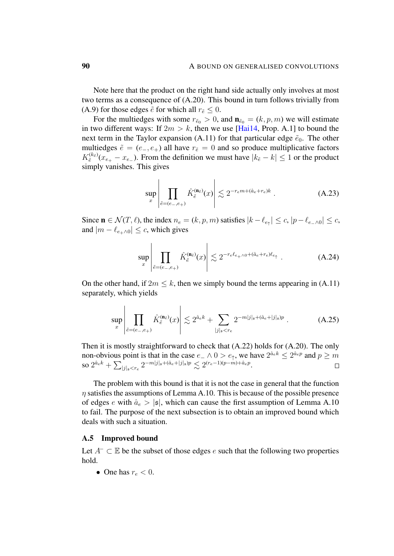Note here that the product on the right hand side actually only involves at most two terms as a consequence of [\(A.20\)](#page-88-0). This bound in turn follows trivially from [\(A.9\)](#page-81-1) for those edges  $\tilde{e}$  for which all  $r_{\tilde{e}} \leq 0$ .

For the multiedges with some  $r_{\tilde{e}_0} > 0$ , and  $\mathbf{n}_{\tilde{e}_0} = (k, p, m)$  we will estimate in two different ways: If  $2m > k$ , then we use [\[Hai14,](#page-102-1) Prop. A.1] to bound the next term in the Taylor expansion [\(A.11\)](#page-82-1) for that particular edge  $\tilde{e}_0$ . The other multiedges  $\tilde{e} = (e_-, e_+)$  all have  $r_{\tilde{e}} = 0$  and so produce multiplicative factors  $K_{\tilde{e}}^{(k_{\tilde{e}})}(x_{e_+}-x_{e_-})$ . From the definition we must have  $|k_{\tilde{e}}-k| \leq 1$  or the product simply vanishes. This gives

 $\overline{1}$ 

$$
\sup_{x} \left| \prod_{\tilde{e} = (e_-, e_+)} \hat{K}_{\tilde{e}}^{(\mathbf{n}_{\tilde{e}})}(x) \right| \lesssim 2^{-r_e m + (\hat{a}_e + r_e)k} . \tag{A.23}
$$

Since  $\mathbf{n} \in \mathcal{N}(T, \ell)$ , the index  $n_e = (k, p, m)$  satisfies  $|k - \ell_{e_{\uparrow}}| \leq c, |p - \ell_{e_{\neg}} \setminus 0| \leq c$ , and  $|m - \ell_{e+\wedge 0}| \leq c$ , which gives

$$
\sup_{x} \left| \prod_{\tilde{e} = (e_-, e_+)} \hat{K}_{\tilde{e}}^{(\mathbf{n}_{\tilde{e}})}(x) \right| \lesssim 2^{-r_e \ell_{e_+ \wedge 0} + (\hat{a}_e + r_e) \ell_{e_+}} \ . \tag{A.24}
$$

On the other hand, if  $2m \leq k$ , then we simply bound the terms appearing in [\(A.11\)](#page-82-1) separately, which yields

$$
\sup_{x} \left| \prod_{\tilde{e} = (e_-, e_+)} \hat{K}_{\tilde{e}}^{(\mathbf{n}_{\tilde{e}})}(x) \right| \lesssim 2^{\hat{a}_e k} + \sum_{|j|_{\mathfrak{s}} < r_e} 2^{-m|j|_{\mathfrak{s}} + (\hat{a}_e + |j|_{\mathfrak{s}})p} . \tag{A.25}
$$

Then it is mostly straightforward to check that [\(A.22\)](#page-88-1) holds for [\(A.20\)](#page-88-0). The only non-obvious point is that in the case  $e_-\wedge 0 > e_\uparrow$ , we have  $2^{\hat{a}_e k} \leq 2^{\hat{a}_e p}$  and  $p \geq m$ so  $2^{\hat{a}_e k} + \sum_{|j|_s < r_e} 2^{-m|j|_s + (\hat{a}_e + |j|_s)p} \lesssim 2^{(r_e - 1)(p - m) + \hat{a}_e p}.$  $\Box$ 

The problem with this bound is that it is not the case in general that the function  $\eta$  satisfies the assumptions of Lemma [A.10.](#page-86-0) This is because of the possible presence of edges e with  $\hat{a}_e > |\mathfrak{s}|$ , which can cause the first assumption of Lemma [A.10](#page-86-0) to fail. The purpose of the next subsection is to obtain an improved bound which deals with such a situation.

#### A.5 Improved bound

Let  $A^- \subset \mathbb{E}$  be the subset of those edges e such that the following two properties hold.

• One has  $r_e < 0$ .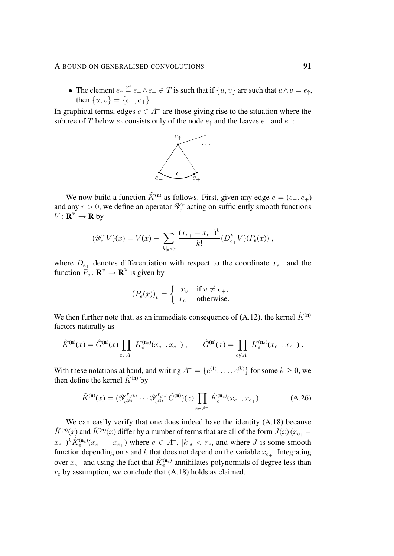### A BOUND ON GENERALISED CONVOLUTIONS 91

• The element  $e_{\uparrow} \stackrel{\text{def}}{=} e_{-\wedge} e_{+} \in T$  is such that if  $\{u, v\}$  are such that  $u \wedge v = e_{\uparrow}$ , then  $\{u, v\} = \{e_-, e_+\}.$ 

In graphical terms, edges  $e \in A^-$  are those giving rise to the situation where the subtree of T below  $e_$ f consists only of the node  $e_$ f and the leaves  $e_$  and  $e_+$ :



We now build a function  $\tilde{K}^{(n)}$  as follows. First, given any edge  $e = (e_-, e_+)$ and any  $r > 0$ , we define an operator  $\mathcal{Y}_e^r$  acting on sufficiently smooth functions  $V: \mathbf{R}^{\mathbb{V}} \to \mathbf{R}$  by

$$
(\mathscr{Y}_e^r V)(x) = V(x) - \sum_{|k|_{\mathfrak{s}} < r} \frac{(x_{e_+} - x_{e_-})^k}{k!} (D_{e_+}^k V)(P_e(x)),
$$

where  $D_{e_{+}}$  denotes differentiation with respect to the coordinate  $x_{e_{+}}$  and the function  $P_e: \mathbf{R}^{\mathbb{V}} \to \mathbf{R}^{\mathbb{V}}$  is given by

<span id="page-90-0"></span>
$$
(P_e(x))_v = \begin{cases} x_v & \text{if } v \neq e_+, \\ x_{e_-} & \text{otherwise.} \end{cases}
$$

We then further note that, as an immediate consequence of [\(A.12\)](#page-82-2), the kernel  $\hat{K}^{(n)}$ factors naturally as

$$
\hat{K}^{(\mathbf{n})}(x) = \hat{G}^{(\mathbf{n})}(x) \prod_{e \in A^-} \hat{K}_e^{(\mathbf{n}_e)}(x_{e_-}, x_{e_+}), \qquad \hat{G}^{(\mathbf{n})}(x) = \prod_{e \notin A^-} \hat{K}_e^{(\mathbf{n}_e)}(x_{e_-}, x_{e_+}).
$$

With these notations at hand, and writing  $A^- = \{e^{(1)}, \ldots, e^{(k)}\}$  for some  $k \geq 0$ , we then define the kernel  $\tilde{K}^{(n)}$  by

$$
\tilde{K}^{(\mathbf{n})}(x) = (\mathscr{Y}_{e^{(k)}}^{r_{e^{(k)}}} \cdots \mathscr{Y}_{e^{(1)}}^{r_{e^{(1)}}} \hat{G}^{(\mathbf{n})})(x) \prod_{e \in A^{-}} \hat{K}_e^{(\mathbf{n}_e)}(x_{e_-}, x_{e_+}) .
$$
\n(A.26)

We can easily verify that one does indeed have the identity  $(A.18)$  because  $\hat{K}^{(\bf{n})}(x)$  and  $\tilde{K}^{(\bf{n})}(x)$  differ by a number of terms that are all of the form  $J(x)(x_{e_+} (x_{e-})^k \hat{K}_e^{(n_e)}(x_{e-} - x_{e+})$  where  $e \in A^-$ ,  $|k|_{\mathfrak{s}} < r_e$ , and where J is some smooth function depending on e and k that does not depend on the variable  $x_{e+}$ . Integrating over  $x_{e_+}$  and using the fact that  $\hat{K}_e^{(n_e)}$  annihilates polynomials of degree less than  $r_e$  by assumption, we conclude that [\(A.18\)](#page-87-0) holds as claimed.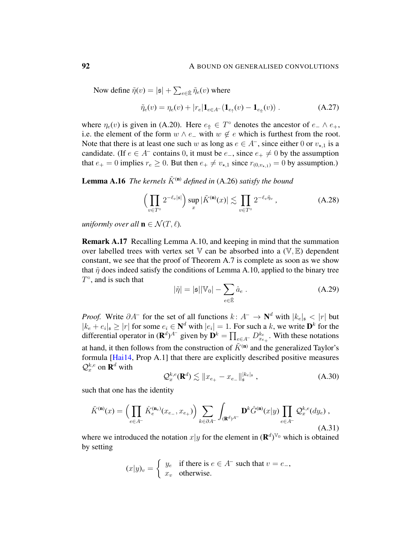Now define  $\tilde{\eta}(v) = |\mathfrak{s}| + \sum_{e \in \hat{\mathbb{E}}} \tilde{\eta}_e(v)$  where

<span id="page-91-2"></span>
$$
\tilde{\eta}_e(v) = \eta_e(v) + |r_e| \mathbf{1}_{e \in A^-} (\mathbf{1}_{e_{\uparrow}}(v) - \mathbf{1}_{e_{\uparrow}}(v)) . \tag{A.27}
$$

where  $\eta_e(v)$  is given in [\(A.20\)](#page-88-0). Here  $e_{\uparrow} \in T^{\circ}$  denotes the ancestor of  $e_{-} \wedge e_{+}$ , i.e. the element of the form  $w \wedge e_$  with  $w \notin e$  which is furthest from the root. Note that there is at least one such w as long as  $e \in A^-$ , since either 0 or  $v_{\star,1}$  is a candidate. (If  $e \in A^-$  contains 0, it must be  $e_-,$  since  $e_+ \neq 0$  by the assumption that  $e_+ = 0$  implies  $r_e \ge 0$ . But then  $e_+ \neq v_{\star,1}$  since  $r_{(0,v_{\star,1})} = 0$  by assumption.)

**Lemma A.16** *The kernels*  $\tilde{K}^{(n)}$  *defined in* [\(A.26\)](#page-90-0) *satisfy the bound* 

$$
\left(\prod_{v\in T^{\circ}} 2^{-\ell_v|\mathfrak{s}|}\right) \sup_x |\tilde{K}^{(\mathbf{n})}(x)| \lesssim \prod_{v\in T^{\circ}} 2^{-\ell_v \tilde{\eta}_v},\tag{A.28}
$$

*uniformly over all*  $\mathbf{n} \in \mathcal{N}(T, \ell)$ *.* 

<span id="page-91-1"></span>Remark A.17 Recalling Lemma [A.10,](#page-86-0) and keeping in mind that the summation over labelled trees with vertex set  $V$  can be absorbed into a  $(V, E)$  dependent constant, we see that the proof of Theorem [A.7](#page-83-0) is complete as soon as we show that  $\tilde{\eta}$  does indeed satisfy the conditions of Lemma [A.10,](#page-86-0) applied to the binary tree  $T^{\circ}$ , and is such that

<span id="page-91-3"></span>
$$
|\tilde{\eta}| = |\mathfrak{s}| |\mathbb{V}_0| - \sum_{e \in \hat{\mathbb{E}}} \hat{a}_e .
$$
 (A.29)

*Proof.* Write  $\partial A^-$  for the set of all functions  $k: A^- \to \mathbb{N}^d$  with  $|k_e|_{\mathfrak{s}} < |r|$  but  $|k_e + e_i|$ ,  $\geq |r|$  for some  $e_i \in \mathbb{N}^d$  with  $|e_i| = 1$ . For such a k, we write  $\mathbf{D}^k$  for the differential operator in  $(\mathbf{R}^d)^{A^-}$  given by  $\mathbf{D}^k = \prod_{e \in A^-} D_{x_{e_+}}^{k_e}$ . With these notations at hand, it then follows from the construction of  $\tilde{K}^{(n)}$  and the generalized Taylor's formula [\[Hai14,](#page-102-1) Prop A.1] that there are explicitly described positive measures  $\mathcal{Q}^{k,e}_x$  on  $\mathbf{R}^d$  with

<span id="page-91-0"></span>
$$
\mathcal{Q}_x^{k,e}(\mathbf{R}^d) \lesssim \|x_{e_+} - x_{e_-}\|_{\mathfrak{s}}^{|k_e|_{\mathfrak{s}}},\tag{A.30}
$$

such that one has the identity

$$
\tilde{K}^{(\mathbf{n})}(x) = \left(\prod_{e \in A^{-}} \hat{K}_{e}^{(\mathbf{n}_{e})}(x_{e_{-}}, x_{e_{+}})\right) \sum_{k \in \partial A^{-}} \int_{(\mathbf{R}^{d})^{A^{-}}} \mathbf{D}^{k} \hat{G}^{(\mathbf{n})}(x|y) \prod_{e \in A^{-}} \mathcal{Q}_{x}^{k,e}(dy_{e}), \tag{A.31}
$$

where we introduced the notation  $x|y$  for the element in  $(\mathbf{R}^d)^{\mathbb{V}_0}$  which is obtained by setting

$$
(x|y)_v = \begin{cases} y_e & \text{if there is } e \in A^- \text{ such that } v = e_-, \\ x_v & \text{otherwise.} \end{cases}
$$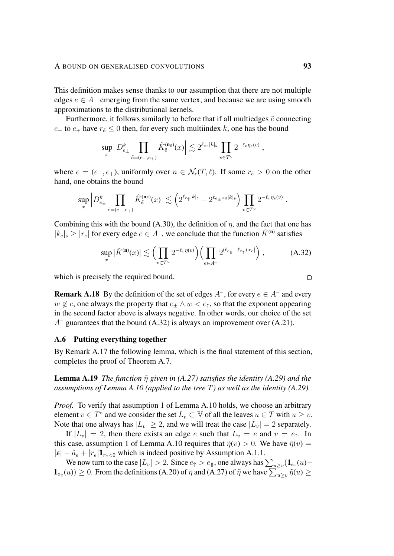This definition makes sense thanks to our assumption that there are not multiple edges  $e \in A^-$  emerging from the same vertex, and because we are using smooth approximations to the distributional kernels.

Furthermore, it follows similarly to before that if all multiedges  $\tilde{e}$  connecting  $e_$  to  $e_+$  have  $r_{\tilde{e}}$  ≤ 0 then, for every such multiindex k, one has the bound

$$
\sup_x \left| D^k_{e_\pm} \prod_{\tilde{e} = (e_-,e_+)} \hat{K}^{(\mathbf{n}_{\tilde{e}})}_{\tilde{e}}(x) \right| \lesssim 2^{\ell_{e_\uparrow} |k|_{\mathfrak{s}}} \prod_{v \in T^\circ} 2^{-\ell_v \eta_e(v)} \;,
$$

where  $e = (e_-, e_+)$ , uniformly over  $n \in \mathcal{N}_c(T, \ell)$ . If some  $r_{\tilde{e}} > 0$  on the other hand, one obtains the bound

$$
\sup_x \left| D^k_{e_\pm} \prod_{\tilde{e} = (e_-,e_+)} \hat{K}_{\tilde{e}}^{(\mathbf{n}_{\tilde{e}})}(x) \right| \lesssim \left( 2^{\ell_{e_\uparrow}|k|_{\mathfrak{s}}} + 2^{\ell_{e_\pm \wedge 0}|k|_{\mathfrak{s}}} \right) \prod_{v \in T^\circ} 2^{-\ell_v \eta_e(v)}.
$$

Combining this with the bound [\(A.30\)](#page-91-0), the definition of  $\eta$ , and the fact that one has  $|k_e|_{\mathfrak{s}} \geq |r_e|$  for every edge  $e \in A^-$ , we conclude that the function  $\tilde{K}^{(\mathbf{n})}$  satisfies

$$
\sup_{x} |\tilde{K}^{(\mathbf{n})}(x)| \lesssim \left(\prod_{v \in T^{\circ}} 2^{-\ell_v \eta(v)}\right) \left(\prod_{e \in A^-} 2^{(\ell_{e_{\hat{\mathbb{I}}}} - \ell_{e_{\hat{\mathbb{I}}}})|r_e|}\right),\tag{A.32}
$$

which is precisely the required bound.

**Remark A.18** By the definition of the set of edges  $A^-$ , for every  $e \in A^-$  and every  $w \notin e$ , one always the property that  $e_{+} \wedge w < e_{+}$ , so that the exponent appearing in the second factor above is always negative. In other words, our choice of the set  $A^-$  guarantees that the bound [\(A.32\)](#page-92-1) is always an improvement over [\(A.21\)](#page-88-2).

### <span id="page-92-0"></span>A.6 Putting everything together

By Remark [A.17](#page-91-1) the following lemma, which is the final statement of this section, completes the proof of Theorem [A.7.](#page-83-0)

**Lemma A.19** *The function*  $\tilde{\eta}$  *given in* [\(A.27\)](#page-91-2) *satisfies the identity* [\(A.29\)](#page-91-3) *and the assumptions of Lemma [A.10](#page-86-0) (applied to the tree* T*) as well as the identity [\(A.29\)](#page-91-3).*

*Proof.* To verify that assumption 1 of Lemma [A.10](#page-86-0) holds, we choose an arbitrary element  $v \in T^{\circ}$  and we consider the set  $L_v \subset \mathbb{V}$  of all the leaves  $u \in T$  with  $u \geq v$ . Note that one always has  $|L_v| \geq 2$ , and we will treat the case  $|L_v| = 2$  separately.

If  $|L_v| = 2$ , then there exists an edge e such that  $L_v = e$  and  $v = e_$ . In this case, assumption 1 of Lemma [A.10](#page-86-0) requires that  $\tilde{\eta}(v) > 0$ . We have  $\tilde{\eta}(v) =$  $|\mathfrak{s}| - \hat{a}_e + |r_e| \mathbf{1}_{r_e \leq 0}$  which is indeed positive by Assumption [A.1.](#page-79-1)1.

We now turn to the case  $|L_v| > 2$ . Since  $e_{\uparrow} > e_{\Uparrow}$ , one always has  $\sum_{u \geq v} (\mathbf{1}_{e_{\uparrow}}(u) \mathbf{1}_{e_{\uparrow\uparrow}}(u) \geq 0$ . From the definitions [\(A.20\)](#page-88-0) of  $\eta$  and [\(A.27\)](#page-91-2) of  $\tilde{\eta}$  we have  $\sum_{u\geq v} \tilde{\eta}(u) \geq 0$ 

<span id="page-92-1"></span> $\Box$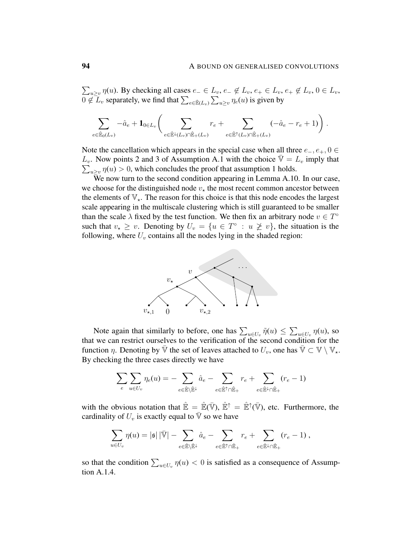$\sum_{u\geq v}\eta(u)$ . By checking all cases  $e_-\in L_v$ ,  $e_-\notin L_v$ ,  $e_+\in L_v$ ,  $e_+\notin L_v$ ,  $0\in L_v$ ,  $0 \notin \mathcal{L}_v$  separately, we find that  $\sum_{e \in \hat{\mathbb{E}}(L_v)} \sum_{u \geq v} \eta_e(u)$  is given by

$$
\sum_{e \in \hat{\mathbb{E}}_0(L_v)} -\hat{a}_e + \mathbf{1}_{0 \in L_v} \bigg( \sum_{e \in \hat{\mathbb{E}}^{\downarrow}(L_v) \cap \hat{\mathbb{E}}_+(L_v)} r_e + \sum_{e \in \hat{\mathbb{E}}^{\uparrow}(L_v) \cap \hat{\mathbb{E}}_+(L_v)} (-\hat{a}_e - r_e + 1) \bigg) .
$$

Note the cancellation which appears in the special case when all three  $e_-, e_+, 0 \in$  $L_v$ . Now points 2 and 3 of Assumption [A.1](#page-79-1) with the choice  $\overline{\mathbb{V}} = L_v$  imply that  $\sum_{u\geq v} \eta(u) > 0$ , which concludes the proof that assumption 1 holds.

We now turn to the second condition appearing in Lemma [A.10.](#page-86-0) In our case, we choose for the distinguished node  $v_{\star}$  the most recent common ancestor between the elements of  $\mathbb{V}_{\star}$ . The reason for this choice is that this node encodes the largest scale appearing in the multiscale clustering which is still guaranteed to be smaller than the scale  $\lambda$  fixed by the test function. We then fix an arbitrary node  $v \in T^{\circ}$ such that  $v_* \geq v$ . Denoting by  $U_v = \{u \in T^\circ : u \not\geq v\}$ , the situation is the following, where  $U_v$  contains all the nodes lying in the shaded region:



Note again that similarly to before, one has  $\sum_{u \in U_v} \tilde{\eta}(u) \le \sum_{u \in U_v} \eta(u)$ , so that we can restrict ourselves to the verification of the second condition for the function  $\eta$ . Denoting by  $\bar{\mathbb{V}}$  the set of leaves attached to  $U_v$ , one has  $\bar{\mathbb{V}} \subset \mathbb{V} \setminus \mathbb{V}_{\star}$ . By checking the three cases directly we have

$$
\sum_e \sum_{u \in U_v} \eta_e(u) = - \sum_{e \in \hat{\mathbb{E}} \setminus \hat{\mathbb{E}}^\downarrow} \hat{a}_e - \sum_{e \in \hat{\mathbb{E}}^\uparrow \cap \hat{\mathbb{E}}_+} r_e + \sum_{e \in \hat{\mathbb{E}}^\downarrow \cap \hat{\mathbb{E}}_+} (r_e - 1)
$$

with the obvious notation that  $\hat{\mathbb{E}} = \hat{\mathbb{E}}(\bar{\mathbb{V}})$ ,  $\hat{\mathbb{E}}^{\uparrow} = \hat{\mathbb{E}}^{\uparrow}(\bar{\mathbb{V}})$ , etc. Furthermore, the cardinality of  $U_v$  is exactly equal to  $\overline{V}$  so we have

$$
\sum_{u\in U_v} \eta(u) = |\mathfrak{s}|\,|\bar{\mathbb{V}}| - \sum_{e\in \hat{\mathbb{E}}\backslash \hat{\mathbb{E}}^\downarrow} \hat{a}_e - \sum_{e\in \hat{\mathbb{E}}^\uparrow\cap \hat{\mathbb{E}}_+} r_e + \sum_{e\in \hat{\mathbb{E}}^\downarrow\cap \hat{\mathbb{E}}_+} (r_e - 1)\,,
$$

so that the condition  $\sum_{u \in U_v} \eta(u) < 0$  is satisfied as a consequence of Assumption [A.1.](#page-79-1)4.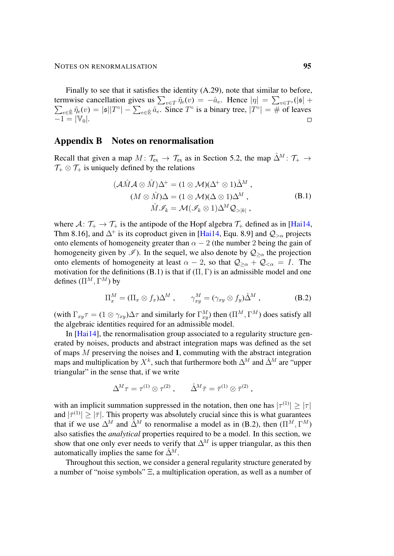Finally to see that it satisfies the identity [\(A.29\)](#page-91-3), note that similar to before, termwise cancellation gives us  $\sum_{v \in T} \tilde{\eta}_e(v) = -\hat{a}_e$ . Hence  $|\eta| = \sum_{v \in T^\circ} (|\mathfrak{s}| + \sum_{e \in \hat{\mathbb{R}}} \tilde{\eta}_e(v) = |\mathfrak{s}||T^\circ| - \sum_{e \in \hat{\mathbb{R}}} \hat{a}_e$ . Since  $T^\circ$  is a binary tree,  $|T^\circ| = \#$  of leaves  $e \in \tilde{p} \tilde{\eta}_e(v) = |\mathfrak{s}| |T^{\circ}| - \sum_{e \in \hat{E}} \hat{a}_e$ . Since  $T^{\circ}$  is a binary tree,  $|T^{\circ}| = \#$  of leaves  $-1 = |\mathbb{V}_0|.$  $\Box$ 

## Appendix B Notes on renormalisation

Recall that given a map  $M: \mathcal{T}_{ex} \to \mathcal{T}_{ex}$  as in Section [5.2,](#page-45-1) the map  $\hat{\Delta}^M: \mathcal{T}_{+} \to$  $\mathcal{T}_+ \otimes \mathcal{T}_+$  is uniquely defined by the relations

<span id="page-94-0"></span>
$$
(\mathcal{A}\hat{M}\mathcal{A}\otimes\hat{M})\Delta^{+} = (1\otimes\mathcal{M})(\Delta^{+}\otimes 1)\hat{\Delta}^{M},(M\otimes\hat{M})\Delta = (1\otimes\mathcal{M})(\Delta\otimes 1)\Delta^{M},\hat{M}\mathcal{I}_{k} = \mathcal{M}(\mathcal{I}_{k}\otimes 1)\Delta^{M}\mathcal{Q}_{>|k|},
$$
(B.1)

where  $A: \mathcal{T}_+ \to \mathcal{T}_+$  is the antipode of the Hopf algebra  $\mathcal{T}_+$  defined as in [\[Hai14,](#page-102-1) Thm 8.16], and  $\Delta^+$  is its coproduct given in [\[Hai14,](#page-102-1) Equ. 8.9] and  $\mathcal{Q}_{\geq \alpha}$  projects onto elements of homogeneity greater than  $\alpha - 2$  (the number 2 being the gain of homogeneity given by  $\mathscr{I}$ ). In the sequel, we also denote by  $\mathcal{Q}_{\geq \alpha}$  the projection onto elements of homogeneity at least  $\alpha - 2$ , so that  $\mathcal{Q}_{\geq \alpha} + \mathcal{Q}_{\leq \alpha} = I$ . The motivation for the definitions [\(B.1\)](#page-94-0) is that if  $(\Pi, \Gamma)$  is an admissible model and one defines  $(\Pi^M, \Gamma^M)$  by

<span id="page-94-1"></span>
$$
\Pi_x^M = (\Pi_x \otimes f_x)\Delta^M, \qquad \gamma_{xy}^M = (\gamma_{xy} \otimes f_y)\hat{\Delta}^M, \tag{B.2}
$$

(with  $\Gamma_{xy}\tau = (1 \otimes \gamma_{xy})\Delta\tau$  and similarly for  $\Gamma^M_{xy}$ ) then  $(\Pi^M, \Gamma^M)$  does satisfy all the algebraic identities required for an admissible model.

In [\[Hai14\]](#page-102-1), the renormalisation group associated to a regularity structure generated by noises, products and abstract integration maps was defined as the set of maps M preserving the noises and 1, commuting with the abstract integration maps and multiplication by  $X^k$ , such that furthermore both  $\Delta^M$  and  $\hat{\Delta}^M$  are "upper triangular" in the sense that, if we write

$$
\Delta^{\!M} \tau = \tau^{(1)} \otimes \tau^{(2)} , \qquad \hat{\Delta}^{\!M} \bar{\tau} = \bar{\tau}^{(1)} \otimes \bar{\tau}^{(2)} ,
$$

with an implicit summation suppressed in the notation, then one has  $|\tau^{(1)}| \geq |\tau|$ and  $|\bar{\tau}^{(1)}| \geq |\bar{\tau}|$ . This property was absolutely crucial since this is what guarantees that if we use  $\Delta^M$  and  $\hat{\Delta}^M$  to renormalise a model as in [\(B.2\)](#page-94-1), then  $(\Pi^M, \Gamma^M)$ also satisfies the *analytical* properties required to be a model. In this section, we show that one only ever needs to verify that  $\Delta^M$  is upper triangular, as this then automatically implies the same for  $\hat{\Delta}^M$ .

Throughout this section, we consider a general regularity structure generated by a number of "noise symbols" Ξ, a multiplication operation, as well as a number of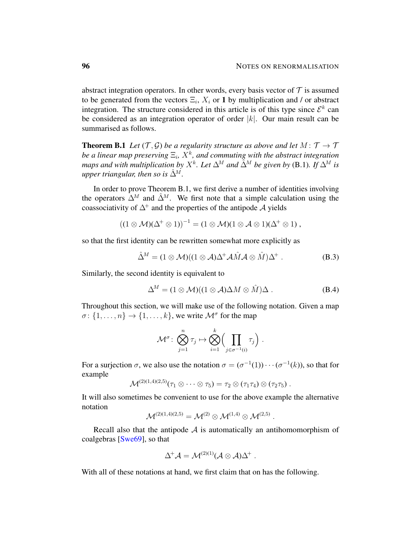abstract integration operators. In other words, every basis vector of  $T$  is assumed to be generated from the vectors  $\Xi_i$ ,  $X_i$  or 1 by multiplication and / or abstract integration. The structure considered in this article is of this type since  $\mathcal{E}^k$  can be considered as an integration operator of order  $|k|$ . Our main result can be summarised as follows.

<span id="page-95-0"></span>**Theorem B.1** *Let*  $(\mathcal{T}, \mathcal{G})$  *be a regularity structure as above and let*  $M : \mathcal{T} \to \mathcal{T}$ be a linear map preserving  $\Xi_i$ ,  $X^k$ , and commuting with the abstract integration *maps and with multiplication by*  $X^k$ *. Let*  $\Delta^M$  *and*  $\tilde{\Delta}^M$  *be given by* [\(B.1\)](#page-94-0). If  $\Delta^M$  *is upper triangular, then so is*  $\hat{\Delta}^M$ .

In order to prove Theorem [B.1,](#page-95-0) we first derive a number of identities involving the operators  $\Delta^M$  and  $\hat{\Delta}^M$ . We first note that a simple calculation using the coassociativity of  $\Delta^+$  and the properties of the antipode A yields

$$
((1\otimes\mathcal{M})(\Delta^+\otimes 1))^{-1}=(1\otimes\mathcal{M})(1\otimes\mathcal{A}\otimes 1)(\Delta^+\otimes 1),
$$

so that the first identity can be rewritten somewhat more explicitly as

$$
\hat{\Delta}^M = (1 \otimes \mathcal{M})((1 \otimes \mathcal{A})\Delta^+ \mathcal{A}\hat{M}\mathcal{A} \otimes \hat{M})\Delta^+ \ . \tag{B.3}
$$

Similarly, the second identity is equivalent to

$$
\Delta^M = (1 \otimes \mathcal{M})((1 \otimes \mathcal{A})\Delta M \otimes \hat{M})\Delta . \tag{B.4}
$$

<span id="page-95-1"></span>.

Throughout this section, we will make use of the following notation. Given a map  $\sigma \colon \{1, \ldots, n\} \to \{1, \ldots, k\}$ , we write  $\mathcal{M}^{\sigma}$  for the map

$$
\mathcal{M}^{\sigma} \colon \bigotimes_{j=1}^{n} \tau_{j} \mapsto \bigotimes_{i=1}^{k} \Biggl( \prod_{j \in \sigma^{-1}(i)} \tau_{j} \Biggr) .
$$

For a surjection  $\sigma$ , we also use the notation  $\sigma = (\sigma^{-1}(1)) \cdots (\sigma^{-1}(k))$ , so that for example

$$
\mathcal{M}^{(2)(1,4)(2,5)}(\tau_1\otimes\cdots\otimes\tau_5)=\tau_2\otimes(\tau_1\tau_4)\otimes(\tau_2\tau_5).
$$

It will also sometimes be convenient to use for the above example the alternative notation

$$
\mathcal{M}^{(2)(1,4)(2,5)}=\mathcal{M}^{(2)}\otimes \mathcal{M}^{(1,4)}\otimes \mathcal{M}^{(2,5)}
$$

Recall also that the antipode  $A$  is automatically an antihomomorphism of coalgebras [\[Swe69\]](#page-103-2), so that

$$
\Delta^+ \mathcal{A} = \mathcal{M}^{(2)(1)} (\mathcal{A} \otimes \mathcal{A}) \Delta^+ \ .
$$

<span id="page-95-2"></span>With all of these notations at hand, we first claim that on has the following.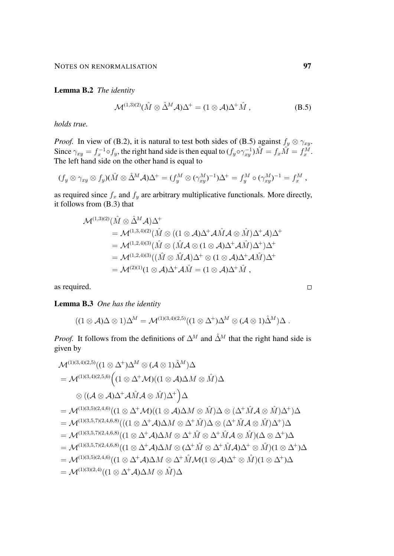Lemma B.2 *The identity*

<span id="page-96-0"></span>
$$
\mathcal{M}^{(1,3)(2)}(\hat{M}\otimes \hat{\Delta}^M \mathcal{A})\Delta^+ = (1\otimes \mathcal{A})\Delta^+ \hat{M} , \qquad (B.5)
$$

*holds true.*

*Proof.* In view of [\(B.2\)](#page-94-1), it is natural to test both sides of [\(B.5\)](#page-96-0) against  $f_y \otimes \gamma_{xy}$ . Since  $\gamma_{xy} = f_x^{-1} \circ f_y$ , the right hand side is then equal to  $(f_y \circ \gamma_{xy}^{-1})\hat{M} = f_x \hat{M} = f_x^{\hat{M}}$ . The left hand side on the other hand is equal to

$$
(f_y \otimes \gamma_{xy} \otimes f_y)(\hat{M} \otimes \hat{\Delta}^M \mathcal{A})\Delta^+ = (f_y^M \otimes (\gamma_{xy}^M)^{-1})\Delta^+ = f_y^M \circ (\gamma_{xy}^M)^{-1} = f_x^M,
$$

as required since  $f_x$  and  $f_y$  are arbitrary multiplicative functionals. More directly, it follows from [\(B.3\)](#page-95-1) that

$$
\mathcal{M}^{(1,3)(2)}(\hat{M}\otimes \hat{\Delta}^{M}\mathcal{A})\Delta^{+}
$$
\n
$$
= \mathcal{M}^{(1,3,4)(2)}(\hat{M}\otimes ((1\otimes \mathcal{A})\Delta^{+}\mathcal{A}\hat{M}\mathcal{A}\otimes \hat{M})\Delta^{+}\mathcal{A})\Delta^{+}
$$
\n
$$
= \mathcal{M}^{(1,2,4)(3)}(\hat{M}\otimes (\hat{M}\mathcal{A}\otimes (1\otimes \mathcal{A})\Delta^{+}\mathcal{A}\hat{M})\Delta^{+})\Delta^{+}
$$
\n
$$
= \mathcal{M}^{(1,2,4)(3)}((\hat{M}\otimes \hat{M}\mathcal{A})\Delta^{+}\otimes (1\otimes \mathcal{A})\Delta^{+}\mathcal{A}\hat{M})\Delta^{+}
$$
\n
$$
= \mathcal{M}^{(2)(1)}(1\otimes \mathcal{A})\Delta^{+}\mathcal{A}\hat{M} = (1\otimes \mathcal{A})\Delta^{+}\hat{M},
$$

as required.

<span id="page-96-1"></span>Lemma B.3 *One has the identity*

$$
((1\otimes A)\Delta\otimes 1)\Delta^M=\mathcal{M}^{(1)(3,4)(2,5)}((1\otimes \Delta^+)\Delta^M\otimes (\mathcal{A}\otimes 1)\hat{\Delta}^M)\Delta.
$$

*Proof.* It follows from the definitions of  $\Delta^M$  and  $\hat{\Delta}^M$  that the right hand side is given by

$$
\mathcal{M}^{(1)(3,4)(2,5)}((1 \otimes \Delta^{+})\Delta^{M} \otimes (\mathcal{A} \otimes 1)\hat{\Delta}^{M})\Delta
$$
\n
$$
= \mathcal{M}^{(1)(3,4)(2,5,6)}((1 \otimes \Delta^{+}\mathcal{M})(1 \otimes \mathcal{A})\Delta M \otimes \hat{M})\Delta
$$
\n
$$
\otimes ((\mathcal{A} \otimes \mathcal{A})\Delta^{+}\mathcal{A}\hat{M}\mathcal{A} \otimes \hat{M})\Delta^{+})\Delta
$$
\n
$$
= \mathcal{M}^{(1)(3,5)(2,4,6)}((1 \otimes \Delta^{+}\mathcal{M})(1 \otimes \mathcal{A})\Delta M \otimes \hat{M})\Delta \otimes (\Delta^{+}\hat{M}\mathcal{A} \otimes \hat{M})\Delta^{+})\Delta
$$
\n
$$
= \mathcal{M}^{(1)(3,5,7)(2,4,6,8)}((1 \otimes \Delta^{+}\mathcal{A})\Delta M \otimes \Delta^{+}\hat{M})\Delta \otimes (\Delta^{+}\hat{M}\mathcal{A} \otimes \hat{M})\Delta^{+})\Delta
$$
\n
$$
= \mathcal{M}^{(1)(3,5,7)(2,4,6,8)}((1 \otimes \Delta^{+}\mathcal{A})\Delta M \otimes \Delta^{+}\hat{M} \otimes \Delta^{+}\hat{M}\mathcal{A} \otimes \hat{M})(\Delta \otimes \Delta^{+})\Delta
$$
\n
$$
= \mathcal{M}^{(1)(3,5,7)(2,4,6,8)}((1 \otimes \Delta^{+}\mathcal{A})\Delta M \otimes (\Delta^{+}\hat{M} \otimes \Delta^{+}\hat{M}\mathcal{A})\Delta^{+} \otimes \hat{M})(1 \otimes \Delta^{+})\Delta
$$
\n
$$
= \mathcal{M}^{(1)(3,5)(2,4,6)}((1 \otimes \Delta^{+}\mathcal{A})\Delta M \otimes \Delta^{+}\hat{M}\mathcal{M}(1 \otimes \mathcal{A})\Delta^{+} \otimes \hat{M})(1 \otimes \Delta^{+})\Delta
$$
\n
$$
= \mathcal{M}^{(1)(3)(2,4)}((1 \otimes \Delta^{+}\mathcal{A})\Delta M \otimes \hat{M})\Delta
$$

 $\Box$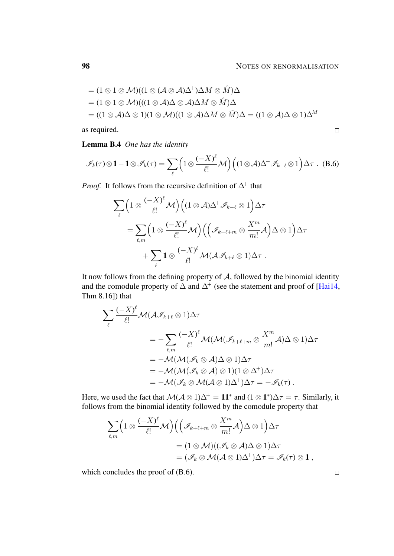<span id="page-97-0"></span> $\Box$ 

$$
= (1 \otimes 1 \otimes M)((1 \otimes (A \otimes A)\Delta^{+})\Delta M \otimes \hat{M})\Delta
$$
  

$$
= (1 \otimes 1 \otimes M)((1 \otimes A)\Delta \otimes A)\Delta M \otimes \hat{M})\Delta
$$
  

$$
= ((1 \otimes A)\Delta \otimes 1)(1 \otimes M)((1 \otimes A)\Delta M \otimes \hat{M})\Delta = ((1 \otimes A)\Delta \otimes 1)\Delta^{M}
$$

as required.

<span id="page-97-1"></span>Lemma B.4 *One has the identity*

$$
\mathscr{I}_k(\tau) \otimes 1 - 1 \otimes \mathscr{I}_k(\tau) = \sum_{\ell} \left( 1 \otimes \frac{(-X)^{\ell}}{\ell!} \mathcal{M} \right) \left( (1 \otimes \mathcal{A}) \Delta^+ \mathcal{I}_{k+\ell} \otimes 1 \right) \Delta \tau \quad (B.6)
$$

*Proof.* It follows from the recursive definition of  $\Delta^+$  that

$$
\sum_{\ell} \left(1 \otimes \frac{(-X)^{\ell}}{\ell!} \mathcal{M}\right) \left((1 \otimes \mathcal{A}) \Delta^{+} \mathcal{I}_{k+\ell} \otimes 1\right) \Delta \tau
$$
\n
$$
= \sum_{\ell,m} \left(1 \otimes \frac{(-X)^{\ell}}{\ell!} \mathcal{M}\right) \left(\left(\mathcal{I}_{k+\ell+m} \otimes \frac{X^{m}}{m!} \mathcal{A}\right) \Delta \otimes 1\right) \Delta \tau
$$
\n
$$
+ \sum_{\ell} \mathbf{1} \otimes \frac{(-X)^{\ell}}{\ell!} \mathcal{M}(\mathcal{A} \mathcal{I}_{k+\ell} \otimes 1) \Delta \tau.
$$

It now follows from the defining property of  $A$ , followed by the binomial identity and the comodule property of  $\Delta$  and  $\Delta^+$  (see the statement and proof of [\[Hai14,](#page-102-1) Thm 8.16]) that

$$
\sum_{\ell} \frac{(-X)^{\ell}}{\ell!} \mathcal{M}(\mathcal{A}\mathcal{I}_{k+\ell} \otimes 1)\Delta \tau
$$
  
=  $-\sum_{\ell,m} \frac{(-X)^{\ell}}{\ell!} \mathcal{M}(\mathcal{M}(\mathcal{I}_{k+\ell+m} \otimes \frac{X^{m}}{m!}A)\Delta \otimes 1)\Delta \tau$   
=  $-\mathcal{M}(\mathcal{M}(\mathcal{I}_{k} \otimes A)\Delta \otimes 1)\Delta \tau$   
=  $-\mathcal{M}(\mathcal{M}(\mathcal{I}_{k} \otimes A) \otimes 1)(1 \otimes \Delta^{+})\Delta \tau$   
=  $-\mathcal{M}(\mathcal{I}_{k} \otimes \mathcal{M}(\mathcal{A} \otimes 1)\Delta^{+})\Delta \tau = -\mathcal{I}_{k}(\tau).$ 

Here, we used the fact that  $\mathcal{M}(\mathcal{A}\otimes 1)\Delta^+=11^*$  and  $(1\otimes 1^*)\Delta\tau=\tau$ . Similarly, it follows from the binomial identity followed by the comodule property that

$$
\sum_{\ell,m} \left(1 \otimes \frac{(-X)^{\ell}}{\ell!} \mathcal{M}\right) \left(\left(\mathcal{I}_{k+\ell+m} \otimes \frac{X^m}{m!} \mathcal{A}\right) \Delta \otimes 1\right) \Delta \tau
$$
  
=  $(1 \otimes \mathcal{M})((\mathcal{I}_k \otimes \mathcal{A}) \Delta \otimes 1) \Delta \tau$   
=  $(\mathcal{I}_k \otimes \mathcal{M}(\mathcal{A} \otimes 1) \Delta^+) \Delta \tau = \mathcal{I}_k(\tau) \otimes 1$ ,

which concludes the proof of [\(B.6\)](#page-97-0).

 $\overline{\phantom{a}}$ 

 $\Box$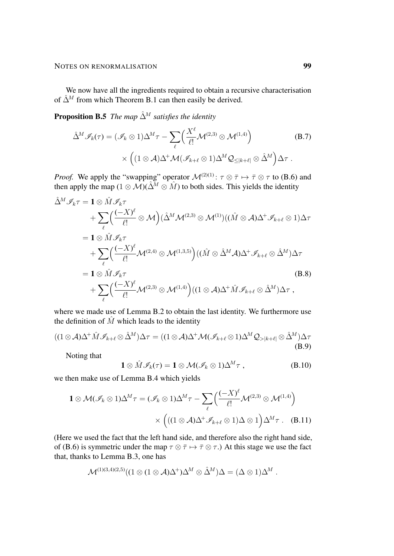We now have all the ingredients required to obtain a recursive characterisation of  $\hat{\Delta}^M$  from which Theorem [B.1](#page-95-0) can then easily be derived.

**Proposition B.5** *The map*  $\hat{\Delta}^M$  *satisfies the identity* 

<span id="page-98-4"></span>
$$
\hat{\Delta}^M \mathcal{I}_k(\tau) = (\mathcal{I}_k \otimes 1) \Delta^M \tau - \sum_{\ell} \left( \frac{X^{\ell}}{\ell!} \mathcal{M}^{(2,3)} \otimes \mathcal{M}^{(1,4)} \right) \qquad (B.7)
$$

$$
\times \left( (1 \otimes \mathcal{A}) \Delta^+ \mathcal{M} (\mathcal{I}_{k+\ell} \otimes 1) \Delta^M \mathcal{Q}_{\leq |k+\ell|} \otimes \hat{\Delta}^M \right) \Delta \tau .
$$

*Proof.* We apply the "swapping" operator  $\mathcal{M}^{(2)(1)}$ :  $\tau \otimes \bar{\tau} \mapsto \bar{\tau} \otimes \tau$  to [\(B.6\)](#page-97-0) and then apply the map  $(1 \otimes \overline{\mathcal{M}})(\hat{\Delta}^M \otimes \hat{M})$  to both sides. This yields the identity

$$
\hat{\Delta}^{M} \mathscr{I}_{k} \tau = \mathbf{1} \otimes \hat{M} \mathscr{I}_{k} \tau \n+ \sum_{\ell} \left( \frac{(-X)^{\ell}}{\ell!} \otimes \mathcal{M} \right) (\hat{\Delta}^{M} \mathcal{M}^{(2,3)} \otimes \mathcal{M}^{(1)}) ((\hat{M} \otimes \mathcal{A}) \Delta^{+} \mathscr{I}_{k+\ell} \otimes 1) \Delta \tau \n= \mathbf{1} \otimes \hat{M} \mathscr{I}_{k} \tau \n+ \sum_{\ell} \left( \frac{(-X)^{\ell}}{\ell!} \mathcal{M}^{(2,4)} \otimes \mathcal{M}^{(1,3,5)} \right) ((\hat{M} \otimes \hat{\Delta}^{M} \mathcal{A}) \Delta^{+} \mathscr{I}_{k+\ell} \otimes \hat{\Delta}^{M}) \Delta \tau \n= \mathbf{1} \otimes \hat{M} \mathscr{I}_{k} \tau \n+ \sum_{\ell} \left( \frac{(-X)^{\ell}}{\ell!} \mathcal{M}^{(2,3)} \otimes \mathcal{M}^{(1,4)} \right) ((1 \otimes \mathcal{A}) \Delta^{+} \hat{M} \mathscr{I}_{k+\ell} \otimes \hat{\Delta}^{M}) \Delta \tau ,
$$
\n(B.8)

where we made use of Lemma [B.2](#page-95-2) to obtain the last identity. We furthermore use the definition of  $\hat{M}$  which leads to the identity

$$
((1\otimes A)\Delta^{+}\hat{M}\mathscr{I}_{k+\ell}\otimes \hat{\Delta}^{M})\Delta \tau = ((1\otimes A)\Delta^{+}\mathcal{M}(\mathscr{I}_{k+\ell}\otimes 1)\Delta^{M}\mathcal{Q}_{> |k+\ell|}\otimes \hat{\Delta}^{M})\Delta \tau
$$
\n(B.9)

Noting that

<span id="page-98-3"></span><span id="page-98-2"></span><span id="page-98-1"></span><span id="page-98-0"></span>
$$
\mathbf{1} \otimes \hat{M} \mathscr{I}_k(\tau) = \mathbf{1} \otimes \mathcal{M}(\mathscr{I}_k \otimes 1) \Delta^M \tau , \qquad (B.10)
$$

we then make use of Lemma [B.4](#page-97-1) which yields

$$
\mathbf{1} \otimes \mathcal{M}(\mathscr{I}_k \otimes 1)\Delta^M \tau = (\mathscr{I}_k \otimes 1)\Delta^M \tau - \sum_{\ell} \left( \frac{(-X)^{\ell}}{\ell!} \mathcal{M}^{(2,3)} \otimes \mathcal{M}^{(1,4)} \right) \times \left( ((1 \otimes \mathcal{A})\Delta^+ \mathcal{I}_{k+\ell} \otimes 1)\Delta \otimes 1 \right) \Delta^M \tau \qquad (B.11)
$$

(Here we used the fact that the left hand side, and therefore also the right hand side, of [\(B.6\)](#page-97-0) is symmetric under the map  $\tau \otimes \overline{\tau} \mapsto \overline{\tau} \otimes \tau$ .) At this stage we use the fact that, thanks to Lemma [B.3,](#page-96-1) one has

$$
\mathcal{M}^{(1)(3,4)(2,5)}((1\otimes (1\otimes \mathcal{A})\Delta^+)\Delta^M\otimes \hat{\Delta}^M)\Delta=(\Delta\otimes 1)\Delta^M.
$$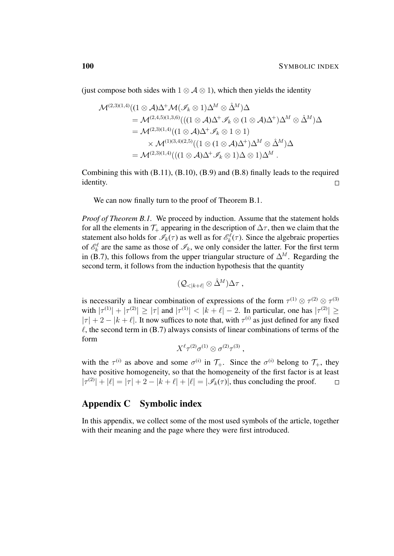(just compose both sides with  $1 \otimes A \otimes 1$ ), which then yields the identity

$$
\mathcal{M}^{(2,3)(1,4)}((1 \otimes \mathcal{A})\Delta^{+}\mathcal{M}(\mathscr{I}_{k} \otimes 1)\Delta^{M} \otimes \hat{\Delta}^{M})\Delta
$$
\n
$$
= \mathcal{M}^{(2,4,5)(1,3,6)}(((1 \otimes \mathcal{A})\Delta^{+}\mathscr{I}_{k} \otimes (1 \otimes \mathcal{A})\Delta^{+})\Delta^{M} \otimes \hat{\Delta}^{M})\Delta
$$
\n
$$
= \mathcal{M}^{(2,3)(1,4)}((1 \otimes \mathcal{A})\Delta^{+}\mathscr{I}_{k} \otimes 1 \otimes 1)
$$
\n
$$
\times \mathcal{M}^{(1)(3,4)(2,5)}((1 \otimes (1 \otimes \mathcal{A})\Delta^{+})\Delta^{M} \otimes \hat{\Delta}^{M})\Delta
$$
\n
$$
= \mathcal{M}^{(2,3)(1,4)}(((1 \otimes \mathcal{A})\Delta^{+}\mathscr{I}_{k} \otimes 1)\Delta \otimes 1)\Delta^{M}.
$$

Combining this with [\(B.11\)](#page-98-0), [\(B.10\)](#page-98-1), [\(B.9\)](#page-98-2) and [\(B.8\)](#page-98-3) finally leads to the required identity.  $\Box$ 

We can now finally turn to the proof of Theorem [B.1.](#page-95-0)

*Proof of Theorem [B.1.](#page-95-0)* We proceed by induction. Assume that the statement holds for all the elements in  $\mathcal{T}_+$  appearing in the description of  $\Delta\tau$ , then we claim that the statement also holds for  $\mathcal{I}_k(\tau)$  as well as for  $\mathcal{E}_k^{\ell}(\tau)$ . Since the algebraic properties of  $\mathcal{E}_k^{\ell}$  are the same as those of  $\mathcal{I}_k$ , we only consider the latter. For the first term in [\(B.7\)](#page-98-4), this follows from the upper triangular structure of  $\Delta^M$ . Regarding the second term, it follows from the induction hypothesis that the quantity

$$
(\mathcal{Q}_{<|k+\ell|} \otimes \hat{\Delta}^M) \Delta \tau ,
$$

is necessarily a linear combination of expressions of the form  $\tau^{(1)} \otimes \tau^{(2)} \otimes \tau^{(3)}$ with  $|\tau^{(1)}| + |\tau^{(2)}| \ge |\tau|$  and  $|\tau^{(1)}| < |k + \ell| - 2$ . In particular, one has  $|\tau^{(2)}| \ge |\tau|$  $|\tau| + 2 - |k + \ell|$ . It now suffices to note that, with  $\tau^{(i)}$  as just defined for any fixed  $\ell$ , the second term in [\(B.7\)](#page-98-4) always consists of linear combinations of terms of the form

$$
X^{\ell} \tau^{(2)} \sigma^{(1)} \otimes \sigma^{(2)} \tau^{(3)} ,
$$

with the  $\tau^{(i)}$  as above and some  $\sigma^{(i)}$  in  $\mathcal{T}_+$ . Since the  $\sigma^{(i)}$  belong to  $\mathcal{T}_+$ , they have positive homogeneity, so that the homogeneity of the first factor is at least  $|\tau^{(2)}| + |\ell| = |\tau| + 2 - |k + \ell| + |\ell| = |\mathcal{I}_k(\tau)|$ , thus concluding the proof.  $\Box$ 

# Appendix C Symbolic index

In this appendix, we collect some of the most used symbols of the article, together with their meaning and the page where they were first introduced.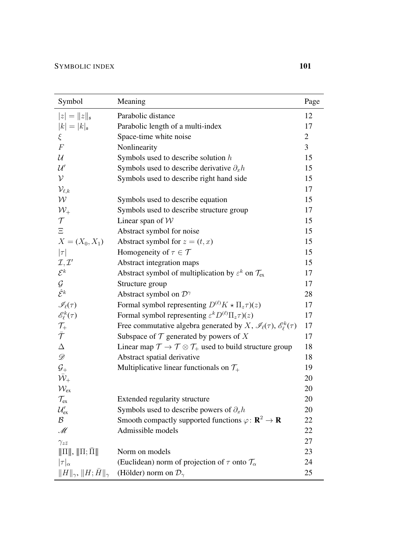| Symbol                                    | Meaning                                                                                              | Page           |
|-------------------------------------------|------------------------------------------------------------------------------------------------------|----------------|
| $ z  =   z  _{\mathfrak{s}}$              | Parabolic distance                                                                                   | 12             |
| $ k  =  k _{\mathfrak{s}}$                | Parabolic length of a multi-index                                                                    | 17             |
| ξ                                         | Space-time white noise                                                                               | $\overline{2}$ |
| $\boldsymbol{F}$                          | Nonlinearity                                                                                         | $\overline{3}$ |
| $\mathcal{U}$                             | Symbols used to describe solution $h$                                                                | 15             |
| $\mathcal{U}'$                            | Symbols used to describe derivative $\partial_x h$                                                   | 15             |
| $\mathcal V$                              | Symbols used to describe right hand side                                                             | 15             |
| $\mathcal{V}_{\ell, k}$                   |                                                                                                      | 17             |
| $\mathcal W$                              | Symbols used to describe equation                                                                    | 15             |
| $\mathcal{W}_+$                           | Symbols used to describe structure group                                                             | 17             |
| $\mathcal T$                              | Linear span of $W$                                                                                   | 15             |
| $\Xi$                                     | Abstract symbol for noise                                                                            | 15             |
| $X = (X_0, X_1)$                          | Abstract symbol for $z = (t, x)$                                                                     | 15             |
| $ \tau $                                  | Homogeneity of $\tau \in \mathcal{T}$                                                                | 15             |
| $\mathcal{I}, \mathcal{I}'$               | Abstract integration maps                                                                            | 15             |
| $\mathcal{E}^k$                           | Abstract symbol of multiplication by $\varepsilon^k$ on $\mathcal{T}_{ex}$                           | 17             |
| $\mathcal G$                              | Structure group                                                                                      | 17             |
| $\hat{\mathcal{E}}^k$                     | Abstract symbol on $\mathcal{D}^{\gamma}$                                                            | 28             |
| $\mathscr{I}_{\ell}(\tau)$                | Formal symbol representing $D^{(\ell)}K \star \Pi_z \tau(x)$                                         | 17             |
| $\mathscr{E}_\ell^k(\tau)$                | Formal symbol representing $\varepsilon^k D^{(\ell)} \Pi_z \tau(x)$                                  | 17             |
|                                           | Free commutative algebra generated by X, $\mathcal{I}_{\ell}(\tau)$ , $\mathcal{E}_{\ell}^{k}(\tau)$ | 17             |
| $\frac{\mathcal{T}_+}{\bar{\mathcal{T}}}$ | Subspace of $\mathcal T$ generated by powers of X                                                    | 17             |
| $\Delta$                                  | Linear map $\mathcal{T} \to \mathcal{T} \otimes \mathcal{T}_+$ used to build structure group         | 18             |
| $\mathscr{D}$                             | Abstract spatial derivative                                                                          | 18             |
| $\mathcal{G}_+$                           | Multiplicative linear functionals on $\mathcal{T}_+$                                                 | 19             |
| $\bar{\mathcal{W}}_\pm$                   |                                                                                                      | 20             |
| $\mathcal{W}_{\mathrm{ex}}$               |                                                                                                      | 20             |
| $\mathcal{T}_{\mathrm{ex}}$               | Extended regularity structure                                                                        | 20             |
| $\mathcal{U}_{\mathrm{ex}}'$              | Symbols used to describe powers of $\partial_x h$                                                    | 20             |
| $\mathcal{B}$                             | Smooth compactly supported functions $\varphi: \mathbb{R}^2 \to \mathbb{R}$                          | 22             |
| M                                         | Admissible models                                                                                    | 22             |
| $\gamma_{z\bar{z}}$                       |                                                                                                      | 27             |
| $\ \Pi\ , \ \Pi; \bar{\Pi}\ $             | Norm on models                                                                                       | 23             |
| $ \tau _{\alpha}$                         | (Euclidean) norm of projection of $\tau$ onto $\mathcal{T}_{\alpha}$                                 | 24             |
| $  H  _{\gamma},   H;\bar{H}  _{\gamma}$  | (Hölder) norm on $\mathcal{D}_{\gamma}$                                                              | 25             |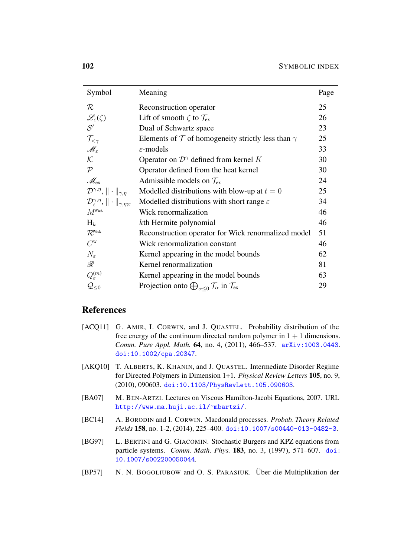| Symbol                                                                        | Meaning                                                                            | Page |
|-------------------------------------------------------------------------------|------------------------------------------------------------------------------------|------|
| $\mathcal R$                                                                  | Reconstruction operator                                                            | 25   |
| $\mathscr{L}_{\varepsilon}(\zeta)$                                            | Lift of smooth $\zeta$ to $\mathcal{T}_{ex}$                                       | 26   |
| $\mathcal{S}'$                                                                | Dual of Schwartz space                                                             | 23   |
| $\mathcal{T}_{<\gamma}$                                                       | Elements of $\mathcal T$ of homogeneity strictly less than $\gamma$                | 25   |
| $\mathscr{M}_{\varepsilon}$                                                   | $\varepsilon$ -models                                                              | 33   |
| $\mathcal{K}$                                                                 | Operator on $\mathcal{D}^{\gamma}$ defined from kernel K                           | 30   |
| $\mathcal{P}$                                                                 | Operator defined from the heat kernel                                              | 30   |
| $\mathscr{M}_{\mathrm{ex}}$                                                   | Admissible models on $\mathcal{T}_{ex}$                                            | 24   |
| $\mathcal{D}^{\gamma,\eta},\ \cdot\ _{\gamma,\eta}$                           | Modelled distributions with blow-up at $t = 0$                                     | 25   |
| $\mathcal{D}_{\varepsilon}^{\gamma,\eta},\ \cdot\ _{\gamma,\eta,\varepsilon}$ | Modelled distributions with short range $\varepsilon$                              | 34   |
| $M^{\text{Wick}}$                                                             | Wick renormalization                                                               | 46   |
| $H_k$                                                                         | kth Hermite polynomial                                                             | 46   |
| $\mathcal{R}^{\text{Wick}}$                                                   | Reconstruction operator for Wick renormalized model                                | 51   |
| $C^{\rm w}$                                                                   | Wick renormalization constant                                                      | 46   |
| $N_{\varepsilon}$                                                             | Kernel appearing in the model bounds                                               | 62   |
| R                                                                             | Kernel renormalization                                                             | 81   |
| $Q_{\varepsilon}^{(m)}$                                                       | Kernel appearing in the model bounds                                               | 63   |
| $\mathcal{Q}_{\leq 0}$                                                        | Projection onto $\bigoplus_{\alpha<0}\mathcal{T}_\alpha$ in $\mathcal{T}_{\alpha}$ | 29   |
|                                                                               |                                                                                    |      |

# References

- [ACQ11] G. AMIR, I. CORWIN, and J. QUASTEL. Probability distribution of the free energy of the continuum directed random polymer in  $1 + 1$  dimensions. *Comm. Pure Appl. Math.* 64, no. 4, (2011), 466–537. [arXiv:1003.0443](http://arxiv.org/abs/1003.0443). [doi:10.1002/cpa.20347](http://dx.doi.org/10.1002/cpa.20347).
- [AKQ10] T. ALBERTS, K. KHANIN, and J. QUASTEL. Intermediate Disorder Regime for Directed Polymers in Dimension 1+1. *Physical Review Letters* 105, no. 9, (2010), 090603. [doi:10.1103/PhysRevLett.105.090603](http://dx.doi.org/10.1103/PhysRevLett.105.090603).
- [BA07] M. BEN-ARTZI. Lectures on Viscous Hamilton-Jacobi Equations, 2007. URL [http://www.ma.huji.ac.il/˜mbartzi/](http://www.ma.huji.ac.il/~mbartzi/).
- [BC14] A. BORODIN and I. CORWIN. Macdonald processes. *Probab. Theory Related Fields* 158, no. 1-2, (2014), 225–400. [doi:10.1007/s00440-013-0482-3](http://dx.doi.org/10.1007/s00440-013-0482-3).
- <span id="page-101-0"></span>[BG97] L. BERTINI and G. GIACOMIN. Stochastic Burgers and KPZ equations from particle systems. *Comm. Math. Phys.* 183, no. 3, (1997), 571–607. [doi:](http://dx.doi.org/10.1007/s002200050044) [10.1007/s002200050044](http://dx.doi.org/10.1007/s002200050044).
- <span id="page-101-1"></span>[BP57] N. N. BOGOLIUBOW and O. S. PARASIUK. Über die Multiplikation der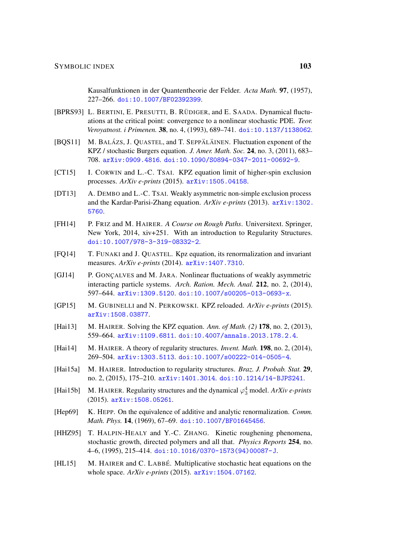Kausalfunktionen in der Quantentheorie der Felder. *Acta Math.* 97, (1957), 227–266. [doi:10.1007/BF02392399](http://dx.doi.org/10.1007/BF02392399).

- [BPRS93] L. BERTINI, E. PRESUTTI, B. RÜDIGER, and E. SAADA. Dynamical fluctuations at the critical point: convergence to a nonlinear stochastic PDE. *Teor. Veroyatnost. i Primenen.* 38, no. 4, (1993), 689–741. [doi:10.1137/1138062](http://dx.doi.org/10.1137/1138062).
- [BQS11] M. BALÁZS, J. QUASTEL, and T. SEPPÄLÄINEN. Fluctuation exponent of the KPZ / stochastic Burgers equation. *J. Amer. Math. Soc.* 24, no. 3, (2011), 683– 708. [arXiv:0909.4816](http://arxiv.org/abs/0909.4816). [doi:10.1090/S0894-0347-2011-00692-9](http://dx.doi.org/10.1090/S0894-0347-2011-00692-9).
- [CT15] I. CORWIN and L.-C. TSAI. KPZ equation limit of higher-spin exclusion processes. *ArXiv e-prints* (2015). [arXiv:1505.04158](http://arxiv.org/abs/1505.04158).
- [DT13] A. DEMBO and L.-C. TSAI. Weakly asymmetric non-simple exclusion process and the Kardar-Parisi-Zhang equation. *ArXiv e-prints* (2013). [arXiv:1302.](http://arxiv.org/abs/1302.5760) [5760](http://arxiv.org/abs/1302.5760).
- [FH14] P. FRIZ and M. HAIRER. *A Course on Rough Paths*. Universitext. Springer, New York, 2014, xiv+251. With an introduction to Regularity Structures. [doi:10.1007/978-3-319-08332-2](http://dx.doi.org/10.1007/978-3-319-08332-2).
- [FQ14] T. FUNAKI and J. QUASTEL. Kpz equation, its renormalization and invariant measures. *ArXiv e-prints* (2014). [arXiv:1407.7310](http://arxiv.org/abs/1407.7310).
- [GJ14] P. GONÇALVES and M. JARA. Nonlinear fluctuations of weakly asymmetric interacting particle systems. *Arch. Ration. Mech. Anal.* 212, no. 2, (2014), 597–644. [arXiv:1309.5120](http://arxiv.org/abs/1309.5120). [doi:10.1007/s00205-013-0693-x](http://dx.doi.org/10.1007/s00205-013-0693-x).
- [GP15] M. GUBINELLI and N. PERKOWSKI. KPZ reloaded. *ArXiv e-prints* (2015). [arXiv:1508.03877](http://arxiv.org/abs/1508.03877).
- <span id="page-102-0"></span>[Hai13] M. HAIRER. Solving the KPZ equation. *Ann. of Math. (2)* 178, no. 2, (2013), 559–664. [arXiv:1109.6811](http://arxiv.org/abs/1109.6811). [doi:10.4007/annals.2013.178.2.4](http://dx.doi.org/10.4007/annals.2013.178.2.4).
- <span id="page-102-1"></span>[Hai14] M. HAIRER. A theory of regularity structures. *Invent. Math.* 198, no. 2, (2014), 269–504. [arXiv:1303.5113](http://arxiv.org/abs/1303.5113). [doi:10.1007/s00222-014-0505-4](http://dx.doi.org/10.1007/s00222-014-0505-4).
- [Hai15a] M. HAIRER. Introduction to regularity structures. *Braz. J. Probab. Stat.* 29, no. 2, (2015), 175–210. [arXiv:1401.3014](http://arxiv.org/abs/1401.3014). [doi:10.1214/14-BJPS241](http://dx.doi.org/10.1214/14-BJPS241).
- [Hai15b] M. HAIRER. Regularity structures and the dynamical  $\varphi_3^4$  model. *ArXiv e-prints* (2015). [arXiv:1508.05261](http://arxiv.org/abs/1508.05261).
- <span id="page-102-2"></span>[Hep69] K. HEPP. On the equivalence of additive and analytic renormalization. *Comm. Math. Phys.* 14, (1969), 67–69. [doi:10.1007/BF01645456](http://dx.doi.org/10.1007/BF01645456).
- [HHZ95] T. HALPIN-HEALY and Y.-C. ZHANG. Kinetic roughening phenomena, stochastic growth, directed polymers and all that. *Physics Reports* 254, no. 4–6, (1995), 215–414. [doi:10.1016/0370-1573\(94\)00087-J](http://dx.doi.org/10.1016/0370-1573(94)00087-J).
- [HL15] M. HAIRER and C. LABBÉ. Multiplicative stochastic heat equations on the whole space. *ArXiv e-prints* (2015). [arXiv:1504.07162](http://arxiv.org/abs/1504.07162).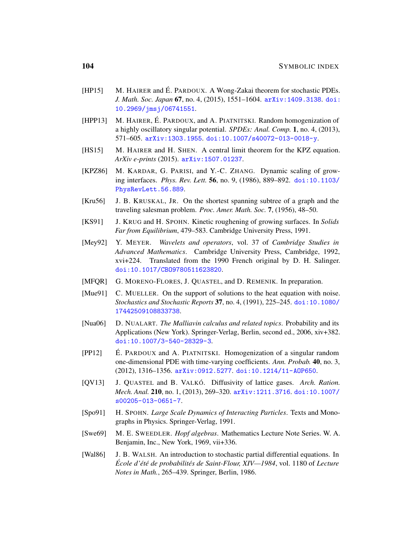- <span id="page-103-0"></span>[HP15] M. HAIRER and É. PARDOUX. A Wong-Zakai theorem for stochastic PDEs. *J. Math. Soc. Japan* 67, no. 4, (2015), 1551–1604. [arXiv:1409.3138](http://arxiv.org/abs/1409.3138). [doi:](http://dx.doi.org/10.2969/jmsj/06741551) [10.2969/jmsj/06741551](http://dx.doi.org/10.2969/jmsj/06741551).
- [HPP13] M. HAIRER, É. PARDOUX, and A. PIATNITSKI. Random homogenization of a highly oscillatory singular potential. *SPDEs: Anal. Comp.* 1, no. 4, (2013), 571–605. [arXiv:1303.1955](http://arxiv.org/abs/1303.1955). [doi:10.1007/s40072-013-0018-y](http://dx.doi.org/10.1007/s40072-013-0018-y).
- [HS15] M. HAIRER and H. SHEN. A central limit theorem for the KPZ equation. *ArXiv e-prints* (2015). [arXiv:1507.01237](http://arxiv.org/abs/1507.01237).
- [KPZ86] M. KARDAR, G. PARISI, and Y.-C. ZHANG. Dynamic scaling of growing interfaces. *Phys. Rev. Lett.* 56, no. 9, (1986), 889–892. [doi:10.1103/](http://dx.doi.org/10.1103/PhysRevLett.56.889) [PhysRevLett.56.889](http://dx.doi.org/10.1103/PhysRevLett.56.889).
- <span id="page-103-1"></span>[Kru56] J. B. KRUSKAL, JR. On the shortest spanning subtree of a graph and the traveling salesman problem. *Proc. Amer. Math. Soc.* 7, (1956), 48–50.
- [KS91] J. KRUG and H. SPOHN. Kinetic roughening of growing surfaces. In *Solids Far from Equilibrium*, 479–583. Cambridge University Press, 1991.
- [Mey92] Y. MEYER. *Wavelets and operators*, vol. 37 of *Cambridge Studies in Advanced Mathematics*. Cambridge University Press, Cambridge, 1992, xvi+224. Translated from the 1990 French original by D. H. Salinger. [doi:10.1017/CBO9780511623820](http://dx.doi.org/10.1017/CBO9780511623820).
- [MFQR] G. MORENO-FLORES, J. QUASTEL, and D. REMENIK. In preparation.
- [Mue91] C. MUELLER. On the support of solutions to the heat equation with noise. *Stochastics and Stochastic Reports* 37, no. 4, (1991), 225–245. [doi:10.1080/](http://dx.doi.org/10.1080/17442509108833738) [17442509108833738](http://dx.doi.org/10.1080/17442509108833738).
- [Nua06] D. NUALART. *The Malliavin calculus and related topics*. Probability and its Applications (New York). Springer-Verlag, Berlin, second ed., 2006, xiv+382. [doi:10.1007/3-540-28329-3](http://dx.doi.org/10.1007/3-540-28329-3).
- $[PP12]$  E. PARDOUX and A. PIATNITSKI. Homogenization of a singular random one-dimensional PDE with time-varying coefficients. *Ann. Probab.* 40, no. 3, (2012), 1316–1356. [arXiv:0912.5277](http://arxiv.org/abs/0912.5277). [doi:10.1214/11-AOP650](http://dx.doi.org/10.1214/11-AOP650).
- [QV13] J. QUASTEL and B. VALKÓ. Diffusivity of lattice gases. Arch. Ration. *Mech. Anal.* 210, no. 1, (2013), 269–320. [arXiv:1211.3716](http://arxiv.org/abs/1211.3716). [doi:10.1007/](http://dx.doi.org/10.1007/s00205-013-0651-7) [s00205-013-0651-7](http://dx.doi.org/10.1007/s00205-013-0651-7).
- [Spo91] H. SPOHN. *Large Scale Dynamics of Interacting Particles*. Texts and Monographs in Physics. Springer-Verlag, 1991.
- <span id="page-103-2"></span>[Swe69] M. E. SWEEDLER. *Hopf algebras*. Mathematics Lecture Note Series. W. A. Benjamin, Inc., New York, 1969, vii+336.
- [Wal86] J. B. WALSH. An introduction to stochastic partial differential equations. In *Ecole d' ´ et´ e de probabilit ´ es de Saint-Flour, XIV—1984 ´* , vol. 1180 of *Lecture Notes in Math.*, 265–439. Springer, Berlin, 1986.